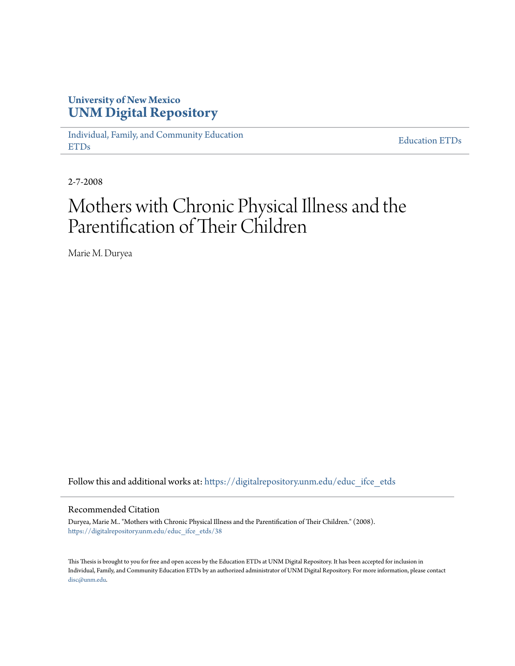## **University of New Mexico [UNM Digital Repository](https://digitalrepository.unm.edu?utm_source=digitalrepository.unm.edu%2Feduc_ifce_etds%2F38&utm_medium=PDF&utm_campaign=PDFCoverPages)**

[Individual, Family, and Community Education](https://digitalrepository.unm.edu/educ_ifce_etds?utm_source=digitalrepository.unm.edu%2Feduc_ifce_etds%2F38&utm_medium=PDF&utm_campaign=PDFCoverPages) [ETDs](https://digitalrepository.unm.edu/educ_ifce_etds?utm_source=digitalrepository.unm.edu%2Feduc_ifce_etds%2F38&utm_medium=PDF&utm_campaign=PDFCoverPages)

[Education ETDs](https://digitalrepository.unm.edu/educ_etds?utm_source=digitalrepository.unm.edu%2Feduc_ifce_etds%2F38&utm_medium=PDF&utm_campaign=PDFCoverPages)

2-7-2008

# Mothers with Chronic Physical Illness and the Parentification of Their Children

Marie M. Duryea

Follow this and additional works at: [https://digitalrepository.unm.edu/educ\\_ifce\\_etds](https://digitalrepository.unm.edu/educ_ifce_etds?utm_source=digitalrepository.unm.edu%2Feduc_ifce_etds%2F38&utm_medium=PDF&utm_campaign=PDFCoverPages)

#### Recommended Citation

Duryea, Marie M.. "Mothers with Chronic Physical Illness and the Parentification of Their Children." (2008). [https://digitalrepository.unm.edu/educ\\_ifce\\_etds/38](https://digitalrepository.unm.edu/educ_ifce_etds/38?utm_source=digitalrepository.unm.edu%2Feduc_ifce_etds%2F38&utm_medium=PDF&utm_campaign=PDFCoverPages)

This Thesis is brought to you for free and open access by the Education ETDs at UNM Digital Repository. It has been accepted for inclusion in Individual, Family, and Community Education ETDs by an authorized administrator of UNM Digital Repository. For more information, please contact [disc@unm.edu](mailto:disc@unm.edu).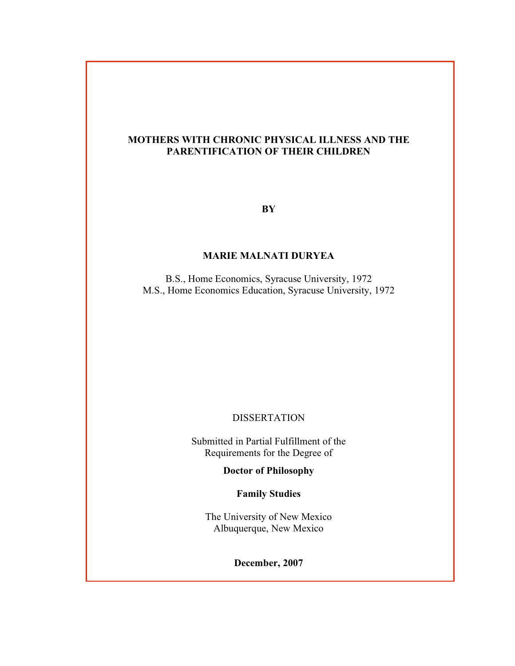#### **MOTHERS WITH CHRONIC PHYSICAL ILLNESS AND THE PARENTIFICATION OF THEIR CHILDREN**

**BY**

#### **MARIE MALNATI DURYEA**

B.S., Home Economics, Syracuse University, 1972 M.S., Home Economics Education, Syracuse University, 1972

#### DISSERTATION

Submitted in Partial Fulfillment of the Requirements for the Degree of

**Doctor of Philosophy**

**Family Studies**

The University of New Mexico Albuquerque, New Mexico

**December, 2007**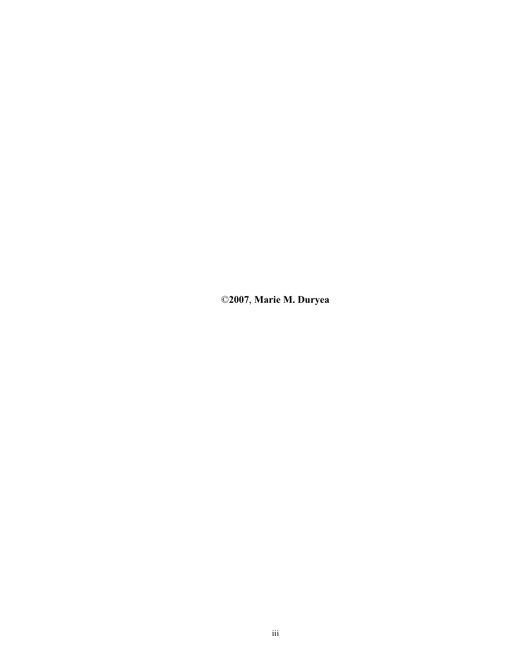©**2007**, **Marie M. Duryea**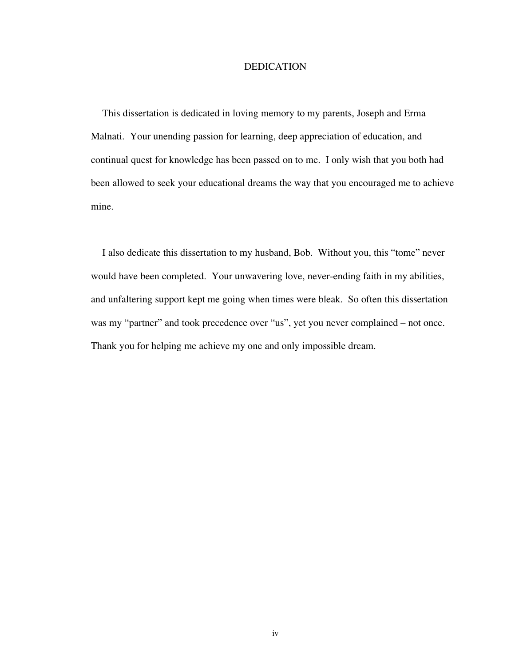#### DEDICATION

This dissertation is dedicated in loving memory to my parents, Joseph and Erma Malnati. Your unending passion for learning, deep appreciation of education, and continual quest for knowledge has been passed on to me. I only wish that you both had been allowed to seek your educational dreams the way that you encouraged me to achieve mine.

I also dedicate this dissertation to my husband, Bob. Without you, this "tome" never would have been completed. Your unwavering love, never-ending faith in my abilities, and unfaltering support kept me going when times were bleak. So often this dissertation was my "partner" and took precedence over "us", yet you never complained – not once. Thank you for helping me achieve my one and only impossible dream.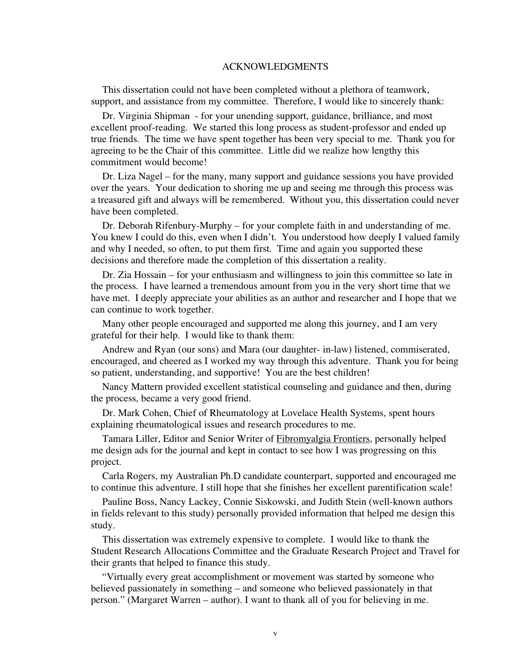#### ACKNOWLEDGMENTS

This dissertation could not have been completed without a plethora of teamwork, support, and assistance from my committee. Therefore, I would like to sincerely thank:

Dr. Virginia Shipman - for your unending support, guidance, brilliance, and most excellent proof-reading. We started this long process as student-professor and ended up true friends. The time we have spent together has been very special to me. Thank you for agreeing to be the Chair of this committee. Little did we realize how lengthy this commitment would become!

Dr. Liza Nagel – for the many, many support and guidance sessions you have provided over the years. Your dedication to shoring me up and seeing me through this process was a treasured gift and always will be remembered. Without you, this dissertation could never have been completed.

Dr. Deborah Rifenbury-Murphy – for your complete faith in and understanding of me. You knew I could do this, even when I didn't. You understood how deeply I valued family and why I needed, so often, to put them first. Time and again you supported these decisions and therefore made the completion of this dissertation a reality.

Dr. Zia Hossain – for your enthusiasm and willingness to join this committee so late in the process. I have learned a tremendous amount from you in the very short time that we have met. I deeply appreciate your abilities as an author and researcher and I hope that we can continue to work together.

Many other people encouraged and supported me along this journey, and I am very grateful for their help. I would like to thank them:

Andrew and Ryan (our sons) and Mara (our daughter- in-law) listened, commiserated, encouraged, and cheered as I worked my way through this adventure. Thank you for being so patient, understanding, and supportive! You are the best children!

Nancy Mattern provided excellent statistical counseling and guidance and then, during the process, became a very good friend.

Dr. Mark Cohen, Chief of Rheumatology at Lovelace Health Systems, spent hours explaining rheumatological issues and research procedures to me.

Tamara Liller, Editor and Senior Writer of Fibromyalgia Frontiers, personally helped me design ads for the journal and kept in contact to see how I was progressing on this project.

Carla Rogers, my Australian Ph.D candidate counterpart, supported and encouraged me to continue this adventure. I still hope that she finishes her excellent parentification scale!

Pauline Boss, Nancy Lackey, Connie Siskowski, and Judith Stein (well-known authors in fields relevant to this study) personally provided information that helped me design this study.

This dissertation was extremely expensive to complete. I would like to thank the Student Research Allocations Committee and the Graduate Research Project and Travel for their grants that helped to finance this study.

"Virtually every great accomplishment or movement was started by someone who believed passionately in something – and someone who believed passionately in that person." (Margaret Warren – author). I want to thank all of you for believing in me.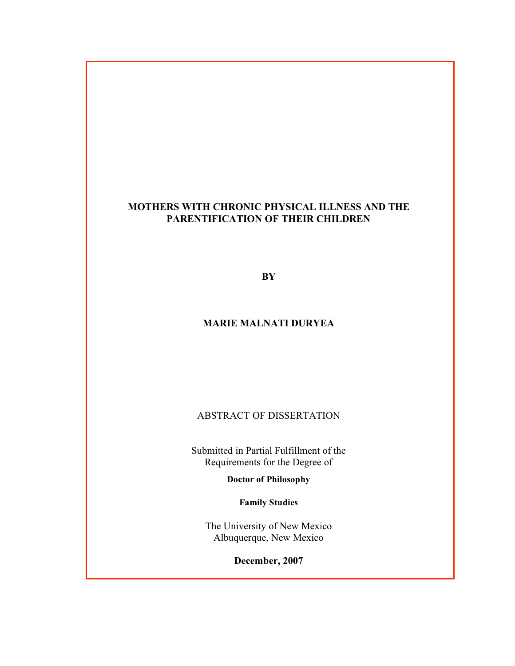#### **MOTHERS WITH CHRONIC PHYSICAL ILLNESS AND THE PARENTIFICATION OF THEIR CHILDREN**

**BY**

#### **MARIE MALNATI DURYEA**

ABSTRACT OF DISSERTATION

Submitted in Partial Fulfillment of the Requirements for the Degree of

**Doctor of Philosophy**

**Family Studies**

The University of New Mexico Albuquerque, New Mexico

**December, 2007**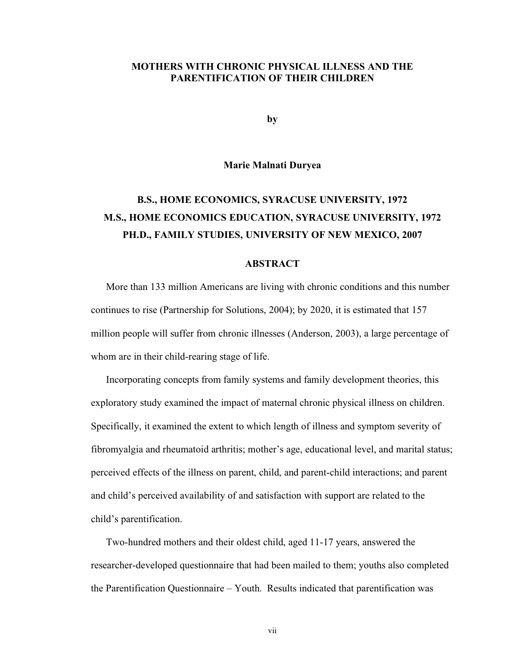#### **MOTHERS WITH CHRONIC PHYSICAL ILLNESS AND THE PARENTIFICATION OF THEIR CHILDREN**

**by**

#### **Marie Malnati Duryea**

# **B.S., HOME ECONOMICS, SYRACUSE UNIVERSITY, 1972 M.S., HOME ECONOMICS EDUCATION, SYRACUSE UNIVERSITY, 1972 PH.D., FAMILY STUDIES, UNIVERSITY OF NEW MEXICO, 2007**

#### **ABSTRACT**

More than 133 million Americans are living with chronic conditions and this number continues to rise (Partnership for Solutions, 2004); by 2020, it is estimated that 157 million people will suffer from chronic illnesses (Anderson, 2003), a large percentage of whom are in their child-rearing stage of life.

Incorporating concepts from family systems and family development theories, this exploratory study examined the impact of maternal chronic physical illness on children. Specifically, it examined the extent to which length of illness and symptom severity of fibromyalgia and rheumatoid arthritis; mother's age, educational level, and marital status; perceived effects of the illness on parent, child, and parent-child interactions; and parent and child's perceived availability of and satisfaction with support are related to the child's parentification.

Two-hundred mothers and their oldest child, aged 11-17 years, answered the researcher-developed questionnaire that had been mailed to them; youths also completed the Parentification Questionnaire – Youth. Results indicated that parentification was

vii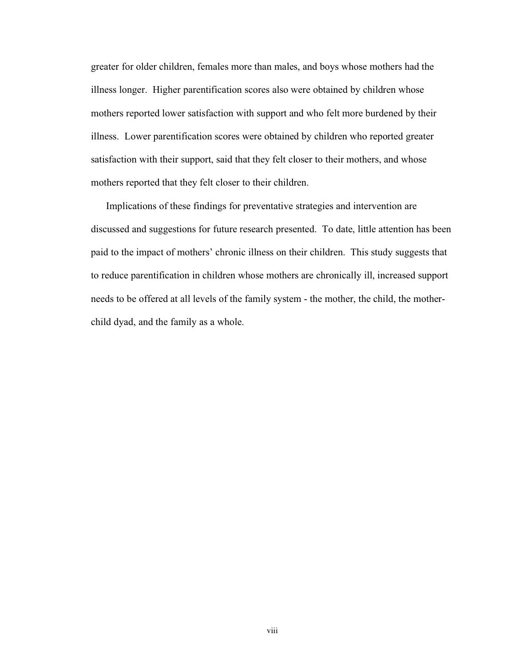greater for older children, females more than males, and boys whose mothers had the illness longer. Higher parentification scores also were obtained by children whose mothers reported lower satisfaction with support and who felt more burdened by their illness. Lower parentification scores were obtained by children who reported greater satisfaction with their support, said that they felt closer to their mothers, and whose mothers reported that they felt closer to their children.

Implications of these findings for preventative strategies and intervention are discussed and suggestions for future research presented. To date, little attention has been paid to the impact of mothers' chronic illness on their children. This study suggests that to reduce parentification in children whose mothers are chronically ill, increased support needs to be offered at all levels of the family system - the mother, the child, the motherchild dyad, and the family as a whole.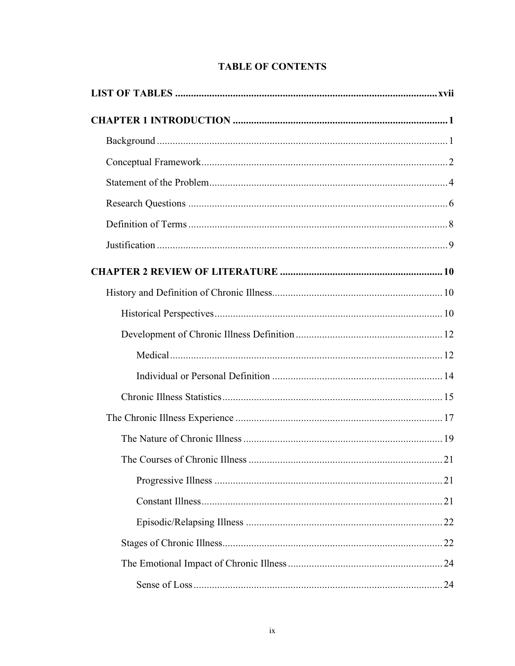## **TABLE OF CONTENTS**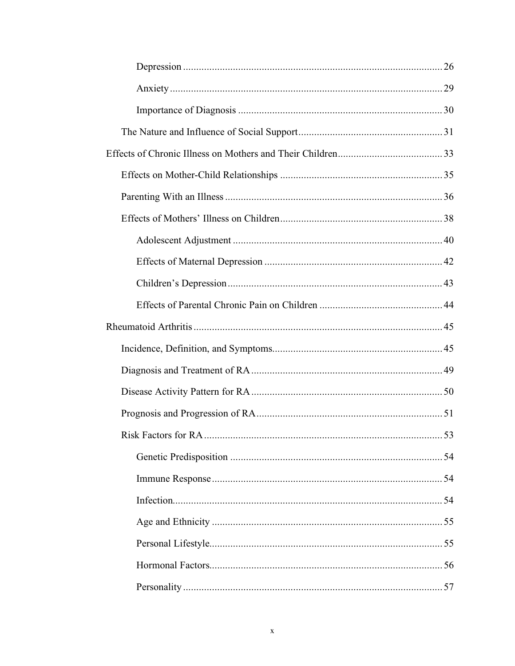| . 53 |
|------|
|      |
|      |
|      |
|      |
|      |
|      |
|      |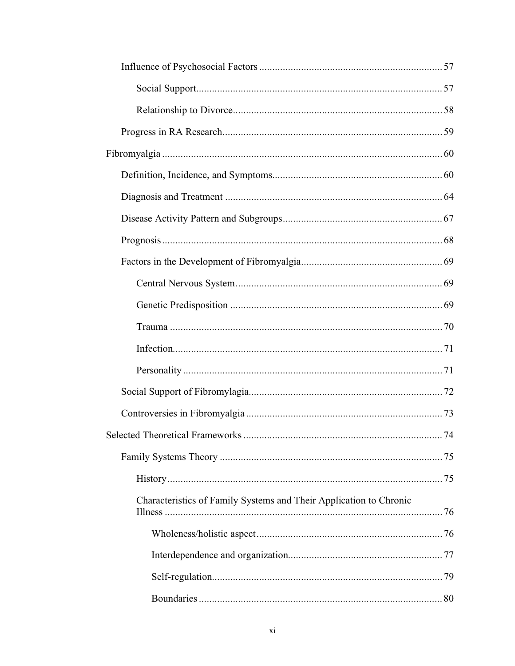| Selected Theoretical Frameworks<br>74                              |
|--------------------------------------------------------------------|
|                                                                    |
|                                                                    |
| Characteristics of Family Systems and Their Application to Chronic |
|                                                                    |
|                                                                    |
|                                                                    |
|                                                                    |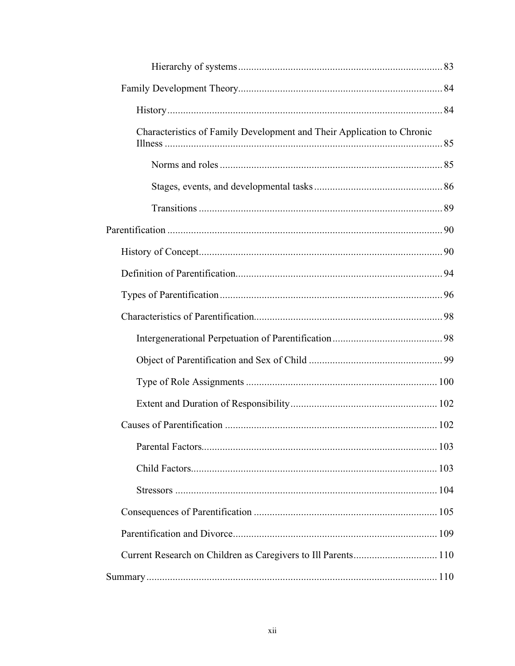| Characteristics of Family Development and Their Application to Chronic |  |
|------------------------------------------------------------------------|--|
|                                                                        |  |
|                                                                        |  |
|                                                                        |  |
|                                                                        |  |
|                                                                        |  |
|                                                                        |  |
|                                                                        |  |
|                                                                        |  |
|                                                                        |  |
|                                                                        |  |
|                                                                        |  |
|                                                                        |  |
|                                                                        |  |
|                                                                        |  |
|                                                                        |  |
|                                                                        |  |
|                                                                        |  |
|                                                                        |  |
|                                                                        |  |
|                                                                        |  |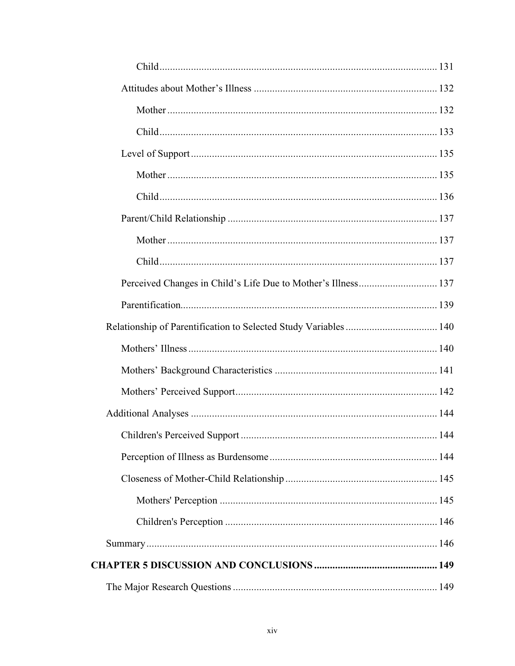| Perceived Changes in Child's Life Due to Mother's Illness 137 |  |
|---------------------------------------------------------------|--|
|                                                               |  |
|                                                               |  |
|                                                               |  |
|                                                               |  |
|                                                               |  |
|                                                               |  |
|                                                               |  |
|                                                               |  |
|                                                               |  |
|                                                               |  |
|                                                               |  |
|                                                               |  |
|                                                               |  |
|                                                               |  |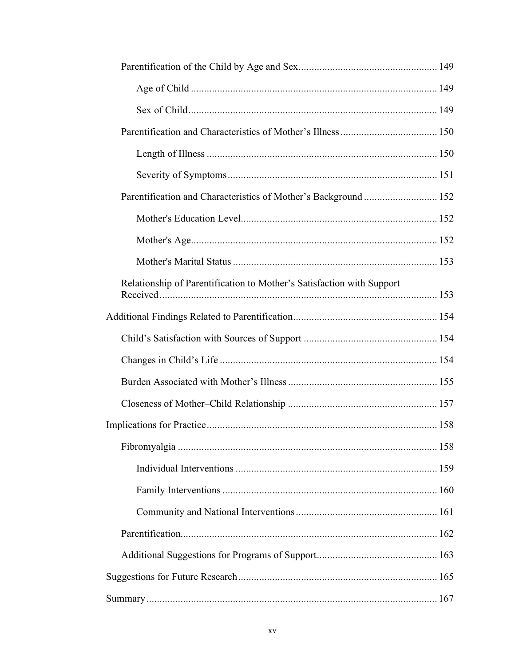| Parentification and Characteristics of Mother's Background  152       |  |
|-----------------------------------------------------------------------|--|
|                                                                       |  |
|                                                                       |  |
|                                                                       |  |
| Relationship of Parentification to Mother's Satisfaction with Support |  |
|                                                                       |  |
|                                                                       |  |
|                                                                       |  |
|                                                                       |  |
|                                                                       |  |
|                                                                       |  |
|                                                                       |  |
|                                                                       |  |
|                                                                       |  |
|                                                                       |  |
|                                                                       |  |
|                                                                       |  |
|                                                                       |  |
|                                                                       |  |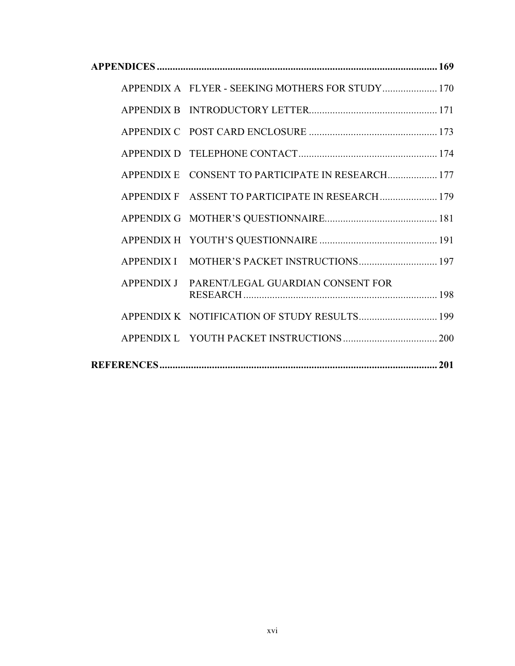|                   | APPENDIX A FLYER - SEEKING MOTHERS FOR STUDY 170 |
|-------------------|--------------------------------------------------|
|                   |                                                  |
|                   |                                                  |
|                   |                                                  |
| <b>APPENDIX E</b> | CONSENT TO PARTICIPATE IN RESEARCH 177           |
| <b>APPENDIX F</b> | ASSENT TO PARTICIPATE IN RESEARCH  179           |
|                   |                                                  |
|                   |                                                  |
| <b>APPENDIX I</b> | MOTHER'S PACKET INSTRUCTIONS 197                 |
| <b>APPENDIX J</b> | PARENT/LEGAL GUARDIAN CONSENT FOR                |
|                   | APPENDIX K NOTIFICATION OF STUDY RESULTS 199     |
|                   |                                                  |
|                   |                                                  |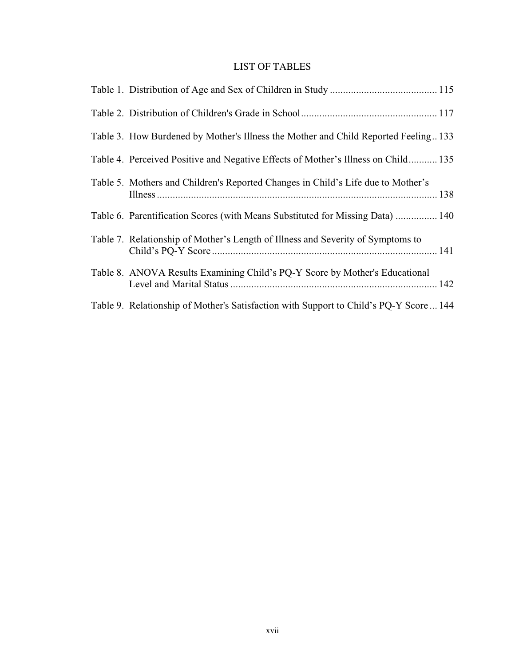### LIST OF TABLES

| Table 3. How Burdened by Mother's Illness the Mother and Child Reported Feeling133    |  |
|---------------------------------------------------------------------------------------|--|
| Table 4. Perceived Positive and Negative Effects of Mother's Illness on Child 135     |  |
| Table 5. Mothers and Children's Reported Changes in Child's Life due to Mother's      |  |
| Table 6. Parentification Scores (with Means Substituted for Missing Data)  140        |  |
| Table 7. Relationship of Mother's Length of Illness and Severity of Symptoms to       |  |
| Table 8. ANOVA Results Examining Child's PQ-Y Score by Mother's Educational           |  |
| Table 9. Relationship of Mother's Satisfaction with Support to Child's PQ-Y Score 144 |  |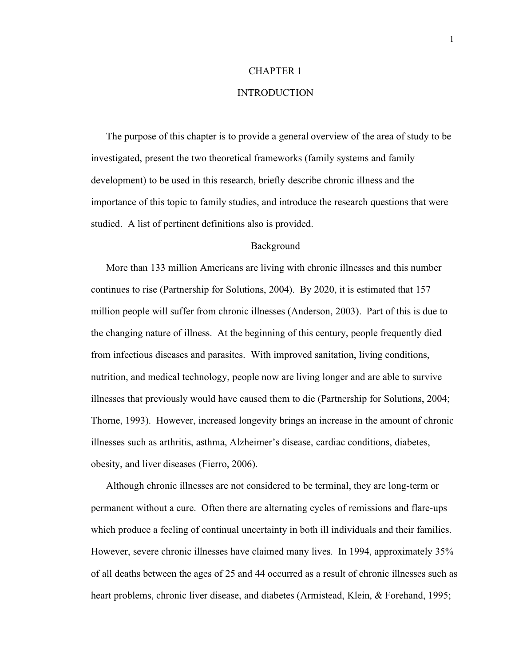## CHAPTER 1 INTRODUCTION

The purpose of this chapter is to provide a general overview of the area of study to be investigated, present the two theoretical frameworks (family systems and family development) to be used in this research, briefly describe chronic illness and the importance of this topic to family studies, and introduce the research questions that were studied. A list of pertinent definitions also is provided.

#### Background

More than 133 million Americans are living with chronic illnesses and this number continues to rise (Partnership for Solutions, 2004). By 2020, it is estimated that 157 million people will suffer from chronic illnesses (Anderson, 2003). Part of this is due to the changing nature of illness. At the beginning of this century, people frequently died from infectious diseases and parasites. With improved sanitation, living conditions, nutrition, and medical technology, people now are living longer and are able to survive illnesses that previously would have caused them to die (Partnership for Solutions, 2004; Thorne, 1993). However, increased longevity brings an increase in the amount of chronic illnesses such as arthritis, asthma, Alzheimer's disease, cardiac conditions, diabetes, obesity, and liver diseases (Fierro, 2006).

Although chronic illnesses are not considered to be terminal, they are long-term or permanent without a cure. Often there are alternating cycles of remissions and flare-ups which produce a feeling of continual uncertainty in both ill individuals and their families. However, severe chronic illnesses have claimed many lives. In 1994, approximately 35% of all deaths between the ages of 25 and 44 occurred as a result of chronic illnesses such as heart problems, chronic liver disease, and diabetes (Armistead, Klein, & Forehand, 1995;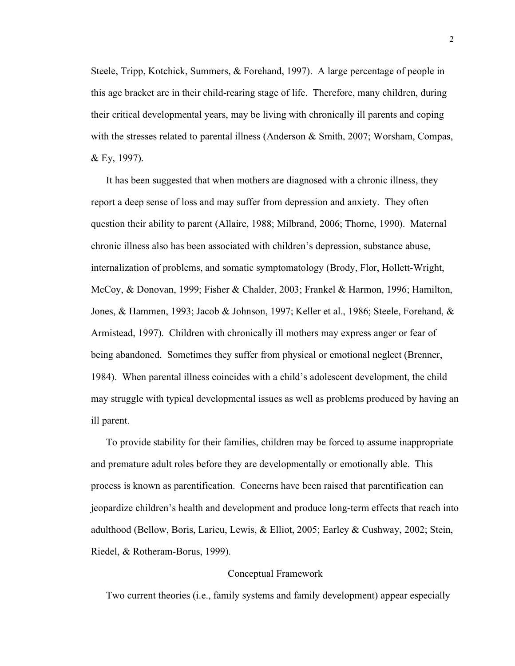Steele, Tripp, Kotchick, Summers, & Forehand, 1997). A large percentage of people in this age bracket are in their child-rearing stage of life. Therefore, many children, during their critical developmental years, may be living with chronically ill parents and coping with the stresses related to parental illness (Anderson & Smith, 2007; Worsham, Compas, & Ey, 1997).

It has been suggested that when mothers are diagnosed with a chronic illness, they report a deep sense of loss and may suffer from depression and anxiety. They often question their ability to parent (Allaire, 1988; Milbrand, 2006; Thorne, 1990). Maternal chronic illness also has been associated with children's depression, substance abuse, internalization of problems, and somatic symptomatology (Brody, Flor, Hollett-Wright, McCoy, & Donovan, 1999; Fisher & Chalder, 2003; Frankel & Harmon, 1996; Hamilton, Jones, & Hammen, 1993; Jacob & Johnson, 1997; Keller et al., 1986; Steele, Forehand, & Armistead, 1997). Children with chronically ill mothers may express anger or fear of being abandoned. Sometimes they suffer from physical or emotional neglect (Brenner, 1984). When parental illness coincides with a child's adolescent development, the child may struggle with typical developmental issues as well as problems produced by having an ill parent.

To provide stability for their families, children may be forced to assume inappropriate and premature adult roles before they are developmentally or emotionally able. This process is known as parentification. Concerns have been raised that parentification can jeopardize children's health and development and produce long-term effects that reach into adulthood (Bellow, Boris, Larieu, Lewis, & Elliot, 2005; Earley & Cushway, 2002; Stein, Riedel, & Rotheram-Borus, 1999).

#### Conceptual Framework

Two current theories (i.e., family systems and family development) appear especially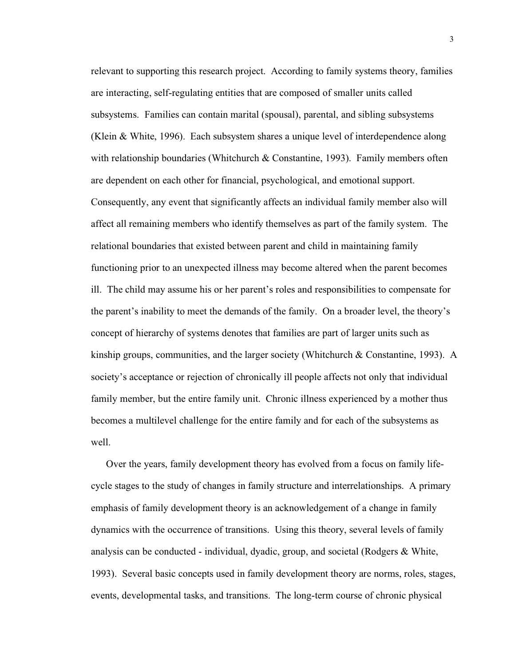relevant to supporting this research project. According to family systems theory, families are interacting, self-regulating entities that are composed of smaller units called subsystems. Families can contain marital (spousal), parental, and sibling subsystems (Klein & White, 1996). Each subsystem shares a unique level of interdependence along with relationship boundaries (Whitchurch  $& Constantine, 1993$ ). Family members often are dependent on each other for financial, psychological, and emotional support. Consequently, any event that significantly affects an individual family member also will affect all remaining members who identify themselves as part of the family system. The relational boundaries that existed between parent and child in maintaining family functioning prior to an unexpected illness may become altered when the parent becomes ill. The child may assume his or her parent's roles and responsibilities to compensate for the parent's inability to meet the demands of the family. On a broader level, the theory's concept of hierarchy of systems denotes that families are part of larger units such as kinship groups, communities, and the larger society (Whitchurch  $\&$  Constantine, 1993). A society's acceptance or rejection of chronically ill people affects not only that individual family member, but the entire family unit. Chronic illness experienced by a mother thus becomes a multilevel challenge for the entire family and for each of the subsystems as well.

Over the years, family development theory has evolved from a focus on family lifecycle stages to the study of changes in family structure and interrelationships. A primary emphasis of family development theory is an acknowledgement of a change in family dynamics with the occurrence of transitions. Using this theory, several levels of family analysis can be conducted - individual, dyadic, group, and societal (Rodgers & White, 1993). Several basic concepts used in family development theory are norms, roles, stages, events, developmental tasks, and transitions. The long-term course of chronic physical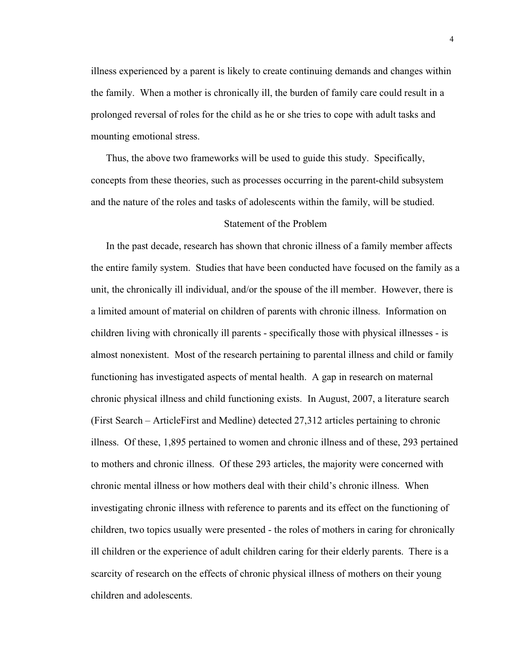illness experienced by a parent is likely to create continuing demands and changes within the family. When a mother is chronically ill, the burden of family care could result in a prolonged reversal of roles for the child as he or she tries to cope with adult tasks and mounting emotional stress.

Thus, the above two frameworks will be used to guide this study. Specifically, concepts from these theories, such as processes occurring in the parent-child subsystem and the nature of the roles and tasks of adolescents within the family, will be studied.

#### Statement of the Problem

In the past decade, research has shown that chronic illness of a family member affects the entire family system. Studies that have been conducted have focused on the family as a unit, the chronically ill individual, and/or the spouse of the ill member. However, there is a limited amount of material on children of parents with chronic illness. Information on children living with chronically ill parents - specifically those with physical illnesses - is almost nonexistent. Most of the research pertaining to parental illness and child or family functioning has investigated aspects of mental health. A gap in research on maternal chronic physical illness and child functioning exists. In August, 2007, a literature search (First Search – ArticleFirst and Medline) detected 27,312 articles pertaining to chronic illness. Of these, 1,895 pertained to women and chronic illness and of these, 293 pertained to mothers and chronic illness. Of these 293 articles, the majority were concerned with chronic mental illness or how mothers deal with their child's chronic illness. When investigating chronic illness with reference to parents and its effect on the functioning of children, two topics usually were presented - the roles of mothers in caring for chronically ill children or the experience of adult children caring for their elderly parents. There is a scarcity of research on the effects of chronic physical illness of mothers on their young children and adolescents.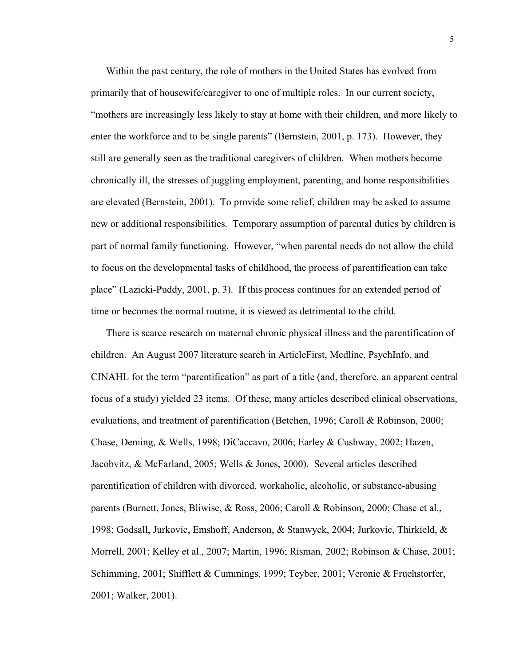Within the past century, the role of mothers in the United States has evolved from primarily that of housewife/caregiver to one of multiple roles. In our current society, "mothers are increasingly less likely to stay at home with their children, and more likely to enter the workforce and to be single parents" (Bernstein, 2001, p. 173). However, they still are generally seen as the traditional caregivers of children. When mothers become chronically ill, the stresses of juggling employment, parenting, and home responsibilities are elevated (Bernstein, 2001). To provide some relief, children may be asked to assume new or additional responsibilities. Temporary assumption of parental duties by children is part of normal family functioning. However, "when parental needs do not allow the child to focus on the developmental tasks of childhood, the process of parentification can take place" (Lazicki-Puddy, 2001, p. 3). If this process continues for an extended period of time or becomes the normal routine, it is viewed as detrimental to the child.

There is scarce research on maternal chronic physical illness and the parentification of children. An August 2007 literature search in ArticleFirst, Medline, PsychInfo, and CINAHL for the term "parentification" as part of a title (and, therefore, an apparent central focus of a study) yielded 23 items. Of these, many articles described clinical observations, evaluations, and treatment of parentification (Betchen, 1996; Caroll & Robinson, 2000; Chase, Deming, & Wells, 1998; DiCaccavo, 2006; Earley & Cushway, 2002; Hazen, Jacobvitz, & McFarland, 2005; Wells & Jones, 2000). Several articles described parentification of children with divorced, workaholic, alcoholic, or substance-abusing parents (Burnett, Jones, Bliwise, & Ross, 2006; Caroll & Robinson, 2000; Chase et al., 1998; Godsall, Jurkovic, Emshoff, Anderson, & Stanwyck, 2004; Jurkovic, Thirkield, & Morrell, 2001; Kelley et al., 2007; Martin, 1996; Risman, 2002; Robinson & Chase, 2001; Schimming, 2001; Shifflett & Cummings, 1999; Teyber, 2001; Veronie & Fruehstorfer, 2001; Walker, 2001).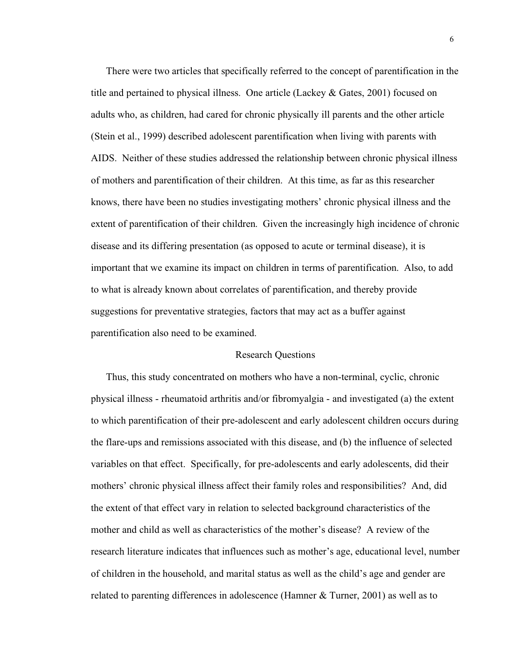There were two articles that specifically referred to the concept of parentification in the title and pertained to physical illness. One article (Lackey & Gates, 2001) focused on adults who, as children, had cared for chronic physically ill parents and the other article (Stein et al., 1999) described adolescent parentification when living with parents with AIDS. Neither of these studies addressed the relationship between chronic physical illness of mothers and parentification of their children. At this time, as far as this researcher knows, there have been no studies investigating mothers' chronic physical illness and the extent of parentification of their children. Given the increasingly high incidence of chronic disease and its differing presentation (as opposed to acute or terminal disease), it is important that we examine its impact on children in terms of parentification. Also, to add to what is already known about correlates of parentification, and thereby provide suggestions for preventative strategies, factors that may act as a buffer against parentification also need to be examined.

#### Research Questions

Thus, this study concentrated on mothers who have a non-terminal, cyclic, chronic physical illness - rheumatoid arthritis and/or fibromyalgia - and investigated (a) the extent to which parentification of their pre-adolescent and early adolescent children occurs during the flare-ups and remissions associated with this disease, and (b) the influence of selected variables on that effect. Specifically, for pre-adolescents and early adolescents, did their mothers' chronic physical illness affect their family roles and responsibilities? And, did the extent of that effect vary in relation to selected background characteristics of the mother and child as well as characteristics of the mother's disease? A review of the research literature indicates that influences such as mother's age, educational level, number of children in the household, and marital status as well as the child's age and gender are related to parenting differences in adolescence (Hamner & Turner, 2001) as well as to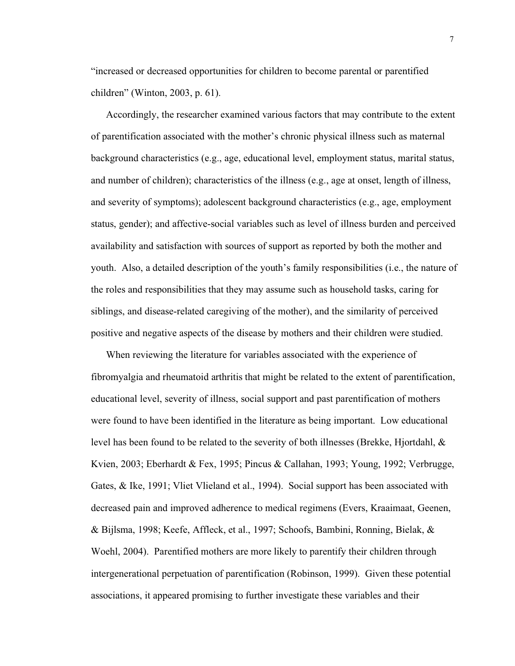"increased or decreased opportunities for children to become parental or parentified children" (Winton, 2003, p. 61).

Accordingly, the researcher examined various factors that may contribute to the extent of parentification associated with the mother's chronic physical illness such as maternal background characteristics (e.g., age, educational level, employment status, marital status, and number of children); characteristics of the illness (e.g., age at onset, length of illness, and severity of symptoms); adolescent background characteristics (e.g., age, employment status, gender); and affective-social variables such as level of illness burden and perceived availability and satisfaction with sources of support as reported by both the mother and youth. Also, a detailed description of the youth's family responsibilities (i.e., the nature of the roles and responsibilities that they may assume such as household tasks, caring for siblings, and disease-related caregiving of the mother), and the similarity of perceived positive and negative aspects of the disease by mothers and their children were studied.

When reviewing the literature for variables associated with the experience of fibromyalgia and rheumatoid arthritis that might be related to the extent of parentification, educational level, severity of illness, social support and past parentification of mothers were found to have been identified in the literature as being important. Low educational level has been found to be related to the severity of both illnesses (Brekke, Hjortdahl, & Kvien, 2003; Eberhardt & Fex, 1995; Pincus & Callahan, 1993; Young, 1992; Verbrugge, Gates, & Ike, 1991; Vliet Vlieland et al., 1994). Social support has been associated with decreased pain and improved adherence to medical regimens (Evers, Kraaimaat, Geenen, & Bijlsma, 1998; Keefe, Affleck, et al., 1997; Schoofs, Bambini, Ronning, Bielak, & Woehl, 2004). Parentified mothers are more likely to parentify their children through intergenerational perpetuation of parentification (Robinson, 1999). Given these potential associations, it appeared promising to further investigate these variables and their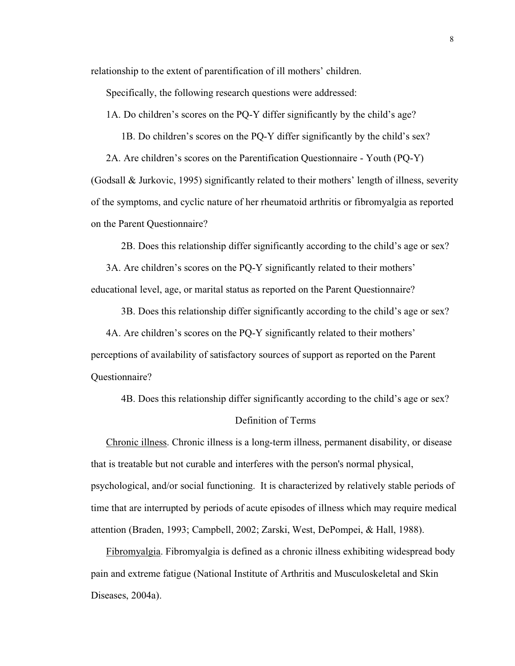relationship to the extent of parentification of ill mothers' children.

Specifically, the following research questions were addressed:

1A. Do children's scores on the PQ-Y differ significantly by the child's age?

1B. Do children's scores on the PQ-Y differ significantly by the child's sex?

2A. Are children's scores on the Parentification Questionnaire - Youth (PQ-Y)

(Godsall & Jurkovic, 1995) significantly related to their mothers' length of illness, severity of the symptoms, and cyclic nature of her rheumatoid arthritis or fibromyalgia as reported on the Parent Questionnaire?

2B. Does this relationship differ significantly according to the child's age or sex?

3A. Are children's scores on the PQ-Y significantly related to their mothers' educational level, age, or marital status as reported on the Parent Questionnaire?

3B. Does this relationship differ significantly according to the child's age or sex?

4A. Are children's scores on the PQ-Y significantly related to their mothers' perceptions of availability of satisfactory sources of support as reported on the Parent Questionnaire?

4B. Does this relationship differ significantly according to the child's age or sex?

#### Definition of Terms

Chronic illness. Chronic illness is a long-term illness, permanent disability, or disease that is treatable but not curable and interferes with the person's normal physical, psychological, and/or social functioning. It is characterized by relatively stable periods of time that are interrupted by periods of acute episodes of illness which may require medical attention (Braden, 1993; Campbell, 2002; Zarski, West, DePompei, & Hall, 1988).

Fibromyalgia. Fibromyalgia is defined as a chronic illness exhibiting widespread body pain and extreme fatigue (National Institute of Arthritis and Musculoskeletal and Skin Diseases, 2004a).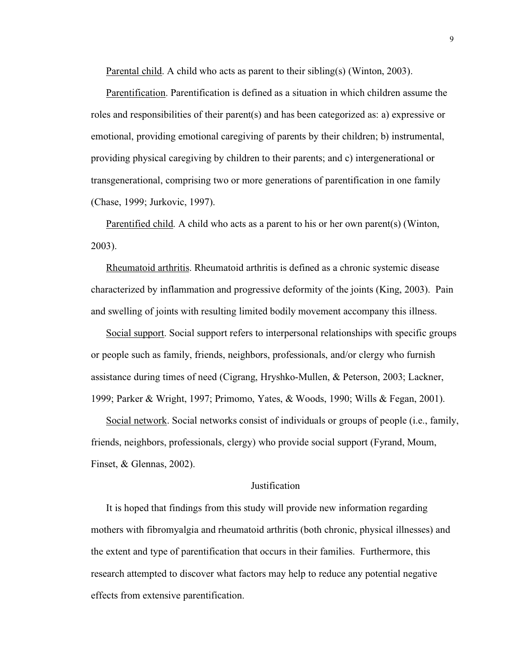Parental child. A child who acts as parent to their sibling(s) (Winton, 2003).

Parentification. Parentification is defined as a situation in which children assume the roles and responsibilities of their parent(s) and has been categorized as: a) expressive or emotional, providing emotional caregiving of parents by their children; b) instrumental, providing physical caregiving by children to their parents; and c) intergenerational or transgenerational, comprising two or more generations of parentification in one family (Chase, 1999; Jurkovic, 1997).

Parentified child. A child who acts as a parent to his or her own parent(s) (Winton, 2003).

Rheumatoid arthritis. Rheumatoid arthritis is defined as a chronic systemic disease characterized by inflammation and progressive deformity of the joints (King, 2003). Pain and swelling of joints with resulting limited bodily movement accompany this illness.

Social support. Social support refers to interpersonal relationships with specific groups or people such as family, friends, neighbors, professionals, and/or clergy who furnish assistance during times of need (Cigrang, Hryshko-Mullen, & Peterson, 2003; Lackner, 1999; Parker & Wright, 1997; Primomo, Yates, & Woods, 1990; Wills & Fegan, 2001).

Social network. Social networks consist of individuals or groups of people (i.e., family, friends, neighbors, professionals, clergy) who provide social support (Fyrand, Moum, Finset, & Glennas, 2002).

#### Justification

It is hoped that findings from this study will provide new information regarding mothers with fibromyalgia and rheumatoid arthritis (both chronic, physical illnesses) and the extent and type of parentification that occurs in their families. Furthermore, this research attempted to discover what factors may help to reduce any potential negative effects from extensive parentification.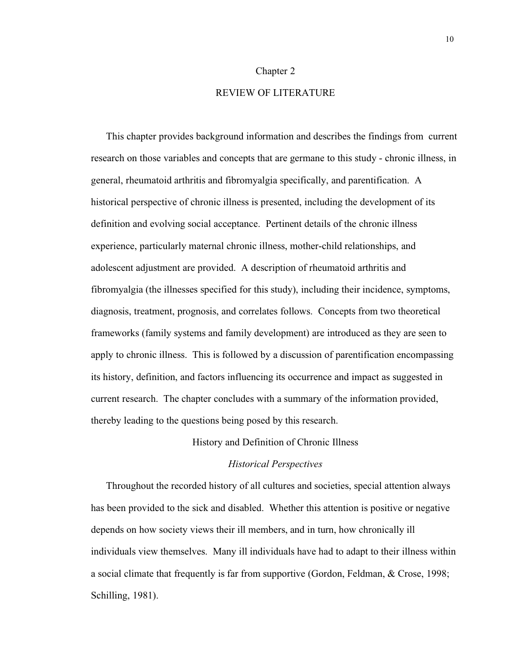#### Chapter 2

#### REVIEW OF LITERATURE

This chapter provides background information and describes the findings from current research on those variables and concepts that are germane to this study - chronic illness, in general, rheumatoid arthritis and fibromyalgia specifically, and parentification. A historical perspective of chronic illness is presented, including the development of its definition and evolving social acceptance. Pertinent details of the chronic illness experience, particularly maternal chronic illness, mother-child relationships, and adolescent adjustment are provided. A description of rheumatoid arthritis and fibromyalgia (the illnesses specified for this study), including their incidence, symptoms, diagnosis, treatment, prognosis, and correlates follows. Concepts from two theoretical frameworks (family systems and family development) are introduced as they are seen to apply to chronic illness. This is followed by a discussion of parentification encompassing its history, definition, and factors influencing its occurrence and impact as suggested in current research. The chapter concludes with a summary of the information provided, thereby leading to the questions being posed by this research.

#### History and Definition of Chronic Illness

#### *Historical Perspectives*

Throughout the recorded history of all cultures and societies, special attention always has been provided to the sick and disabled. Whether this attention is positive or negative depends on how society views their ill members, and in turn, how chronically ill individuals view themselves. Many ill individuals have had to adapt to their illness within a social climate that frequently is far from supportive (Gordon, Feldman, & Crose, 1998; Schilling, 1981).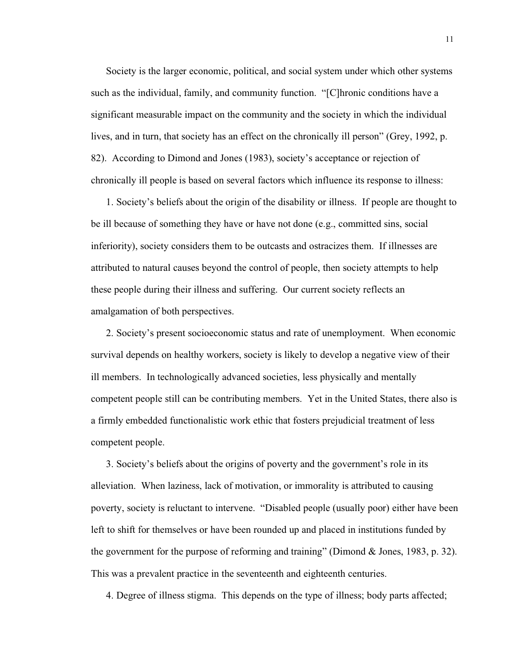Society is the larger economic, political, and social system under which other systems such as the individual, family, and community function. "[C]hronic conditions have a significant measurable impact on the community and the society in which the individual lives, and in turn, that society has an effect on the chronically ill person" (Grey, 1992, p. 82). According to Dimond and Jones (1983), society's acceptance or rejection of chronically ill people is based on several factors which influence its response to illness:

1. Society's beliefs about the origin of the disability or illness. If people are thought to be ill because of something they have or have not done (e.g., committed sins, social inferiority), society considers them to be outcasts and ostracizes them. If illnesses are attributed to natural causes beyond the control of people, then society attempts to help these people during their illness and suffering. Our current society reflects an amalgamation of both perspectives.

2. Society's present socioeconomic status and rate of unemployment. When economic survival depends on healthy workers, society is likely to develop a negative view of their ill members. In technologically advanced societies, less physically and mentally competent people still can be contributing members. Yet in the United States, there also is a firmly embedded functionalistic work ethic that fosters prejudicial treatment of less competent people.

3. Society's beliefs about the origins of poverty and the government's role in its alleviation. When laziness, lack of motivation, or immorality is attributed to causing poverty, society is reluctant to intervene. "Disabled people (usually poor) either have been left to shift for themselves or have been rounded up and placed in institutions funded by the government for the purpose of reforming and training" (Dimond & Jones, 1983, p. 32). This was a prevalent practice in the seventeenth and eighteenth centuries.

4. Degree of illness stigma. This depends on the type of illness; body parts affected;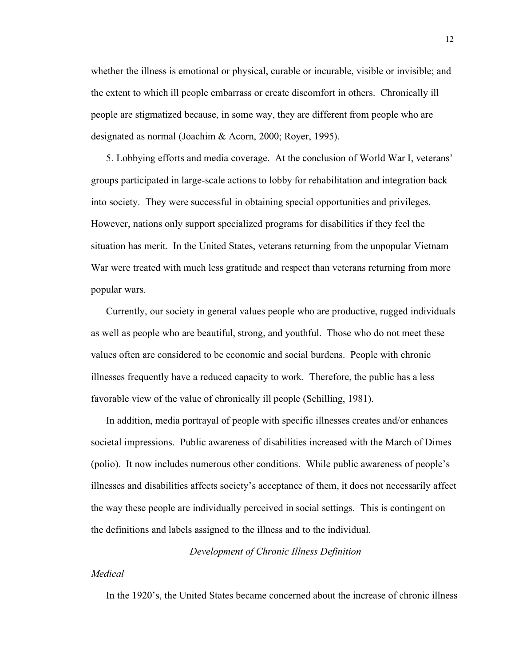whether the illness is emotional or physical, curable or incurable, visible or invisible; and the extent to which ill people embarrass or create discomfort in others. Chronically ill people are stigmatized because, in some way, they are different from people who are designated as normal (Joachim & Acorn, 2000; Royer, 1995).

5. Lobbying efforts and media coverage. At the conclusion of World War I, veterans' groups participated in large-scale actions to lobby for rehabilitation and integration back into society. They were successful in obtaining special opportunities and privileges. However, nations only support specialized programs for disabilities if they feel the situation has merit. In the United States, veterans returning from the unpopular Vietnam War were treated with much less gratitude and respect than veterans returning from more popular wars.

Currently, our society in general values people who are productive, rugged individuals as well as people who are beautiful, strong, and youthful. Those who do not meet these values often are considered to be economic and social burdens. People with chronic illnesses frequently have a reduced capacity to work. Therefore, the public has a less favorable view of the value of chronically ill people (Schilling, 1981).

In addition, media portrayal of people with specific illnesses creates and/or enhances societal impressions. Public awareness of disabilities increased with the March of Dimes (polio). It now includes numerous other conditions. While public awareness of people's illnesses and disabilities affects society's acceptance of them, it does not necessarily affect the way these people are individually perceived in social settings. This is contingent on the definitions and labels assigned to the illness and to the individual.

#### *Development of Chronic Illness Definition*

#### *Medical*

In the 1920's, the United States became concerned about the increase of chronic illness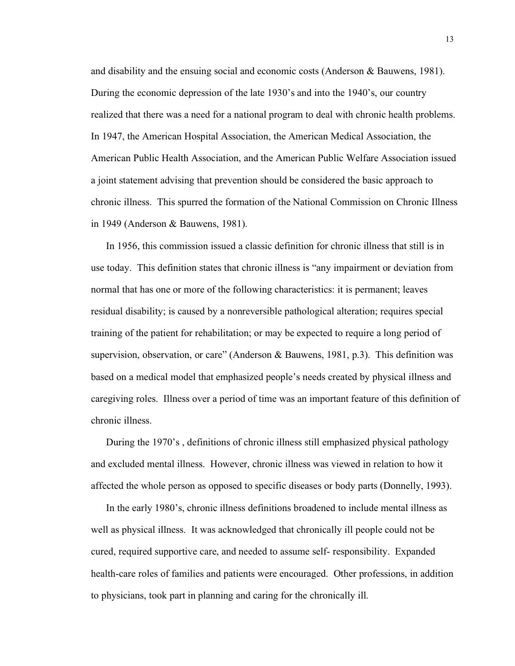and disability and the ensuing social and economic costs (Anderson & Bauwens, 1981). During the economic depression of the late 1930's and into the 1940's, our country realized that there was a need for a national program to deal with chronic health problems. In 1947, the American Hospital Association, the American Medical Association, the American Public Health Association, and the American Public Welfare Association issued a joint statement advising that prevention should be considered the basic approach to chronic illness. This spurred the formation of the National Commission on Chronic Illness in 1949 (Anderson & Bauwens, 1981).

In 1956, this commission issued a classic definition for chronic illness that still is in use today. This definition states that chronic illness is "any impairment or deviation from normal that has one or more of the following characteristics: it is permanent; leaves residual disability; is caused by a nonreversible pathological alteration; requires special training of the patient for rehabilitation; or may be expected to require a long period of supervision, observation, or care" (Anderson & Bauwens, 1981, p.3). This definition was based on a medical model that emphasized people's needs created by physical illness and caregiving roles. Illness over a period of time was an important feature of this definition of chronic illness.

During the 1970's , definitions of chronic illness still emphasized physical pathology and excluded mental illness. However, chronic illness was viewed in relation to how it affected the whole person as opposed to specific diseases or body parts (Donnelly, 1993).

In the early 1980's, chronic illness definitions broadened to include mental illness as well as physical illness. It was acknowledged that chronically ill people could not be cured, required supportive care, and needed to assume self- responsibility. Expanded health-care roles of families and patients were encouraged. Other professions, in addition to physicians, took part in planning and caring for the chronically ill.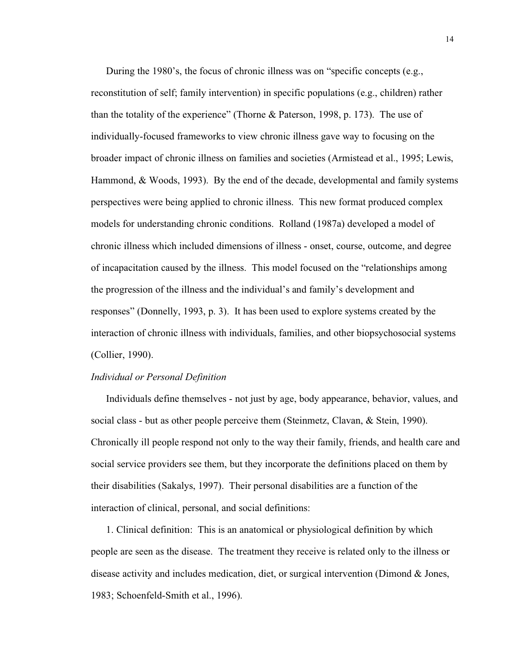During the 1980's, the focus of chronic illness was on "specific concepts (e.g., reconstitution of self; family intervention) in specific populations (e.g., children) rather than the totality of the experience" (Thorne & Paterson, 1998, p. 173). The use of individually-focused frameworks to view chronic illness gave way to focusing on the broader impact of chronic illness on families and societies (Armistead et al., 1995; Lewis, Hammond, & Woods, 1993). By the end of the decade, developmental and family systems perspectives were being applied to chronic illness. This new format produced complex models for understanding chronic conditions. Rolland (1987a) developed a model of chronic illness which included dimensions of illness - onset, course, outcome, and degree of incapacitation caused by the illness. This model focused on the "relationships among the progression of the illness and the individual's and family's development and responses" (Donnelly, 1993, p. 3). It has been used to explore systems created by the interaction of chronic illness with individuals, families, and other biopsychosocial systems (Collier, 1990).

#### *Individual or Personal Definition*

Individuals define themselves - not just by age, body appearance, behavior, values, and social class - but as other people perceive them (Steinmetz, Clavan, & Stein, 1990). Chronically ill people respond not only to the way their family, friends, and health care and social service providers see them, but they incorporate the definitions placed on them by their disabilities (Sakalys, 1997). Their personal disabilities are a function of the interaction of clinical, personal, and social definitions:

1. Clinical definition: This is an anatomical or physiological definition by which people are seen as the disease. The treatment they receive is related only to the illness or disease activity and includes medication, diet, or surgical intervention (Dimond & Jones, 1983; Schoenfeld-Smith et al., 1996).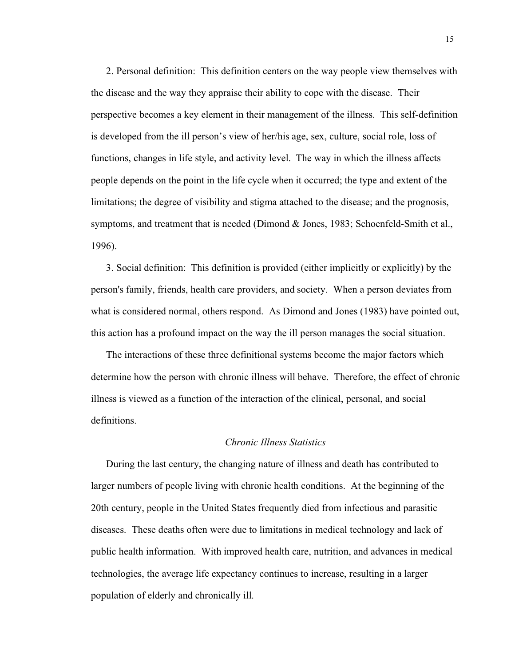2. Personal definition: This definition centers on the way people view themselves with the disease and the way they appraise their ability to cope with the disease. Their perspective becomes a key element in their management of the illness. This self-definition is developed from the ill person's view of her/his age, sex, culture, social role, loss of functions, changes in life style, and activity level. The way in which the illness affects people depends on the point in the life cycle when it occurred; the type and extent of the limitations; the degree of visibility and stigma attached to the disease; and the prognosis, symptoms, and treatment that is needed (Dimond  $&$  Jones, 1983; Schoenfeld-Smith et al., 1996).

3. Social definition: This definition is provided (either implicitly or explicitly) by the person's family, friends, health care providers, and society. When a person deviates from what is considered normal, others respond. As Dimond and Jones (1983) have pointed out, this action has a profound impact on the way the ill person manages the social situation.

The interactions of these three definitional systems become the major factors which determine how the person with chronic illness will behave. Therefore, the effect of chronic illness is viewed as a function of the interaction of the clinical, personal, and social definitions.

#### *Chronic Illness Statistics*

During the last century, the changing nature of illness and death has contributed to larger numbers of people living with chronic health conditions. At the beginning of the 20th century, people in the United States frequently died from infectious and parasitic diseases. These deaths often were due to limitations in medical technology and lack of public health information. With improved health care, nutrition, and advances in medical technologies, the average life expectancy continues to increase, resulting in a larger population of elderly and chronically ill.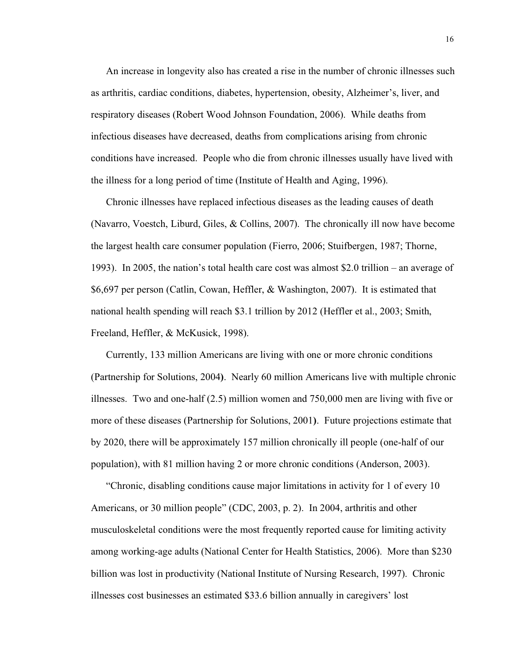An increase in longevity also has created a rise in the number of chronic illnesses such as arthritis, cardiac conditions, diabetes, hypertension, obesity, Alzheimer's, liver, and respiratory diseases (Robert Wood Johnson Foundation, 2006). While deaths from infectious diseases have decreased, deaths from complications arising from chronic conditions have increased. People who die from chronic illnesses usually have lived with the illness for a long period of time (Institute of Health and Aging, 1996).

Chronic illnesses have replaced infectious diseases as the leading causes of death (Navarro, Voestch, Liburd, Giles, & Collins, 2007). The chronically ill now have become the largest health care consumer population (Fierro, 2006; Stuifbergen, 1987; Thorne, 1993). In 2005, the nation's total health care cost was almost \$2.0 trillion – an average of \$6,697 per person (Catlin, Cowan, Heffler, & Washington, 2007). It is estimated that national health spending will reach \$3.1 trillion by 2012 (Heffler et al., 2003; Smith, Freeland, Heffler, & McKusick, 1998).

Currently, 133 million Americans are living with one or more chronic conditions (Partnership for Solutions, 2004**)**. Nearly 60 million Americans live with multiple chronic illnesses. Two and one-half (2.5) million women and 750,000 men are living with five or more of these diseases (Partnership for Solutions, 2001**)**. Future projections estimate that by 2020, there will be approximately 157 million chronically ill people (one-half of our population), with 81 million having 2 or more chronic conditions (Anderson, 2003).

"Chronic, disabling conditions cause major limitations in activity for 1 of every 10 Americans, or 30 million people" (CDC, 2003, p. 2). In 2004, arthritis and other musculoskeletal conditions were the most frequently reported cause for limiting activity among working-age adults (National Center for Health Statistics, 2006). More than \$230 billion was lost in productivity (National Institute of Nursing Research, 1997). Chronic illnesses cost businesses an estimated \$33.6 billion annually in caregivers' lost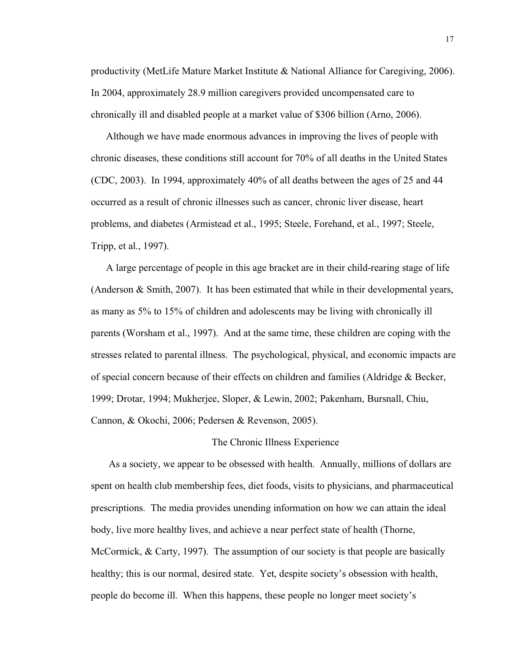productivity (MetLife Mature Market Institute & National Alliance for Caregiving, 2006). In 2004, approximately 28.9 million caregivers provided uncompensated care to chronically ill and disabled people at a market value of \$306 billion (Arno, 2006).

Although we have made enormous advances in improving the lives of people with chronic diseases, these conditions still account for 70% of all deaths in the United States (CDC, 2003). In 1994, approximately 40% of all deaths between the ages of 25 and 44 occurred as a result of chronic illnesses such as cancer, chronic liver disease, heart problems, and diabetes (Armistead et al., 1995; Steele, Forehand, et al., 1997; Steele, Tripp, et al., 1997).

A large percentage of people in this age bracket are in their child-rearing stage of life (Anderson  $\&$  Smith, 2007). It has been estimated that while in their developmental years, as many as 5% to 15% of children and adolescents may be living with chronically ill parents (Worsham et al., 1997). And at the same time, these children are coping with the stresses related to parental illness. The psychological, physical, and economic impacts are of special concern because of their effects on children and families (Aldridge & Becker, 1999; Drotar, 1994; Mukherjee, Sloper, & Lewin, 2002; Pakenham, Bursnall, Chiu, Cannon, & Okochi, 2006; Pedersen & Revenson, 2005).

#### The Chronic Illness Experience

As a society, we appear to be obsessed with health. Annually, millions of dollars are spent on health club membership fees, diet foods, visits to physicians, and pharmaceutical prescriptions. The media provides unending information on how we can attain the ideal body, live more healthy lives, and achieve a near perfect state of health (Thorne, McCormick, & Carty, 1997). The assumption of our society is that people are basically healthy; this is our normal, desired state. Yet, despite society's obsession with health, people do become ill. When this happens, these people no longer meet society's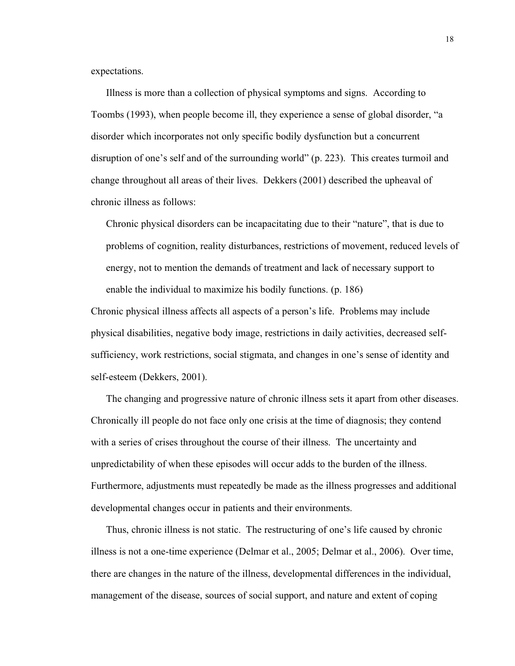expectations.

Illness is more than a collection of physical symptoms and signs. According to Toombs (1993), when people become ill, they experience a sense of global disorder, "a disorder which incorporates not only specific bodily dysfunction but a concurrent disruption of one's self and of the surrounding world" (p. 223). This creates turmoil and change throughout all areas of their lives. Dekkers (2001) described the upheaval of chronic illness as follows:

Chronic physical disorders can be incapacitating due to their "nature", that is due to problems of cognition, reality disturbances, restrictions of movement, reduced levels of energy, not to mention the demands of treatment and lack of necessary support to enable the individual to maximize his bodily functions. (p. 186)

Chronic physical illness affects all aspects of a person's life. Problems may include physical disabilities, negative body image, restrictions in daily activities, decreased selfsufficiency, work restrictions, social stigmata, and changes in one's sense of identity and self-esteem (Dekkers, 2001).

The changing and progressive nature of chronic illness sets it apart from other diseases. Chronically ill people do not face only one crisis at the time of diagnosis; they contend with a series of crises throughout the course of their illness. The uncertainty and unpredictability of when these episodes will occur adds to the burden of the illness. Furthermore, adjustments must repeatedly be made as the illness progresses and additional developmental changes occur in patients and their environments.

Thus, chronic illness is not static. The restructuring of one's life caused by chronic illness is not a one-time experience (Delmar et al., 2005; Delmar et al., 2006). Over time, there are changes in the nature of the illness, developmental differences in the individual, management of the disease, sources of social support, and nature and extent of coping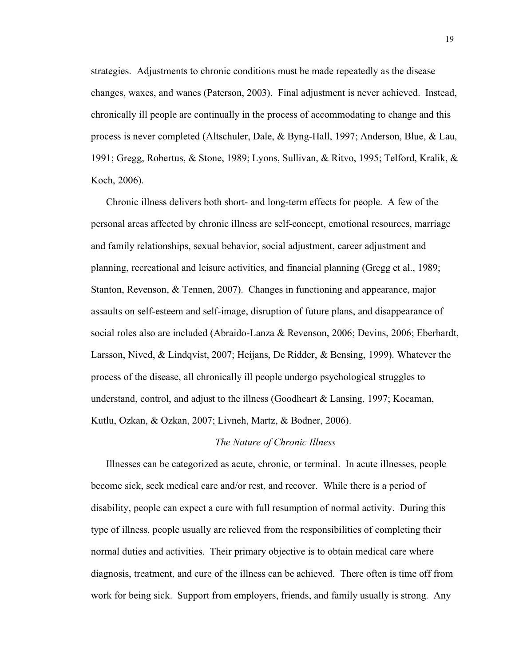strategies. Adjustments to chronic conditions must be made repeatedly as the disease changes, waxes, and wanes (Paterson, 2003). Final adjustment is never achieved. Instead, chronically ill people are continually in the process of accommodating to change and this process is never completed (Altschuler, Dale, & Byng-Hall, 1997; Anderson, Blue, & Lau, 1991; Gregg, Robertus, & Stone, 1989; Lyons, Sullivan, & Ritvo, 1995; Telford, Kralik, & Koch, 2006).

Chronic illness delivers both short- and long-term effects for people. A few of the personal areas affected by chronic illness are self-concept, emotional resources, marriage and family relationships, sexual behavior, social adjustment, career adjustment and planning, recreational and leisure activities, and financial planning (Gregg et al., 1989; Stanton, Revenson, & Tennen, 2007). Changes in functioning and appearance, major assaults on self-esteem and self-image, disruption of future plans, and disappearance of social roles also are included (Abraido-Lanza & Revenson, 2006; Devins, 2006; Eberhardt, Larsson, Nived, & Lindqvist, 2007; Heijans, De Ridder, & Bensing, 1999). Whatever the process of the disease, all chronically ill people undergo psychological struggles to understand, control, and adjust to the illness (Goodheart & Lansing, 1997; Kocaman, Kutlu, Ozkan, & Ozkan, 2007; Livneh, Martz, & Bodner, 2006).

#### *The Nature of Chronic Illness*

Illnesses can be categorized as acute, chronic, or terminal. In acute illnesses, people become sick, seek medical care and/or rest, and recover. While there is a period of disability, people can expect a cure with full resumption of normal activity. During this type of illness, people usually are relieved from the responsibilities of completing their normal duties and activities. Their primary objective is to obtain medical care where diagnosis, treatment, and cure of the illness can be achieved. There often is time off from work for being sick. Support from employers, friends, and family usually is strong. Any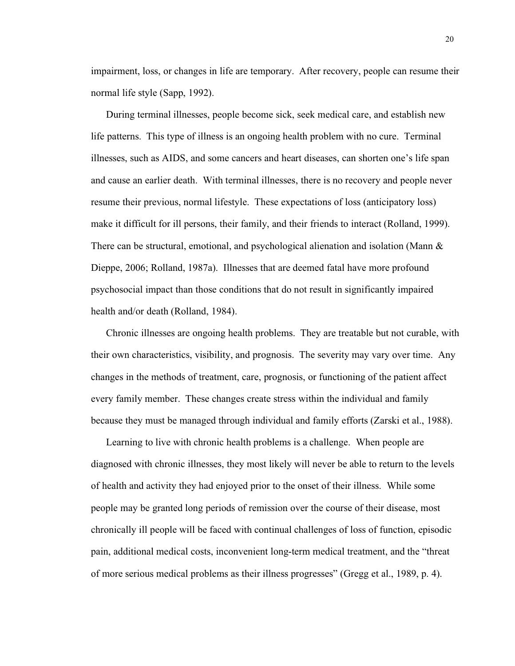impairment, loss, or changes in life are temporary. After recovery, people can resume their normal life style (Sapp, 1992).

During terminal illnesses, people become sick, seek medical care, and establish new life patterns. This type of illness is an ongoing health problem with no cure. Terminal illnesses, such as AIDS, and some cancers and heart diseases, can shorten one's life span and cause an earlier death. With terminal illnesses, there is no recovery and people never resume their previous, normal lifestyle. These expectations of loss (anticipatory loss) make it difficult for ill persons, their family, and their friends to interact (Rolland, 1999). There can be structural, emotional, and psychological alienation and isolation (Mann  $\&$ Dieppe, 2006; Rolland, 1987a). Illnesses that are deemed fatal have more profound psychosocial impact than those conditions that do not result in significantly impaired health and/or death (Rolland, 1984).

Chronic illnesses are ongoing health problems. They are treatable but not curable, with their own characteristics, visibility, and prognosis. The severity may vary over time. Any changes in the methods of treatment, care, prognosis, or functioning of the patient affect every family member. These changes create stress within the individual and family because they must be managed through individual and family efforts (Zarski et al., 1988).

Learning to live with chronic health problems is a challenge. When people are diagnosed with chronic illnesses, they most likely will never be able to return to the levels of health and activity they had enjoyed prior to the onset of their illness. While some people may be granted long periods of remission over the course of their disease, most chronically ill people will be faced with continual challenges of loss of function, episodic pain, additional medical costs, inconvenient long-term medical treatment, and the "threat of more serious medical problems as their illness progresses" (Gregg et al., 1989, p. 4).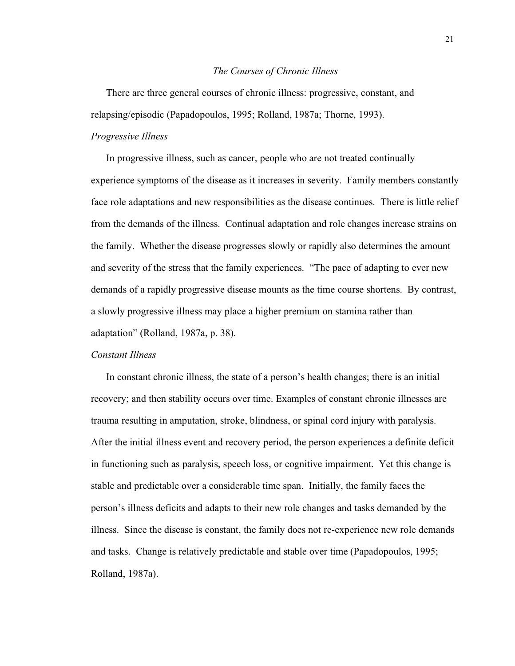#### *The Courses of Chronic Illness*

There are three general courses of chronic illness: progressive, constant, and relapsing/episodic (Papadopoulos, 1995; Rolland, 1987a; Thorne, 1993).

# *Progressive Illness*

In progressive illness, such as cancer, people who are not treated continually experience symptoms of the disease as it increases in severity. Family members constantly face role adaptations and new responsibilities as the disease continues. There is little relief from the demands of the illness. Continual adaptation and role changes increase strains on the family. Whether the disease progresses slowly or rapidly also determines the amount and severity of the stress that the family experiences. "The pace of adapting to ever new demands of a rapidly progressive disease mounts as the time course shortens. By contrast, a slowly progressive illness may place a higher premium on stamina rather than adaptation" (Rolland, 1987a, p. 38).

#### *Constant Illness*

In constant chronic illness, the state of a person's health changes; there is an initial recovery; and then stability occurs over time. Examples of constant chronic illnesses are trauma resulting in amputation, stroke, blindness, or spinal cord injury with paralysis. After the initial illness event and recovery period, the person experiences a definite deficit in functioning such as paralysis, speech loss, or cognitive impairment. Yet this change is stable and predictable over a considerable time span. Initially, the family faces the person's illness deficits and adapts to their new role changes and tasks demanded by the illness. Since the disease is constant, the family does not re-experience new role demands and tasks. Change is relatively predictable and stable over time (Papadopoulos, 1995; Rolland, 1987a).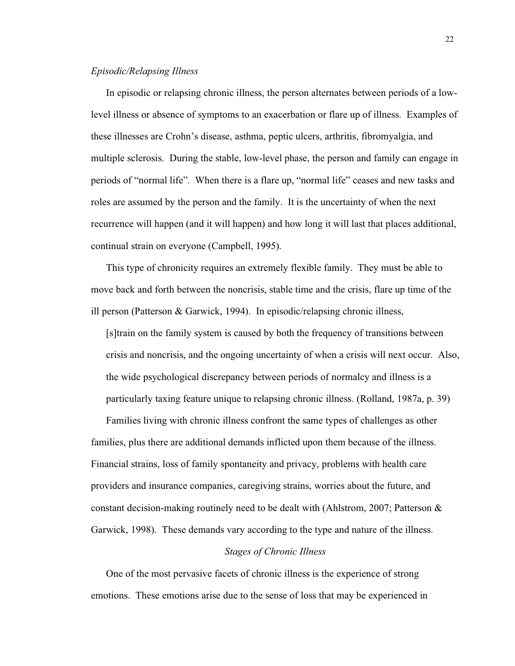## *Episodic/Relapsing Illness*

In episodic or relapsing chronic illness, the person alternates between periods of a lowlevel illness or absence of symptoms to an exacerbation or flare up of illness. Examples of these illnesses are Crohn's disease, asthma, peptic ulcers, arthritis, fibromyalgia, and multiple sclerosis. During the stable, low-level phase, the person and family can engage in periods of "normal life". When there is a flare up, "normal life" ceases and new tasks and roles are assumed by the person and the family. It is the uncertainty of when the next recurrence will happen (and it will happen) and how long it will last that places additional, continual strain on everyone (Campbell, 1995).

This type of chronicity requires an extremely flexible family. They must be able to move back and forth between the noncrisis, stable time and the crisis, flare up time of the ill person (Patterson & Garwick, 1994). In episodic/relapsing chronic illness,

[s]train on the family system is caused by both the frequency of transitions between crisis and noncrisis, and the ongoing uncertainty of when a crisis will next occur. Also, the wide psychological discrepancy between periods of normalcy and illness is a particularly taxing feature unique to relapsing chronic illness. (Rolland, 1987a, p. 39)

Families living with chronic illness confront the same types of challenges as other families, plus there are additional demands inflicted upon them because of the illness. Financial strains, loss of family spontaneity and privacy, problems with health care providers and insurance companies, caregiving strains, worries about the future, and constant decision-making routinely need to be dealt with (Ahlstrom, 2007; Patterson  $\&$ Garwick, 1998). These demands vary according to the type and nature of the illness.

# *Stages of Chronic Illness*

One of the most pervasive facets of chronic illness is the experience of strong emotions. These emotions arise due to the sense of loss that may be experienced in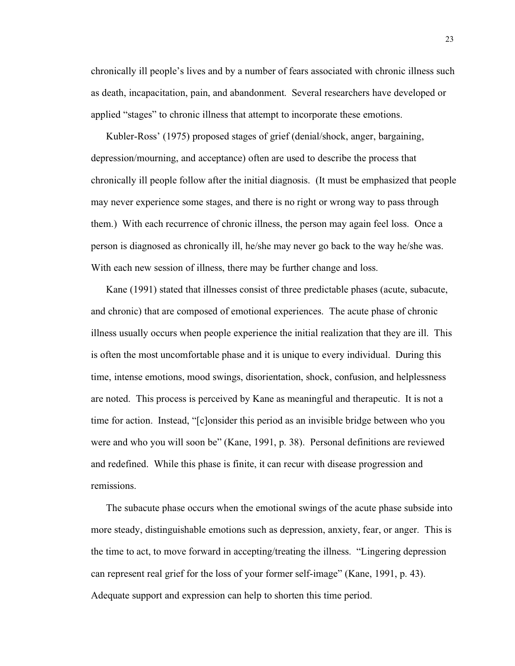chronically ill people's lives and by a number of fears associated with chronic illness such as death, incapacitation, pain, and abandonment. Several researchers have developed or applied "stages" to chronic illness that attempt to incorporate these emotions.

Kubler-Ross' (1975) proposed stages of grief (denial/shock, anger, bargaining, depression/mourning, and acceptance) often are used to describe the process that chronically ill people follow after the initial diagnosis. (It must be emphasized that people may never experience some stages, and there is no right or wrong way to pass through them.) With each recurrence of chronic illness, the person may again feel loss. Once a person is diagnosed as chronically ill, he/she may never go back to the way he/she was. With each new session of illness, there may be further change and loss.

Kane (1991) stated that illnesses consist of three predictable phases (acute, subacute, and chronic) that are composed of emotional experiences. The acute phase of chronic illness usually occurs when people experience the initial realization that they are ill. This is often the most uncomfortable phase and it is unique to every individual. During this time, intense emotions, mood swings, disorientation, shock, confusion, and helplessness are noted. This process is perceived by Kane as meaningful and therapeutic. It is not a time for action. Instead, "[c]onsider this period as an invisible bridge between who you were and who you will soon be" (Kane, 1991, p. 38). Personal definitions are reviewed and redefined. While this phase is finite, it can recur with disease progression and remissions.

The subacute phase occurs when the emotional swings of the acute phase subside into more steady, distinguishable emotions such as depression, anxiety, fear, or anger. This is the time to act, to move forward in accepting/treating the illness. "Lingering depression can represent real grief for the loss of your former self-image" (Kane, 1991, p. 43). Adequate support and expression can help to shorten this time period.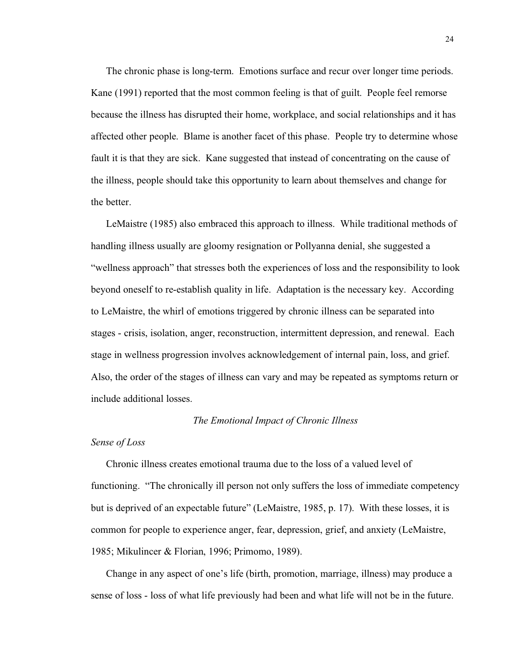The chronic phase is long-term. Emotions surface and recur over longer time periods. Kane (1991) reported that the most common feeling is that of guilt. People feel remorse because the illness has disrupted their home, workplace, and social relationships and it has affected other people. Blame is another facet of this phase. People try to determine whose fault it is that they are sick. Kane suggested that instead of concentrating on the cause of the illness, people should take this opportunity to learn about themselves and change for the better.

LeMaistre (1985) also embraced this approach to illness. While traditional methods of handling illness usually are gloomy resignation or Pollyanna denial, she suggested a "wellness approach" that stresses both the experiences of loss and the responsibility to look beyond oneself to re-establish quality in life. Adaptation is the necessary key. According to LeMaistre, the whirl of emotions triggered by chronic illness can be separated into stages - crisis, isolation, anger, reconstruction, intermittent depression, and renewal. Each stage in wellness progression involves acknowledgement of internal pain, loss, and grief. Also, the order of the stages of illness can vary and may be repeated as symptoms return or include additional losses.

# *The Emotional Impact of Chronic Illness*

#### *Sense of Loss*

Chronic illness creates emotional trauma due to the loss of a valued level of functioning. "The chronically ill person not only suffers the loss of immediate competency but is deprived of an expectable future" (LeMaistre, 1985, p. 17). With these losses, it is common for people to experience anger, fear, depression, grief, and anxiety (LeMaistre, 1985; Mikulincer & Florian, 1996; Primomo, 1989).

Change in any aspect of one's life (birth, promotion, marriage, illness) may produce a sense of loss - loss of what life previously had been and what life will not be in the future.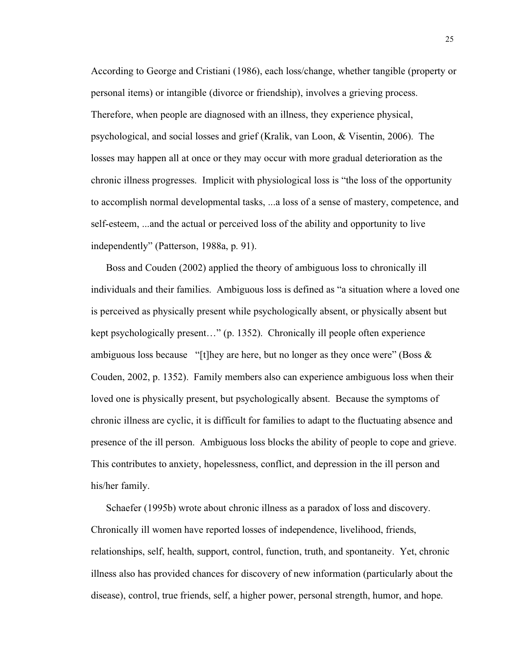According to George and Cristiani (1986), each loss/change, whether tangible (property or personal items) or intangible (divorce or friendship), involves a grieving process. Therefore, when people are diagnosed with an illness, they experience physical, psychological, and social losses and grief (Kralik, van Loon, & Visentin, 2006). The losses may happen all at once or they may occur with more gradual deterioration as the chronic illness progresses. Implicit with physiological loss is "the loss of the opportunity to accomplish normal developmental tasks, ...a loss of a sense of mastery, competence, and self-esteem, ...and the actual or perceived loss of the ability and opportunity to live independently" (Patterson, 1988a, p. 91).

Boss and Couden (2002) applied the theory of ambiguous loss to chronically ill individuals and their families. Ambiguous loss is defined as "a situation where a loved one is perceived as physically present while psychologically absent, or physically absent but kept psychologically present…" (p. 1352). Chronically ill people often experience ambiguous loss because "[t]hey are here, but no longer as they once were" (Boss  $\&$ Couden, 2002, p. 1352). Family members also can experience ambiguous loss when their loved one is physically present, but psychologically absent. Because the symptoms of chronic illness are cyclic, it is difficult for families to adapt to the fluctuating absence and presence of the ill person. Ambiguous loss blocks the ability of people to cope and grieve. This contributes to anxiety, hopelessness, conflict, and depression in the ill person and his/her family.

Schaefer (1995b) wrote about chronic illness as a paradox of loss and discovery. Chronically ill women have reported losses of independence, livelihood, friends, relationships, self, health, support, control, function, truth, and spontaneity. Yet, chronic illness also has provided chances for discovery of new information (particularly about the disease), control, true friends, self, a higher power, personal strength, humor, and hope.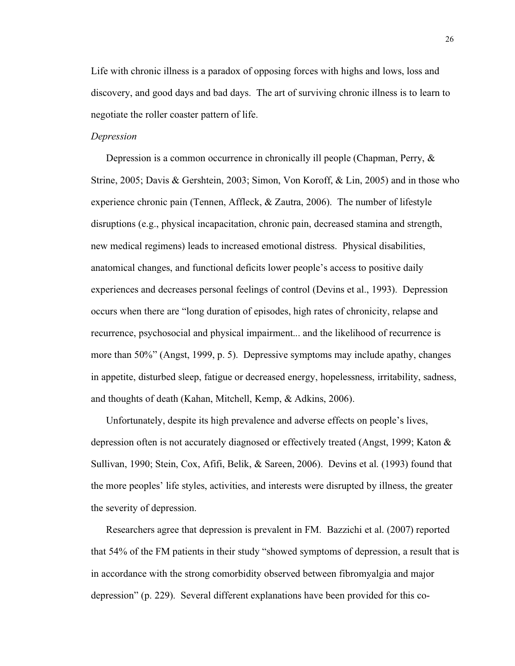Life with chronic illness is a paradox of opposing forces with highs and lows, loss and discovery, and good days and bad days. The art of surviving chronic illness is to learn to negotiate the roller coaster pattern of life.

# *Depression*

Depression is a common occurrence in chronically ill people (Chapman, Perry, & Strine, 2005; Davis & Gershtein, 2003; Simon, Von Koroff, & Lin, 2005) and in those who experience chronic pain (Tennen, Affleck, & Zautra, 2006). The number of lifestyle disruptions (e.g., physical incapacitation, chronic pain, decreased stamina and strength, new medical regimens) leads to increased emotional distress. Physical disabilities, anatomical changes, and functional deficits lower people's access to positive daily experiences and decreases personal feelings of control (Devins et al., 1993). Depression occurs when there are "long duration of episodes, high rates of chronicity, relapse and recurrence, psychosocial and physical impairment... and the likelihood of recurrence is more than 50%" (Angst, 1999, p. 5). Depressive symptoms may include apathy, changes in appetite, disturbed sleep, fatigue or decreased energy, hopelessness, irritability, sadness, and thoughts of death (Kahan, Mitchell, Kemp, & Adkins, 2006).

Unfortunately, despite its high prevalence and adverse effects on people's lives, depression often is not accurately diagnosed or effectively treated (Angst, 1999; Katon & Sullivan, 1990; Stein, Cox, Afifi, Belik, & Sareen, 2006). Devins et al. (1993) found that the more peoples' life styles, activities, and interests were disrupted by illness, the greater the severity of depression.

Researchers agree that depression is prevalent in FM. Bazzichi et al. (2007) reported that 54% of the FM patients in their study "showed symptoms of depression, a result that is in accordance with the strong comorbidity observed between fibromyalgia and major depression" (p. 229). Several different explanations have been provided for this co-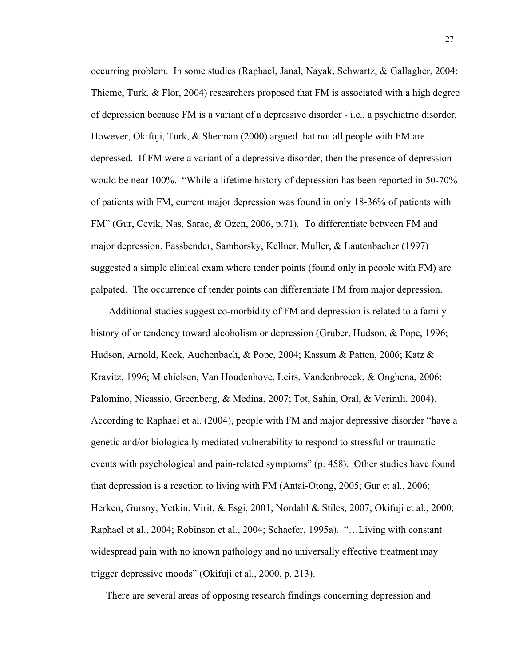occurring problem. In some studies (Raphael, Janal, Nayak, Schwartz, & Gallagher, 2004; Thieme, Turk,  $\&$  Flor, 2004) researchers proposed that FM is associated with a high degree of depression because FM is a variant of a depressive disorder - i.e., a psychiatric disorder. However, Okifuji, Turk, & Sherman (2000) argued that not all people with FM are depressed. If FM were a variant of a depressive disorder, then the presence of depression would be near 100%. "While a lifetime history of depression has been reported in 50-70% of patients with FM, current major depression was found in only 18-36% of patients with FM" (Gur, Cevik, Nas, Sarac, & Ozen, 2006, p.71). To differentiate between FM and major depression, Fassbender, Samborsky, Kellner, Muller, & Lautenbacher (1997) suggested a simple clinical exam where tender points (found only in people with FM) are palpated. The occurrence of tender points can differentiate FM from major depression.

Additional studies suggest co-morbidity of FM and depression is related to a family history of or tendency toward alcoholism or depression (Gruber, Hudson, & Pope, 1996; Hudson, Arnold, Keck, Auchenbach, & Pope, 2004; Kassum & Patten, 2006; Katz & Kravitz, 1996; Michielsen, Van Houdenhove, Leirs, Vandenbroeck, & Onghena, 2006; Palomino, Nicassio, Greenberg, & Medina, 2007; Tot, Sahin, Oral, & Verimli, 2004). According to Raphael et al. (2004), people with FM and major depressive disorder "have a genetic and/or biologically mediated vulnerability to respond to stressful or traumatic events with psychological and pain-related symptoms" (p. 458). Other studies have found that depression is a reaction to living with FM (Antai-Otong, 2005; Gur et al., 2006; Herken, Gursoy, Yetkin, Virit, & Esgi, 2001; Nordahl & Stiles, 2007; Okifuji et al., 2000; Raphael et al., 2004; Robinson et al., 2004; Schaefer, 1995a). "…Living with constant widespread pain with no known pathology and no universally effective treatment may trigger depressive moods" (Okifuji et al., 2000, p. 213).

There are several areas of opposing research findings concerning depression and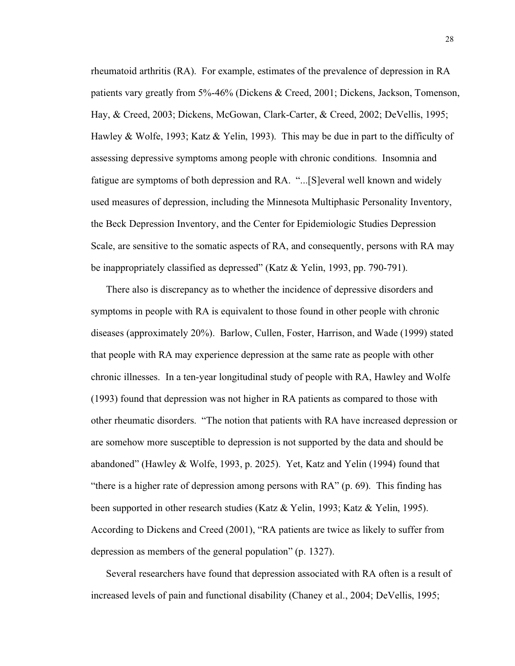rheumatoid arthritis (RA). For example, estimates of the prevalence of depression in RA patients vary greatly from 5%-46% (Dickens & Creed, 2001; Dickens, Jackson, Tomenson, Hay, & Creed, 2003; Dickens, McGowan, Clark-Carter, & Creed, 2002; DeVellis, 1995; Hawley & Wolfe, 1993; Katz & Yelin, 1993). This may be due in part to the difficulty of assessing depressive symptoms among people with chronic conditions. Insomnia and fatigue are symptoms of both depression and RA. "...[S]everal well known and widely used measures of depression, including the Minnesota Multiphasic Personality Inventory, the Beck Depression Inventory, and the Center for Epidemiologic Studies Depression Scale, are sensitive to the somatic aspects of RA, and consequently, persons with RA may be inappropriately classified as depressed" (Katz & Yelin, 1993, pp. 790-791).

There also is discrepancy as to whether the incidence of depressive disorders and symptoms in people with RA is equivalent to those found in other people with chronic diseases (approximately 20%). Barlow, Cullen, Foster, Harrison, and Wade (1999) stated that people with RA may experience depression at the same rate as people with other chronic illnesses. In a ten-year longitudinal study of people with RA, Hawley and Wolfe (1993) found that depression was not higher in RA patients as compared to those with other rheumatic disorders. "The notion that patients with RA have increased depression or are somehow more susceptible to depression is not supported by the data and should be abandoned" (Hawley & Wolfe, 1993, p. 2025). Yet, Katz and Yelin (1994) found that "there is a higher rate of depression among persons with RA" (p. 69). This finding has been supported in other research studies (Katz & Yelin, 1993; Katz & Yelin, 1995). According to Dickens and Creed (2001), "RA patients are twice as likely to suffer from depression as members of the general population" (p. 1327).

Several researchers have found that depression associated with RA often is a result of increased levels of pain and functional disability (Chaney et al., 2004; DeVellis, 1995;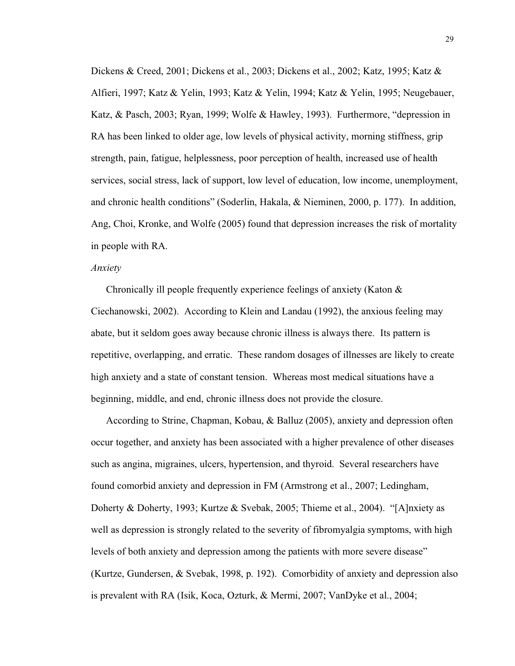Dickens & Creed, 2001; Dickens et al., 2003; Dickens et al., 2002; Katz, 1995; Katz & Alfieri, 1997; Katz & Yelin, 1993; Katz & Yelin, 1994; Katz & Yelin, 1995; Neugebauer, Katz, & Pasch, 2003; Ryan, 1999; Wolfe & Hawley, 1993). Furthermore, "depression in RA has been linked to older age, low levels of physical activity, morning stiffness, grip strength, pain, fatigue, helplessness, poor perception of health, increased use of health services, social stress, lack of support, low level of education, low income, unemployment, and chronic health conditions" (Soderlin, Hakala, & Nieminen, 2000, p. 177). In addition, Ang, Choi, Kronke, and Wolfe (2005) found that depression increases the risk of mortality in people with RA.

# *Anxiety*

Chronically ill people frequently experience feelings of anxiety (Katon & Ciechanowski, 2002). According to Klein and Landau (1992), the anxious feeling may abate, but it seldom goes away because chronic illness is always there. Its pattern is repetitive, overlapping, and erratic. These random dosages of illnesses are likely to create high anxiety and a state of constant tension. Whereas most medical situations have a beginning, middle, and end, chronic illness does not provide the closure.

According to Strine, Chapman, Kobau, & Balluz (2005), anxiety and depression often occur together, and anxiety has been associated with a higher prevalence of other diseases such as angina, migraines, ulcers, hypertension, and thyroid. Several researchers have found comorbid anxiety and depression in FM (Armstrong et al., 2007; Ledingham, Doherty & Doherty, 1993; Kurtze & Svebak, 2005; Thieme et al., 2004). "[A]nxiety as well as depression is strongly related to the severity of fibromyalgia symptoms, with high levels of both anxiety and depression among the patients with more severe disease" (Kurtze, Gundersen, & Svebak, 1998, p. 192). Comorbidity of anxiety and depression also is prevalent with RA (Isik, Koca, Ozturk, & Mermi, 2007; VanDyke et al., 2004;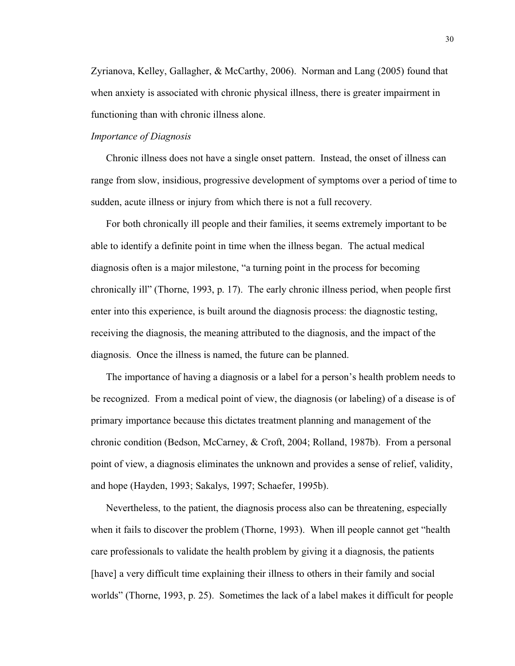Zyrianova, Kelley, Gallagher, & McCarthy, 2006). Norman and Lang (2005) found that when anxiety is associated with chronic physical illness, there is greater impairment in functioning than with chronic illness alone.

# *Importance of Diagnosis*

Chronic illness does not have a single onset pattern. Instead, the onset of illness can range from slow, insidious, progressive development of symptoms over a period of time to sudden, acute illness or injury from which there is not a full recovery.

For both chronically ill people and their families, it seems extremely important to be able to identify a definite point in time when the illness began. The actual medical diagnosis often is a major milestone, "a turning point in the process for becoming chronically ill" (Thorne, 1993, p. 17). The early chronic illness period, when people first enter into this experience, is built around the diagnosis process: the diagnostic testing, receiving the diagnosis, the meaning attributed to the diagnosis, and the impact of the diagnosis. Once the illness is named, the future can be planned.

The importance of having a diagnosis or a label for a person's health problem needs to be recognized. From a medical point of view, the diagnosis (or labeling) of a disease is of primary importance because this dictates treatment planning and management of the chronic condition (Bedson, McCarney, & Croft, 2004; Rolland, 1987b). From a personal point of view, a diagnosis eliminates the unknown and provides a sense of relief, validity, and hope (Hayden, 1993; Sakalys, 1997; Schaefer, 1995b).

Nevertheless, to the patient, the diagnosis process also can be threatening, especially when it fails to discover the problem (Thorne, 1993). When ill people cannot get "health care professionals to validate the health problem by giving it a diagnosis, the patients [have] a very difficult time explaining their illness to others in their family and social worlds" (Thorne, 1993, p. 25). Sometimes the lack of a label makes it difficult for people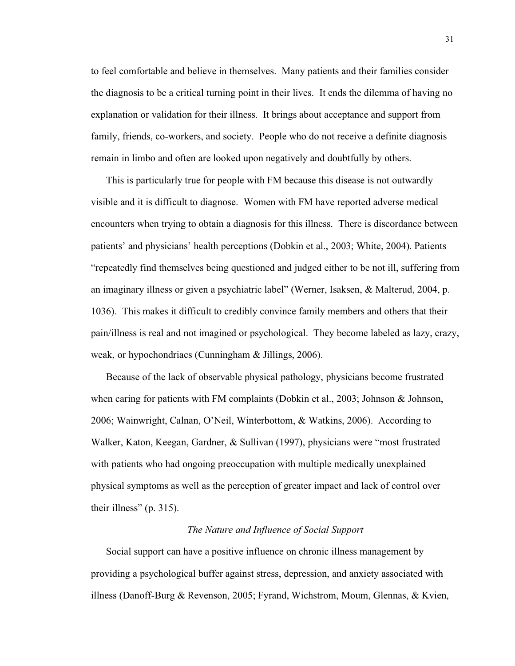to feel comfortable and believe in themselves. Many patients and their families consider the diagnosis to be a critical turning point in their lives. It ends the dilemma of having no explanation or validation for their illness. It brings about acceptance and support from family, friends, co-workers, and society. People who do not receive a definite diagnosis remain in limbo and often are looked upon negatively and doubtfully by others.

This is particularly true for people with FM because this disease is not outwardly visible and it is difficult to diagnose. Women with FM have reported adverse medical encounters when trying to obtain a diagnosis for this illness. There is discordance between patients' and physicians' health perceptions (Dobkin et al., 2003; White, 2004). Patients "repeatedly find themselves being questioned and judged either to be not ill, suffering from an imaginary illness or given a psychiatric label" (Werner, Isaksen, & Malterud, 2004, p. 1036). This makes it difficult to credibly convince family members and others that their pain/illness is real and not imagined or psychological. They become labeled as lazy, crazy, weak, or hypochondriacs (Cunningham & Jillings, 2006).

Because of the lack of observable physical pathology, physicians become frustrated when caring for patients with FM complaints (Dobkin et al., 2003; Johnson & Johnson, 2006; Wainwright, Calnan, O'Neil, Winterbottom, & Watkins, 2006). According to Walker, Katon, Keegan, Gardner, & Sullivan (1997), physicians were "most frustrated with patients who had ongoing preoccupation with multiple medically unexplained physical symptoms as well as the perception of greater impact and lack of control over their illness" (p. 315).

# *The Nature and Influence of Social Support*

Social support can have a positive influence on chronic illness management by providing a psychological buffer against stress, depression, and anxiety associated with illness (Danoff-Burg & Revenson, 2005; Fyrand, Wichstrom, Moum, Glennas, & Kvien,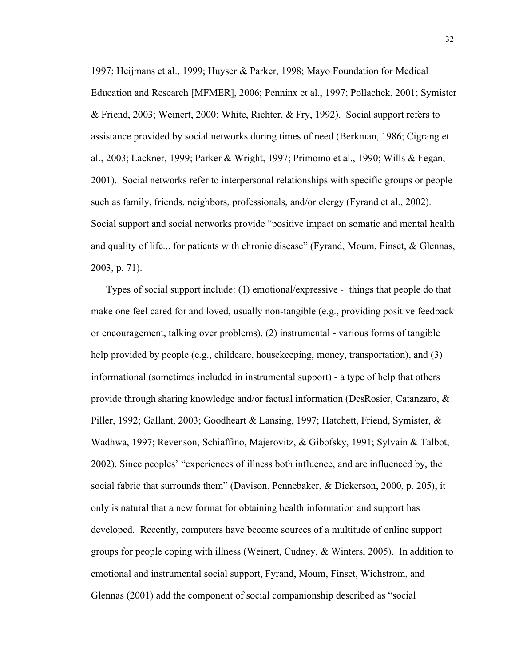1997; Heijmans et al., 1999; Huyser & Parker, 1998; Mayo Foundation for Medical Education and Research [MFMER], 2006; Penninx et al., 1997; Pollachek, 2001; Symister & Friend, 2003; Weinert, 2000; White, Richter, & Fry, 1992). Social support refers to assistance provided by social networks during times of need (Berkman, 1986; Cigrang et al., 2003; Lackner, 1999; Parker & Wright, 1997; Primomo et al., 1990; Wills & Fegan, 2001). Social networks refer to interpersonal relationships with specific groups or people such as family, friends, neighbors, professionals, and/or clergy (Fyrand et al., 2002). Social support and social networks provide "positive impact on somatic and mental health and quality of life... for patients with chronic disease" (Fyrand, Moum, Finset, & Glennas, 2003, p. 71).

Types of social support include: (1) emotional/expressive - things that people do that make one feel cared for and loved, usually non-tangible (e.g., providing positive feedback or encouragement, talking over problems), (2) instrumental - various forms of tangible help provided by people (e.g., childcare, house keeping, money, transportation), and (3) informational (sometimes included in instrumental support) - a type of help that others provide through sharing knowledge and/or factual information (DesRosier, Catanzaro, & Piller, 1992; Gallant, 2003; Goodheart & Lansing, 1997; Hatchett, Friend, Symister, & Wadhwa, 1997; Revenson, Schiaffino, Majerovitz, & Gibofsky, 1991; Sylvain & Talbot, 2002). Since peoples' "experiences of illness both influence, and are influenced by, the social fabric that surrounds them" (Davison, Pennebaker, & Dickerson, 2000, p. 205), it only is natural that a new format for obtaining health information and support has developed. Recently, computers have become sources of a multitude of online support groups for people coping with illness (Weinert, Cudney, & Winters, 2005). In addition to emotional and instrumental social support, Fyrand, Moum, Finset, Wichstrom, and Glennas (2001) add the component of social companionship described as "social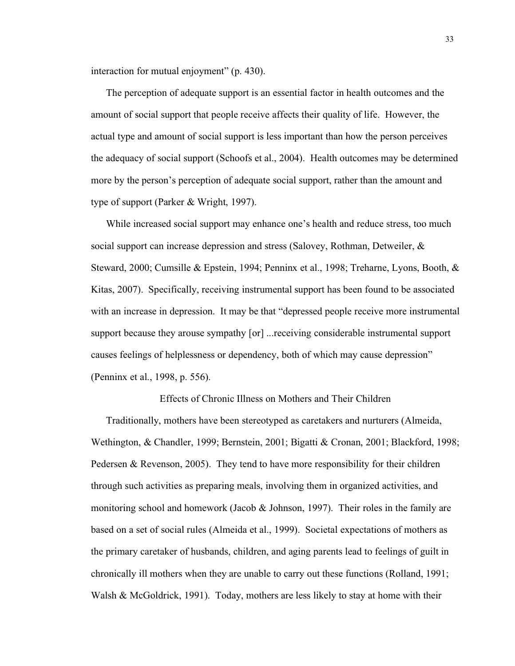interaction for mutual enjoyment" (p. 430).

The perception of adequate support is an essential factor in health outcomes and the amount of social support that people receive affects their quality of life. However, the actual type and amount of social support is less important than how the person perceives the adequacy of social support (Schoofs et al., 2004). Health outcomes may be determined more by the person's perception of adequate social support, rather than the amount and type of support (Parker & Wright, 1997).

While increased social support may enhance one's health and reduce stress, too much social support can increase depression and stress (Salovey, Rothman, Detweiler, & Steward, 2000; Cumsille & Epstein, 1994; Penninx et al., 1998; Treharne, Lyons, Booth, & Kitas, 2007). Specifically, receiving instrumental support has been found to be associated with an increase in depression. It may be that "depressed people receive more instrumental support because they arouse sympathy [or] ...receiving considerable instrumental support causes feelings of helplessness or dependency, both of which may cause depression" (Penninx et al., 1998, p. 556).

Effects of Chronic Illness on Mothers and Their Children

Traditionally, mothers have been stereotyped as caretakers and nurturers (Almeida, Wethington, & Chandler, 1999; Bernstein, 2001; Bigatti & Cronan, 2001; Blackford, 1998; Pedersen & Revenson, 2005). They tend to have more responsibility for their children through such activities as preparing meals, involving them in organized activities, and monitoring school and homework (Jacob  $&$  Johnson, 1997). Their roles in the family are based on a set of social rules (Almeida et al., 1999). Societal expectations of mothers as the primary caretaker of husbands, children, and aging parents lead to feelings of guilt in chronically ill mothers when they are unable to carry out these functions (Rolland, 1991; Walsh & McGoldrick, 1991). Today, mothers are less likely to stay at home with their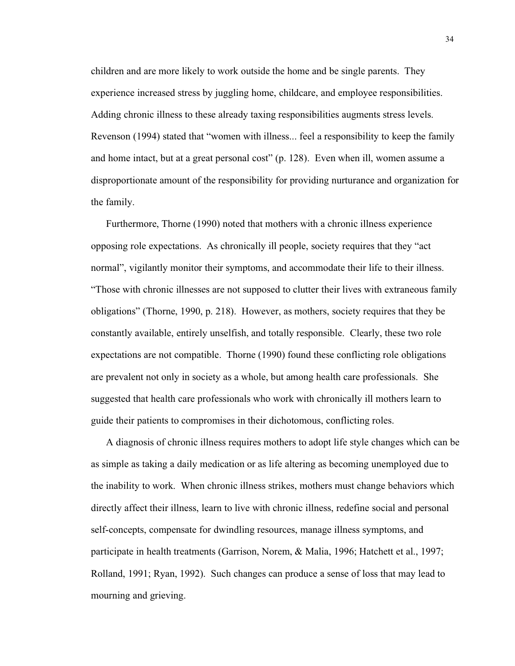children and are more likely to work outside the home and be single parents. They experience increased stress by juggling home, childcare, and employee responsibilities. Adding chronic illness to these already taxing responsibilities augments stress levels. Revenson (1994) stated that "women with illness... feel a responsibility to keep the family and home intact, but at a great personal cost" (p. 128). Even when ill, women assume a disproportionate amount of the responsibility for providing nurturance and organization for the family.

Furthermore, Thorne (1990) noted that mothers with a chronic illness experience opposing role expectations. As chronically ill people, society requires that they "act normal", vigilantly monitor their symptoms, and accommodate their life to their illness. "Those with chronic illnesses are not supposed to clutter their lives with extraneous family obligations" (Thorne, 1990, p. 218). However, as mothers, society requires that they be constantly available, entirely unselfish, and totally responsible. Clearly, these two role expectations are not compatible. Thorne (1990) found these conflicting role obligations are prevalent not only in society as a whole, but among health care professionals. She suggested that health care professionals who work with chronically ill mothers learn to guide their patients to compromises in their dichotomous, conflicting roles.

A diagnosis of chronic illness requires mothers to adopt life style changes which can be as simple as taking a daily medication or as life altering as becoming unemployed due to the inability to work. When chronic illness strikes, mothers must change behaviors which directly affect their illness, learn to live with chronic illness, redefine social and personal self-concepts, compensate for dwindling resources, manage illness symptoms, and participate in health treatments (Garrison, Norem, & Malia, 1996; Hatchett et al., 1997; Rolland, 1991; Ryan, 1992). Such changes can produce a sense of loss that may lead to mourning and grieving.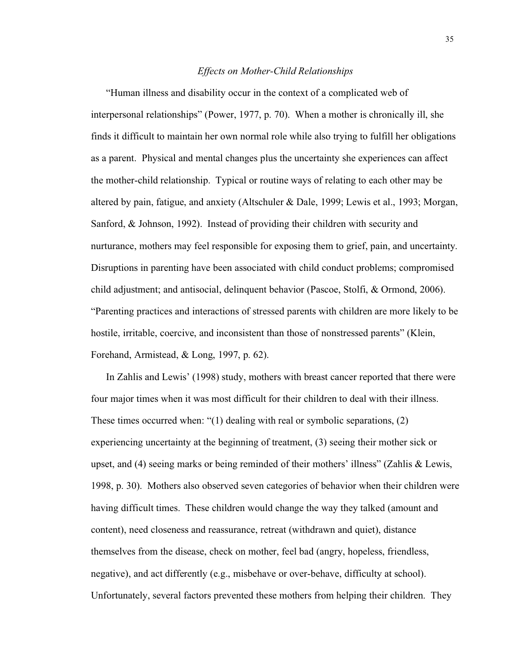# *Effects on Mother-Child Relationships*

"Human illness and disability occur in the context of a complicated web of interpersonal relationships" (Power, 1977, p. 70). When a mother is chronically ill, she finds it difficult to maintain her own normal role while also trying to fulfill her obligations as a parent. Physical and mental changes plus the uncertainty she experiences can affect the mother-child relationship. Typical or routine ways of relating to each other may be altered by pain, fatigue, and anxiety (Altschuler & Dale, 1999; Lewis et al., 1993; Morgan, Sanford, & Johnson, 1992). Instead of providing their children with security and nurturance, mothers may feel responsible for exposing them to grief, pain, and uncertainty. Disruptions in parenting have been associated with child conduct problems; compromised child adjustment; and antisocial, delinquent behavior (Pascoe, Stolfi, & Ormond, 2006). "Parenting practices and interactions of stressed parents with children are more likely to be hostile, irritable, coercive, and inconsistent than those of nonstressed parents" (Klein, Forehand, Armistead, & Long, 1997, p. 62).

In Zahlis and Lewis' (1998) study, mothers with breast cancer reported that there were four major times when it was most difficult for their children to deal with their illness. These times occurred when: "(1) dealing with real or symbolic separations, (2) experiencing uncertainty at the beginning of treatment, (3) seeing their mother sick or upset, and (4) seeing marks or being reminded of their mothers' illness" (Zahlis & Lewis, 1998, p. 30). Mothers also observed seven categories of behavior when their children were having difficult times. These children would change the way they talked (amount and content), need closeness and reassurance, retreat (withdrawn and quiet), distance themselves from the disease, check on mother, feel bad (angry, hopeless, friendless, negative), and act differently (e.g., misbehave or over-behave, difficulty at school). Unfortunately, several factors prevented these mothers from helping their children. They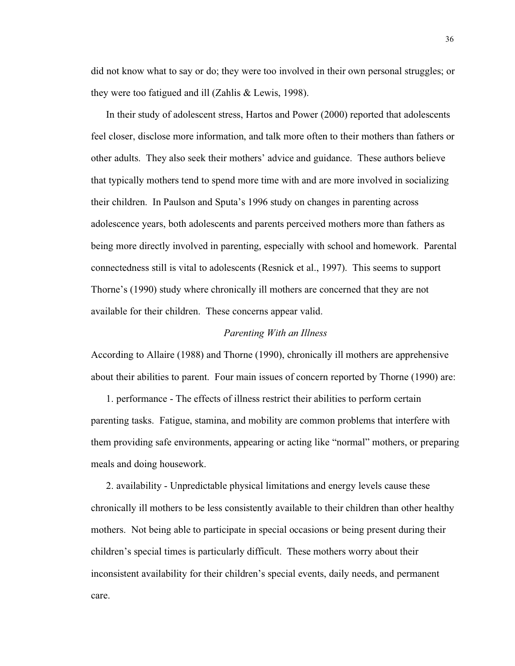did not know what to say or do; they were too involved in their own personal struggles; or they were too fatigued and ill (Zahlis & Lewis, 1998).

In their study of adolescent stress, Hartos and Power (2000) reported that adolescents feel closer, disclose more information, and talk more often to their mothers than fathers or other adults. They also seek their mothers' advice and guidance. These authors believe that typically mothers tend to spend more time with and are more involved in socializing their children. In Paulson and Sputa's 1996 study on changes in parenting across adolescence years, both adolescents and parents perceived mothers more than fathers as being more directly involved in parenting, especially with school and homework. Parental connectedness still is vital to adolescents (Resnick et al., 1997). This seems to support Thorne's (1990) study where chronically ill mothers are concerned that they are not available for their children. These concerns appear valid.

#### *Parenting With an Illness*

According to Allaire (1988) and Thorne (1990), chronically ill mothers are apprehensive about their abilities to parent. Four main issues of concern reported by Thorne (1990) are:

1. performance - The effects of illness restrict their abilities to perform certain parenting tasks. Fatigue, stamina, and mobility are common problems that interfere with them providing safe environments, appearing or acting like "normal" mothers, or preparing meals and doing housework.

2. availability - Unpredictable physical limitations and energy levels cause these chronically ill mothers to be less consistently available to their children than other healthy mothers. Not being able to participate in special occasions or being present during their children's special times is particularly difficult. These mothers worry about their inconsistent availability for their children's special events, daily needs, and permanent care.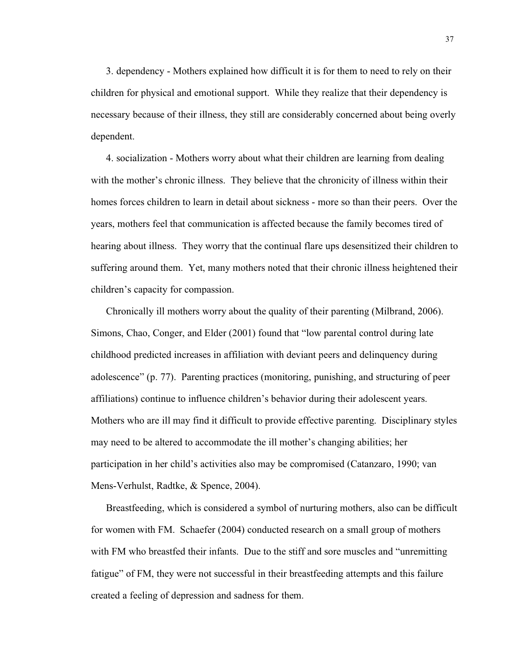3. dependency - Mothers explained how difficult it is for them to need to rely on their children for physical and emotional support. While they realize that their dependency is necessary because of their illness, they still are considerably concerned about being overly dependent.

4. socialization - Mothers worry about what their children are learning from dealing with the mother's chronic illness. They believe that the chronicity of illness within their homes forces children to learn in detail about sickness - more so than their peers. Over the years, mothers feel that communication is affected because the family becomes tired of hearing about illness. They worry that the continual flare ups desensitized their children to suffering around them. Yet, many mothers noted that their chronic illness heightened their children's capacity for compassion.

Chronically ill mothers worry about the quality of their parenting (Milbrand, 2006). Simons, Chao, Conger, and Elder (2001) found that "low parental control during late childhood predicted increases in affiliation with deviant peers and delinquency during adolescence" (p. 77). Parenting practices (monitoring, punishing, and structuring of peer affiliations) continue to influence children's behavior during their adolescent years. Mothers who are ill may find it difficult to provide effective parenting. Disciplinary styles may need to be altered to accommodate the ill mother's changing abilities; her participation in her child's activities also may be compromised (Catanzaro, 1990; van Mens-Verhulst, Radtke, & Spence, 2004).

Breastfeeding, which is considered a symbol of nurturing mothers, also can be difficult for women with FM. Schaefer (2004) conducted research on a small group of mothers with FM who breastfed their infants. Due to the stiff and sore muscles and "unremitting fatigue" of FM, they were not successful in their breastfeeding attempts and this failure created a feeling of depression and sadness for them.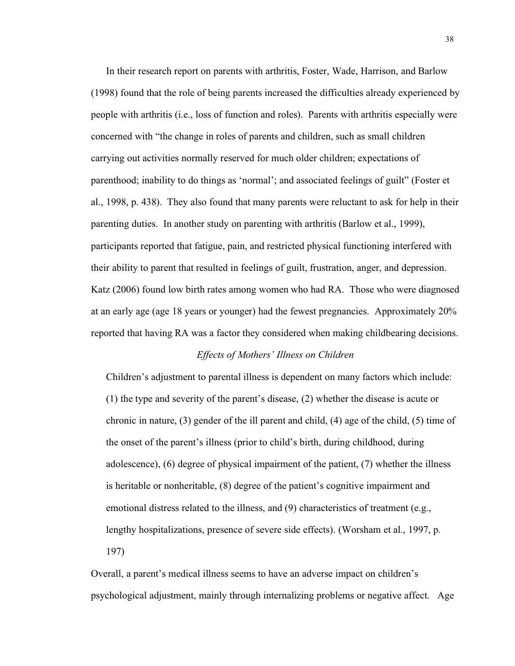In their research report on parents with arthritis, Foster, Wade, Harrison, and Barlow (1998) found that the role of being parents increased the difficulties already experienced by people with arthritis (i.e., loss of function and roles). Parents with arthritis especially were concerned with "the change in roles of parents and children, such as small children carrying out activities normally reserved for much older children; expectations of parenthood; inability to do things as 'normal'; and associated feelings of guilt" (Foster et al., 1998, p. 438). They also found that many parents were reluctant to ask for help in their parenting duties. In another study on parenting with arthritis (Barlow et al., 1999), participants reported that fatigue, pain, and restricted physical functioning interfered with their ability to parent that resulted in feelings of guilt, frustration, anger, and depression. Katz (2006) found low birth rates among women who had RA. Those who were diagnosed at an early age (age 18 years or younger) had the fewest pregnancies. Approximately 20% reported that having RA was a factor they considered when making childbearing decisions.

## *Effects of Mothers' Illness on Children*

Children's adjustment to parental illness is dependent on many factors which include: (1) the type and severity of the parent's disease, (2) whether the disease is acute or chronic in nature, (3) gender of the ill parent and child, (4) age of the child, (5) time of the onset of the parent's illness (prior to child's birth, during childhood, during adolescence), (6) degree of physical impairment of the patient, (7) whether the illness is heritable or nonheritable, (8) degree of the patient's cognitive impairment and emotional distress related to the illness, and (9) characteristics of treatment (e.g., lengthy hospitalizations, presence of severe side effects). (Worsham et al., 1997, p. 197)

Overall, a parent's medical illness seems to have an adverse impact on children's psychological adjustment, mainly through internalizing problems or negative affect. Age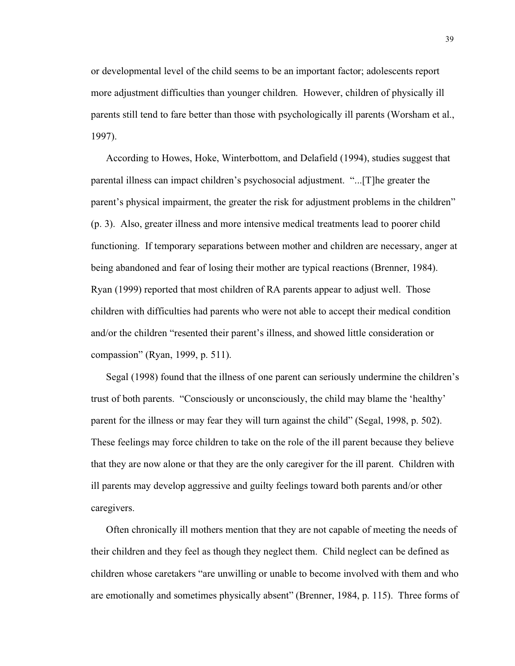or developmental level of the child seems to be an important factor; adolescents report more adjustment difficulties than younger children. However, children of physically ill parents still tend to fare better than those with psychologically ill parents (Worsham et al., 1997).

According to Howes, Hoke, Winterbottom, and Delafield (1994), studies suggest that parental illness can impact children's psychosocial adjustment. "...[T]he greater the parent's physical impairment, the greater the risk for adjustment problems in the children" (p. 3). Also, greater illness and more intensive medical treatments lead to poorer child functioning. If temporary separations between mother and children are necessary, anger at being abandoned and fear of losing their mother are typical reactions (Brenner, 1984). Ryan (1999) reported that most children of RA parents appear to adjust well. Those children with difficulties had parents who were not able to accept their medical condition and/or the children "resented their parent's illness, and showed little consideration or compassion" (Ryan, 1999, p. 511).

Segal (1998) found that the illness of one parent can seriously undermine the children's trust of both parents. "Consciously or unconsciously, the child may blame the 'healthy' parent for the illness or may fear they will turn against the child" (Segal, 1998, p. 502). These feelings may force children to take on the role of the ill parent because they believe that they are now alone or that they are the only caregiver for the ill parent. Children with ill parents may develop aggressive and guilty feelings toward both parents and/or other caregivers.

Often chronically ill mothers mention that they are not capable of meeting the needs of their children and they feel as though they neglect them. Child neglect can be defined as children whose caretakers "are unwilling or unable to become involved with them and who are emotionally and sometimes physically absent" (Brenner, 1984, p. 115). Three forms of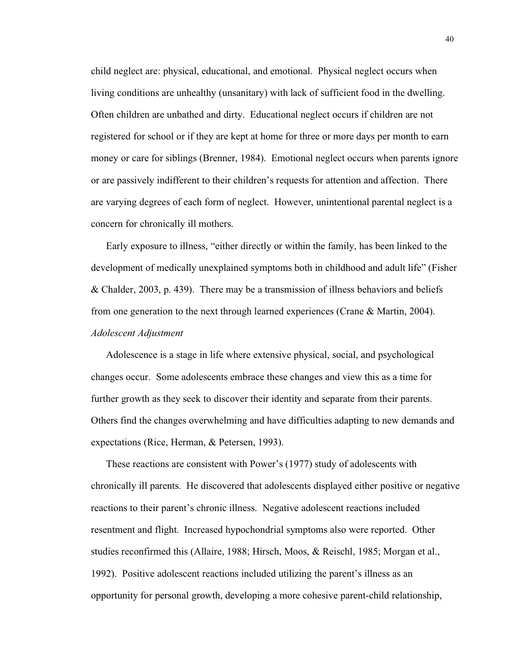child neglect are: physical, educational, and emotional. Physical neglect occurs when living conditions are unhealthy (unsanitary) with lack of sufficient food in the dwelling. Often children are unbathed and dirty. Educational neglect occurs if children are not registered for school or if they are kept at home for three or more days per month to earn money or care for siblings (Brenner, 1984). Emotional neglect occurs when parents ignore or are passively indifferent to their children's requests for attention and affection. There are varying degrees of each form of neglect. However, unintentional parental neglect is a concern for chronically ill mothers.

Early exposure to illness, "either directly or within the family, has been linked to the development of medically unexplained symptoms both in childhood and adult life" (Fisher & Chalder, 2003, p. 439). There may be a transmission of illness behaviors and beliefs from one generation to the next through learned experiences (Crane & Martin, 2004). *Adolescent Adjustment*

Adolescence is a stage in life where extensive physical, social, and psychological changes occur. Some adolescents embrace these changes and view this as a time for further growth as they seek to discover their identity and separate from their parents. Others find the changes overwhelming and have difficulties adapting to new demands and expectations (Rice, Herman, & Petersen, 1993).

These reactions are consistent with Power's (1977) study of adolescents with chronically ill parents. He discovered that adolescents displayed either positive or negative reactions to their parent's chronic illness. Negative adolescent reactions included resentment and flight. Increased hypochondrial symptoms also were reported. Other studies reconfirmed this (Allaire, 1988; Hirsch, Moos, & Reischl, 1985; Morgan et al., 1992). Positive adolescent reactions included utilizing the parent's illness as an opportunity for personal growth, developing a more cohesive parent-child relationship,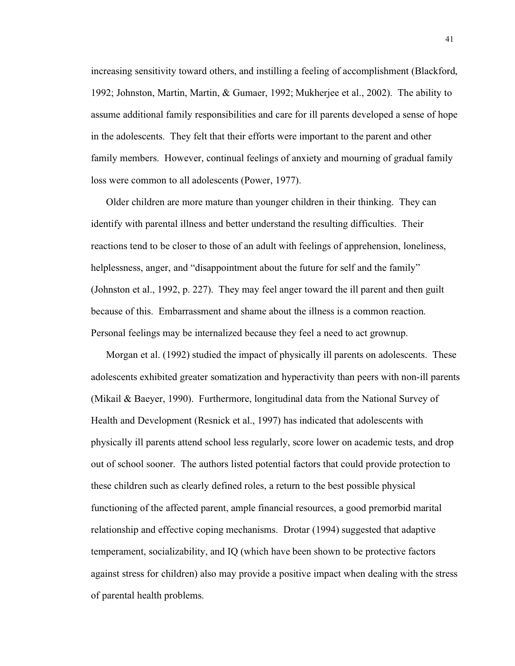increasing sensitivity toward others, and instilling a feeling of accomplishment (Blackford, 1992; Johnston, Martin, Martin, & Gumaer, 1992; Mukherjee et al., 2002). The ability to assume additional family responsibilities and care for ill parents developed a sense of hope in the adolescents. They felt that their efforts were important to the parent and other family members. However, continual feelings of anxiety and mourning of gradual family loss were common to all adolescents (Power, 1977).

Older children are more mature than younger children in their thinking. They can identify with parental illness and better understand the resulting difficulties. Their reactions tend to be closer to those of an adult with feelings of apprehension, loneliness, helplessness, anger, and "disappointment about the future for self and the family" (Johnston et al., 1992, p. 227). They may feel anger toward the ill parent and then guilt because of this. Embarrassment and shame about the illness is a common reaction. Personal feelings may be internalized because they feel a need to act grownup.

Morgan et al. (1992) studied the impact of physically ill parents on adolescents. These adolescents exhibited greater somatization and hyperactivity than peers with non-ill parents (Mikail & Baeyer, 1990). Furthermore, longitudinal data from the National Survey of Health and Development (Resnick et al., 1997) has indicated that adolescents with physically ill parents attend school less regularly, score lower on academic tests, and drop out of school sooner. The authors listed potential factors that could provide protection to these children such as clearly defined roles, a return to the best possible physical functioning of the affected parent, ample financial resources, a good premorbid marital relationship and effective coping mechanisms. Drotar (1994) suggested that adaptive temperament, socializability, and IQ (which have been shown to be protective factors against stress for children) also may provide a positive impact when dealing with the stress of parental health problems.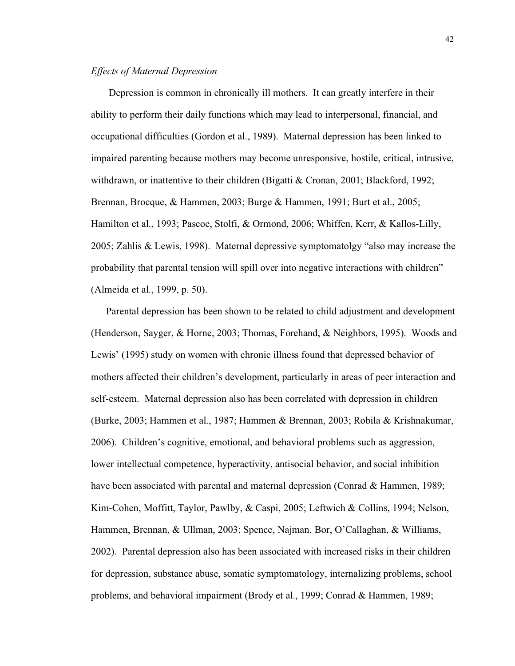## *Effects of Maternal Depression*

Depression is common in chronically ill mothers. It can greatly interfere in their ability to perform their daily functions which may lead to interpersonal, financial, and occupational difficulties (Gordon et al., 1989). Maternal depression has been linked to impaired parenting because mothers may become unresponsive, hostile, critical, intrusive, withdrawn, or inattentive to their children (Bigatti & Cronan, 2001; Blackford, 1992; Brennan, Brocque, & Hammen, 2003; Burge & Hammen, 1991; Burt et al., 2005; Hamilton et al., 1993; Pascoe, Stolfi, & Ormond, 2006; Whiffen, Kerr, & Kallos-Lilly, 2005; Zahlis & Lewis, 1998). Maternal depressive symptomatolgy "also may increase the probability that parental tension will spill over into negative interactions with children" (Almeida et al., 1999, p. 50).

Parental depression has been shown to be related to child adjustment and development (Henderson, Sayger, & Horne, 2003; Thomas, Forehand, & Neighbors, 1995). Woods and Lewis' (1995) study on women with chronic illness found that depressed behavior of mothers affected their children's development, particularly in areas of peer interaction and self-esteem. Maternal depression also has been correlated with depression in children (Burke, 2003; Hammen et al., 1987; Hammen & Brennan, 2003; Robila & Krishnakumar, 2006). Children's cognitive, emotional, and behavioral problems such as aggression, lower intellectual competence, hyperactivity, antisocial behavior, and social inhibition have been associated with parental and maternal depression (Conrad & Hammen, 1989; Kim-Cohen, Moffitt, Taylor, Pawlby, & Caspi, 2005; Leftwich & Collins, 1994; Nelson, Hammen, Brennan, & Ullman, 2003; Spence, Najman, Bor, O'Callaghan, & Williams, 2002). Parental depression also has been associated with increased risks in their children for depression, substance abuse, somatic symptomatology, internalizing problems, school problems, and behavioral impairment (Brody et al., 1999; Conrad & Hammen, 1989;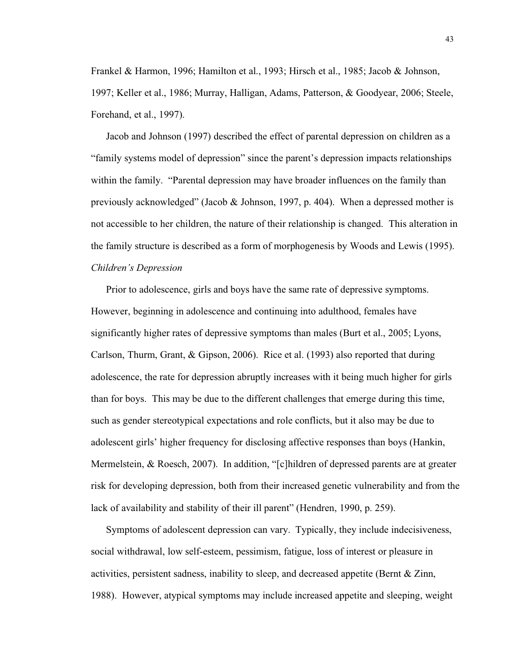Frankel & Harmon, 1996; Hamilton et al., 1993; Hirsch et al., 1985; Jacob & Johnson, 1997; Keller et al., 1986; Murray, Halligan, Adams, Patterson, & Goodyear, 2006; Steele, Forehand, et al., 1997).

Jacob and Johnson (1997) described the effect of parental depression on children as a "family systems model of depression" since the parent's depression impacts relationships within the family. "Parental depression may have broader influences on the family than previously acknowledged" (Jacob & Johnson, 1997, p. 404). When a depressed mother is not accessible to her children, the nature of their relationship is changed. This alteration in the family structure is described as a form of morphogenesis by Woods and Lewis (1995).

# *Children's Depression*

Prior to adolescence, girls and boys have the same rate of depressive symptoms. However, beginning in adolescence and continuing into adulthood, females have significantly higher rates of depressive symptoms than males (Burt et al., 2005; Lyons, Carlson, Thurm, Grant, & Gipson, 2006). Rice et al. (1993) also reported that during adolescence, the rate for depression abruptly increases with it being much higher for girls than for boys. This may be due to the different challenges that emerge during this time, such as gender stereotypical expectations and role conflicts, but it also may be due to adolescent girls' higher frequency for disclosing affective responses than boys (Hankin, Mermelstein, & Roesch, 2007). In addition, "[c]hildren of depressed parents are at greater risk for developing depression, both from their increased genetic vulnerability and from the lack of availability and stability of their ill parent" (Hendren, 1990, p. 259).

Symptoms of adolescent depression can vary. Typically, they include indecisiveness, social withdrawal, low self-esteem, pessimism, fatigue, loss of interest or pleasure in activities, persistent sadness, inability to sleep, and decreased appetite (Bernt & Zinn, 1988). However, atypical symptoms may include increased appetite and sleeping, weight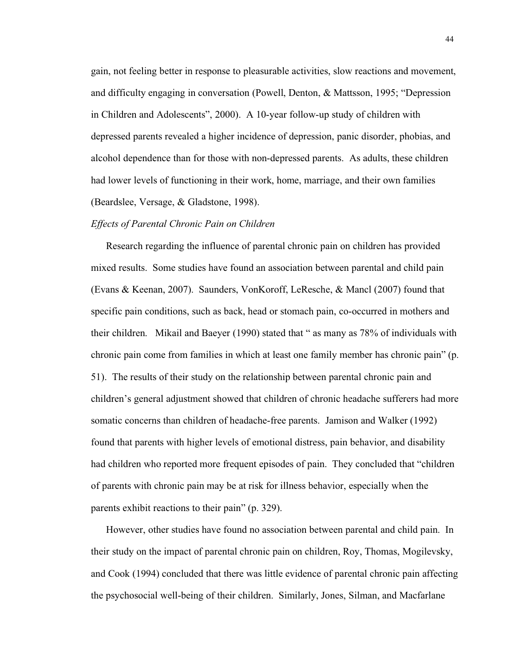gain, not feeling better in response to pleasurable activities, slow reactions and movement, and difficulty engaging in conversation (Powell, Denton, & Mattsson, 1995; "Depression in Children and Adolescents", 2000). A 10-year follow-up study of children with depressed parents revealed a higher incidence of depression, panic disorder, phobias, and alcohol dependence than for those with non-depressed parents. As adults, these children had lower levels of functioning in their work, home, marriage, and their own families (Beardslee, Versage, & Gladstone, 1998).

#### *Effects of Parental Chronic Pain on Children*

Research regarding the influence of parental chronic pain on children has provided mixed results. Some studies have found an association between parental and child pain (Evans & Keenan, 2007). Saunders, VonKoroff, LeResche, & Mancl (2007) found that specific pain conditions, such as back, head or stomach pain, co-occurred in mothers and their children. Mikail and Baeyer (1990) stated that " as many as 78% of individuals with chronic pain come from families in which at least one family member has chronic pain" (p. 51). The results of their study on the relationship between parental chronic pain and children's general adjustment showed that children of chronic headache sufferers had more somatic concerns than children of headache-free parents. Jamison and Walker (1992) found that parents with higher levels of emotional distress, pain behavior, and disability had children who reported more frequent episodes of pain. They concluded that "children of parents with chronic pain may be at risk for illness behavior, especially when the parents exhibit reactions to their pain" (p. 329).

However, other studies have found no association between parental and child pain. In their study on the impact of parental chronic pain on children, Roy, Thomas, Mogilevsky, and Cook (1994) concluded that there was little evidence of parental chronic pain affecting the psychosocial well-being of their children. Similarly, Jones, Silman, and Macfarlane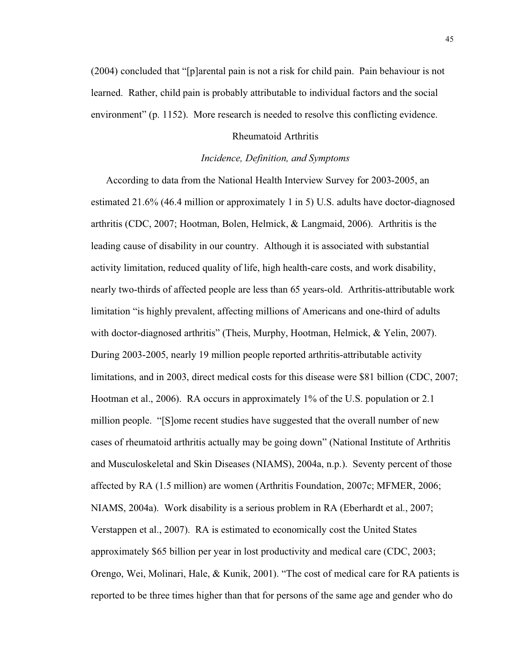(2004) concluded that "[p]arental pain is not a risk for child pain. Pain behaviour is not learned. Rather, child pain is probably attributable to individual factors and the social environment" (p. 1152). More research is needed to resolve this conflicting evidence.

# Rheumatoid Arthritis

## *Incidence, Definition, and Symptoms*

According to data from the National Health Interview Survey for 2003-2005, an estimated 21.6% (46.4 million or approximately 1 in 5) U.S. adults have doctor-diagnosed arthritis (CDC, 2007; Hootman, Bolen, Helmick, & Langmaid, 2006). Arthritis is the leading cause of disability in our country. Although it is associated with substantial activity limitation, reduced quality of life, high health-care costs, and work disability, nearly two-thirds of affected people are less than 65 years-old. Arthritis-attributable work limitation "is highly prevalent, affecting millions of Americans and one-third of adults with doctor-diagnosed arthritis" (Theis, Murphy, Hootman, Helmick, & Yelin, 2007). During 2003-2005, nearly 19 million people reported arthritis-attributable activity limitations, and in 2003, direct medical costs for this disease were \$81 billion (CDC, 2007; Hootman et al., 2006). RA occurs in approximately 1% of the U.S. population or 2.1 million people. "[S]ome recent studies have suggested that the overall number of new cases of rheumatoid arthritis actually may be going down" (National Institute of Arthritis and Musculoskeletal and Skin Diseases (NIAMS), 2004a, n.p.). Seventy percent of those affected by RA (1.5 million) are women (Arthritis Foundation, 2007c; MFMER, 2006; NIAMS, 2004a). Work disability is a serious problem in RA (Eberhardt et al., 2007; Verstappen et al., 2007). RA is estimated to economically cost the United States approximately \$65 billion per year in lost productivity and medical care (CDC, 2003; Orengo, Wei, Molinari, Hale, & Kunik, 2001). "The cost of medical care for RA patients is reported to be three times higher than that for persons of the same age and gender who do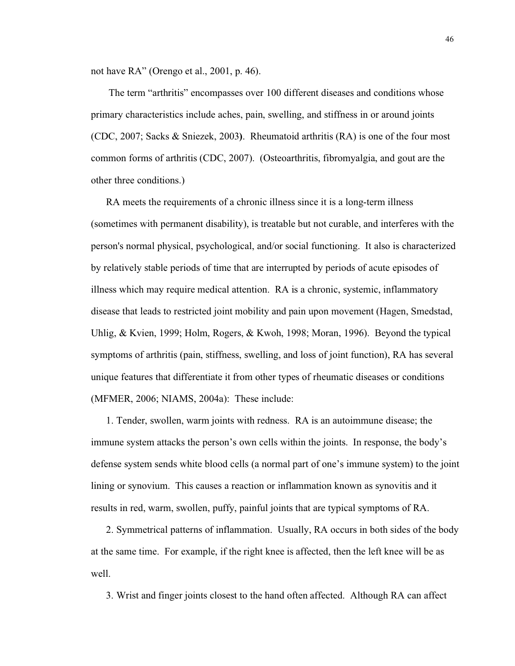not have RA" (Orengo et al., 2001, p. 46).

The term "arthritis" encompasses over 100 different diseases and conditions whose primary characteristics include aches, pain, swelling, and stiffness in or around joints (CDC, 2007; Sacks & Sniezek, 2003**)**. Rheumatoid arthritis (RA) is one of the four most common forms of arthritis (CDC, 2007). (Osteoarthritis, fibromyalgia, and gout are the other three conditions.)

RA meets the requirements of a chronic illness since it is a long-term illness (sometimes with permanent disability), is treatable but not curable, and interferes with the person's normal physical, psychological, and/or social functioning. It also is characterized by relatively stable periods of time that are interrupted by periods of acute episodes of illness which may require medical attention. RA is a chronic, systemic, inflammatory disease that leads to restricted joint mobility and pain upon movement (Hagen, Smedstad, Uhlig, & Kvien, 1999; Holm, Rogers, & Kwoh, 1998; Moran, 1996). Beyond the typical symptoms of arthritis (pain, stiffness, swelling, and loss of joint function), RA has several unique features that differentiate it from other types of rheumatic diseases or conditions (MFMER, 2006; NIAMS, 2004a): These include:

1. Tender, swollen, warm joints with redness. RA is an autoimmune disease; the immune system attacks the person's own cells within the joints. In response, the body's defense system sends white blood cells (a normal part of one's immune system) to the joint lining or synovium. This causes a reaction or inflammation known as synovitis and it results in red, warm, swollen, puffy, painful joints that are typical symptoms of RA.

2. Symmetrical patterns of inflammation. Usually, RA occurs in both sides of the body at the same time. For example, if the right knee is affected, then the left knee will be as well.

3. Wrist and finger joints closest to the hand often affected. Although RA can affect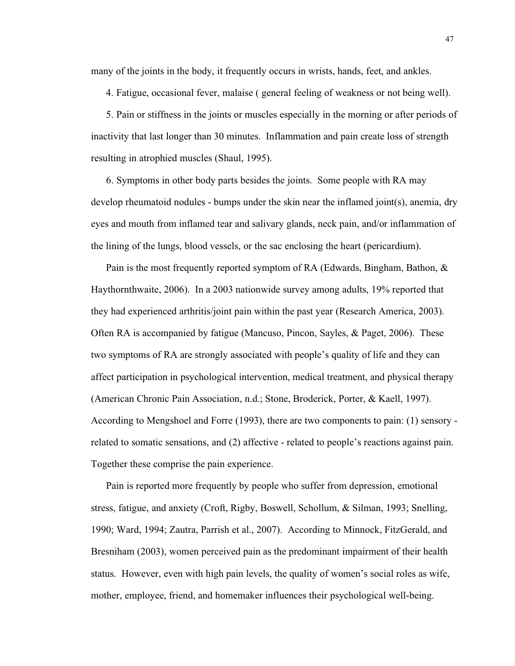many of the joints in the body, it frequently occurs in wrists, hands, feet, and ankles.

4. Fatigue, occasional fever, malaise ( general feeling of weakness or not being well).

5. Pain or stiffness in the joints or muscles especially in the morning or after periods of inactivity that last longer than 30 minutes. Inflammation and pain create loss of strength resulting in atrophied muscles (Shaul, 1995).

6. Symptoms in other body parts besides the joints. Some people with RA may develop rheumatoid nodules - bumps under the skin near the inflamed joint(s), anemia, dry eyes and mouth from inflamed tear and salivary glands, neck pain, and/or inflammation of the lining of the lungs, blood vessels, or the sac enclosing the heart (pericardium).

Pain is the most frequently reported symptom of RA (Edwards, Bingham, Bathon, & Haythornthwaite, 2006). In a 2003 nationwide survey among adults, 19% reported that they had experienced arthritis/joint pain within the past year (Research America, 2003). Often RA is accompanied by fatigue (Mancuso, Pincon, Sayles, & Paget, 2006). These two symptoms of RA are strongly associated with people's quality of life and they can affect participation in psychological intervention, medical treatment, and physical therapy (American Chronic Pain Association, n.d.; Stone, Broderick, Porter, & Kaell, 1997). According to Mengshoel and Forre (1993), there are two components to pain: (1) sensory related to somatic sensations, and (2) affective - related to people's reactions against pain. Together these comprise the pain experience.

Pain is reported more frequently by people who suffer from depression, emotional stress, fatigue, and anxiety (Croft, Rigby, Boswell, Schollum, & Silman, 1993; Snelling, 1990; Ward, 1994; Zautra, Parrish et al., 2007). According to Minnock, FitzGerald, and Bresniham (2003), women perceived pain as the predominant impairment of their health status. However, even with high pain levels, the quality of women's social roles as wife, mother, employee, friend, and homemaker influences their psychological well-being.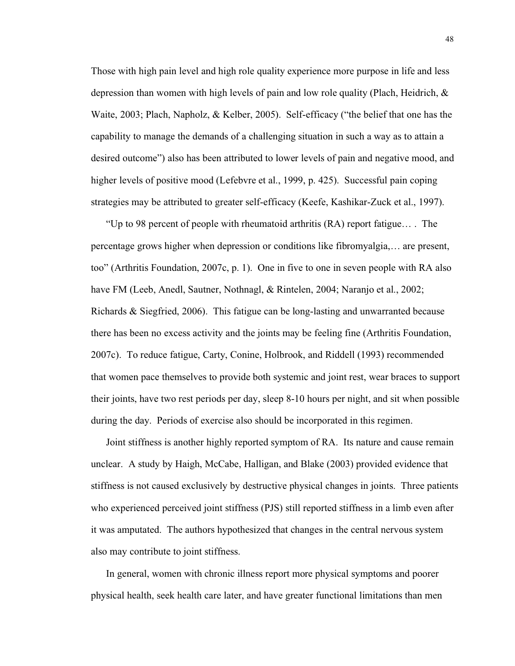Those with high pain level and high role quality experience more purpose in life and less depression than women with high levels of pain and low role quality (Plach, Heidrich, & Waite, 2003; Plach, Napholz, & Kelber, 2005). Self-efficacy ("the belief that one has the capability to manage the demands of a challenging situation in such a way as to attain a desired outcome") also has been attributed to lower levels of pain and negative mood, and higher levels of positive mood (Lefebvre et al., 1999, p. 425). Successful pain coping strategies may be attributed to greater self-efficacy (Keefe, Kashikar-Zuck et al., 1997).

"Up to 98 percent of people with rheumatoid arthritis (RA) report fatigue… . The percentage grows higher when depression or conditions like fibromyalgia,… are present, too" (Arthritis Foundation, 2007c, p. 1). One in five to one in seven people with RA also have FM (Leeb, Anedl, Sautner, Nothnagl, & Rintelen, 2004; Naranjo et al., 2002; Richards & Siegfried, 2006). This fatigue can be long-lasting and unwarranted because there has been no excess activity and the joints may be feeling fine (Arthritis Foundation, 2007c). To reduce fatigue, Carty, Conine, Holbrook, and Riddell (1993) recommended that women pace themselves to provide both systemic and joint rest, wear braces to support their joints, have two rest periods per day, sleep 8-10 hours per night, and sit when possible during the day. Periods of exercise also should be incorporated in this regimen.

Joint stiffness is another highly reported symptom of RA. Its nature and cause remain unclear. A study by Haigh, McCabe, Halligan, and Blake (2003) provided evidence that stiffness is not caused exclusively by destructive physical changes in joints. Three patients who experienced perceived joint stiffness (PJS) still reported stiffness in a limb even after it was amputated. The authors hypothesized that changes in the central nervous system also may contribute to joint stiffness.

In general, women with chronic illness report more physical symptoms and poorer physical health, seek health care later, and have greater functional limitations than men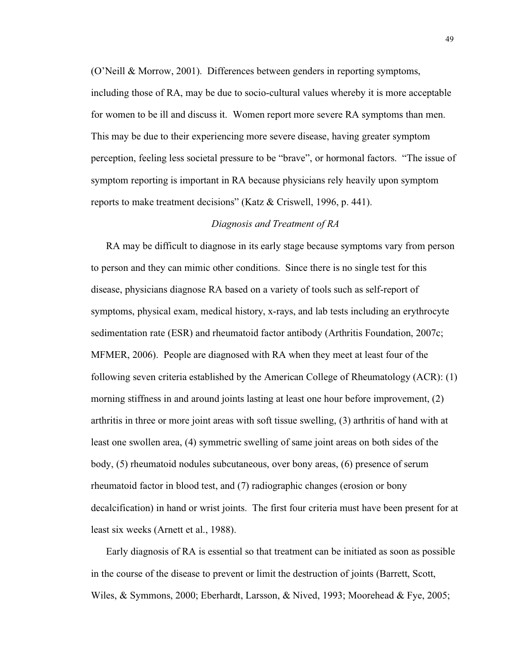(O'Neill & Morrow, 2001). Differences between genders in reporting symptoms, including those of RA, may be due to socio-cultural values whereby it is more acceptable for women to be ill and discuss it. Women report more severe RA symptoms than men. This may be due to their experiencing more severe disease, having greater symptom perception, feeling less societal pressure to be "brave", or hormonal factors. "The issue of symptom reporting is important in RA because physicians rely heavily upon symptom reports to make treatment decisions" (Katz & Criswell, 1996, p. 441).

## *Diagnosis and Treatment of RA*

RA may be difficult to diagnose in its early stage because symptoms vary from person to person and they can mimic other conditions. Since there is no single test for this disease, physicians diagnose RA based on a variety of tools such as self-report of symptoms, physical exam, medical history, x-rays, and lab tests including an erythrocyte sedimentation rate (ESR) and rheumatoid factor antibody (Arthritis Foundation, 2007c; MFMER, 2006). People are diagnosed with RA when they meet at least four of the following seven criteria established by the American College of Rheumatology (ACR): (1) morning stiffness in and around joints lasting at least one hour before improvement, (2) arthritis in three or more joint areas with soft tissue swelling, (3) arthritis of hand with at least one swollen area, (4) symmetric swelling of same joint areas on both sides of the body, (5) rheumatoid nodules subcutaneous, over bony areas, (6) presence of serum rheumatoid factor in blood test, and (7) radiographic changes (erosion or bony decalcification) in hand or wrist joints. The first four criteria must have been present for at least six weeks (Arnett et al., 1988).

Early diagnosis of RA is essential so that treatment can be initiated as soon as possible in the course of the disease to prevent or limit the destruction of joints (Barrett, Scott, Wiles, & Symmons, 2000; Eberhardt, Larsson, & Nived, 1993; Moorehead & Fye, 2005;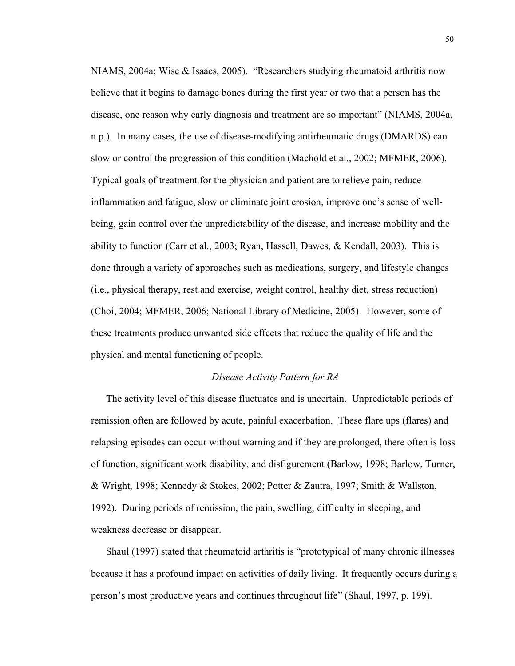NIAMS, 2004a; Wise & Isaacs, 2005). "Researchers studying rheumatoid arthritis now believe that it begins to damage bones during the first year or two that a person has the disease, one reason why early diagnosis and treatment are so important" (NIAMS, 2004a, n.p.). In many cases, the use of disease-modifying antirheumatic drugs (DMARDS) can slow or control the progression of this condition (Machold et al., 2002; MFMER, 2006). Typical goals of treatment for the physician and patient are to relieve pain, reduce inflammation and fatigue, slow or eliminate joint erosion, improve one's sense of wellbeing, gain control over the unpredictability of the disease, and increase mobility and the ability to function (Carr et al., 2003; Ryan, Hassell, Dawes, & Kendall, 2003). This is done through a variety of approaches such as medications, surgery, and lifestyle changes (i.e., physical therapy, rest and exercise, weight control, healthy diet, stress reduction) (Choi, 2004; MFMER, 2006; National Library of Medicine, 2005). However, some of these treatments produce unwanted side effects that reduce the quality of life and the physical and mental functioning of people.

## *Disease Activity Pattern for RA*

The activity level of this disease fluctuates and is uncertain. Unpredictable periods of remission often are followed by acute, painful exacerbation. These flare ups (flares) and relapsing episodes can occur without warning and if they are prolonged, there often is loss of function, significant work disability, and disfigurement (Barlow, 1998; Barlow, Turner, & Wright, 1998; Kennedy & Stokes, 2002; Potter & Zautra, 1997; Smith & Wallston, 1992). During periods of remission, the pain, swelling, difficulty in sleeping, and weakness decrease or disappear.

Shaul (1997) stated that rheumatoid arthritis is "prototypical of many chronic illnesses because it has a profound impact on activities of daily living. It frequently occurs during a person's most productive years and continues throughout life" (Shaul, 1997, p. 199).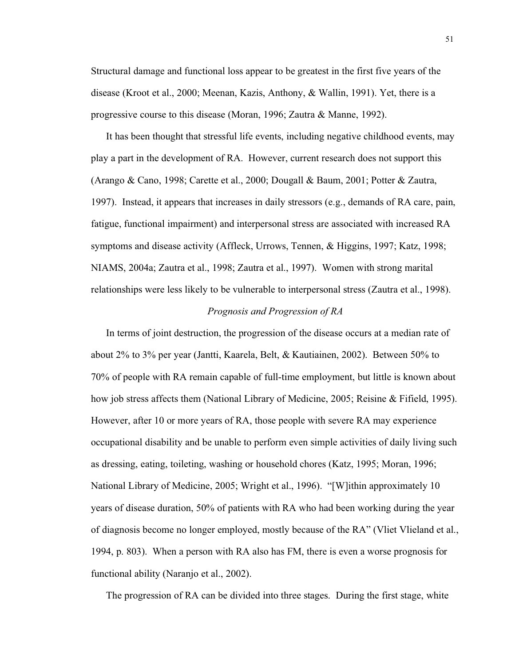Structural damage and functional loss appear to be greatest in the first five years of the disease (Kroot et al., 2000; Meenan, Kazis, Anthony, & Wallin, 1991). Yet, there is a progressive course to this disease (Moran, 1996; Zautra & Manne, 1992).

It has been thought that stressful life events, including negative childhood events, may play a part in the development of RA. However, current research does not support this (Arango & Cano, 1998; Carette et al., 2000; Dougall & Baum, 2001; Potter & Zautra, 1997). Instead, it appears that increases in daily stressors (e.g., demands of RA care, pain, fatigue, functional impairment) and interpersonal stress are associated with increased RA symptoms and disease activity (Affleck, Urrows, Tennen, & Higgins, 1997; Katz, 1998; NIAMS, 2004a; Zautra et al., 1998; Zautra et al., 1997). Women with strong marital relationships were less likely to be vulnerable to interpersonal stress (Zautra et al., 1998).

# *Prognosis and Progression of RA*

In terms of joint destruction, the progression of the disease occurs at a median rate of about 2% to 3% per year (Jantti, Kaarela, Belt, & Kautiainen, 2002). Between 50% to 70% of people with RA remain capable of full-time employment, but little is known about how job stress affects them (National Library of Medicine, 2005; Reisine & Fifield, 1995). However, after 10 or more years of RA, those people with severe RA may experience occupational disability and be unable to perform even simple activities of daily living such as dressing, eating, toileting, washing or household chores (Katz, 1995; Moran, 1996; National Library of Medicine, 2005; Wright et al., 1996). "[W]ithin approximately 10 years of disease duration, 50% of patients with RA who had been working during the year of diagnosis become no longer employed, mostly because of the RA" (Vliet Vlieland et al., 1994, p. 803). When a person with RA also has FM, there is even a worse prognosis for functional ability (Naranjo et al., 2002).

The progression of RA can be divided into three stages. During the first stage, white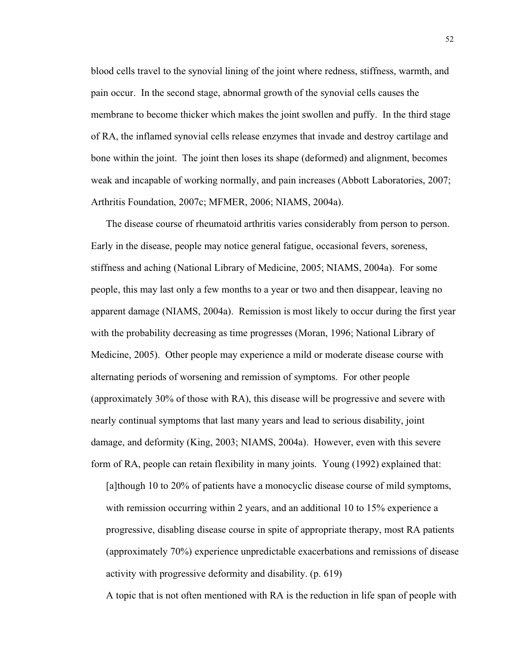blood cells travel to the synovial lining of the joint where redness, stiffness, warmth, and pain occur. In the second stage, abnormal growth of the synovial cells causes the membrane to become thicker which makes the joint swollen and puffy. In the third stage of RA, the inflamed synovial cells release enzymes that invade and destroy cartilage and bone within the joint. The joint then loses its shape (deformed) and alignment, becomes weak and incapable of working normally, and pain increases (Abbott Laboratories, 2007; Arthritis Foundation, 2007c; MFMER, 2006; NIAMS, 2004a).

The disease course of rheumatoid arthritis varies considerably from person to person. Early in the disease, people may notice general fatigue, occasional fevers, soreness, stiffness and aching (National Library of Medicine, 2005; NIAMS, 2004a). For some people, this may last only a few months to a year or two and then disappear, leaving no apparent damage (NIAMS, 2004a). Remission is most likely to occur during the first year with the probability decreasing as time progresses (Moran, 1996; National Library of Medicine, 2005). Other people may experience a mild or moderate disease course with alternating periods of worsening and remission of symptoms. For other people (approximately 30% of those with RA), this disease will be progressive and severe with nearly continual symptoms that last many years and lead to serious disability, joint damage, and deformity (King, 2003; NIAMS, 2004a). However, even with this severe form of RA, people can retain flexibility in many joints. Young (1992) explained that:

[a]though 10 to 20% of patients have a monocyclic disease course of mild symptoms, with remission occurring within 2 years, and an additional 10 to 15% experience a progressive, disabling disease course in spite of appropriate therapy, most RA patients (approximately 70%) experience unpredictable exacerbations and remissions of disease activity with progressive deformity and disability. (p. 619)

A topic that is not often mentioned with RA is the reduction in life span of people with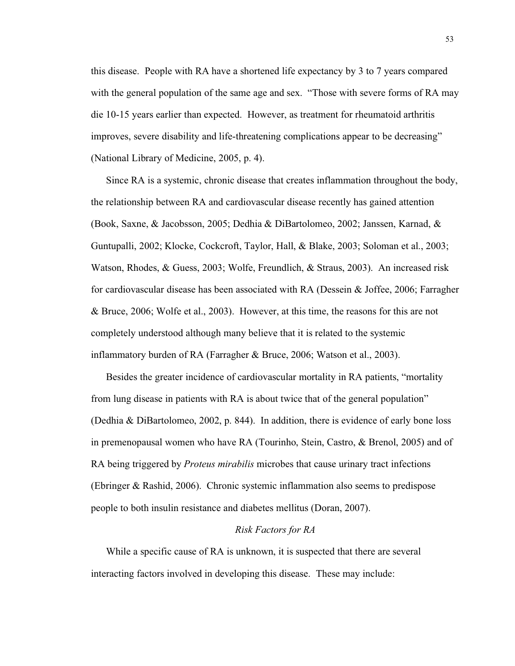this disease. People with RA have a shortened life expectancy by 3 to 7 years compared with the general population of the same age and sex. "Those with severe forms of RA may die 10-15 years earlier than expected. However, as treatment for rheumatoid arthritis improves, severe disability and life-threatening complications appear to be decreasing" (National Library of Medicine, 2005, p. 4).

Since RA is a systemic, chronic disease that creates inflammation throughout the body, the relationship between RA and cardiovascular disease recently has gained attention (Book, Saxne, & Jacobsson, 2005; Dedhia & DiBartolomeo, 2002; Janssen, Karnad, & Guntupalli, 2002; Klocke, Cockcroft, Taylor, Hall, & Blake, 2003; Soloman et al., 2003; Watson, Rhodes, & Guess, 2003; Wolfe, Freundlich, & Straus, 2003). An increased risk for cardiovascular disease has been associated with RA (Dessein & Joffee, 2006; Farragher & Bruce, 2006; Wolfe et al., 2003). However, at this time, the reasons for this are not completely understood although many believe that it is related to the systemic inflammatory burden of RA (Farragher & Bruce, 2006; Watson et al., 2003).

Besides the greater incidence of cardiovascular mortality in RA patients, "mortality from lung disease in patients with RA is about twice that of the general population" (Dedhia & DiBartolomeo, 2002, p. 844). In addition, there is evidence of early bone loss in premenopausal women who have RA (Tourinho, Stein, Castro, & Brenol, 2005) and of RA being triggered by *Proteus mirabilis* microbes that cause urinary tract infections (Ebringer & Rashid, 2006). Chronic systemic inflammation also seems to predispose people to both insulin resistance and diabetes mellitus (Doran, 2007).

### *Risk Factors for RA*

While a specific cause of RA is unknown, it is suspected that there are several interacting factors involved in developing this disease. These may include: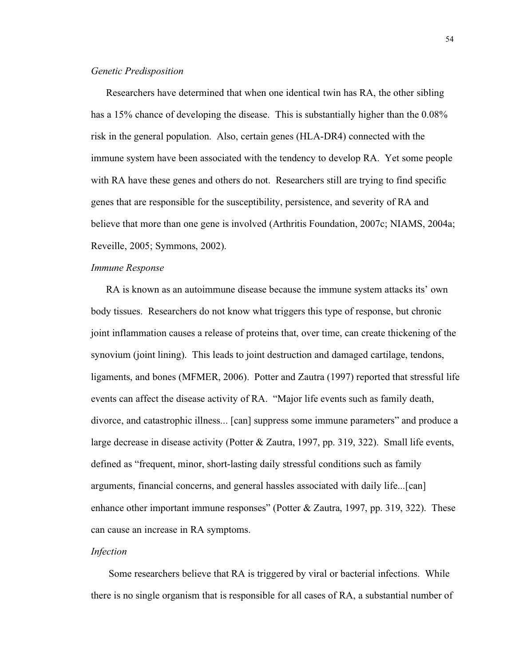## *Genetic Predisposition*

Researchers have determined that when one identical twin has RA, the other sibling has a 15% chance of developing the disease. This is substantially higher than the 0.08% risk in the general population. Also, certain genes (HLA-DR4) connected with the immune system have been associated with the tendency to develop RA. Yet some people with RA have these genes and others do not. Researchers still are trying to find specific genes that are responsible for the susceptibility, persistence, and severity of RA and believe that more than one gene is involved (Arthritis Foundation, 2007c; NIAMS, 2004a; Reveille, 2005; Symmons, 2002).

# *Immune Response*

RA is known as an autoimmune disease because the immune system attacks its' own body tissues. Researchers do not know what triggers this type of response, but chronic joint inflammation causes a release of proteins that, over time, can create thickening of the synovium (joint lining). This leads to joint destruction and damaged cartilage, tendons, ligaments, and bones (MFMER, 2006). Potter and Zautra (1997) reported that stressful life events can affect the disease activity of RA. "Major life events such as family death, divorce, and catastrophic illness... [can] suppress some immune parameters" and produce a large decrease in disease activity (Potter & Zautra, 1997, pp. 319, 322). Small life events, defined as "frequent, minor, short-lasting daily stressful conditions such as family arguments, financial concerns, and general hassles associated with daily life...[can] enhance other important immune responses" (Potter & Zautra, 1997, pp. 319, 322). These can cause an increase in RA symptoms.

# *Infection*

Some researchers believe that RA is triggered by viral or bacterial infections. While there is no single organism that is responsible for all cases of RA, a substantial number of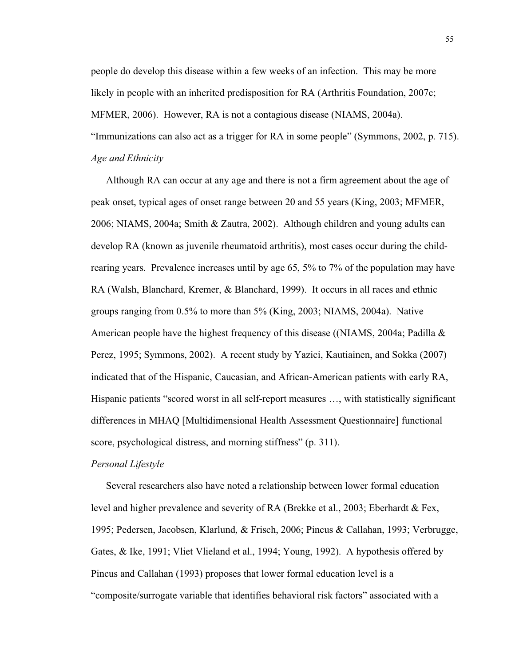people do develop this disease within a few weeks of an infection. This may be more likely in people with an inherited predisposition for RA (Arthritis Foundation, 2007c; MFMER, 2006). However, RA is not a contagious disease (NIAMS, 2004a). "Immunizations can also act as a trigger for RA in some people" (Symmons, 2002, p. 715). *Age and Ethnicity*

Although RA can occur at any age and there is not a firm agreement about the age of peak onset, typical ages of onset range between 20 and 55 years (King, 2003; MFMER, 2006; NIAMS, 2004a; Smith & Zautra, 2002). Although children and young adults can develop RA (known as juvenile rheumatoid arthritis), most cases occur during the childrearing years. Prevalence increases until by age 65, 5% to 7% of the population may have RA (Walsh, Blanchard, Kremer, & Blanchard, 1999). It occurs in all races and ethnic groups ranging from 0.5% to more than 5% (King, 2003; NIAMS, 2004a). Native American people have the highest frequency of this disease ((NIAMS, 2004a; Padilla & Perez, 1995; Symmons, 2002). A recent study by Yazici, Kautiainen, and Sokka (2007) indicated that of the Hispanic, Caucasian, and African-American patients with early RA, Hispanic patients "scored worst in all self-report measures …, with statistically significant differences in MHAQ [Multidimensional Health Assessment Questionnaire] functional score, psychological distress, and morning stiffness" (p. 311).

#### *Personal Lifestyle*

Several researchers also have noted a relationship between lower formal education level and higher prevalence and severity of RA (Brekke et al., 2003; Eberhardt & Fex, 1995; Pedersen, Jacobsen, Klarlund, & Frisch, 2006; Pincus & Callahan, 1993; Verbrugge, Gates, & Ike, 1991; Vliet Vlieland et al., 1994; Young, 1992). A hypothesis offered by Pincus and Callahan (1993) proposes that lower formal education level is a "composite/surrogate variable that identifies behavioral risk factors" associated with a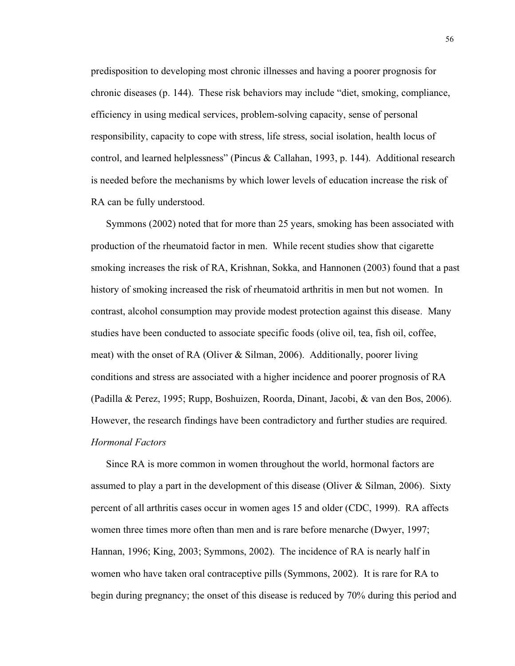predisposition to developing most chronic illnesses and having a poorer prognosis for chronic diseases (p. 144). These risk behaviors may include "diet, smoking, compliance, efficiency in using medical services, problem-solving capacity, sense of personal responsibility, capacity to cope with stress, life stress, social isolation, health locus of control, and learned helplessness" (Pincus & Callahan, 1993, p. 144). Additional research is needed before the mechanisms by which lower levels of education increase the risk of RA can be fully understood.

Symmons (2002) noted that for more than 25 years, smoking has been associated with production of the rheumatoid factor in men. While recent studies show that cigarette smoking increases the risk of RA, Krishnan, Sokka, and Hannonen (2003) found that a past history of smoking increased the risk of rheumatoid arthritis in men but not women. In contrast, alcohol consumption may provide modest protection against this disease. Many studies have been conducted to associate specific foods (olive oil, tea, fish oil, coffee, meat) with the onset of RA (Oliver & Silman, 2006). Additionally, poorer living conditions and stress are associated with a higher incidence and poorer prognosis of RA (Padilla & Perez, 1995; Rupp, Boshuizen, Roorda, Dinant, Jacobi, & van den Bos, 2006). However, the research findings have been contradictory and further studies are required. *Hormonal Factors*

Since RA is more common in women throughout the world, hormonal factors are assumed to play a part in the development of this disease (Oliver & Silman, 2006). Sixty percent of all arthritis cases occur in women ages 15 and older (CDC, 1999). RA affects women three times more often than men and is rare before menarche (Dwyer, 1997; Hannan, 1996; King, 2003; Symmons, 2002). The incidence of RA is nearly half in women who have taken oral contraceptive pills (Symmons, 2002). It is rare for RA to begin during pregnancy; the onset of this disease is reduced by 70% during this period and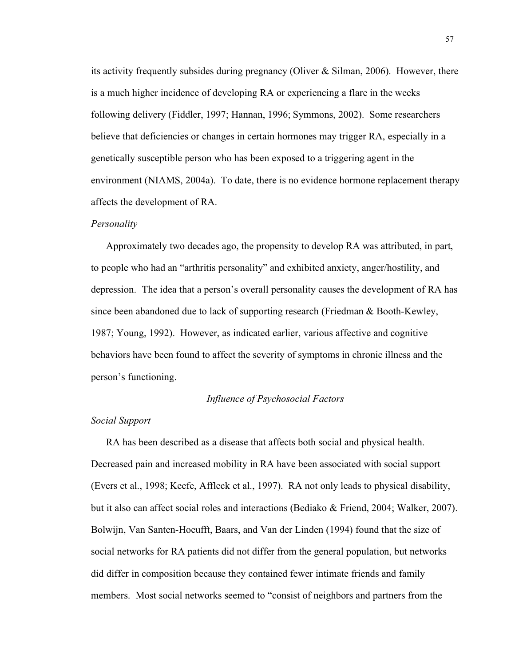its activity frequently subsides during pregnancy (Oliver  $\&$  Silman, 2006). However, there is a much higher incidence of developing RA or experiencing a flare in the weeks following delivery (Fiddler, 1997; Hannan, 1996; Symmons, 2002). Some researchers believe that deficiencies or changes in certain hormones may trigger RA, especially in a genetically susceptible person who has been exposed to a triggering agent in the environment (NIAMS, 2004a). To date, there is no evidence hormone replacement therapy affects the development of RA.

#### *Personality*

Approximately two decades ago, the propensity to develop RA was attributed, in part, to people who had an "arthritis personality" and exhibited anxiety, anger/hostility, and depression. The idea that a person's overall personality causes the development of RA has since been abandoned due to lack of supporting research (Friedman & Booth-Kewley, 1987; Young, 1992). However, as indicated earlier, various affective and cognitive behaviors have been found to affect the severity of symptoms in chronic illness and the person's functioning.

## *Influence of Psychosocial Factors*

# *Social Support*

RA has been described as a disease that affects both social and physical health. Decreased pain and increased mobility in RA have been associated with social support (Evers et al., 1998; Keefe, Affleck et al., 1997). RA not only leads to physical disability, but it also can affect social roles and interactions (Bediako & Friend, 2004; Walker, 2007). Bolwijn, Van Santen-Hoeufft, Baars, and Van der Linden (1994) found that the size of social networks for RA patients did not differ from the general population, but networks did differ in composition because they contained fewer intimate friends and family members. Most social networks seemed to "consist of neighbors and partners from the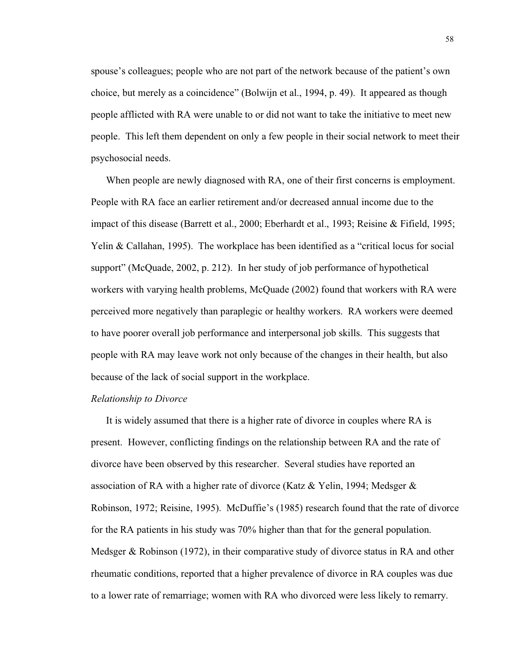spouse's colleagues; people who are not part of the network because of the patient's own choice, but merely as a coincidence" (Bolwijn et al., 1994, p. 49). It appeared as though people afflicted with RA were unable to or did not want to take the initiative to meet new people. This left them dependent on only a few people in their social network to meet their psychosocial needs.

When people are newly diagnosed with RA, one of their first concerns is employment. People with RA face an earlier retirement and/or decreased annual income due to the impact of this disease (Barrett et al., 2000; Eberhardt et al., 1993; Reisine & Fifield, 1995; Yelin & Callahan, 1995). The workplace has been identified as a "critical locus for social support" (McQuade, 2002, p. 212). In her study of job performance of hypothetical workers with varying health problems, McQuade (2002) found that workers with RA were perceived more negatively than paraplegic or healthy workers. RA workers were deemed to have poorer overall job performance and interpersonal job skills. This suggests that people with RA may leave work not only because of the changes in their health, but also because of the lack of social support in the workplace.

## *Relationship to Divorce*

It is widely assumed that there is a higher rate of divorce in couples where RA is present. However, conflicting findings on the relationship between RA and the rate of divorce have been observed by this researcher. Several studies have reported an association of RA with a higher rate of divorce (Katz & Yelin, 1994; Medsger & Robinson, 1972; Reisine, 1995). McDuffie's (1985) research found that the rate of divorce for the RA patients in his study was 70% higher than that for the general population. Medsger & Robinson (1972), in their comparative study of divorce status in RA and other rheumatic conditions, reported that a higher prevalence of divorce in RA couples was due to a lower rate of remarriage; women with RA who divorced were less likely to remarry.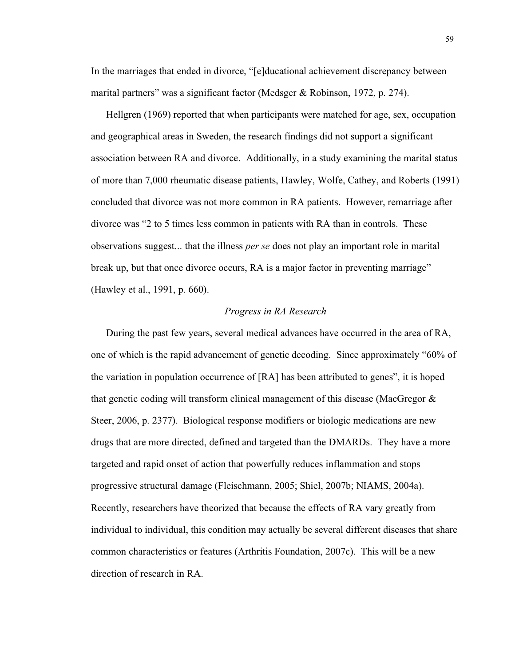In the marriages that ended in divorce, "[e]ducational achievement discrepancy between marital partners" was a significant factor (Medsger & Robinson, 1972, p. 274).

Hellgren (1969) reported that when participants were matched for age, sex, occupation and geographical areas in Sweden, the research findings did not support a significant association between RA and divorce. Additionally, in a study examining the marital status of more than 7,000 rheumatic disease patients, Hawley, Wolfe, Cathey, and Roberts (1991) concluded that divorce was not more common in RA patients. However, remarriage after divorce was "2 to 5 times less common in patients with RA than in controls. These observations suggest... that the illness *per se* does not play an important role in marital break up, but that once divorce occurs, RA is a major factor in preventing marriage" (Hawley et al., 1991, p. 660).

# *Progress in RA Research*

During the past few years, several medical advances have occurred in the area of RA, one of which is the rapid advancement of genetic decoding. Since approximately "60% of the variation in population occurrence of [RA] has been attributed to genes", it is hoped that genetic coding will transform clinical management of this disease (MacGregor & Steer, 2006, p. 2377). Biological response modifiers or biologic medications are new drugs that are more directed, defined and targeted than the DMARDs. They have a more targeted and rapid onset of action that powerfully reduces inflammation and stops progressive structural damage (Fleischmann, 2005; Shiel, 2007b; NIAMS, 2004a). Recently, researchers have theorized that because the effects of RA vary greatly from individual to individual, this condition may actually be several different diseases that share common characteristics or features (Arthritis Foundation, 2007c). This will be a new direction of research in RA.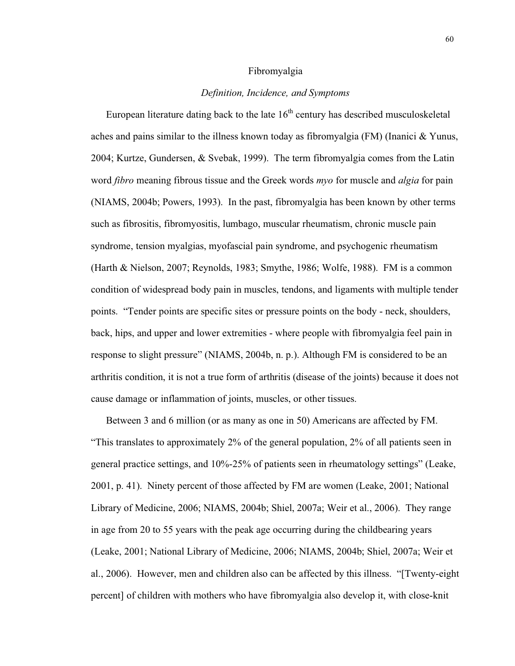#### Fibromyalgia

## *Definition, Incidence, and Symptoms*

European literature dating back to the late  $16<sup>th</sup>$  century has described musculoskeletal aches and pains similar to the illness known today as fibromyalgia (FM) (Inanici & Yunus, 2004; Kurtze, Gundersen, & Svebak, 1999). The term fibromyalgia comes from the Latin word *fibro* meaning fibrous tissue and the Greek words *myo* for muscle and *algia* for pain (NIAMS, 2004b; Powers, 1993). In the past, fibromyalgia has been known by other terms such as fibrositis, fibromyositis, lumbago, muscular rheumatism, chronic muscle pain syndrome, tension myalgias, myofascial pain syndrome, and psychogenic rheumatism (Harth & Nielson, 2007; Reynolds, 1983; Smythe, 1986; Wolfe, 1988). FM is a common condition of widespread body pain in muscles, tendons, and ligaments with multiple tender points. "Tender points are specific sites or pressure points on the body - neck, shoulders, back, hips, and upper and lower extremities - where people with fibromyalgia feel pain in response to slight pressure" (NIAMS, 2004b, n. p.). Although FM is considered to be an arthritis condition, it is not a true form of arthritis (disease of the joints) because it does not cause damage or inflammation of joints, muscles, or other tissues.

Between 3 and 6 million (or as many as one in 50) Americans are affected by FM. "This translates to approximately 2% of the general population, 2% of all patients seen in general practice settings, and 10%-25% of patients seen in rheumatology settings" (Leake, 2001, p. 41). Ninety percent of those affected by FM are women (Leake, 2001; National Library of Medicine, 2006; NIAMS, 2004b; Shiel, 2007a; Weir et al., 2006). They range in age from 20 to 55 years with the peak age occurring during the childbearing years (Leake, 2001; National Library of Medicine, 2006; NIAMS, 2004b; Shiel, 2007a; Weir et al., 2006). However, men and children also can be affected by this illness. "[Twenty-eight percent] of children with mothers who have fibromyalgia also develop it, with close-knit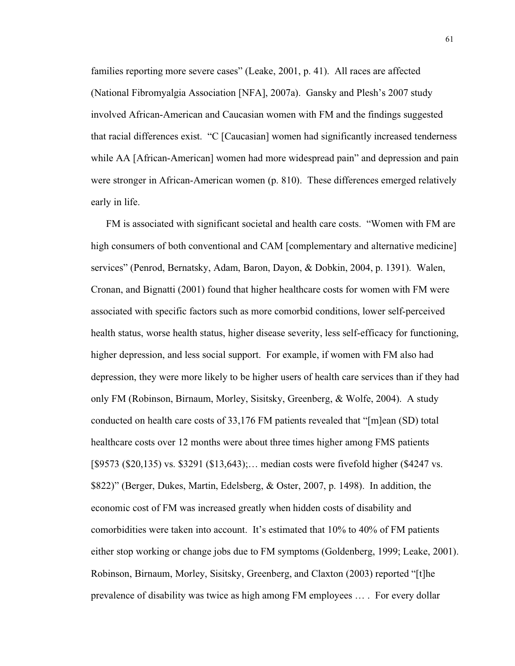families reporting more severe cases" (Leake, 2001, p. 41). All races are affected (National Fibromyalgia Association [NFA], 2007a). Gansky and Plesh's 2007 study involved African-American and Caucasian women with FM and the findings suggested that racial differences exist. "C [Caucasian] women had significantly increased tenderness while AA [African-American] women had more widespread pain" and depression and pain were stronger in African-American women (p. 810). These differences emerged relatively early in life.

FM is associated with significant societal and health care costs. "Women with FM are high consumers of both conventional and CAM [complementary and alternative medicine] services" (Penrod, Bernatsky, Adam, Baron, Dayon, & Dobkin, 2004, p. 1391). Walen, Cronan, and Bignatti (2001) found that higher healthcare costs for women with FM were associated with specific factors such as more comorbid conditions, lower self-perceived health status, worse health status, higher disease severity, less self-efficacy for functioning, higher depression, and less social support. For example, if women with FM also had depression, they were more likely to be higher users of health care services than if they had only FM (Robinson, Birnaum, Morley, Sisitsky, Greenberg, & Wolfe, 2004). A study conducted on health care costs of 33,176 FM patients revealed that "[m]ean (SD) total healthcare costs over 12 months were about three times higher among FMS patients [\$9573 (\$20,135) vs. \$3291 (\$13,643);… median costs were fivefold higher (\$4247 vs. \$822)" (Berger, Dukes, Martin, Edelsberg, & Oster, 2007, p. 1498). In addition, the economic cost of FM was increased greatly when hidden costs of disability and comorbidities were taken into account. It's estimated that 10% to 40% of FM patients either stop working or change jobs due to FM symptoms (Goldenberg, 1999; Leake, 2001). Robinson, Birnaum, Morley, Sisitsky, Greenberg, and Claxton (2003) reported "[t]he prevalence of disability was twice as high among FM employees … . For every dollar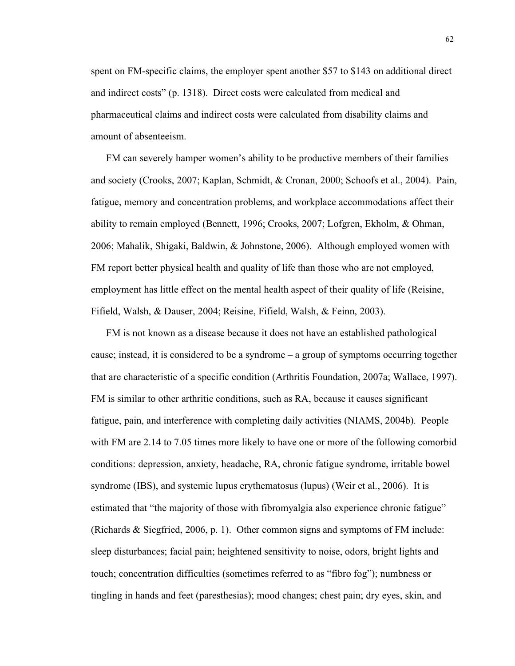spent on FM-specific claims, the employer spent another \$57 to \$143 on additional direct and indirect costs" (p. 1318). Direct costs were calculated from medical and pharmaceutical claims and indirect costs were calculated from disability claims and amount of absenteeism.

FM can severely hamper women's ability to be productive members of their families and society (Crooks, 2007; Kaplan, Schmidt, & Cronan, 2000; Schoofs et al., 2004). Pain, fatigue, memory and concentration problems, and workplace accommodations affect their ability to remain employed (Bennett, 1996; Crooks, 2007; Lofgren, Ekholm, & Ohman, 2006; Mahalik, Shigaki, Baldwin, & Johnstone, 2006). Although employed women with FM report better physical health and quality of life than those who are not employed, employment has little effect on the mental health aspect of their quality of life (Reisine, Fifield, Walsh, & Dauser, 2004; Reisine, Fifield, Walsh, & Feinn, 2003).

FM is not known as a disease because it does not have an established pathological cause; instead, it is considered to be a syndrome – a group of symptoms occurring together that are characteristic of a specific condition (Arthritis Foundation, 2007a; Wallace, 1997). FM is similar to other arthritic conditions, such as RA, because it causes significant fatigue, pain, and interference with completing daily activities (NIAMS, 2004b). People with FM are 2.14 to 7.05 times more likely to have one or more of the following comorbid conditions: depression, anxiety, headache, RA, chronic fatigue syndrome, irritable bowel syndrome (IBS), and systemic lupus erythematosus (lupus) (Weir et al., 2006). It is estimated that "the majority of those with fibromyalgia also experience chronic fatigue" (Richards & Siegfried, 2006, p. 1). Other common signs and symptoms of FM include: sleep disturbances; facial pain; heightened sensitivity to noise, odors, bright lights and touch; concentration difficulties (sometimes referred to as "fibro fog"); numbness or tingling in hands and feet (paresthesias); mood changes; chest pain; dry eyes, skin, and

62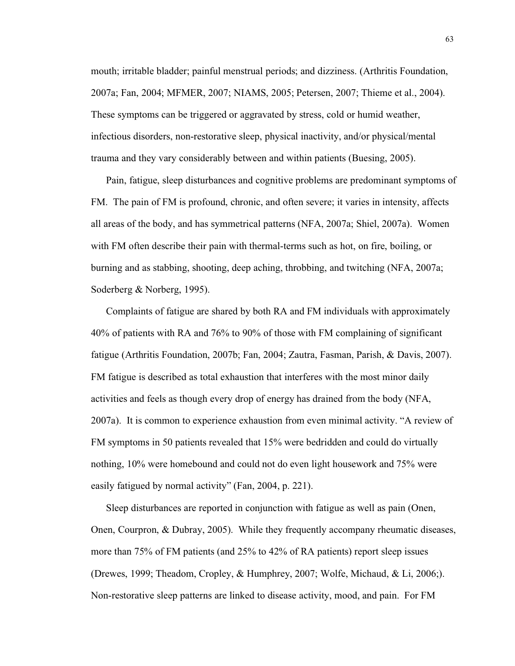mouth; irritable bladder; painful menstrual periods; and dizziness. (Arthritis Foundation, 2007a; Fan, 2004; MFMER, 2007; NIAMS, 2005; Petersen, 2007; Thieme et al., 2004). These symptoms can be triggered or aggravated by stress, cold or humid weather, infectious disorders, non-restorative sleep, physical inactivity, and/or physical/mental trauma and they vary considerably between and within patients (Buesing, 2005).

Pain, fatigue, sleep disturbances and cognitive problems are predominant symptoms of FM. The pain of FM is profound, chronic, and often severe; it varies in intensity, affects all areas of the body, and has symmetrical patterns (NFA, 2007a; Shiel, 2007a). Women with FM often describe their pain with thermal-terms such as hot, on fire, boiling, or burning and as stabbing, shooting, deep aching, throbbing, and twitching (NFA, 2007a; Soderberg & Norberg, 1995).

Complaints of fatigue are shared by both RA and FM individuals with approximately 40% of patients with RA and 76% to 90% of those with FM complaining of significant fatigue (Arthritis Foundation, 2007b; Fan, 2004; Zautra, Fasman, Parish, & Davis, 2007). FM fatigue is described as total exhaustion that interferes with the most minor daily activities and feels as though every drop of energy has drained from the body (NFA, 2007a). It is common to experience exhaustion from even minimal activity. "A review of FM symptoms in 50 patients revealed that 15% were bedridden and could do virtually nothing, 10% were homebound and could not do even light housework and 75% were easily fatigued by normal activity" (Fan, 2004, p. 221).

Sleep disturbances are reported in conjunction with fatigue as well as pain (Onen, Onen, Courpron, & Dubray, 2005). While they frequently accompany rheumatic diseases, more than 75% of FM patients (and 25% to 42% of RA patients) report sleep issues (Drewes, 1999; Theadom, Cropley, & Humphrey, 2007; Wolfe, Michaud, & Li, 2006;). Non-restorative sleep patterns are linked to disease activity, mood, and pain. For FM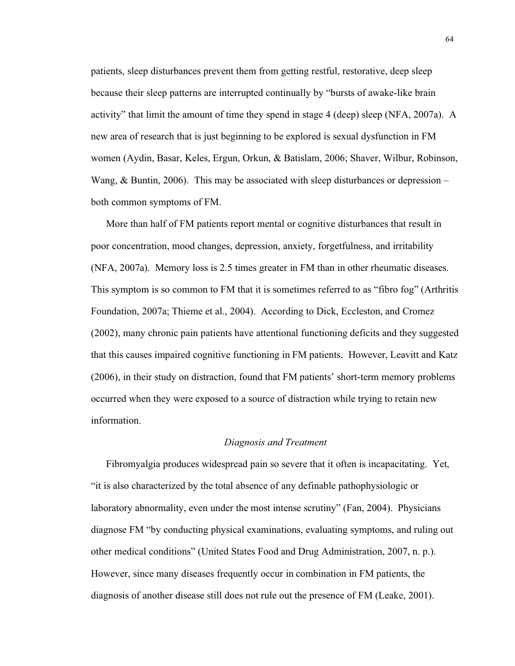patients, sleep disturbances prevent them from getting restful, restorative, deep sleep because their sleep patterns are interrupted continually by "bursts of awake-like brain activity" that limit the amount of time they spend in stage 4 (deep) sleep (NFA, 2007a). A new area of research that is just beginning to be explored is sexual dysfunction in FM women (Aydin, Basar, Keles, Ergun, Orkun, & Batislam, 2006; Shaver, Wilbur, Robinson, Wang, & Buntin, 2006). This may be associated with sleep disturbances or depression – both common symptoms of FM.

More than half of FM patients report mental or cognitive disturbances that result in poor concentration, mood changes, depression, anxiety, forgetfulness, and irritability (NFA, 2007a). Memory loss is 2.5 times greater in FM than in other rheumatic diseases. This symptom is so common to FM that it is sometimes referred to as "fibro fog" (Arthritis Foundation, 2007a; Thieme et al., 2004). According to Dick, Eccleston, and Cromez (2002), many chronic pain patients have attentional functioning deficits and they suggested that this causes impaired cognitive functioning in FM patients. However, Leavitt and Katz (2006), in their study on distraction, found that FM patients' short-term memory problems occurred when they were exposed to a source of distraction while trying to retain new information.

### *Diagnosis and Treatment*

Fibromyalgia produces widespread pain so severe that it often is incapacitating. Yet, "it is also characterized by the total absence of any definable pathophysiologic or laboratory abnormality, even under the most intense scrutiny" (Fan, 2004). Physicians diagnose FM "by conducting physical examinations, evaluating symptoms, and ruling out other medical conditions" (United States Food and Drug Administration, 2007, n. p.). However, since many diseases frequently occur in combination in FM patients, the diagnosis of another disease still does not rule out the presence of FM (Leake, 2001).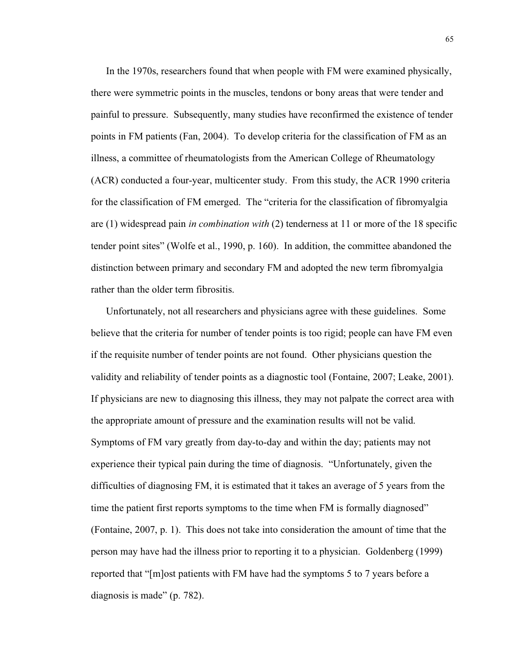In the 1970s, researchers found that when people with FM were examined physically, there were symmetric points in the muscles, tendons or bony areas that were tender and painful to pressure. Subsequently, many studies have reconfirmed the existence of tender points in FM patients (Fan, 2004). To develop criteria for the classification of FM as an illness, a committee of rheumatologists from the American College of Rheumatology (ACR) conducted a four-year, multicenter study. From this study, the ACR 1990 criteria for the classification of FM emerged. The "criteria for the classification of fibromyalgia are (1) widespread pain *in combination with* (2) tenderness at 11 or more of the 18 specific tender point sites" (Wolfe et al., 1990, p. 160). In addition, the committee abandoned the distinction between primary and secondary FM and adopted the new term fibromyalgia rather than the older term fibrositis.

Unfortunately, not all researchers and physicians agree with these guidelines. Some believe that the criteria for number of tender points is too rigid; people can have FM even if the requisite number of tender points are not found. Other physicians question the validity and reliability of tender points as a diagnostic tool (Fontaine, 2007; Leake, 2001). If physicians are new to diagnosing this illness, they may not palpate the correct area with the appropriate amount of pressure and the examination results will not be valid. Symptoms of FM vary greatly from day-to-day and within the day; patients may not experience their typical pain during the time of diagnosis. "Unfortunately, given the difficulties of diagnosing FM, it is estimated that it takes an average of 5 years from the time the patient first reports symptoms to the time when FM is formally diagnosed" (Fontaine, 2007, p. 1). This does not take into consideration the amount of time that the person may have had the illness prior to reporting it to a physician. Goldenberg (1999) reported that "[m]ost patients with FM have had the symptoms 5 to 7 years before a diagnosis is made" (p. 782).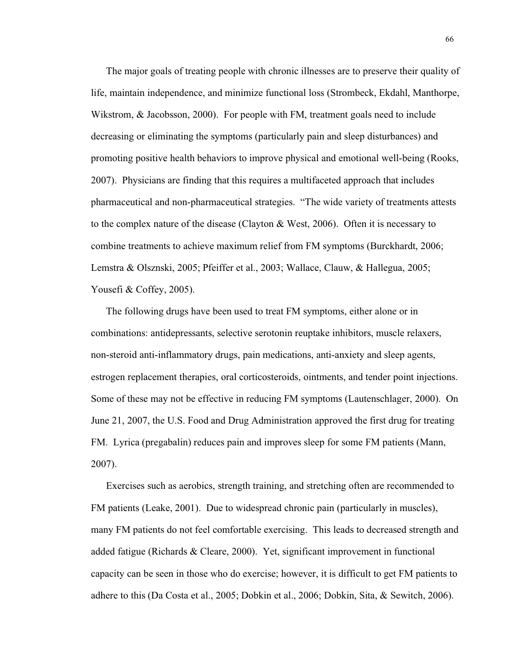The major goals of treating people with chronic illnesses are to preserve their quality of life, maintain independence, and minimize functional loss (Strombeck, Ekdahl, Manthorpe, Wikstrom, & Jacobsson, 2000). For people with FM, treatment goals need to include decreasing or eliminating the symptoms (particularly pain and sleep disturbances) and promoting positive health behaviors to improve physical and emotional well-being (Rooks, 2007). Physicians are finding that this requires a multifaceted approach that includes pharmaceutical and non-pharmaceutical strategies. "The wide variety of treatments attests to the complex nature of the disease (Clayton & West, 2006). Often it is necessary to combine treatments to achieve maximum relief from FM symptoms (Burckhardt, 2006; Lemstra & Olsznski, 2005; Pfeiffer et al., 2003; Wallace, Clauw, & Hallegua, 2005; Yousefi & Coffey, 2005).

The following drugs have been used to treat FM symptoms, either alone or in combinations: antidepressants, selective serotonin reuptake inhibitors, muscle relaxers, non-steroid anti-inflammatory drugs, pain medications, anti-anxiety and sleep agents, estrogen replacement therapies, oral corticosteroids, ointments, and tender point injections. Some of these may not be effective in reducing FM symptoms (Lautenschlager, 2000). On June 21, 2007, the U.S. Food and Drug Administration approved the first drug for treating FM. Lyrica (pregabalin) reduces pain and improves sleep for some FM patients (Mann, 2007).

Exercises such as aerobics, strength training, and stretching often are recommended to FM patients (Leake, 2001). Due to widespread chronic pain (particularly in muscles), many FM patients do not feel comfortable exercising. This leads to decreased strength and added fatigue (Richards & Cleare, 2000). Yet, significant improvement in functional capacity can be seen in those who do exercise; however, it is difficult to get FM patients to adhere to this (Da Costa et al., 2005; Dobkin et al., 2006; Dobkin, Sita, & Sewitch, 2006).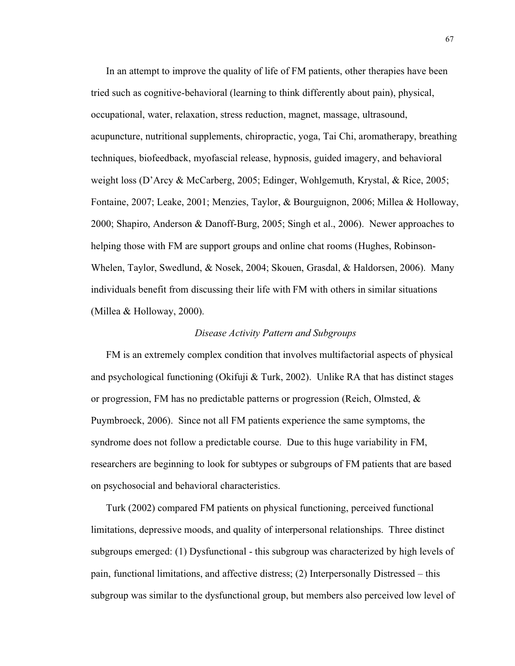In an attempt to improve the quality of life of FM patients, other therapies have been tried such as cognitive-behavioral (learning to think differently about pain), physical, occupational, water, relaxation, stress reduction, magnet, massage, ultrasound, acupuncture, nutritional supplements, chiropractic, yoga, Tai Chi, aromatherapy, breathing techniques, biofeedback, myofascial release, hypnosis, guided imagery, and behavioral weight loss (D'Arcy & McCarberg, 2005; Edinger, Wohlgemuth, Krystal, & Rice, 2005; Fontaine, 2007; Leake, 2001; Menzies, Taylor, & Bourguignon, 2006; Millea & Holloway, 2000; Shapiro, Anderson & Danoff-Burg, 2005; Singh et al., 2006). Newer approaches to helping those with FM are support groups and online chat rooms (Hughes, Robinson-Whelen, Taylor, Swedlund, & Nosek, 2004; Skouen, Grasdal, & Haldorsen, 2006). Many individuals benefit from discussing their life with FM with others in similar situations (Millea & Holloway, 2000).

# *Disease Activity Pattern and Subgroups*

FM is an extremely complex condition that involves multifactorial aspects of physical and psychological functioning (Okifuji & Turk, 2002). Unlike RA that has distinct stages or progression, FM has no predictable patterns or progression (Reich, Olmsted, & Puymbroeck, 2006). Since not all FM patients experience the same symptoms, the syndrome does not follow a predictable course. Due to this huge variability in FM, researchers are beginning to look for subtypes or subgroups of FM patients that are based on psychosocial and behavioral characteristics.

Turk (2002) compared FM patients on physical functioning, perceived functional limitations, depressive moods, and quality of interpersonal relationships. Three distinct subgroups emerged: (1) Dysfunctional - this subgroup was characterized by high levels of pain, functional limitations, and affective distress; (2) Interpersonally Distressed – this subgroup was similar to the dysfunctional group, but members also perceived low level of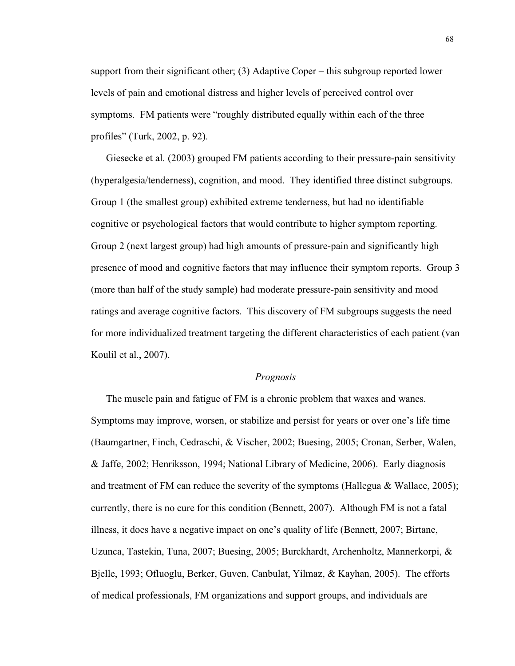support from their significant other; (3) Adaptive Coper – this subgroup reported lower levels of pain and emotional distress and higher levels of perceived control over symptoms. FM patients were "roughly distributed equally within each of the three profiles" (Turk, 2002, p. 92).

Giesecke et al. (2003) grouped FM patients according to their pressure-pain sensitivity (hyperalgesia/tenderness), cognition, and mood. They identified three distinct subgroups. Group 1 (the smallest group) exhibited extreme tenderness, but had no identifiable cognitive or psychological factors that would contribute to higher symptom reporting. Group 2 (next largest group) had high amounts of pressure-pain and significantly high presence of mood and cognitive factors that may influence their symptom reports. Group 3 (more than half of the study sample) had moderate pressure-pain sensitivity and mood ratings and average cognitive factors. This discovery of FM subgroups suggests the need for more individualized treatment targeting the different characteristics of each patient (van Koulil et al., 2007).

# *Prognosis*

The muscle pain and fatigue of FM is a chronic problem that waxes and wanes. Symptoms may improve, worsen, or stabilize and persist for years or over one's life time (Baumgartner, Finch, Cedraschi, & Vischer, 2002; Buesing, 2005; Cronan, Serber, Walen, & Jaffe, 2002; Henriksson, 1994; National Library of Medicine, 2006). Early diagnosis and treatment of FM can reduce the severity of the symptoms (Hallegua  $\&$  Wallace, 2005); currently, there is no cure for this condition (Bennett, 2007). Although FM is not a fatal illness, it does have a negative impact on one's quality of life (Bennett, 2007; Birtane, Uzunca, Tastekin, Tuna, 2007; Buesing, 2005; Burckhardt, Archenholtz, Mannerkorpi, & Bjelle, 1993; Ofluoglu, Berker, Guven, Canbulat, Yilmaz, & Kayhan, 2005). The efforts of medical professionals, FM organizations and support groups, and individuals are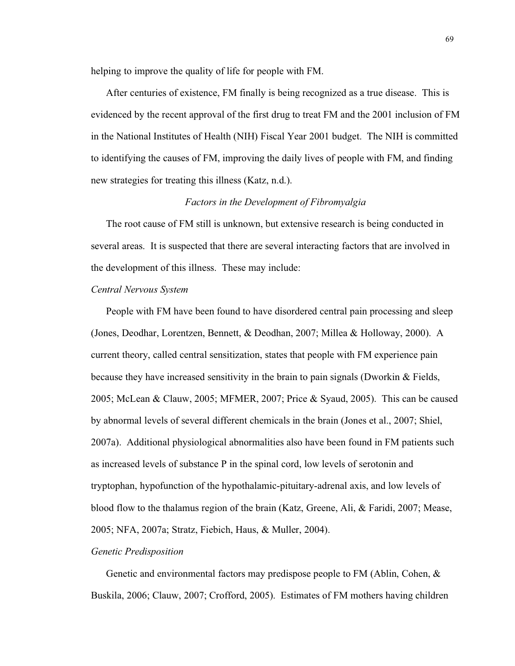helping to improve the quality of life for people with FM.

After centuries of existence, FM finally is being recognized as a true disease. This is evidenced by the recent approval of the first drug to treat FM and the 2001 inclusion of FM in the National Institutes of Health (NIH) Fiscal Year 2001 budget. The NIH is committed to identifying the causes of FM, improving the daily lives of people with FM, and finding new strategies for treating this illness (Katz, n.d.).

## *Factors in the Development of Fibromyalgia*

The root cause of FM still is unknown, but extensive research is being conducted in several areas. It is suspected that there are several interacting factors that are involved in the development of this illness. These may include:

### *Central Nervous System*

People with FM have been found to have disordered central pain processing and sleep (Jones, Deodhar, Lorentzen, Bennett, & Deodhan, 2007; Millea & Holloway, 2000). A current theory, called central sensitization, states that people with FM experience pain because they have increased sensitivity in the brain to pain signals (Dworkin & Fields, 2005; McLean & Clauw, 2005; MFMER, 2007; Price & Syaud, 2005). This can be caused by abnormal levels of several different chemicals in the brain (Jones et al., 2007; Shiel, 2007a). Additional physiological abnormalities also have been found in FM patients such as increased levels of substance P in the spinal cord, low levels of serotonin and tryptophan, hypofunction of the hypothalamic-pituitary-adrenal axis, and low levels of blood flow to the thalamus region of the brain (Katz, Greene, Ali, & Faridi, 2007; Mease, 2005; NFA, 2007a; Stratz, Fiebich, Haus, & Muller, 2004).

# *Genetic Predisposition*

Genetic and environmental factors may predispose people to FM (Ablin, Cohen, & Buskila, 2006; Clauw, 2007; Crofford, 2005). Estimates of FM mothers having children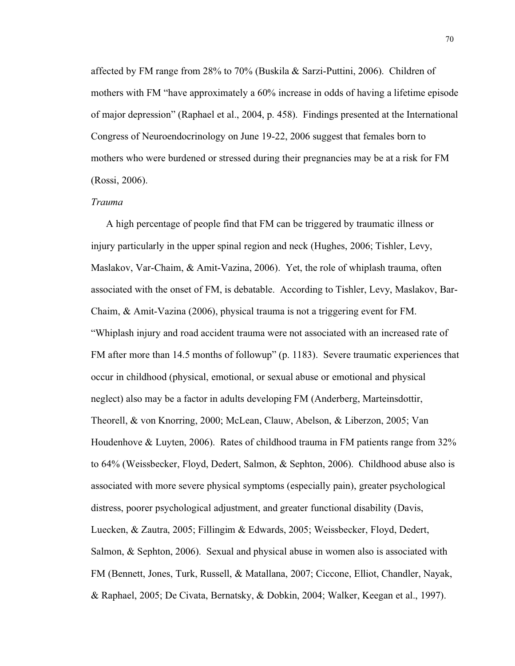affected by FM range from 28% to 70% (Buskila & Sarzi-Puttini, 2006). Children of mothers with FM "have approximately a 60% increase in odds of having a lifetime episode of major depression" (Raphael et al., 2004, p. 458). Findings presented at the International Congress of Neuroendocrinology on June 19-22, 2006 suggest that females born to mothers who were burdened or stressed during their pregnancies may be at a risk for FM (Rossi, 2006).

#### *Trauma*

A high percentage of people find that FM can be triggered by traumatic illness or injury particularly in the upper spinal region and neck (Hughes, 2006; Tishler, Levy, Maslakov, Var-Chaim, & Amit-Vazina, 2006). Yet, the role of whiplash trauma, often associated with the onset of FM, is debatable. According to Tishler, Levy, Maslakov, Bar-Chaim, & Amit-Vazina (2006), physical trauma is not a triggering event for FM. "Whiplash injury and road accident trauma were not associated with an increased rate of FM after more than 14.5 months of followup" (p. 1183). Severe traumatic experiences that occur in childhood (physical, emotional, or sexual abuse or emotional and physical neglect) also may be a factor in adults developing FM (Anderberg, Marteinsdottir, Theorell, & von Knorring, 2000; McLean, Clauw, Abelson, & Liberzon, 2005; Van Houdenhove & Luyten, 2006). Rates of childhood trauma in FM patients range from 32% to 64% (Weissbecker, Floyd, Dedert, Salmon, & Sephton, 2006). Childhood abuse also is associated with more severe physical symptoms (especially pain), greater psychological distress, poorer psychological adjustment, and greater functional disability (Davis, Luecken, & Zautra, 2005; Fillingim & Edwards, 2005; Weissbecker, Floyd, Dedert, Salmon, & Sephton, 2006). Sexual and physical abuse in women also is associated with FM (Bennett, Jones, Turk, Russell, & Matallana, 2007; Ciccone, Elliot, Chandler, Nayak, & Raphael, 2005; De Civata, Bernatsky, & Dobkin, 2004; Walker, Keegan et al., 1997).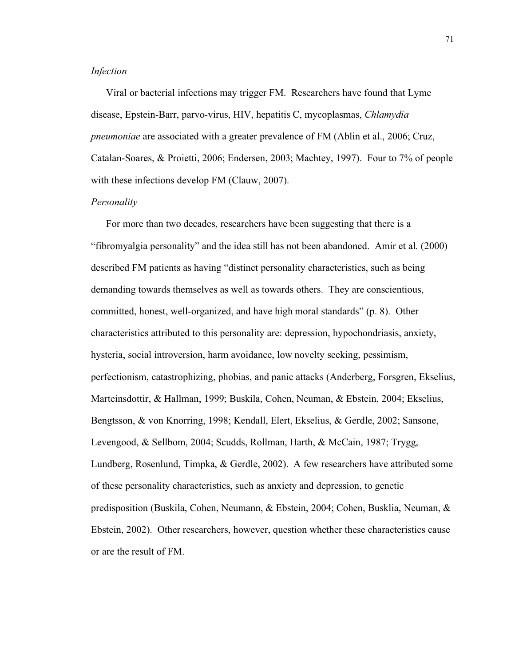## *Infection*

Viral or bacterial infections may trigger FM. Researchers have found that Lyme disease, Epstein-Barr, parvo-virus, HIV, hepatitis C, mycoplasmas, *Chlamydia pneumoniae* are associated with a greater prevalence of FM (Ablin et al., 2006; Cruz, Catalan-Soares, & Proietti, 2006; Endersen, 2003; Machtey, 1997). Four to 7% of people with these infections develop FM (Clauw, 2007).

#### *Personality*

For more than two decades, researchers have been suggesting that there is a "fibromyalgia personality" and the idea still has not been abandoned. Amir et al. (2000) described FM patients as having "distinct personality characteristics, such as being demanding towards themselves as well as towards others. They are conscientious, committed, honest, well-organized, and have high moral standards" (p. 8). Other characteristics attributed to this personality are: depression, hypochondriasis, anxiety, hysteria, social introversion, harm avoidance, low novelty seeking, pessimism, perfectionism, catastrophizing, phobias, and panic attacks (Anderberg, Forsgren, Ekselius, Marteinsdottir, & Hallman, 1999; Buskila, Cohen, Neuman, & Ebstein, 2004; Ekselius, Bengtsson, & von Knorring, 1998; Kendall, Elert, Ekselius, & Gerdle, 2002; Sansone, Levengood, & Sellbom, 2004; Scudds, Rollman, Harth, & McCain, 1987; Trygg, Lundberg, Rosenlund, Timpka, & Gerdle, 2002). A few researchers have attributed some of these personality characteristics, such as anxiety and depression, to genetic predisposition (Buskila, Cohen, Neumann, & Ebstein, 2004; Cohen, Busklia, Neuman, & Ebstein, 2002). Other researchers, however, question whether these characteristics cause or are the result of FM.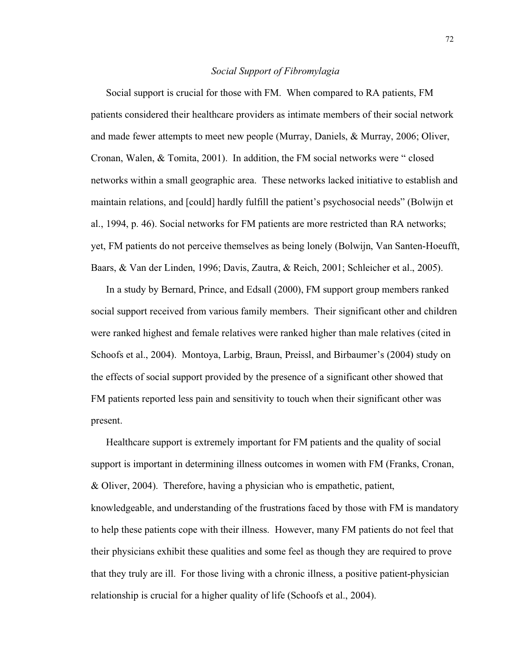### *Social Support of Fibromylagia*

Social support is crucial for those with FM. When compared to RA patients, FM patients considered their healthcare providers as intimate members of their social network and made fewer attempts to meet new people (Murray, Daniels, & Murray, 2006; Oliver, Cronan, Walen, & Tomita, 2001). In addition, the FM social networks were " closed networks within a small geographic area. These networks lacked initiative to establish and maintain relations, and [could] hardly fulfill the patient's psychosocial needs" (Bolwijn et al., 1994, p. 46). Social networks for FM patients are more restricted than RA networks; yet, FM patients do not perceive themselves as being lonely (Bolwijn, Van Santen-Hoeufft, Baars, & Van der Linden, 1996; Davis, Zautra, & Reich, 2001; Schleicher et al., 2005).

In a study by Bernard, Prince, and Edsall (2000), FM support group members ranked social support received from various family members. Their significant other and children were ranked highest and female relatives were ranked higher than male relatives (cited in Schoofs et al., 2004). Montoya, Larbig, Braun, Preissl, and Birbaumer's (2004) study on the effects of social support provided by the presence of a significant other showed that FM patients reported less pain and sensitivity to touch when their significant other was present.

Healthcare support is extremely important for FM patients and the quality of social support is important in determining illness outcomes in women with FM (Franks, Cronan, & Oliver, 2004). Therefore, having a physician who is empathetic, patient, knowledgeable, and understanding of the frustrations faced by those with FM is mandatory to help these patients cope with their illness. However, many FM patients do not feel that their physicians exhibit these qualities and some feel as though they are required to prove that they truly are ill. For those living with a chronic illness, a positive patient-physician relationship is crucial for a higher quality of life (Schoofs et al., 2004).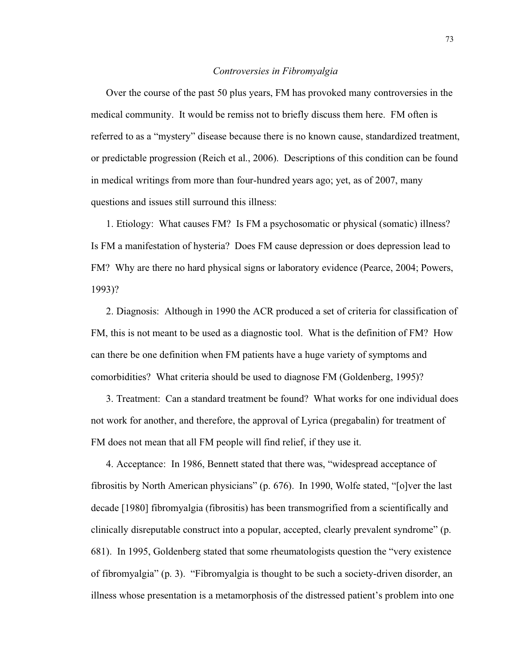### *Controversies in Fibromyalgia*

Over the course of the past 50 plus years, FM has provoked many controversies in the medical community. It would be remiss not to briefly discuss them here. FM often is referred to as a "mystery" disease because there is no known cause, standardized treatment, or predictable progression (Reich et al., 2006). Descriptions of this condition can be found in medical writings from more than four-hundred years ago; yet, as of 2007, many questions and issues still surround this illness:

1. Etiology: What causes FM? Is FM a psychosomatic or physical (somatic) illness? Is FM a manifestation of hysteria? Does FM cause depression or does depression lead to FM? Why are there no hard physical signs or laboratory evidence (Pearce, 2004; Powers, 1993)?

2. Diagnosis: Although in 1990 the ACR produced a set of criteria for classification of FM, this is not meant to be used as a diagnostic tool. What is the definition of FM? How can there be one definition when FM patients have a huge variety of symptoms and comorbidities? What criteria should be used to diagnose FM (Goldenberg, 1995)?

3. Treatment: Can a standard treatment be found? What works for one individual does not work for another, and therefore, the approval of Lyrica (pregabalin) for treatment of FM does not mean that all FM people will find relief, if they use it.

4. Acceptance: In 1986, Bennett stated that there was, "widespread acceptance of fibrositis by North American physicians" (p. 676). In 1990, Wolfe stated, "[o]ver the last decade [1980] fibromyalgia (fibrositis) has been transmogrified from a scientifically and clinically disreputable construct into a popular, accepted, clearly prevalent syndrome" (p. 681). In 1995, Goldenberg stated that some rheumatologists question the "very existence of fibromyalgia" (p. 3). "Fibromyalgia is thought to be such a society-driven disorder, an illness whose presentation is a metamorphosis of the distressed patient's problem into one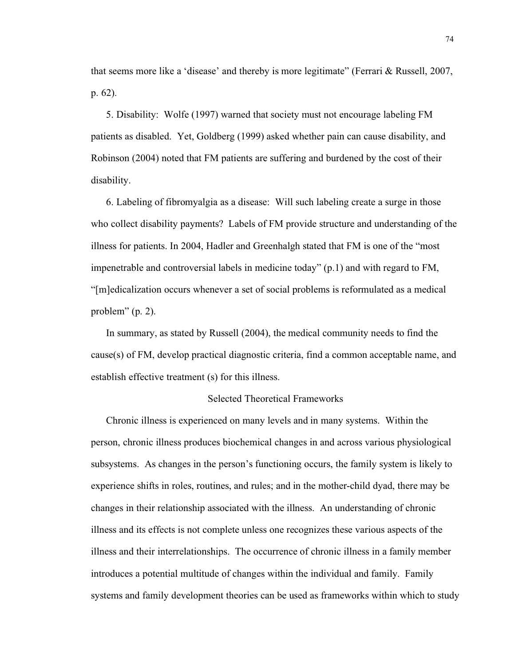that seems more like a 'disease' and thereby is more legitimate" (Ferrari & Russell, 2007, p. 62).

5. Disability: Wolfe (1997) warned that society must not encourage labeling FM patients as disabled. Yet, Goldberg (1999) asked whether pain can cause disability, and Robinson (2004) noted that FM patients are suffering and burdened by the cost of their disability.

6. Labeling of fibromyalgia as a disease: Will such labeling create a surge in those who collect disability payments? Labels of FM provide structure and understanding of the illness for patients. In 2004, Hadler and Greenhalgh stated that FM is one of the "most impenetrable and controversial labels in medicine today" (p.1) and with regard to FM, "[m]edicalization occurs whenever a set of social problems is reformulated as a medical problem" (p. 2).

In summary, as stated by Russell (2004), the medical community needs to find the cause(s) of FM, develop practical diagnostic criteria, find a common acceptable name, and establish effective treatment (s) for this illness.

## Selected Theoretical Frameworks

Chronic illness is experienced on many levels and in many systems. Within the person, chronic illness produces biochemical changes in and across various physiological subsystems. As changes in the person's functioning occurs, the family system is likely to experience shifts in roles, routines, and rules; and in the mother-child dyad, there may be changes in their relationship associated with the illness. An understanding of chronic illness and its effects is not complete unless one recognizes these various aspects of the illness and their interrelationships. The occurrence of chronic illness in a family member introduces a potential multitude of changes within the individual and family. Family systems and family development theories can be used as frameworks within which to study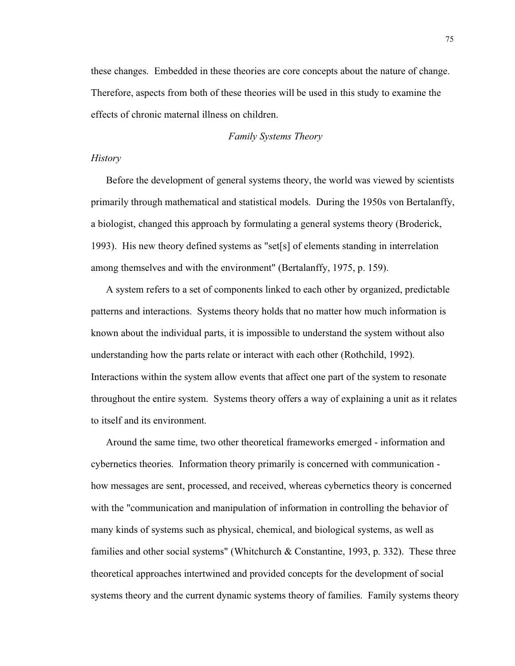these changes. Embedded in these theories are core concepts about the nature of change. Therefore, aspects from both of these theories will be used in this study to examine the effects of chronic maternal illness on children.

#### *Family Systems Theory*

# *History*

Before the development of general systems theory, the world was viewed by scientists primarily through mathematical and statistical models. During the 1950s von Bertalanffy, a biologist, changed this approach by formulating a general systems theory (Broderick, 1993). His new theory defined systems as "set[s] of elements standing in interrelation among themselves and with the environment" (Bertalanffy, 1975, p. 159).

A system refers to a set of components linked to each other by organized, predictable patterns and interactions. Systems theory holds that no matter how much information is known about the individual parts, it is impossible to understand the system without also understanding how the parts relate or interact with each other (Rothchild, 1992). Interactions within the system allow events that affect one part of the system to resonate throughout the entire system. Systems theory offers a way of explaining a unit as it relates to itself and its environment.

Around the same time, two other theoretical frameworks emerged - information and cybernetics theories. Information theory primarily is concerned with communication how messages are sent, processed, and received, whereas cybernetics theory is concerned with the "communication and manipulation of information in controlling the behavior of many kinds of systems such as physical, chemical, and biological systems, as well as families and other social systems" (Whitchurch & Constantine, 1993, p. 332). These three theoretical approaches intertwined and provided concepts for the development of social systems theory and the current dynamic systems theory of families. Family systems theory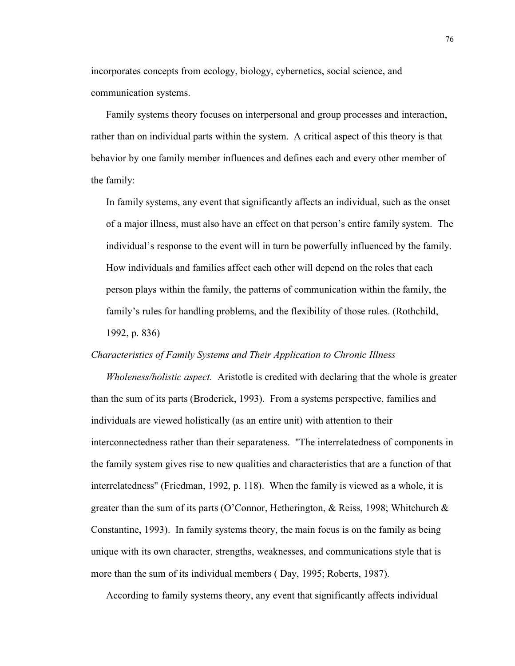incorporates concepts from ecology, biology, cybernetics, social science, and communication systems.

Family systems theory focuses on interpersonal and group processes and interaction, rather than on individual parts within the system. A critical aspect of this theory is that behavior by one family member influences and defines each and every other member of the family:

In family systems, any event that significantly affects an individual, such as the onset of a major illness, must also have an effect on that person's entire family system. The individual's response to the event will in turn be powerfully influenced by the family. How individuals and families affect each other will depend on the roles that each person plays within the family, the patterns of communication within the family, the family's rules for handling problems, and the flexibility of those rules. (Rothchild, 1992, p. 836)

#### *Characteristics of Family Systems and Their Application to Chronic Illness*

*Wholeness/holistic aspect.* Aristotle is credited with declaring that the whole is greater than the sum of its parts (Broderick, 1993). From a systems perspective, families and individuals are viewed holistically (as an entire unit) with attention to their interconnectedness rather than their separateness. "The interrelatedness of components in the family system gives rise to new qualities and characteristics that are a function of that interrelatedness" (Friedman, 1992, p. 118). When the family is viewed as a whole, it is greater than the sum of its parts (O'Connor, Hetherington, & Reiss, 1998; Whitchurch  $\&$ Constantine, 1993). In family systems theory, the main focus is on the family as being unique with its own character, strengths, weaknesses, and communications style that is more than the sum of its individual members ( Day, 1995; Roberts, 1987).

According to family systems theory, any event that significantly affects individual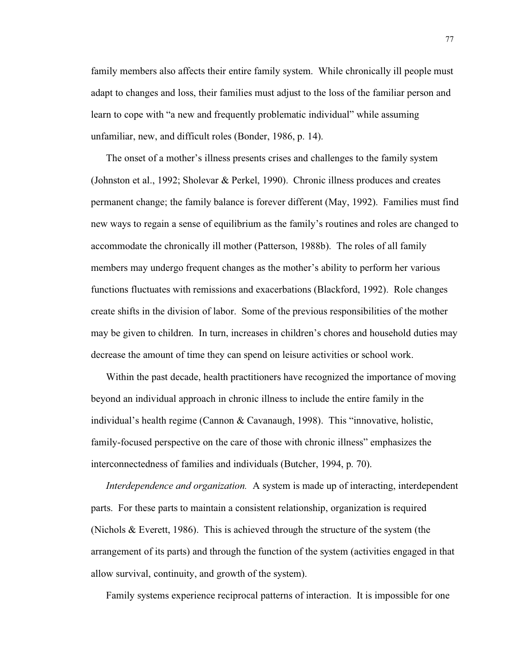family members also affects their entire family system. While chronically ill people must adapt to changes and loss, their families must adjust to the loss of the familiar person and learn to cope with "a new and frequently problematic individual" while assuming unfamiliar, new, and difficult roles (Bonder, 1986, p. 14).

The onset of a mother's illness presents crises and challenges to the family system (Johnston et al., 1992; Sholevar & Perkel, 1990). Chronic illness produces and creates permanent change; the family balance is forever different (May, 1992). Families must find new ways to regain a sense of equilibrium as the family's routines and roles are changed to accommodate the chronically ill mother (Patterson, 1988b). The roles of all family members may undergo frequent changes as the mother's ability to perform her various functions fluctuates with remissions and exacerbations (Blackford, 1992). Role changes create shifts in the division of labor. Some of the previous responsibilities of the mother may be given to children. In turn, increases in children's chores and household duties may decrease the amount of time they can spend on leisure activities or school work.

Within the past decade, health practitioners have recognized the importance of moving beyond an individual approach in chronic illness to include the entire family in the individual's health regime (Cannon & Cavanaugh, 1998). This "innovative, holistic, family-focused perspective on the care of those with chronic illness" emphasizes the interconnectedness of families and individuals (Butcher, 1994, p. 70).

*Interdependence and organization.* A system is made up of interacting, interdependent parts. For these parts to maintain a consistent relationship, organization is required (Nichols & Everett, 1986). This is achieved through the structure of the system (the arrangement of its parts) and through the function of the system (activities engaged in that allow survival, continuity, and growth of the system).

Family systems experience reciprocal patterns of interaction. It is impossible for one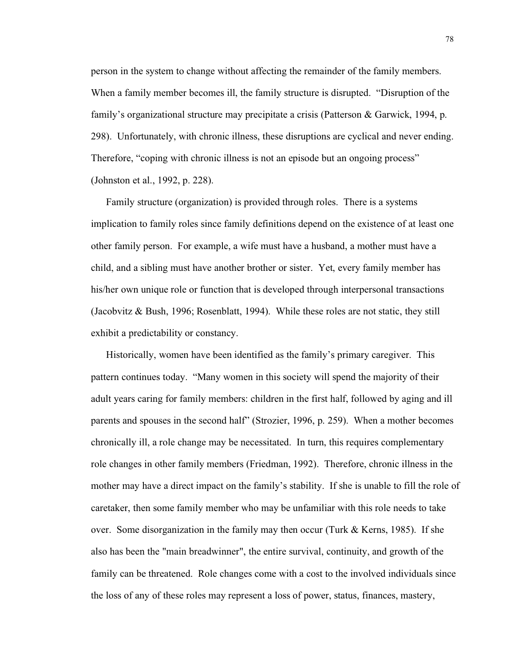person in the system to change without affecting the remainder of the family members. When a family member becomes ill, the family structure is disrupted. "Disruption of the family's organizational structure may precipitate a crisis (Patterson & Garwick, 1994, p. 298). Unfortunately, with chronic illness, these disruptions are cyclical and never ending. Therefore, "coping with chronic illness is not an episode but an ongoing process" (Johnston et al., 1992, p. 228).

Family structure (organization) is provided through roles. There is a systems implication to family roles since family definitions depend on the existence of at least one other family person. For example, a wife must have a husband, a mother must have a child, and a sibling must have another brother or sister. Yet, every family member has his/her own unique role or function that is developed through interpersonal transactions (Jacobvitz & Bush, 1996; Rosenblatt, 1994). While these roles are not static, they still exhibit a predictability or constancy.

Historically, women have been identified as the family's primary caregiver. This pattern continues today. "Many women in this society will spend the majority of their adult years caring for family members: children in the first half, followed by aging and ill parents and spouses in the second half" (Strozier, 1996, p. 259). When a mother becomes chronically ill, a role change may be necessitated. In turn, this requires complementary role changes in other family members (Friedman, 1992). Therefore, chronic illness in the mother may have a direct impact on the family's stability. If she is unable to fill the role of caretaker, then some family member who may be unfamiliar with this role needs to take over. Some disorganization in the family may then occur (Turk & Kerns, 1985). If she also has been the "main breadwinner", the entire survival, continuity, and growth of the family can be threatened. Role changes come with a cost to the involved individuals since the loss of any of these roles may represent a loss of power, status, finances, mastery,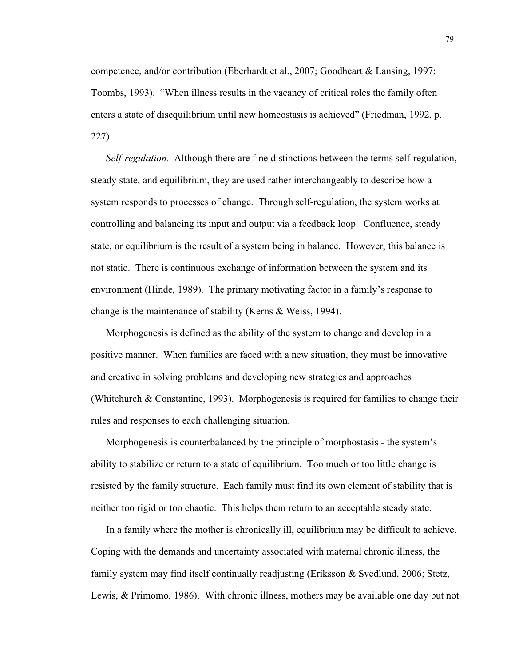competence, and/or contribution (Eberhardt et al., 2007; Goodheart & Lansing, 1997; Toombs, 1993). "When illness results in the vacancy of critical roles the family often enters a state of disequilibrium until new homeostasis is achieved" (Friedman, 1992, p. 227).

*Self-regulation.* Although there are fine distinctions between the terms self-regulation, steady state, and equilibrium, they are used rather interchangeably to describe how a system responds to processes of change. Through self-regulation, the system works at controlling and balancing its input and output via a feedback loop. Confluence, steady state, or equilibrium is the result of a system being in balance. However, this balance is not static. There is continuous exchange of information between the system and its environment (Hinde, 1989). The primary motivating factor in a family's response to change is the maintenance of stability (Kerns & Weiss, 1994).

Morphogenesis is defined as the ability of the system to change and develop in a positive manner. When families are faced with a new situation, they must be innovative and creative in solving problems and developing new strategies and approaches (Whitchurch & Constantine, 1993). Morphogenesis is required for families to change their rules and responses to each challenging situation.

Morphogenesis is counterbalanced by the principle of morphostasis - the system's ability to stabilize or return to a state of equilibrium. Too much or too little change is resisted by the family structure. Each family must find its own element of stability that is neither too rigid or too chaotic. This helps them return to an acceptable steady state.

In a family where the mother is chronically ill, equilibrium may be difficult to achieve. Coping with the demands and uncertainty associated with maternal chronic illness, the family system may find itself continually readjusting (Eriksson & Svedlund, 2006; Stetz, Lewis, & Primomo, 1986). With chronic illness, mothers may be available one day but not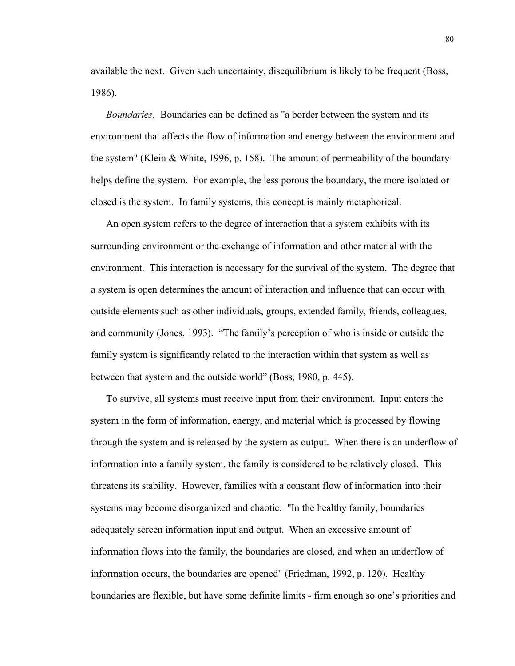available the next. Given such uncertainty, disequilibrium is likely to be frequent (Boss, 1986).

*Boundaries.* Boundaries can be defined as "a border between the system and its environment that affects the flow of information and energy between the environment and the system" (Klein & White, 1996, p. 158). The amount of permeability of the boundary helps define the system. For example, the less porous the boundary, the more isolated or closed is the system. In family systems, this concept is mainly metaphorical.

An open system refers to the degree of interaction that a system exhibits with its surrounding environment or the exchange of information and other material with the environment. This interaction is necessary for the survival of the system. The degree that a system is open determines the amount of interaction and influence that can occur with outside elements such as other individuals, groups, extended family, friends, colleagues, and community (Jones, 1993). "The family's perception of who is inside or outside the family system is significantly related to the interaction within that system as well as between that system and the outside world" (Boss, 1980, p. 445).

To survive, all systems must receive input from their environment. Input enters the system in the form of information, energy, and material which is processed by flowing through the system and is released by the system as output. When there is an underflow of information into a family system, the family is considered to be relatively closed. This threatens its stability. However, families with a constant flow of information into their systems may become disorganized and chaotic. "In the healthy family, boundaries adequately screen information input and output. When an excessive amount of information flows into the family, the boundaries are closed, and when an underflow of information occurs, the boundaries are opened" (Friedman, 1992, p. 120). Healthy boundaries are flexible, but have some definite limits - firm enough so one's priorities and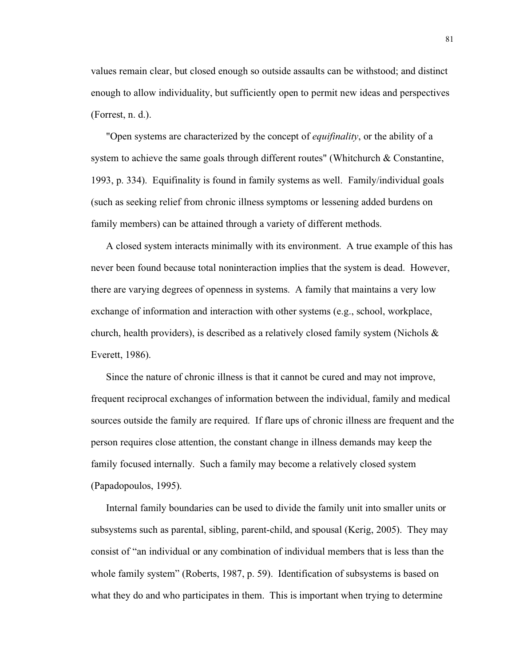values remain clear, but closed enough so outside assaults can be withstood; and distinct enough to allow individuality, but sufficiently open to permit new ideas and perspectives (Forrest, n. d.).

"Open systems are characterized by the concept of *equifinality*, or the ability of a system to achieve the same goals through different routes" (Whitchurch & Constantine, 1993, p. 334). Equifinality is found in family systems as well. Family/individual goals (such as seeking relief from chronic illness symptoms or lessening added burdens on family members) can be attained through a variety of different methods.

A closed system interacts minimally with its environment. A true example of this has never been found because total noninteraction implies that the system is dead. However, there are varying degrees of openness in systems. A family that maintains a very low exchange of information and interaction with other systems (e.g., school, workplace, church, health providers), is described as a relatively closed family system (Nichols  $\&$ Everett, 1986).

Since the nature of chronic illness is that it cannot be cured and may not improve, frequent reciprocal exchanges of information between the individual, family and medical sources outside the family are required. If flare ups of chronic illness are frequent and the person requires close attention, the constant change in illness demands may keep the family focused internally. Such a family may become a relatively closed system (Papadopoulos, 1995).

Internal family boundaries can be used to divide the family unit into smaller units or subsystems such as parental, sibling, parent-child, and spousal (Kerig, 2005). They may consist of "an individual or any combination of individual members that is less than the whole family system" (Roberts, 1987, p. 59). Identification of subsystems is based on what they do and who participates in them. This is important when trying to determine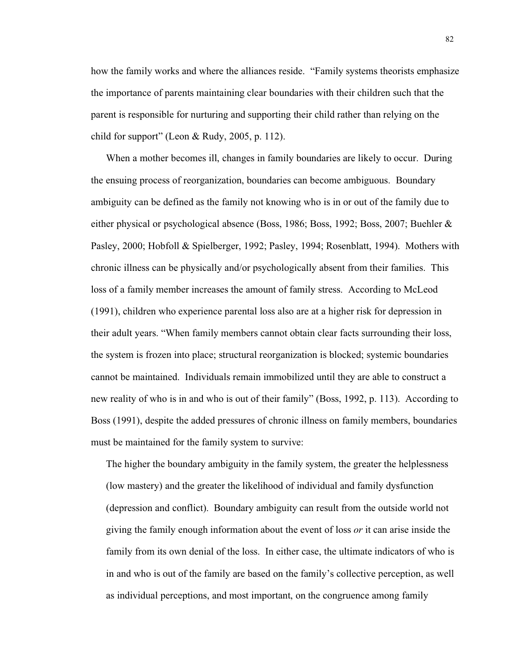how the family works and where the alliances reside. "Family systems theorists emphasize the importance of parents maintaining clear boundaries with their children such that the parent is responsible for nurturing and supporting their child rather than relying on the child for support" (Leon & Rudy, 2005, p. 112).

When a mother becomes ill, changes in family boundaries are likely to occur. During the ensuing process of reorganization, boundaries can become ambiguous. Boundary ambiguity can be defined as the family not knowing who is in or out of the family due to either physical or psychological absence (Boss, 1986; Boss, 1992; Boss, 2007; Buehler & Pasley, 2000; Hobfoll & Spielberger, 1992; Pasley, 1994; Rosenblatt, 1994). Mothers with chronic illness can be physically and/or psychologically absent from their families. This loss of a family member increases the amount of family stress. According to McLeod (1991), children who experience parental loss also are at a higher risk for depression in their adult years. "When family members cannot obtain clear facts surrounding their loss, the system is frozen into place; structural reorganization is blocked; systemic boundaries cannot be maintained. Individuals remain immobilized until they are able to construct a new reality of who is in and who is out of their family" (Boss, 1992, p. 113). According to Boss (1991), despite the added pressures of chronic illness on family members, boundaries must be maintained for the family system to survive:

The higher the boundary ambiguity in the family system, the greater the helplessness (low mastery) and the greater the likelihood of individual and family dysfunction (depression and conflict). Boundary ambiguity can result from the outside world not giving the family enough information about the event of loss *or* it can arise inside the family from its own denial of the loss. In either case, the ultimate indicators of who is in and who is out of the family are based on the family's collective perception, as well as individual perceptions, and most important, on the congruence among family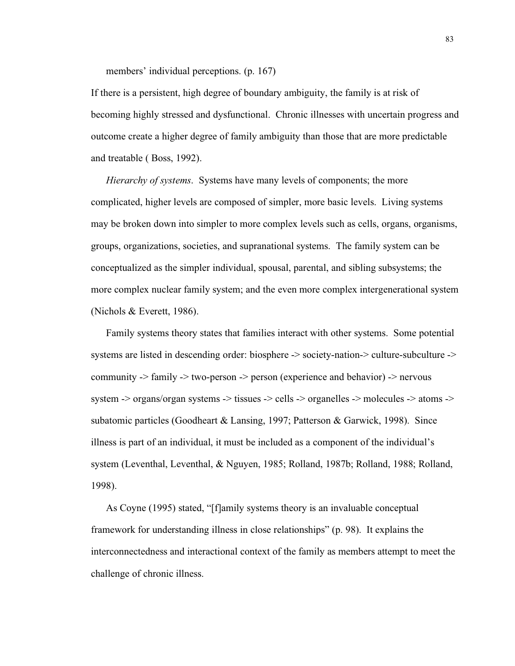members' individual perceptions. (p. 167)

If there is a persistent, high degree of boundary ambiguity, the family is at risk of becoming highly stressed and dysfunctional. Chronic illnesses with uncertain progress and outcome create a higher degree of family ambiguity than those that are more predictable and treatable ( Boss, 1992).

*Hierarchy of systems*. Systems have many levels of components; the more complicated, higher levels are composed of simpler, more basic levels. Living systems may be broken down into simpler to more complex levels such as cells, organs, organisms, groups, organizations, societies, and supranational systems. The family system can be conceptualized as the simpler individual, spousal, parental, and sibling subsystems; the more complex nuclear family system; and the even more complex intergenerational system (Nichols & Everett, 1986).

Family systems theory states that families interact with other systems. Some potential systems are listed in descending order: biosphere -> society-nation-> culture-subculture -> community -> family -> two-person -> person (experience and behavior) -> nervous system -> organs/organ systems -> tissues -> cells -> organelles -> molecules -> atoms -> subatomic particles (Goodheart & Lansing, 1997; Patterson & Garwick, 1998). Since illness is part of an individual, it must be included as a component of the individual's system (Leventhal, Leventhal, & Nguyen, 1985; Rolland, 1987b; Rolland, 1988; Rolland, 1998).

As Coyne (1995) stated, "[f]amily systems theory is an invaluable conceptual framework for understanding illness in close relationships" (p. 98). It explains the interconnectedness and interactional context of the family as members attempt to meet the challenge of chronic illness.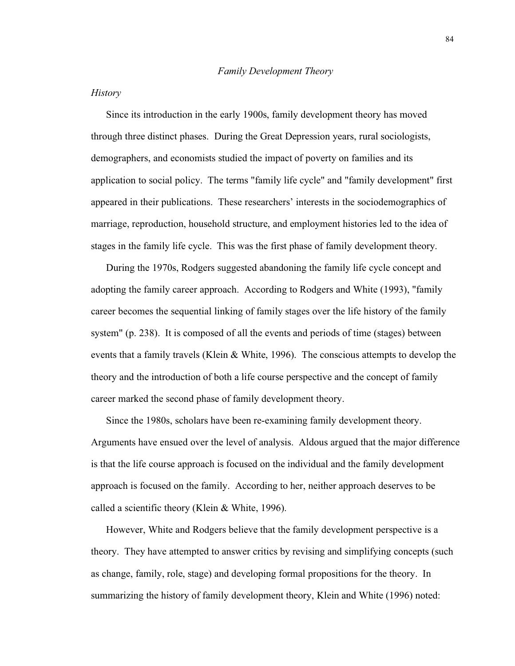# *History*

Since its introduction in the early 1900s, family development theory has moved through three distinct phases. During the Great Depression years, rural sociologists, demographers, and economists studied the impact of poverty on families and its application to social policy. The terms "family life cycle" and "family development" first appeared in their publications. These researchers' interests in the sociodemographics of marriage, reproduction, household structure, and employment histories led to the idea of stages in the family life cycle. This was the first phase of family development theory.

During the 1970s, Rodgers suggested abandoning the family life cycle concept and adopting the family career approach. According to Rodgers and White (1993), "family career becomes the sequential linking of family stages over the life history of the family system" (p. 238). It is composed of all the events and periods of time (stages) between events that a family travels (Klein & White, 1996). The conscious attempts to develop the theory and the introduction of both a life course perspective and the concept of family career marked the second phase of family development theory.

Since the 1980s, scholars have been re-examining family development theory. Arguments have ensued over the level of analysis. Aldous argued that the major difference is that the life course approach is focused on the individual and the family development approach is focused on the family. According to her, neither approach deserves to be called a scientific theory (Klein & White, 1996).

However, White and Rodgers believe that the family development perspective is a theory. They have attempted to answer critics by revising and simplifying concepts (such as change, family, role, stage) and developing formal propositions for the theory. In summarizing the history of family development theory, Klein and White (1996) noted: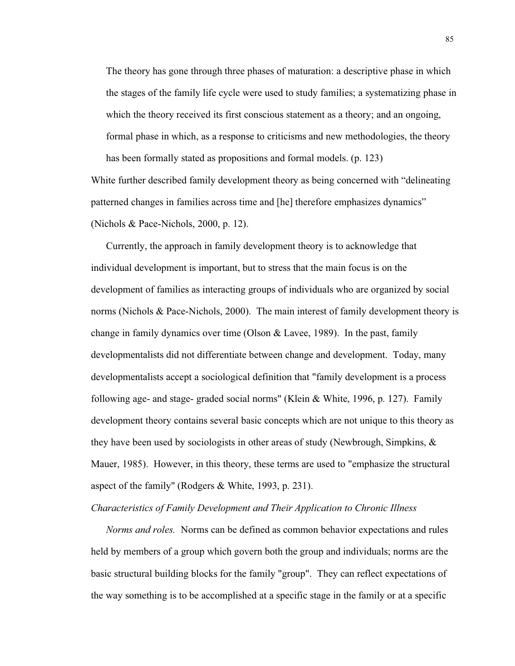The theory has gone through three phases of maturation: a descriptive phase in which the stages of the family life cycle were used to study families; a systematizing phase in which the theory received its first conscious statement as a theory; and an ongoing, formal phase in which, as a response to criticisms and new methodologies, the theory has been formally stated as propositions and formal models. (p. 123)

White further described family development theory as being concerned with "delineating patterned changes in families across time and [he] therefore emphasizes dynamics" (Nichols & Pace-Nichols, 2000, p. 12).

Currently, the approach in family development theory is to acknowledge that individual development is important, but to stress that the main focus is on the development of families as interacting groups of individuals who are organized by social norms (Nichols & Pace-Nichols, 2000). The main interest of family development theory is change in family dynamics over time (Olson & Lavee, 1989). In the past, family developmentalists did not differentiate between change and development. Today, many developmentalists accept a sociological definition that "family development is a process following age- and stage- graded social norms" (Klein & White, 1996, p. 127). Family development theory contains several basic concepts which are not unique to this theory as they have been used by sociologists in other areas of study (Newbrough, Simpkins, & Mauer, 1985). However, in this theory, these terms are used to "emphasize the structural aspect of the family" (Rodgers & White, 1993, p. 231).

# *Characteristics of Family Development and Their Application to Chronic Illness*

*Norms and roles.* Norms can be defined as common behavior expectations and rules held by members of a group which govern both the group and individuals; norms are the basic structural building blocks for the family "group". They can reflect expectations of the way something is to be accomplished at a specific stage in the family or at a specific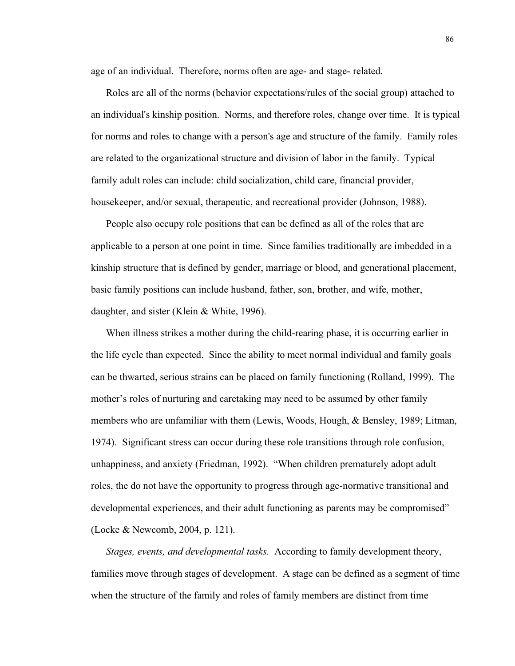age of an individual. Therefore, norms often are age- and stage- related.

Roles are all of the norms (behavior expectations/rules of the social group) attached to an individual's kinship position. Norms, and therefore roles, change over time. It is typical for norms and roles to change with a person's age and structure of the family. Family roles are related to the organizational structure and division of labor in the family. Typical family adult roles can include: child socialization, child care, financial provider, housekeeper, and/or sexual, therapeutic, and recreational provider (Johnson, 1988).

People also occupy role positions that can be defined as all of the roles that are applicable to a person at one point in time. Since families traditionally are imbedded in a kinship structure that is defined by gender, marriage or blood, and generational placement, basic family positions can include husband, father, son, brother, and wife, mother, daughter, and sister (Klein & White, 1996).

When illness strikes a mother during the child-rearing phase, it is occurring earlier in the life cycle than expected. Since the ability to meet normal individual and family goals can be thwarted, serious strains can be placed on family functioning (Rolland, 1999). The mother's roles of nurturing and caretaking may need to be assumed by other family members who are unfamiliar with them (Lewis, Woods, Hough, & Bensley, 1989; Litman, 1974). Significant stress can occur during these role transitions through role confusion, unhappiness, and anxiety (Friedman, 1992). "When children prematurely adopt adult roles, the do not have the opportunity to progress through age-normative transitional and developmental experiences, and their adult functioning as parents may be compromised" (Locke & Newcomb, 2004, p. 121).

*Stages, events, and developmental tasks.* According to family development theory, families move through stages of development. A stage can be defined as a segment of time when the structure of the family and roles of family members are distinct from time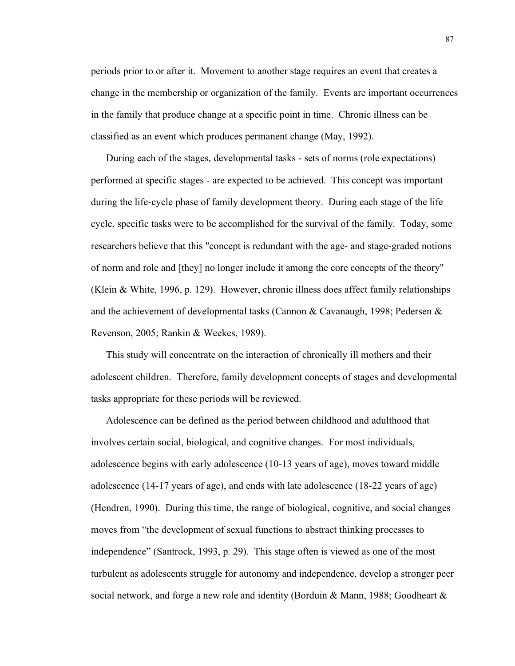periods prior to or after it. Movement to another stage requires an event that creates a change in the membership or organization of the family. Events are important occurrences in the family that produce change at a specific point in time. Chronic illness can be classified as an event which produces permanent change (May, 1992).

During each of the stages, developmental tasks - sets of norms (role expectations) performed at specific stages - are expected to be achieved. This concept was important during the life-cycle phase of family development theory. During each stage of the life cycle, specific tasks were to be accomplished for the survival of the family. Today, some researchers believe that this "concept is redundant with the age- and stage-graded notions of norm and role and [they] no longer include it among the core concepts of the theory" (Klein & White, 1996, p. 129). However, chronic illness does affect family relationships and the achievement of developmental tasks (Cannon & Cavanaugh, 1998; Pedersen & Revenson, 2005; Rankin & Weekes, 1989).

This study will concentrate on the interaction of chronically ill mothers and their adolescent children. Therefore, family development concepts of stages and developmental tasks appropriate for these periods will be reviewed.

Adolescence can be defined as the period between childhood and adulthood that involves certain social, biological, and cognitive changes. For most individuals, adolescence begins with early adolescence (10-13 years of age), moves toward middle adolescence (14-17 years of age), and ends with late adolescence (18-22 years of age) (Hendren, 1990). During this time, the range of biological, cognitive, and social changes moves from "the development of sexual functions to abstract thinking processes to independence" (Santrock, 1993, p. 29). This stage often is viewed as one of the most turbulent as adolescents struggle for autonomy and independence, develop a stronger peer social network, and forge a new role and identity (Borduin & Mann, 1988; Goodheart &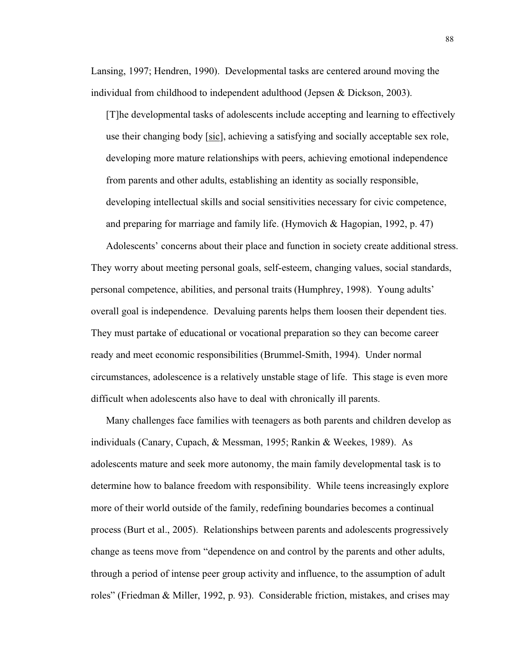Lansing, 1997; Hendren, 1990). Developmental tasks are centered around moving the individual from childhood to independent adulthood (Jepsen & Dickson, 2003).

[T]he developmental tasks of adolescents include accepting and learning to effectively use their changing body [sic], achieving a satisfying and socially acceptable sex role, developing more mature relationships with peers, achieving emotional independence from parents and other adults, establishing an identity as socially responsible, developing intellectual skills and social sensitivities necessary for civic competence, and preparing for marriage and family life. (Hymovich  $\&$  Hagopian, 1992, p. 47)

Adolescents' concerns about their place and function in society create additional stress. They worry about meeting personal goals, self-esteem, changing values, social standards, personal competence, abilities, and personal traits (Humphrey, 1998). Young adults' overall goal is independence. Devaluing parents helps them loosen their dependent ties. They must partake of educational or vocational preparation so they can become career ready and meet economic responsibilities (Brummel-Smith, 1994). Under normal circumstances, adolescence is a relatively unstable stage of life. This stage is even more difficult when adolescents also have to deal with chronically ill parents.

Many challenges face families with teenagers as both parents and children develop as individuals (Canary, Cupach, & Messman, 1995; Rankin & Weekes, 1989). As adolescents mature and seek more autonomy, the main family developmental task is to determine how to balance freedom with responsibility. While teens increasingly explore more of their world outside of the family, redefining boundaries becomes a continual process (Burt et al., 2005). Relationships between parents and adolescents progressively change as teens move from "dependence on and control by the parents and other adults, through a period of intense peer group activity and influence, to the assumption of adult roles" (Friedman & Miller, 1992, p. 93). Considerable friction, mistakes, and crises may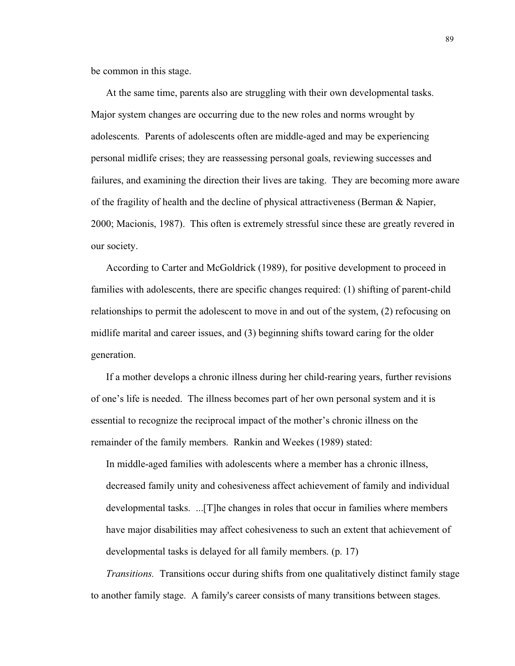be common in this stage.

At the same time, parents also are struggling with their own developmental tasks. Major system changes are occurring due to the new roles and norms wrought by adolescents. Parents of adolescents often are middle-aged and may be experiencing personal midlife crises; they are reassessing personal goals, reviewing successes and failures, and examining the direction their lives are taking. They are becoming more aware of the fragility of health and the decline of physical attractiveness (Berman & Napier, 2000; Macionis, 1987). This often is extremely stressful since these are greatly revered in our society.

According to Carter and McGoldrick (1989), for positive development to proceed in families with adolescents, there are specific changes required: (1) shifting of parent-child relationships to permit the adolescent to move in and out of the system, (2) refocusing on midlife marital and career issues, and (3) beginning shifts toward caring for the older generation.

If a mother develops a chronic illness during her child-rearing years, further revisions of one's life is needed. The illness becomes part of her own personal system and it is essential to recognize the reciprocal impact of the mother's chronic illness on the remainder of the family members. Rankin and Weekes (1989) stated:

In middle-aged families with adolescents where a member has a chronic illness, decreased family unity and cohesiveness affect achievement of family and individual developmental tasks. ...[T]he changes in roles that occur in families where members have major disabilities may affect cohesiveness to such an extent that achievement of developmental tasks is delayed for all family members. (p. 17)

*Transitions.* Transitions occur during shifts from one qualitatively distinct family stage to another family stage. A family's career consists of many transitions between stages.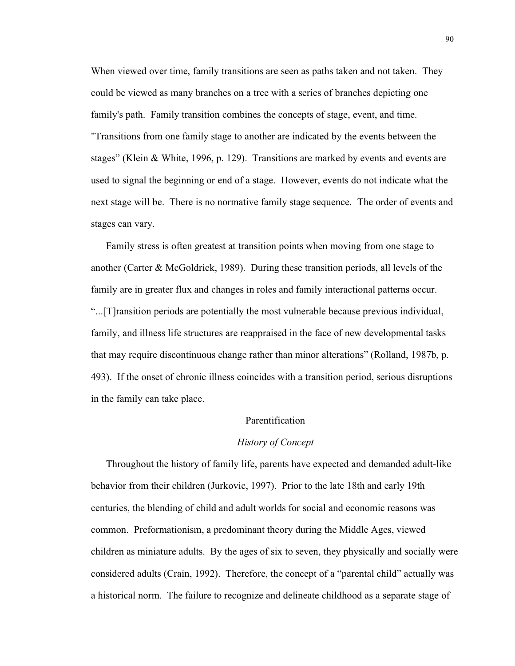When viewed over time, family transitions are seen as paths taken and not taken. They could be viewed as many branches on a tree with a series of branches depicting one family's path. Family transition combines the concepts of stage, event, and time. "Transitions from one family stage to another are indicated by the events between the stages" (Klein & White, 1996, p. 129). Transitions are marked by events and events are used to signal the beginning or end of a stage. However, events do not indicate what the next stage will be. There is no normative family stage sequence. The order of events and stages can vary.

Family stress is often greatest at transition points when moving from one stage to another (Carter & McGoldrick, 1989). During these transition periods, all levels of the family are in greater flux and changes in roles and family interactional patterns occur. "...[T]ransition periods are potentially the most vulnerable because previous individual, family, and illness life structures are reappraised in the face of new developmental tasks that may require discontinuous change rather than minor alterations" (Rolland, 1987b, p. 493). If the onset of chronic illness coincides with a transition period, serious disruptions in the family can take place.

# Parentification

### *History of Concept*

Throughout the history of family life, parents have expected and demanded adult-like behavior from their children (Jurkovic, 1997). Prior to the late 18th and early 19th centuries, the blending of child and adult worlds for social and economic reasons was common. Preformationism, a predominant theory during the Middle Ages, viewed children as miniature adults. By the ages of six to seven, they physically and socially were considered adults (Crain, 1992). Therefore, the concept of a "parental child" actually was a historical norm. The failure to recognize and delineate childhood as a separate stage of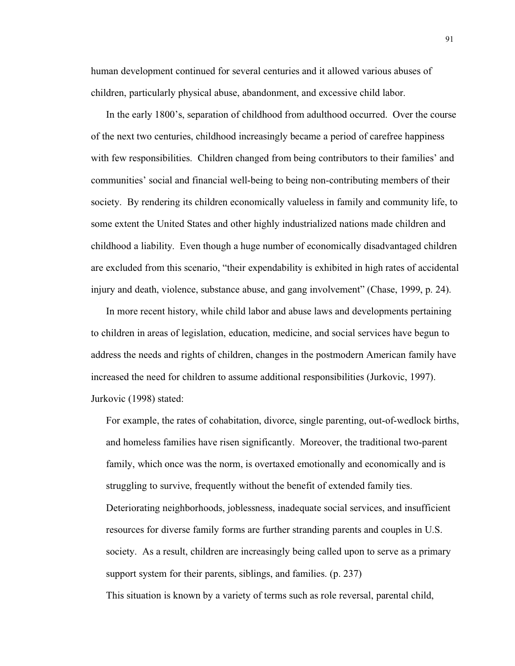human development continued for several centuries and it allowed various abuses of children, particularly physical abuse, abandonment, and excessive child labor.

In the early 1800's, separation of childhood from adulthood occurred. Over the course of the next two centuries, childhood increasingly became a period of carefree happiness with few responsibilities. Children changed from being contributors to their families' and communities' social and financial well-being to being non-contributing members of their society. By rendering its children economically valueless in family and community life, to some extent the United States and other highly industrialized nations made children and childhood a liability. Even though a huge number of economically disadvantaged children are excluded from this scenario, "their expendability is exhibited in high rates of accidental injury and death, violence, substance abuse, and gang involvement" (Chase, 1999, p. 24).

In more recent history, while child labor and abuse laws and developments pertaining to children in areas of legislation, education, medicine, and social services have begun to address the needs and rights of children, changes in the postmodern American family have increased the need for children to assume additional responsibilities (Jurkovic, 1997). Jurkovic (1998) stated:

For example, the rates of cohabitation, divorce, single parenting, out-of-wedlock births, and homeless families have risen significantly. Moreover, the traditional two-parent family, which once was the norm, is overtaxed emotionally and economically and is struggling to survive, frequently without the benefit of extended family ties. Deteriorating neighborhoods, joblessness, inadequate social services, and insufficient resources for diverse family forms are further stranding parents and couples in U.S. society. As a result, children are increasingly being called upon to serve as a primary support system for their parents, siblings, and families. (p. 237)

This situation is known by a variety of terms such as role reversal, parental child,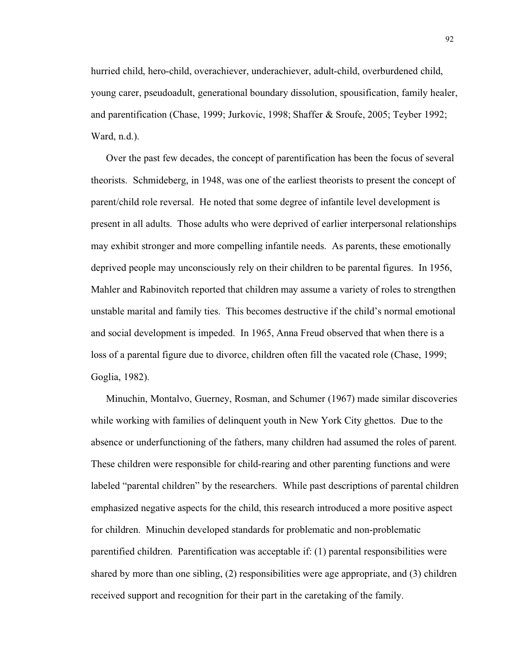hurried child, hero-child, overachiever, underachiever, adult-child, overburdened child, young carer, pseudoadult, generational boundary dissolution, spousification, family healer, and parentification (Chase, 1999; Jurkovic, 1998; Shaffer & Sroufe, 2005; Teyber 1992; Ward, n.d.).

Over the past few decades, the concept of parentification has been the focus of several theorists. Schmideberg, in 1948, was one of the earliest theorists to present the concept of parent/child role reversal. He noted that some degree of infantile level development is present in all adults. Those adults who were deprived of earlier interpersonal relationships may exhibit stronger and more compelling infantile needs. As parents, these emotionally deprived people may unconsciously rely on their children to be parental figures. In 1956, Mahler and Rabinovitch reported that children may assume a variety of roles to strengthen unstable marital and family ties. This becomes destructive if the child's normal emotional and social development is impeded. In 1965, Anna Freud observed that when there is a loss of a parental figure due to divorce, children often fill the vacated role (Chase, 1999; Goglia, 1982).

Minuchin, Montalvo, Guerney, Rosman, and Schumer (1967) made similar discoveries while working with families of delinquent youth in New York City ghettos. Due to the absence or underfunctioning of the fathers, many children had assumed the roles of parent. These children were responsible for child-rearing and other parenting functions and were labeled "parental children" by the researchers. While past descriptions of parental children emphasized negative aspects for the child, this research introduced a more positive aspect for children. Minuchin developed standards for problematic and non-problematic parentified children. Parentification was acceptable if: (1) parental responsibilities were shared by more than one sibling, (2) responsibilities were age appropriate, and (3) children received support and recognition for their part in the caretaking of the family.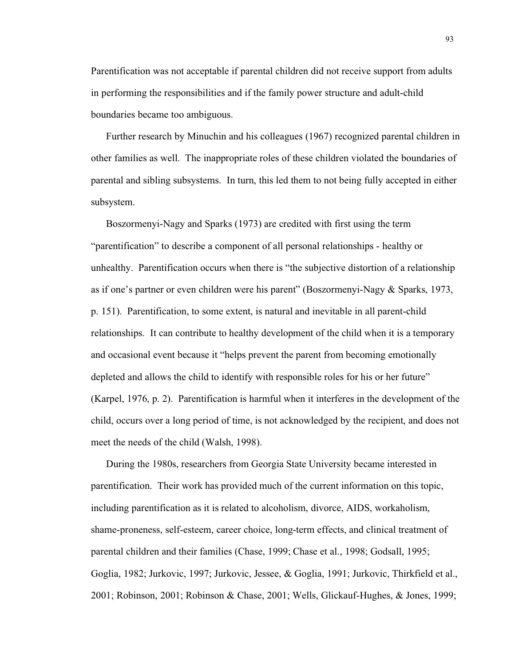Parentification was not acceptable if parental children did not receive support from adults in performing the responsibilities and if the family power structure and adult-child boundaries became too ambiguous.

Further research by Minuchin and his colleagues (1967) recognized parental children in other families as well. The inappropriate roles of these children violated the boundaries of parental and sibling subsystems. In turn, this led them to not being fully accepted in either subsystem.

Boszormenyi-Nagy and Sparks (1973) are credited with first using the term "parentification" to describe a component of all personal relationships - healthy or unhealthy. Parentification occurs when there is "the subjective distortion of a relationship as if one's partner or even children were his parent" (Boszormenyi-Nagy & Sparks, 1973, p. 151). Parentification, to some extent, is natural and inevitable in all parent-child relationships. It can contribute to healthy development of the child when it is a temporary and occasional event because it "helps prevent the parent from becoming emotionally depleted and allows the child to identify with responsible roles for his or her future" (Karpel, 1976, p. 2). Parentification is harmful when it interferes in the development of the child, occurs over a long period of time, is not acknowledged by the recipient, and does not meet the needs of the child (Walsh, 1998).

During the 1980s, researchers from Georgia State University became interested in parentification. Their work has provided much of the current information on this topic, including parentification as it is related to alcoholism, divorce, AIDS, workaholism, shame-proneness, self-esteem, career choice, long-term effects, and clinical treatment of parental children and their families (Chase, 1999; Chase et al., 1998; Godsall, 1995; Goglia, 1982; Jurkovic, 1997; Jurkovic, Jessee, & Goglia, 1991; Jurkovic, Thirkfield et al., 2001; Robinson, 2001; Robinson & Chase, 2001; Wells, Glickauf-Hughes, & Jones, 1999;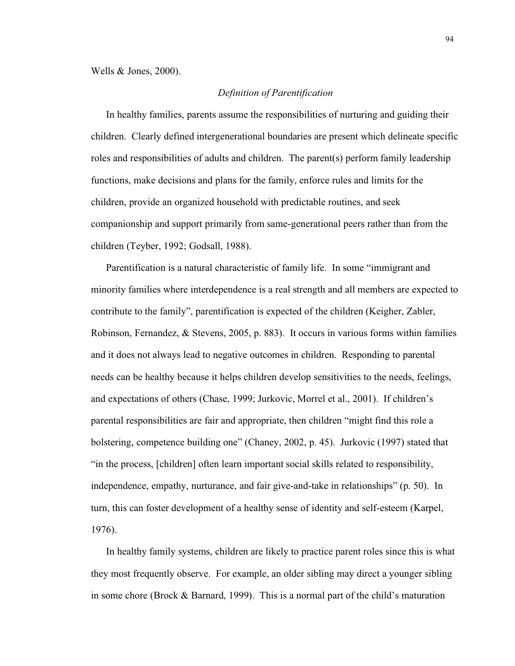# *Definition of Parentification*

In healthy families, parents assume the responsibilities of nurturing and guiding their children. Clearly defined intergenerational boundaries are present which delineate specific roles and responsibilities of adults and children. The parent(s) perform family leadership functions, make decisions and plans for the family, enforce rules and limits for the children, provide an organized household with predictable routines, and seek companionship and support primarily from same-generational peers rather than from the children (Teyber, 1992; Godsall, 1988).

Parentification is a natural characteristic of family life. In some "immigrant and minority families where interdependence is a real strength and all members are expected to contribute to the family", parentification is expected of the children (Keigher, Zabler, Robinson, Fernandez, & Stevens, 2005, p. 883). It occurs in various forms within families and it does not always lead to negative outcomes in children. Responding to parental needs can be healthy because it helps children develop sensitivities to the needs, feelings, and expectations of others (Chase, 1999; Jurkovic, Morrel et al., 2001). If children's parental responsibilities are fair and appropriate, then children "might find this role a bolstering, competence building one" (Chaney, 2002, p. 45). Jurkovic (1997) stated that "in the process, [children] often learn important social skills related to responsibility, independence, empathy, nurturance, and fair give-and-take in relationships" (p. 50). In turn, this can foster development of a healthy sense of identity and self-esteem (Karpel, 1976).

In healthy family systems, children are likely to practice parent roles since this is what they most frequently observe. For example, an older sibling may direct a younger sibling in some chore (Brock & Barnard, 1999). This is a normal part of the child's maturation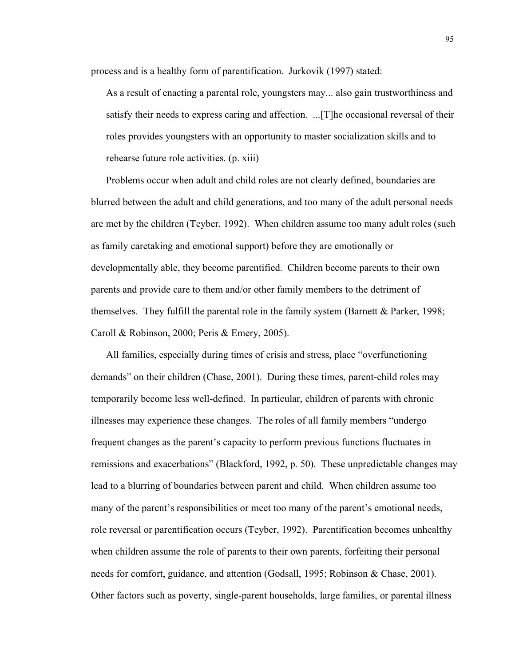process and is a healthy form of parentification. Jurkovik (1997) stated:

As a result of enacting a parental role, youngsters may... also gain trustworthiness and satisfy their needs to express caring and affection. ...[T]he occasional reversal of their roles provides youngsters with an opportunity to master socialization skills and to rehearse future role activities. (p. xiii)

Problems occur when adult and child roles are not clearly defined, boundaries are blurred between the adult and child generations, and too many of the adult personal needs are met by the children (Teyber, 1992). When children assume too many adult roles (such as family caretaking and emotional support) before they are emotionally or developmentally able, they become parentified. Children become parents to their own parents and provide care to them and/or other family members to the detriment of themselves. They fulfill the parental role in the family system (Barnett  $\&$  Parker, 1998; Caroll & Robinson, 2000; Peris & Emery, 2005).

All families, especially during times of crisis and stress, place "overfunctioning demands" on their children (Chase, 2001). During these times, parent-child roles may temporarily become less well-defined. In particular, children of parents with chronic illnesses may experience these changes. The roles of all family members "undergo frequent changes as the parent's capacity to perform previous functions fluctuates in remissions and exacerbations" (Blackford, 1992, p. 50). These unpredictable changes may lead to a blurring of boundaries between parent and child. When children assume too many of the parent's responsibilities or meet too many of the parent's emotional needs, role reversal or parentification occurs (Teyber, 1992). Parentification becomes unhealthy when children assume the role of parents to their own parents, forfeiting their personal needs for comfort, guidance, and attention (Godsall, 1995; Robinson & Chase, 2001). Other factors such as poverty, single-parent households, large families, or parental illness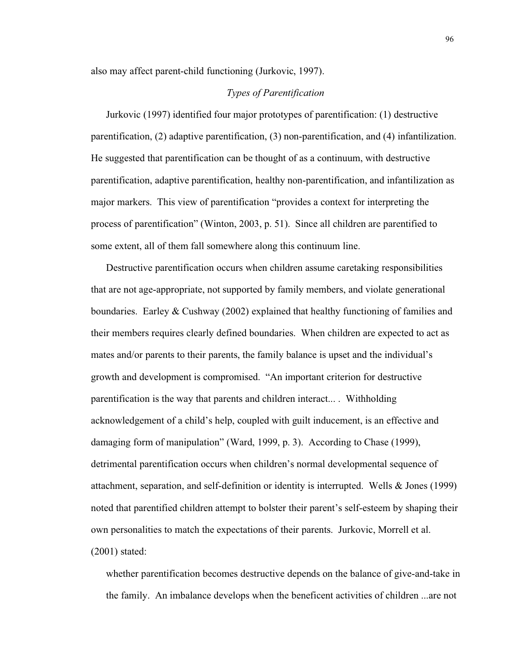also may affect parent-child functioning (Jurkovic, 1997).

# *Types of Parentification*

Jurkovic (1997) identified four major prototypes of parentification: (1) destructive parentification, (2) adaptive parentification, (3) non-parentification, and (4) infantilization. He suggested that parentification can be thought of as a continuum, with destructive parentification, adaptive parentification, healthy non-parentification, and infantilization as major markers. This view of parentification "provides a context for interpreting the process of parentification" (Winton, 2003, p. 51). Since all children are parentified to some extent, all of them fall somewhere along this continuum line.

Destructive parentification occurs when children assume caretaking responsibilities that are not age-appropriate, not supported by family members, and violate generational boundaries. Earley & Cushway (2002) explained that healthy functioning of families and their members requires clearly defined boundaries. When children are expected to act as mates and/or parents to their parents, the family balance is upset and the individual's growth and development is compromised. "An important criterion for destructive parentification is the way that parents and children interact... . Withholding acknowledgement of a child's help, coupled with guilt inducement, is an effective and damaging form of manipulation" (Ward, 1999, p. 3). According to Chase (1999), detrimental parentification occurs when children's normal developmental sequence of attachment, separation, and self-definition or identity is interrupted. Wells & Jones (1999) noted that parentified children attempt to bolster their parent's self-esteem by shaping their own personalities to match the expectations of their parents. Jurkovic, Morrell et al. (2001) stated:

whether parentification becomes destructive depends on the balance of give-and-take in the family. An imbalance develops when the beneficent activities of children ...are not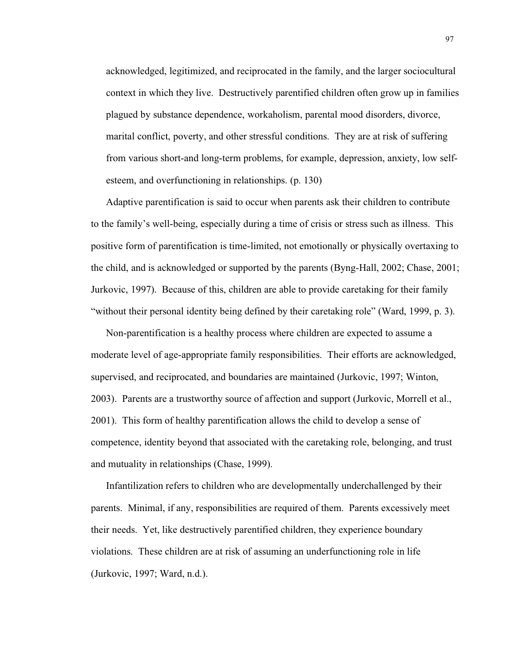acknowledged, legitimized, and reciprocated in the family, and the larger sociocultural context in which they live. Destructively parentified children often grow up in families plagued by substance dependence, workaholism, parental mood disorders, divorce, marital conflict, poverty, and other stressful conditions. They are at risk of suffering from various short-and long-term problems, for example, depression, anxiety, low selfesteem, and overfunctioning in relationships. (p. 130)

Adaptive parentification is said to occur when parents ask their children to contribute to the family's well-being, especially during a time of crisis or stress such as illness. This positive form of parentification is time-limited, not emotionally or physically overtaxing to the child, and is acknowledged or supported by the parents (Byng-Hall, 2002; Chase, 2001; Jurkovic, 1997). Because of this, children are able to provide caretaking for their family "without their personal identity being defined by their caretaking role" (Ward, 1999, p. 3).

Non-parentification is a healthy process where children are expected to assume a moderate level of age-appropriate family responsibilities. Their efforts are acknowledged, supervised, and reciprocated, and boundaries are maintained (Jurkovic, 1997; Winton, 2003). Parents are a trustworthy source of affection and support (Jurkovic, Morrell et al., 2001). This form of healthy parentification allows the child to develop a sense of competence, identity beyond that associated with the caretaking role, belonging, and trust and mutuality in relationships (Chase, 1999).

Infantilization refers to children who are developmentally underchallenged by their parents. Minimal, if any, responsibilities are required of them. Parents excessively meet their needs. Yet, like destructively parentified children, they experience boundary violations. These children are at risk of assuming an underfunctioning role in life (Jurkovic, 1997; Ward, n.d.).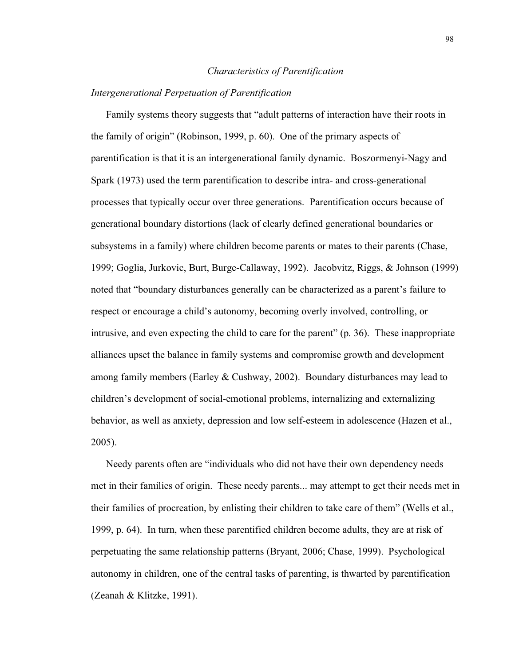#### *Characteristics of Parentification*

### *Intergenerational Perpetuation of Parentification*

Family systems theory suggests that "adult patterns of interaction have their roots in the family of origin" (Robinson, 1999, p. 60). One of the primary aspects of parentification is that it is an intergenerational family dynamic. Boszormenyi-Nagy and Spark (1973) used the term parentification to describe intra- and cross-generational processes that typically occur over three generations. Parentification occurs because of generational boundary distortions (lack of clearly defined generational boundaries or subsystems in a family) where children become parents or mates to their parents (Chase, 1999; Goglia, Jurkovic, Burt, Burge-Callaway, 1992). Jacobvitz, Riggs, & Johnson (1999) noted that "boundary disturbances generally can be characterized as a parent's failure to respect or encourage a child's autonomy, becoming overly involved, controlling, or intrusive, and even expecting the child to care for the parent" (p. 36). These inappropriate alliances upset the balance in family systems and compromise growth and development among family members (Earley & Cushway, 2002). Boundary disturbances may lead to children's development of social-emotional problems, internalizing and externalizing behavior, as well as anxiety, depression and low self-esteem in adolescence (Hazen et al., 2005).

Needy parents often are "individuals who did not have their own dependency needs met in their families of origin. These needy parents... may attempt to get their needs met in their families of procreation, by enlisting their children to take care of them" (Wells et al., 1999, p. 64). In turn, when these parentified children become adults, they are at risk of perpetuating the same relationship patterns (Bryant, 2006; Chase, 1999). Psychological autonomy in children, one of the central tasks of parenting, is thwarted by parentification (Zeanah & Klitzke, 1991).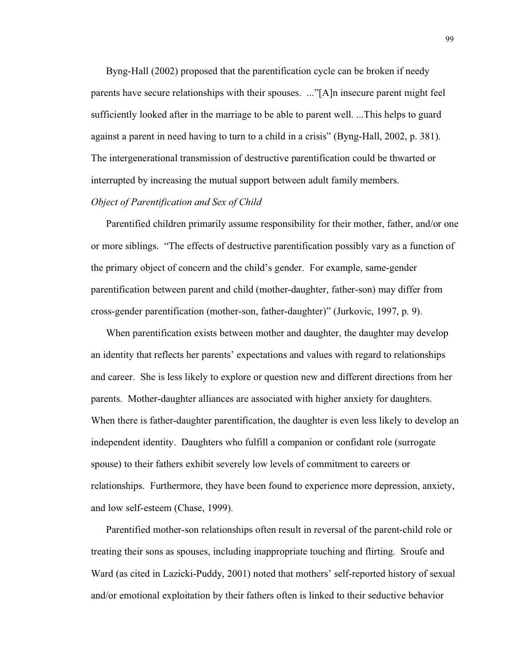Byng-Hall (2002) proposed that the parentification cycle can be broken if needy parents have secure relationships with their spouses. ..."[A]n insecure parent might feel sufficiently looked after in the marriage to be able to parent well. ...This helps to guard against a parent in need having to turn to a child in a crisis" (Byng-Hall, 2002, p. 381). The intergenerational transmission of destructive parentification could be thwarted or interrupted by increasing the mutual support between adult family members.

# *Object of Parentification and Sex of Child*

Parentified children primarily assume responsibility for their mother, father, and/or one or more siblings. "The effects of destructive parentification possibly vary as a function of the primary object of concern and the child's gender. For example, same-gender parentification between parent and child (mother-daughter, father-son) may differ from cross-gender parentification (mother-son, father-daughter)" (Jurkovic, 1997, p. 9).

When parentification exists between mother and daughter, the daughter may develop an identity that reflects her parents' expectations and values with regard to relationships and career. She is less likely to explore or question new and different directions from her parents. Mother-daughter alliances are associated with higher anxiety for daughters. When there is father-daughter parentification, the daughter is even less likely to develop an independent identity. Daughters who fulfill a companion or confidant role (surrogate spouse) to their fathers exhibit severely low levels of commitment to careers or relationships. Furthermore, they have been found to experience more depression, anxiety, and low self-esteem (Chase, 1999).

Parentified mother-son relationships often result in reversal of the parent-child role or treating their sons as spouses, including inappropriate touching and flirting. Sroufe and Ward (as cited in Lazicki-Puddy, 2001) noted that mothers' self-reported history of sexual and/or emotional exploitation by their fathers often is linked to their seductive behavior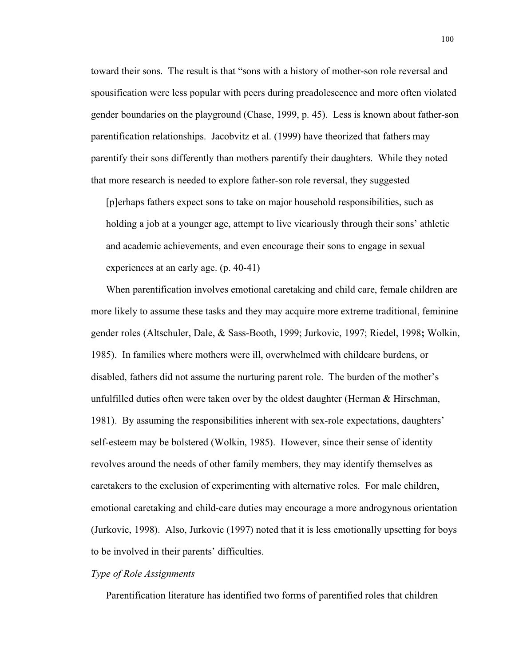toward their sons. The result is that "sons with a history of mother-son role reversal and spousification were less popular with peers during preadolescence and more often violated gender boundaries on the playground (Chase, 1999, p. 45). Less is known about father-son parentification relationships. Jacobvitz et al. (1999) have theorized that fathers may parentify their sons differently than mothers parentify their daughters. While they noted that more research is needed to explore father-son role reversal, they suggested

[p]erhaps fathers expect sons to take on major household responsibilities, such as holding a job at a younger age, attempt to live vicariously through their sons' athletic and academic achievements, and even encourage their sons to engage in sexual experiences at an early age. (p. 40-41)

When parentification involves emotional caretaking and child care, female children are more likely to assume these tasks and they may acquire more extreme traditional, feminine gender roles (Altschuler, Dale, & Sass-Booth, 1999; Jurkovic, 1997; Riedel, 1998**;** Wolkin, 1985). In families where mothers were ill, overwhelmed with childcare burdens, or disabled, fathers did not assume the nurturing parent role. The burden of the mother's unfulfilled duties often were taken over by the oldest daughter (Herman & Hirschman, 1981). By assuming the responsibilities inherent with sex-role expectations, daughters' self-esteem may be bolstered (Wolkin, 1985). However, since their sense of identity revolves around the needs of other family members, they may identify themselves as caretakers to the exclusion of experimenting with alternative roles. For male children, emotional caretaking and child-care duties may encourage a more androgynous orientation (Jurkovic, 1998). Also, Jurkovic (1997) noted that it is less emotionally upsetting for boys to be involved in their parents' difficulties.

# *Type of Role Assignments*

Parentification literature has identified two forms of parentified roles that children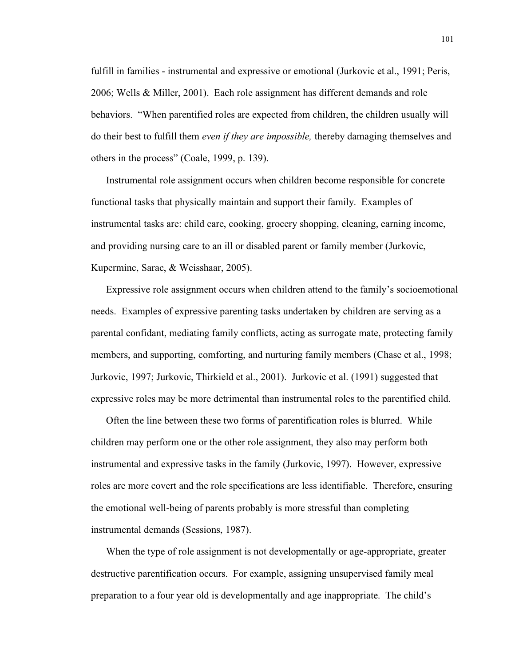fulfill in families - instrumental and expressive or emotional (Jurkovic et al., 1991; Peris, 2006; Wells & Miller, 2001). Each role assignment has different demands and role behaviors. "When parentified roles are expected from children, the children usually will do their best to fulfill them *even if they are impossible,* thereby damaging themselves and others in the process" (Coale, 1999, p. 139).

Instrumental role assignment occurs when children become responsible for concrete functional tasks that physically maintain and support their family. Examples of instrumental tasks are: child care, cooking, grocery shopping, cleaning, earning income, and providing nursing care to an ill or disabled parent or family member (Jurkovic, Kuperminc, Sarac, & Weisshaar, 2005).

Expressive role assignment occurs when children attend to the family's socioemotional needs. Examples of expressive parenting tasks undertaken by children are serving as a parental confidant, mediating family conflicts, acting as surrogate mate, protecting family members, and supporting, comforting, and nurturing family members (Chase et al., 1998; Jurkovic, 1997; Jurkovic, Thirkield et al., 2001). Jurkovic et al. (1991) suggested that expressive roles may be more detrimental than instrumental roles to the parentified child.

Often the line between these two forms of parentification roles is blurred. While children may perform one or the other role assignment, they also may perform both instrumental and expressive tasks in the family (Jurkovic, 1997). However, expressive roles are more covert and the role specifications are less identifiable. Therefore, ensuring the emotional well-being of parents probably is more stressful than completing instrumental demands (Sessions, 1987).

When the type of role assignment is not developmentally or age-appropriate, greater destructive parentification occurs. For example, assigning unsupervised family meal preparation to a four year old is developmentally and age inappropriate. The child's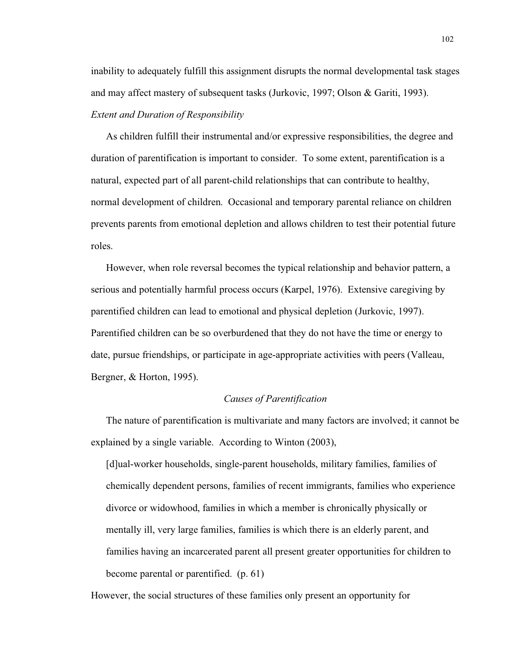inability to adequately fulfill this assignment disrupts the normal developmental task stages and may affect mastery of subsequent tasks (Jurkovic, 1997; Olson & Gariti, 1993). *Extent and Duration of Responsibility*

As children fulfill their instrumental and/or expressive responsibilities, the degree and duration of parentification is important to consider. To some extent, parentification is a natural, expected part of all parent-child relationships that can contribute to healthy, normal development of children. Occasional and temporary parental reliance on children prevents parents from emotional depletion and allows children to test their potential future roles.

However, when role reversal becomes the typical relationship and behavior pattern, a serious and potentially harmful process occurs (Karpel, 1976). Extensive caregiving by parentified children can lead to emotional and physical depletion (Jurkovic, 1997). Parentified children can be so overburdened that they do not have the time or energy to date, pursue friendships, or participate in age-appropriate activities with peers (Valleau, Bergner, & Horton, 1995).

### *Causes of Parentification*

The nature of parentification is multivariate and many factors are involved; it cannot be explained by a single variable. According to Winton (2003),

[d]ual-worker households, single-parent households, military families, families of chemically dependent persons, families of recent immigrants, families who experience divorce or widowhood, families in which a member is chronically physically or mentally ill, very large families, families is which there is an elderly parent, and families having an incarcerated parent all present greater opportunities for children to become parental or parentified. (p. 61)

However, the social structures of these families only present an opportunity for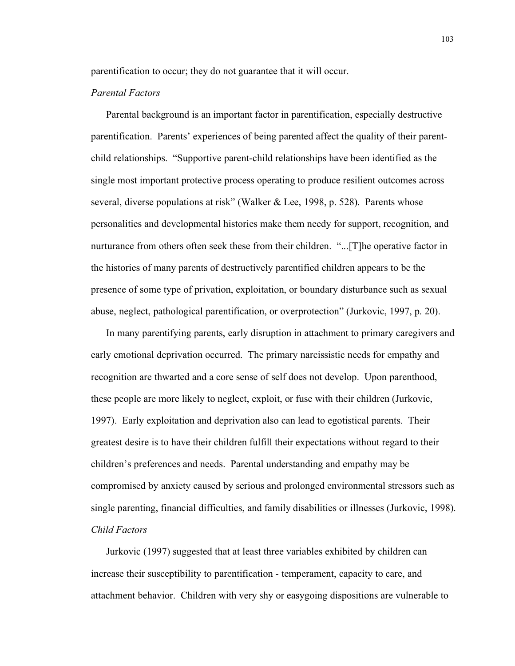parentification to occur; they do not guarantee that it will occur.

# *Parental Factors*

Parental background is an important factor in parentification, especially destructive parentification. Parents' experiences of being parented affect the quality of their parentchild relationships. "Supportive parent-child relationships have been identified as the single most important protective process operating to produce resilient outcomes across several, diverse populations at risk" (Walker & Lee, 1998, p. 528). Parents whose personalities and developmental histories make them needy for support, recognition, and nurturance from others often seek these from their children. "...[T]he operative factor in the histories of many parents of destructively parentified children appears to be the presence of some type of privation, exploitation, or boundary disturbance such as sexual abuse, neglect, pathological parentification, or overprotection" (Jurkovic, 1997, p. 20).

In many parentifying parents, early disruption in attachment to primary caregivers and early emotional deprivation occurred. The primary narcissistic needs for empathy and recognition are thwarted and a core sense of self does not develop. Upon parenthood, these people are more likely to neglect, exploit, or fuse with their children (Jurkovic, 1997). Early exploitation and deprivation also can lead to egotistical parents. Their greatest desire is to have their children fulfill their expectations without regard to their children's preferences and needs. Parental understanding and empathy may be compromised by anxiety caused by serious and prolonged environmental stressors such as single parenting, financial difficulties, and family disabilities or illnesses (Jurkovic, 1998). *Child Factors*

Jurkovic (1997) suggested that at least three variables exhibited by children can increase their susceptibility to parentification - temperament, capacity to care, and attachment behavior. Children with very shy or easygoing dispositions are vulnerable to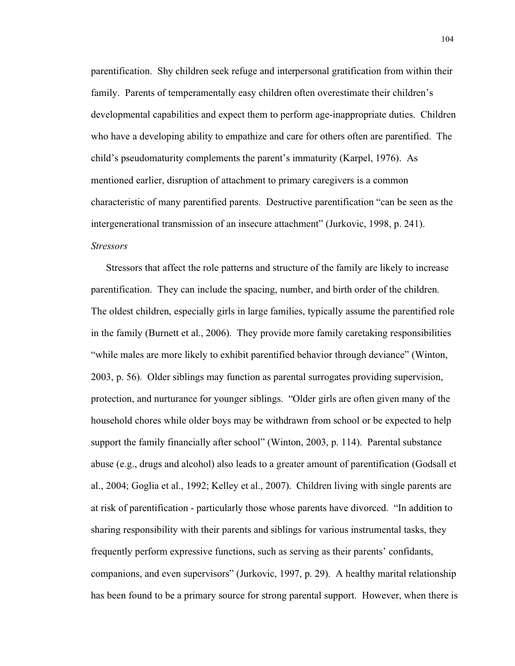parentification. Shy children seek refuge and interpersonal gratification from within their family. Parents of temperamentally easy children often overestimate their children's developmental capabilities and expect them to perform age-inappropriate duties. Children who have a developing ability to empathize and care for others often are parentified. The child's pseudomaturity complements the parent's immaturity (Karpel, 1976). As mentioned earlier, disruption of attachment to primary caregivers is a common characteristic of many parentified parents. Destructive parentification "can be seen as the intergenerational transmission of an insecure attachment" (Jurkovic, 1998, p. 241). *Stressors*

Stressors that affect the role patterns and structure of the family are likely to increase parentification. They can include the spacing, number, and birth order of the children. The oldest children, especially girls in large families, typically assume the parentified role in the family (Burnett et al., 2006). They provide more family caretaking responsibilities "while males are more likely to exhibit parentified behavior through deviance" (Winton, 2003, p. 56). Older siblings may function as parental surrogates providing supervision, protection, and nurturance for younger siblings. "Older girls are often given many of the household chores while older boys may be withdrawn from school or be expected to help support the family financially after school" (Winton, 2003, p. 114). Parental substance abuse (e.g., drugs and alcohol) also leads to a greater amount of parentification (Godsall et al., 2004; Goglia et al., 1992; Kelley et al., 2007). Children living with single parents are at risk of parentification - particularly those whose parents have divorced. "In addition to sharing responsibility with their parents and siblings for various instrumental tasks, they frequently perform expressive functions, such as serving as their parents' confidants, companions, and even supervisors" (Jurkovic, 1997, p. 29). A healthy marital relationship has been found to be a primary source for strong parental support. However, when there is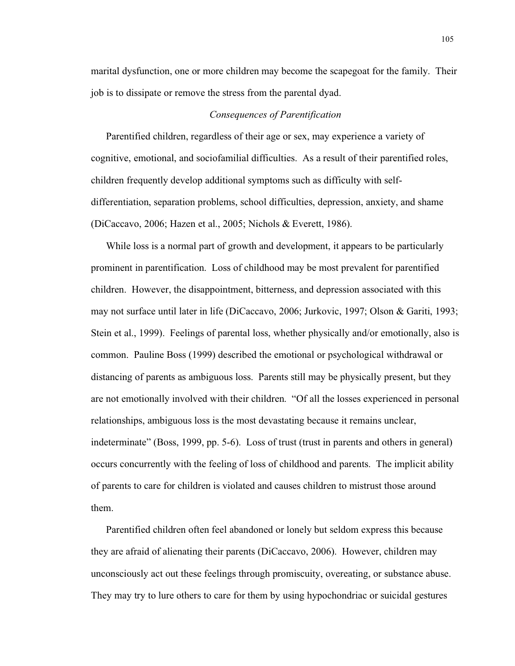marital dysfunction, one or more children may become the scapegoat for the family. Their job is to dissipate or remove the stress from the parental dyad.

#### *Consequences of Parentification*

Parentified children, regardless of their age or sex, may experience a variety of cognitive, emotional, and sociofamilial difficulties. As a result of their parentified roles, children frequently develop additional symptoms such as difficulty with selfdifferentiation, separation problems, school difficulties, depression, anxiety, and shame (DiCaccavo, 2006; Hazen et al., 2005; Nichols & Everett, 1986).

While loss is a normal part of growth and development, it appears to be particularly prominent in parentification. Loss of childhood may be most prevalent for parentified children. However, the disappointment, bitterness, and depression associated with this may not surface until later in life (DiCaccavo, 2006; Jurkovic, 1997; Olson & Gariti, 1993; Stein et al., 1999). Feelings of parental loss, whether physically and/or emotionally, also is common. Pauline Boss (1999) described the emotional or psychological withdrawal or distancing of parents as ambiguous loss. Parents still may be physically present, but they are not emotionally involved with their children. "Of all the losses experienced in personal relationships, ambiguous loss is the most devastating because it remains unclear, indeterminate" (Boss, 1999, pp. 5-6). Loss of trust (trust in parents and others in general) occurs concurrently with the feeling of loss of childhood and parents. The implicit ability of parents to care for children is violated and causes children to mistrust those around them.

Parentified children often feel abandoned or lonely but seldom express this because they are afraid of alienating their parents (DiCaccavo, 2006). However, children may unconsciously act out these feelings through promiscuity, overeating, or substance abuse. They may try to lure others to care for them by using hypochondriac or suicidal gestures

105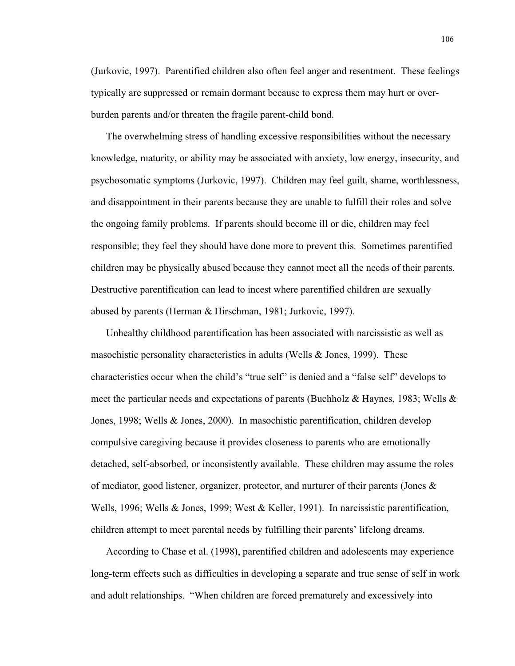(Jurkovic, 1997). Parentified children also often feel anger and resentment. These feelings typically are suppressed or remain dormant because to express them may hurt or overburden parents and/or threaten the fragile parent-child bond.

The overwhelming stress of handling excessive responsibilities without the necessary knowledge, maturity, or ability may be associated with anxiety, low energy, insecurity, and psychosomatic symptoms (Jurkovic, 1997). Children may feel guilt, shame, worthlessness, and disappointment in their parents because they are unable to fulfill their roles and solve the ongoing family problems. If parents should become ill or die, children may feel responsible; they feel they should have done more to prevent this. Sometimes parentified children may be physically abused because they cannot meet all the needs of their parents. Destructive parentification can lead to incest where parentified children are sexually abused by parents (Herman & Hirschman, 1981; Jurkovic, 1997).

Unhealthy childhood parentification has been associated with narcissistic as well as masochistic personality characteristics in adults (Wells & Jones, 1999). These characteristics occur when the child's "true self" is denied and a "false self" develops to meet the particular needs and expectations of parents (Buchholz & Haynes, 1983; Wells & Jones, 1998; Wells & Jones, 2000). In masochistic parentification, children develop compulsive caregiving because it provides closeness to parents who are emotionally detached, self-absorbed, or inconsistently available. These children may assume the roles of mediator, good listener, organizer, protector, and nurturer of their parents (Jones & Wells, 1996; Wells & Jones, 1999; West & Keller, 1991). In narcissistic parentification, children attempt to meet parental needs by fulfilling their parents' lifelong dreams.

According to Chase et al. (1998), parentified children and adolescents may experience long-term effects such as difficulties in developing a separate and true sense of self in work and adult relationships. "When children are forced prematurely and excessively into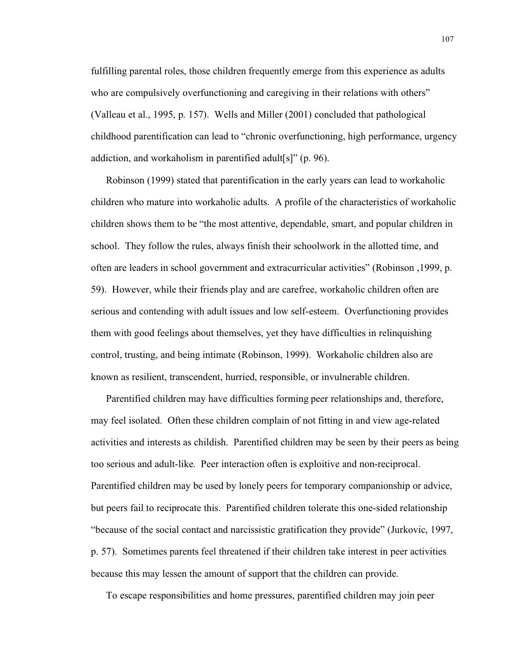fulfilling parental roles, those children frequently emerge from this experience as adults who are compulsively overfunctioning and caregiving in their relations with others" (Valleau et al., 1995, p. 157). Wells and Miller (2001) concluded that pathological childhood parentification can lead to "chronic overfunctioning, high performance, urgency addiction, and workaholism in parentified adult[s]" (p. 96).

Robinson (1999) stated that parentification in the early years can lead to workaholic children who mature into workaholic adults. A profile of the characteristics of workaholic children shows them to be "the most attentive, dependable, smart, and popular children in school. They follow the rules, always finish their schoolwork in the allotted time, and often are leaders in school government and extracurricular activities" (Robinson ,1999, p. 59). However, while their friends play and are carefree, workaholic children often are serious and contending with adult issues and low self-esteem. Overfunctioning provides them with good feelings about themselves, yet they have difficulties in relinquishing control, trusting, and being intimate (Robinson, 1999). Workaholic children also are known as resilient, transcendent, hurried, responsible, or invulnerable children.

Parentified children may have difficulties forming peer relationships and, therefore, may feel isolated. Often these children complain of not fitting in and view age-related activities and interests as childish. Parentified children may be seen by their peers as being too serious and adult-like. Peer interaction often is exploitive and non-reciprocal. Parentified children may be used by lonely peers for temporary companionship or advice, but peers fail to reciprocate this. Parentified children tolerate this one-sided relationship "because of the social contact and narcissistic gratification they provide" (Jurkovic, 1997, p. 57). Sometimes parents feel threatened if their children take interest in peer activities because this may lessen the amount of support that the children can provide.

To escape responsibilities and home pressures, parentified children may join peer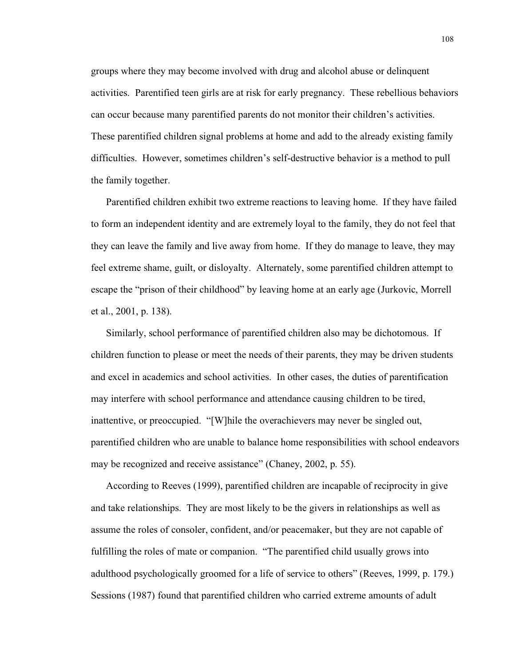groups where they may become involved with drug and alcohol abuse or delinquent activities. Parentified teen girls are at risk for early pregnancy. These rebellious behaviors can occur because many parentified parents do not monitor their children's activities. These parentified children signal problems at home and add to the already existing family difficulties. However, sometimes children's self-destructive behavior is a method to pull the family together.

Parentified children exhibit two extreme reactions to leaving home. If they have failed to form an independent identity and are extremely loyal to the family, they do not feel that they can leave the family and live away from home. If they do manage to leave, they may feel extreme shame, guilt, or disloyalty. Alternately, some parentified children attempt to escape the "prison of their childhood" by leaving home at an early age (Jurkovic, Morrell et al., 2001, p. 138).

Similarly, school performance of parentified children also may be dichotomous. If children function to please or meet the needs of their parents, they may be driven students and excel in academics and school activities. In other cases, the duties of parentification may interfere with school performance and attendance causing children to be tired, inattentive, or preoccupied. "[W]hile the overachievers may never be singled out, parentified children who are unable to balance home responsibilities with school endeavors may be recognized and receive assistance" (Chaney, 2002, p. 55).

According to Reeves (1999), parentified children are incapable of reciprocity in give and take relationships. They are most likely to be the givers in relationships as well as assume the roles of consoler, confident, and/or peacemaker, but they are not capable of fulfilling the roles of mate or companion. "The parentified child usually grows into adulthood psychologically groomed for a life of service to others" (Reeves, 1999, p. 179.) Sessions (1987) found that parentified children who carried extreme amounts of adult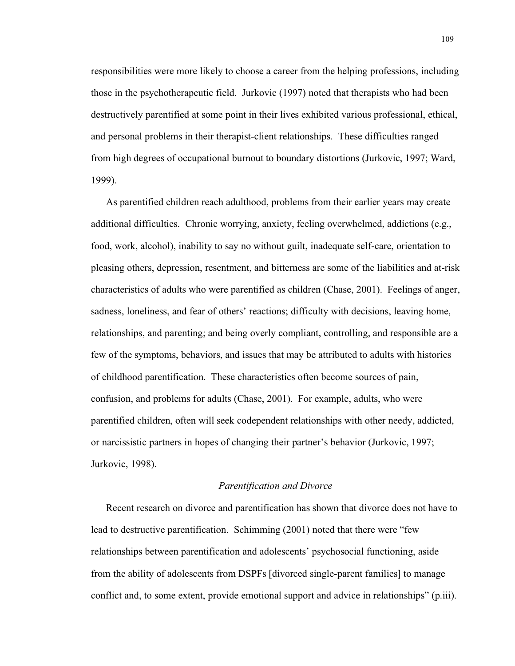responsibilities were more likely to choose a career from the helping professions, including those in the psychotherapeutic field. Jurkovic (1997) noted that therapists who had been destructively parentified at some point in their lives exhibited various professional, ethical, and personal problems in their therapist-client relationships. These difficulties ranged from high degrees of occupational burnout to boundary distortions (Jurkovic, 1997; Ward, 1999).

As parentified children reach adulthood, problems from their earlier years may create additional difficulties. Chronic worrying, anxiety, feeling overwhelmed, addictions (e.g., food, work, alcohol), inability to say no without guilt, inadequate self-care, orientation to pleasing others, depression, resentment, and bitterness are some of the liabilities and at-risk characteristics of adults who were parentified as children (Chase, 2001). Feelings of anger, sadness, loneliness, and fear of others' reactions; difficulty with decisions, leaving home, relationships, and parenting; and being overly compliant, controlling, and responsible are a few of the symptoms, behaviors, and issues that may be attributed to adults with histories of childhood parentification. These characteristics often become sources of pain, confusion, and problems for adults (Chase, 2001). For example, adults, who were parentified children, often will seek codependent relationships with other needy, addicted, or narcissistic partners in hopes of changing their partner's behavior (Jurkovic, 1997; Jurkovic, 1998).

# *Parentification and Divorce*

Recent research on divorce and parentification has shown that divorce does not have to lead to destructive parentification. Schimming (2001) noted that there were "few relationships between parentification and adolescents' psychosocial functioning, aside from the ability of adolescents from DSPFs [divorced single-parent families] to manage conflict and, to some extent, provide emotional support and advice in relationships" (p.iii).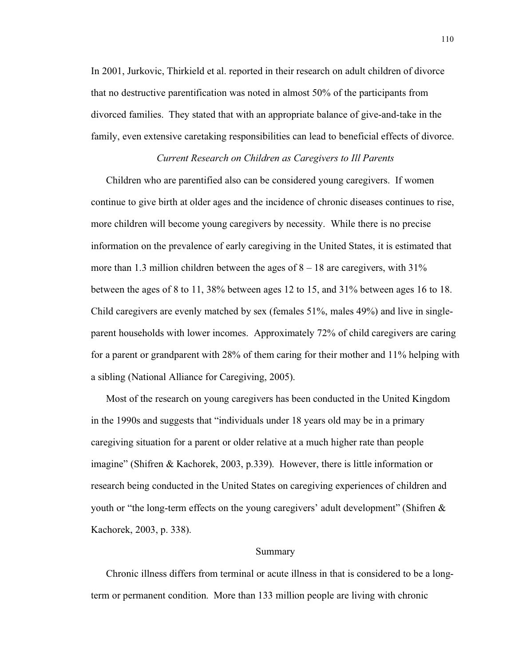In 2001, Jurkovic, Thirkield et al. reported in their research on adult children of divorce that no destructive parentification was noted in almost 50% of the participants from divorced families. They stated that with an appropriate balance of give-and-take in the family, even extensive caretaking responsibilities can lead to beneficial effects of divorce.

# *Current Research on Children as Caregivers to Ill Parents*

Children who are parentified also can be considered young caregivers. If women continue to give birth at older ages and the incidence of chronic diseases continues to rise, more children will become young caregivers by necessity. While there is no precise information on the prevalence of early caregiving in the United States, it is estimated that more than 1.3 million children between the ages of  $8 - 18$  are caregivers, with 31% between the ages of 8 to 11, 38% between ages 12 to 15, and 31% between ages 16 to 18. Child caregivers are evenly matched by sex (females 51%, males 49%) and live in singleparent households with lower incomes. Approximately 72% of child caregivers are caring for a parent or grandparent with 28% of them caring for their mother and 11% helping with a sibling (National Alliance for Caregiving, 2005).

Most of the research on young caregivers has been conducted in the United Kingdom in the 1990s and suggests that "individuals under 18 years old may be in a primary caregiving situation for a parent or older relative at a much higher rate than people imagine" (Shifren & Kachorek, 2003, p.339). However, there is little information or research being conducted in the United States on caregiving experiences of children and youth or "the long-term effects on the young caregivers' adult development" (Shifren & Kachorek, 2003, p. 338).

#### Summary

Chronic illness differs from terminal or acute illness in that is considered to be a longterm or permanent condition. More than 133 million people are living with chronic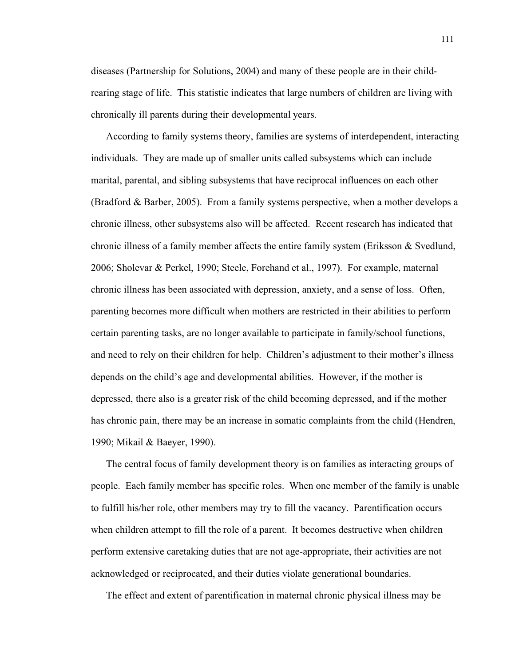diseases (Partnership for Solutions, 2004) and many of these people are in their childrearing stage of life. This statistic indicates that large numbers of children are living with chronically ill parents during their developmental years.

According to family systems theory, families are systems of interdependent, interacting individuals. They are made up of smaller units called subsystems which can include marital, parental, and sibling subsystems that have reciprocal influences on each other (Bradford & Barber, 2005). From a family systems perspective, when a mother develops a chronic illness, other subsystems also will be affected. Recent research has indicated that chronic illness of a family member affects the entire family system (Eriksson & Svedlund, 2006; Sholevar & Perkel, 1990; Steele, Forehand et al., 1997). For example, maternal chronic illness has been associated with depression, anxiety, and a sense of loss. Often, parenting becomes more difficult when mothers are restricted in their abilities to perform certain parenting tasks, are no longer available to participate in family/school functions, and need to rely on their children for help. Children's adjustment to their mother's illness depends on the child's age and developmental abilities. However, if the mother is depressed, there also is a greater risk of the child becoming depressed, and if the mother has chronic pain, there may be an increase in somatic complaints from the child (Hendren, 1990; Mikail & Baeyer, 1990).

The central focus of family development theory is on families as interacting groups of people. Each family member has specific roles. When one member of the family is unable to fulfill his/her role, other members may try to fill the vacancy. Parentification occurs when children attempt to fill the role of a parent. It becomes destructive when children perform extensive caretaking duties that are not age-appropriate, their activities are not acknowledged or reciprocated, and their duties violate generational boundaries.

The effect and extent of parentification in maternal chronic physical illness may be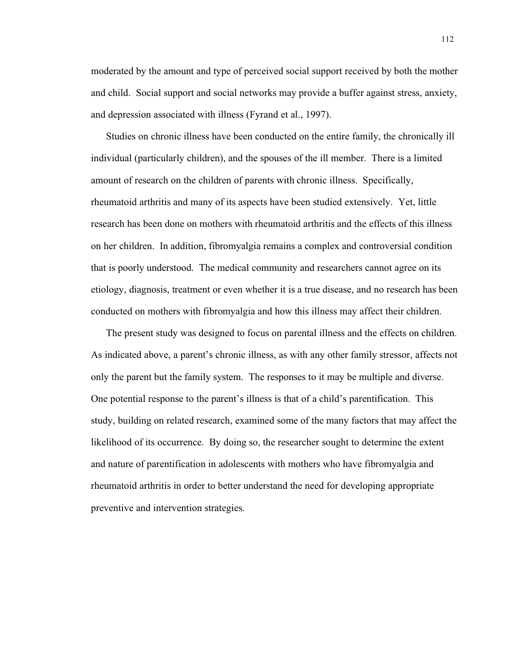moderated by the amount and type of perceived social support received by both the mother and child. Social support and social networks may provide a buffer against stress, anxiety, and depression associated with illness (Fyrand et al., 1997).

Studies on chronic illness have been conducted on the entire family, the chronically ill individual (particularly children), and the spouses of the ill member. There is a limited amount of research on the children of parents with chronic illness. Specifically, rheumatoid arthritis and many of its aspects have been studied extensively. Yet, little research has been done on mothers with rheumatoid arthritis and the effects of this illness on her children. In addition, fibromyalgia remains a complex and controversial condition that is poorly understood. The medical community and researchers cannot agree on its etiology, diagnosis, treatment or even whether it is a true disease, and no research has been conducted on mothers with fibromyalgia and how this illness may affect their children.

The present study was designed to focus on parental illness and the effects on children. As indicated above, a parent's chronic illness, as with any other family stressor, affects not only the parent but the family system. The responses to it may be multiple and diverse. One potential response to the parent's illness is that of a child's parentification. This study, building on related research, examined some of the many factors that may affect the likelihood of its occurrence. By doing so, the researcher sought to determine the extent and nature of parentification in adolescents with mothers who have fibromyalgia and rheumatoid arthritis in order to better understand the need for developing appropriate preventive and intervention strategies.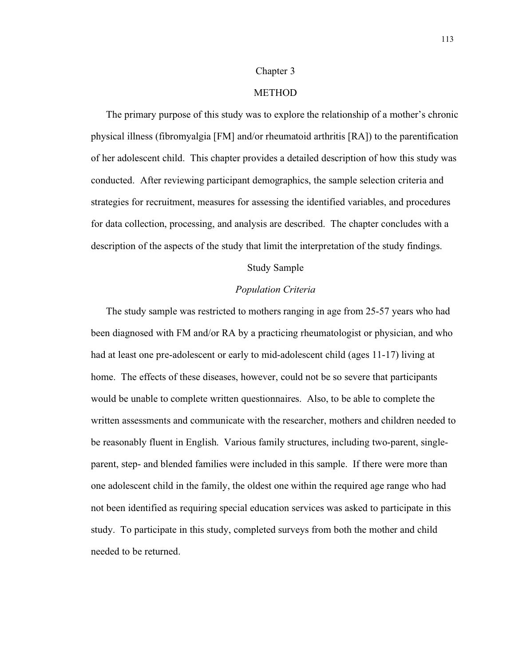#### Chapter 3

### **METHOD**

The primary purpose of this study was to explore the relationship of a mother's chronic physical illness (fibromyalgia [FM] and/or rheumatoid arthritis [RA]) to the parentification of her adolescent child. This chapter provides a detailed description of how this study was conducted. After reviewing participant demographics, the sample selection criteria and strategies for recruitment, measures for assessing the identified variables, and procedures for data collection, processing, and analysis are described. The chapter concludes with a description of the aspects of the study that limit the interpretation of the study findings.

### Study Sample

#### *Population Criteria*

The study sample was restricted to mothers ranging in age from 25-57 years who had been diagnosed with FM and/or RA by a practicing rheumatologist or physician, and who had at least one pre-adolescent or early to mid-adolescent child (ages 11-17) living at home. The effects of these diseases, however, could not be so severe that participants would be unable to complete written questionnaires. Also, to be able to complete the written assessments and communicate with the researcher, mothers and children needed to be reasonably fluent in English. Various family structures, including two-parent, singleparent, step- and blended families were included in this sample. If there were more than one adolescent child in the family, the oldest one within the required age range who had not been identified as requiring special education services was asked to participate in this study. To participate in this study, completed surveys from both the mother and child needed to be returned.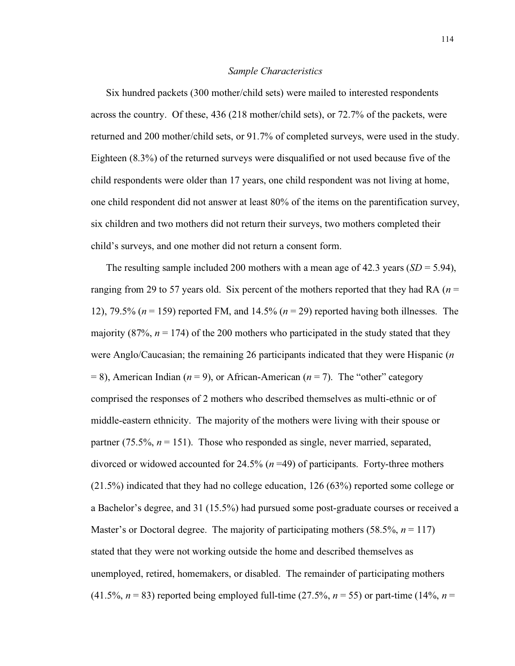#### *Sample Characteristics*

Six hundred packets (300 mother/child sets) were mailed to interested respondents across the country. Of these, 436 (218 mother/child sets), or 72.7% of the packets, were returned and 200 mother/child sets, or 91.7% of completed surveys, were used in the study. Eighteen (8.3%) of the returned surveys were disqualified or not used because five of the child respondents were older than 17 years, one child respondent was not living at home, one child respondent did not answer at least 80% of the items on the parentification survey, six children and two mothers did not return their surveys, two mothers completed their child's surveys, and one mother did not return a consent form.

The resulting sample included 200 mothers with a mean age of 42.3 years  $(SD = 5.94)$ , ranging from 29 to 57 years old. Six percent of the mothers reported that they had RA (*n* = 12), 79.5% (*n* = 159) reported FM, and 14.5% (*n* = 29) reported having both illnesses. The majority (87%,  $n = 174$ ) of the 200 mothers who participated in the study stated that they were Anglo/Caucasian; the remaining 26 participants indicated that they were Hispanic (*n*  $= 8$ ), American Indian ( $n = 9$ ), or African-American ( $n = 7$ ). The "other" category comprised the responses of 2 mothers who described themselves as multi-ethnic or of middle-eastern ethnicity. The majority of the mothers were living with their spouse or partner  $(75.5\%, n = 151)$ . Those who responded as single, never married, separated, divorced or widowed accounted for 24.5% (*n* =49) of participants. Forty-three mothers (21.5%) indicated that they had no college education, 126 (63%) reported some college or a Bachelor's degree, and 31 (15.5%) had pursued some post-graduate courses or received a Master's or Doctoral degree. The majority of participating mothers (58.5%, *n* = 117) stated that they were not working outside the home and described themselves as unemployed, retired, homemakers, or disabled. The remainder of participating mothers (41.5%,  $n = 83$ ) reported being employed full-time (27.5%,  $n = 55$ ) or part-time (14%,  $n =$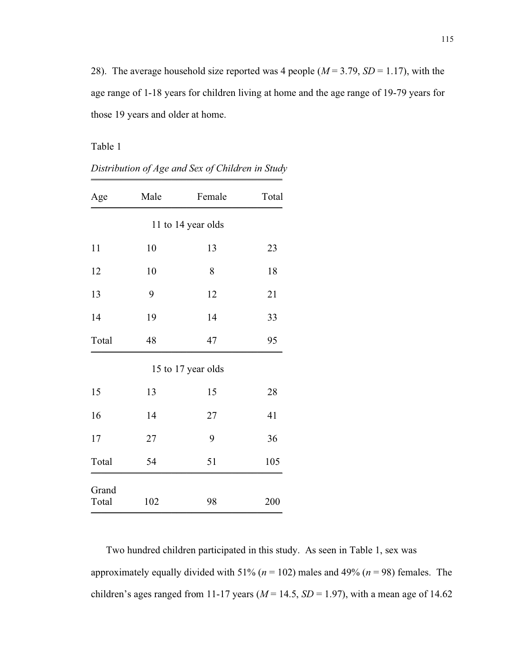28). The average household size reported was 4 people ( $M = 3.79$ ,  $SD = 1.17$ ), with the age range of 1-18 years for children living at home and the age range of 19-79 years for those 19 years and older at home.

Table 1

| Age                | Male | Female             | Total |  |  |  |  |  |  |  |
|--------------------|------|--------------------|-------|--|--|--|--|--|--|--|
| 11 to 14 year olds |      |                    |       |  |  |  |  |  |  |  |
| 11                 | 10   | 13                 | 23    |  |  |  |  |  |  |  |
| 12                 | 10   | 8                  | 18    |  |  |  |  |  |  |  |
| 13                 | 9    | 12                 | 21    |  |  |  |  |  |  |  |
| 14                 | 19   | 14                 | 33    |  |  |  |  |  |  |  |
| Total              | 48   | 47                 | 95    |  |  |  |  |  |  |  |
|                    |      | 15 to 17 year olds |       |  |  |  |  |  |  |  |
| 15                 | 13   | 15                 | 28    |  |  |  |  |  |  |  |
| 16                 | 14   | 27                 | 41    |  |  |  |  |  |  |  |
| 17                 | 27   | 9                  | 36    |  |  |  |  |  |  |  |
| Total              | 54   | 51                 | 105   |  |  |  |  |  |  |  |
| Grand<br>Total     | 102  | 98                 | 200   |  |  |  |  |  |  |  |

*Distribution of Age and Sex of Children in Study* \_\_\_\_\_\_\_\_\_\_\_\_\_\_\_\_\_\_\_\_\_\_\_\_\_\_\_\_\_\_\_\_\_\_\_\_\_\_

Two hundred children participated in this study. As seen in Table 1, sex was approximately equally divided with 51% (*n* = 102) males and 49% (*n* = 98) females. The children's ages ranged from 11-17 years ( $M = 14.5$ ,  $SD = 1.97$ ), with a mean age of 14.62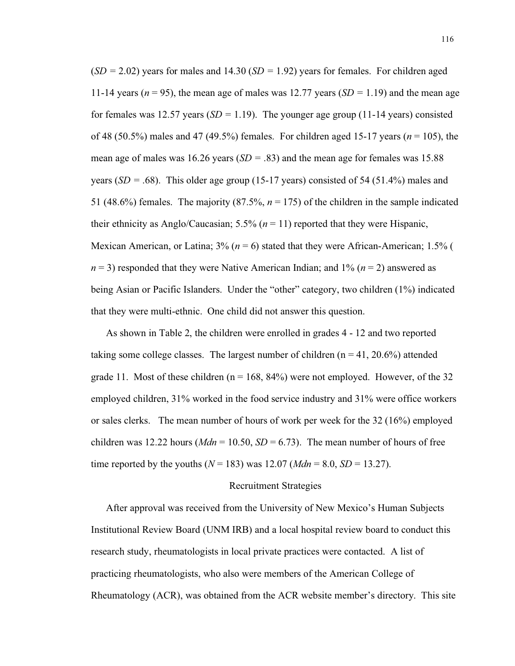(*SD =* 2.02) years for males and 14.30 (*SD =* 1.92) years for females. For children aged 11-14 years ( $n = 95$ ), the mean age of males was 12.77 years ( $SD = 1.19$ ) and the mean age for females was 12.57 years (*SD =* 1.19). The younger age group (11-14 years) consisted of 48 (50.5%) males and 47 (49.5%) females. For children aged 15-17 years (*n* = 105), the mean age of males was 16.26 years (*SD =* .83) and the mean age for females was 15.88 years (*SD =* .68). This older age group (15-17 years) consisted of 54 (51.4%) males and 51 (48.6%) females. The majority (87.5%,  $n = 175$ ) of the children in the sample indicated their ethnicity as Anglo/Caucasian;  $5.5\%$  ( $n = 11$ ) reported that they were Hispanic, Mexican American, or Latina; 3% (*n* = 6) stated that they were African-American; 1.5% (  $n = 3$ ) responded that they were Native American Indian; and  $1\%$  ( $n = 2$ ) answered as being Asian or Pacific Islanders. Under the "other" category, two children (1%) indicated that they were multi-ethnic. One child did not answer this question.

As shown in Table 2, the children were enrolled in grades 4 - 12 and two reported taking some college classes. The largest number of children  $(n = 41, 20.6%)$  attended grade 11. Most of these children ( $n = 168$ , 84%) were not employed. However, of the 32 employed children, 31% worked in the food service industry and 31% were office workers or sales clerks. The mean number of hours of work per week for the 32 (16%) employed children was 12.22 hours ( $Mdn = 10.50$ ,  $SD = 6.73$ ). The mean number of hours of free time reported by the youths ( $N = 183$ ) was 12.07 ( $Mdn = 8.0$ ,  $SD = 13.27$ ).

### Recruitment Strategies

After approval was received from the University of New Mexico's Human Subjects Institutional Review Board (UNM IRB) and a local hospital review board to conduct this research study, rheumatologists in local private practices were contacted. A list of practicing rheumatologists, who also were members of the American College of Rheumatology (ACR), was obtained from the ACR website member's directory. This site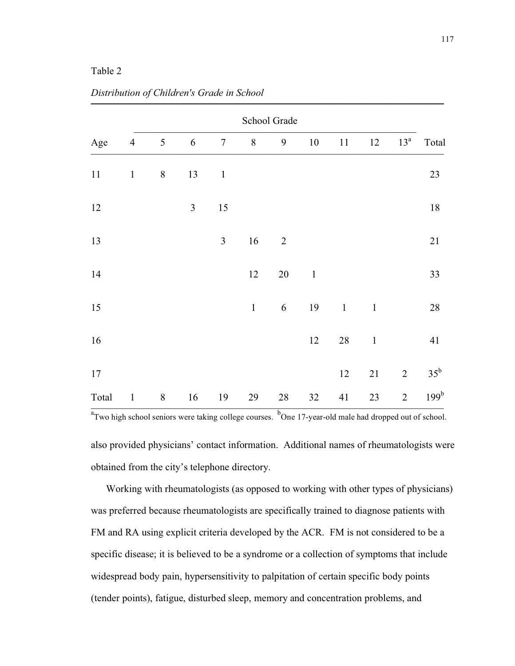# Table 2

| School Grade |                |                |                |                  |       |                  |         |             |              |                |                  |
|--------------|----------------|----------------|----------------|------------------|-------|------------------|---------|-------------|--------------|----------------|------------------|
| Age          | $\overline{4}$ | $\mathfrak{S}$ | 6              | $\boldsymbol{7}$ | $8\,$ | $\boldsymbol{9}$ | $10\,$  | 11          | 12           | $13^a$         | Total            |
| $11\,$       | $\mathbf 1$    | $\,8\,$        | 13             | $\mathbf{1}$     |       |                  |         |             |              |                | 23               |
| 12           |                |                | $\mathfrak{Z}$ | 15               |       |                  |         |             |              |                | $18\,$           |
| 13           |                |                |                | $\mathfrak{Z}$   | 16    | $\overline{2}$   |         |             |              |                | 21               |
| 14           |                |                |                |                  | 12    | $20\,$           | $\,1\,$ |             |              |                | 33               |
| 15           |                |                |                |                  | $\,1$ | $\sqrt{6}$       | 19      | $\mathbf 1$ | $\mathbf{1}$ |                | $28\,$           |
| 16           |                |                |                |                  |       |                  | 12      | $28\,$      | $\mathbf{1}$ |                | 41               |
| 17           |                |                |                |                  |       |                  |         | $12\,$      | $21\,$       | $\sqrt{2}$     | $35^b$           |
| Total        | $\mathbf{1}$   | $8\,$          | 16             | 19               | 29    | 28               | 32      | 41          | 23           | $\overline{2}$ | 199 <sup>b</sup> |

*Distribution of Children's Grade in School* \_\_\_\_\_\_\_\_\_\_\_\_\_\_\_\_\_\_\_\_\_\_\_\_\_\_\_\_\_\_\_\_\_\_\_\_\_\_\_\_\_\_\_\_\_\_\_\_\_\_\_\_\_\_\_\_\_\_\_\_\_\_\_\_\_\_\_\_\_\_

<sup>a</sup>Two high school seniors were taking college courses. <sup>b</sup>One 17-year-old male had dropped out of school.

also provided physicians' contact information. Additional names of rheumatologists were obtained from the city's telephone directory.

Working with rheumatologists (as opposed to working with other types of physicians) was preferred because rheumatologists are specifically trained to diagnose patients with FM and RA using explicit criteria developed by the ACR. FM is not considered to be a specific disease; it is believed to be a syndrome or a collection of symptoms that include widespread body pain, hypersensitivity to palpitation of certain specific body points (tender points), fatigue, disturbed sleep, memory and concentration problems, and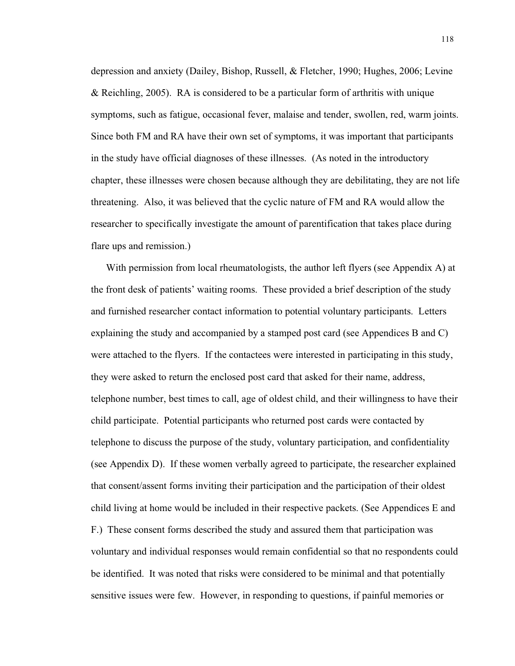depression and anxiety (Dailey, Bishop, Russell, & Fletcher, 1990; Hughes, 2006; Levine & Reichling, 2005). RA is considered to be a particular form of arthritis with unique symptoms, such as fatigue, occasional fever, malaise and tender, swollen, red, warm joints. Since both FM and RA have their own set of symptoms, it was important that participants in the study have official diagnoses of these illnesses. (As noted in the introductory chapter, these illnesses were chosen because although they are debilitating, they are not life threatening. Also, it was believed that the cyclic nature of FM and RA would allow the researcher to specifically investigate the amount of parentification that takes place during flare ups and remission.)

With permission from local rheumatologists, the author left flyers (see Appendix A) at the front desk of patients' waiting rooms. These provided a brief description of the study and furnished researcher contact information to potential voluntary participants. Letters explaining the study and accompanied by a stamped post card (see Appendices B and C) were attached to the flyers. If the contactees were interested in participating in this study, they were asked to return the enclosed post card that asked for their name, address, telephone number, best times to call, age of oldest child, and their willingness to have their child participate. Potential participants who returned post cards were contacted by telephone to discuss the purpose of the study, voluntary participation, and confidentiality (see Appendix D). If these women verbally agreed to participate, the researcher explained that consent/assent forms inviting their participation and the participation of their oldest child living at home would be included in their respective packets. (See Appendices E and F.) These consent forms described the study and assured them that participation was voluntary and individual responses would remain confidential so that no respondents could be identified. It was noted that risks were considered to be minimal and that potentially sensitive issues were few. However, in responding to questions, if painful memories or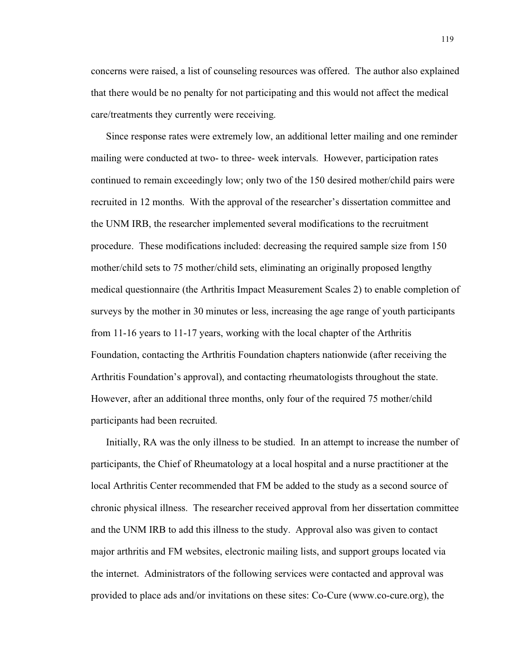concerns were raised, a list of counseling resources was offered. The author also explained that there would be no penalty for not participating and this would not affect the medical care/treatments they currently were receiving.

Since response rates were extremely low, an additional letter mailing and one reminder mailing were conducted at two- to three- week intervals. However, participation rates continued to remain exceedingly low; only two of the 150 desired mother/child pairs were recruited in 12 months. With the approval of the researcher's dissertation committee and the UNM IRB, the researcher implemented several modifications to the recruitment procedure. These modifications included: decreasing the required sample size from 150 mother/child sets to 75 mother/child sets, eliminating an originally proposed lengthy medical questionnaire (the Arthritis Impact Measurement Scales 2) to enable completion of surveys by the mother in 30 minutes or less, increasing the age range of youth participants from 11-16 years to 11-17 years, working with the local chapter of the Arthritis Foundation, contacting the Arthritis Foundation chapters nationwide (after receiving the Arthritis Foundation's approval), and contacting rheumatologists throughout the state. However, after an additional three months, only four of the required 75 mother/child participants had been recruited.

Initially, RA was the only illness to be studied. In an attempt to increase the number of participants, the Chief of Rheumatology at a local hospital and a nurse practitioner at the local Arthritis Center recommended that FM be added to the study as a second source of chronic physical illness. The researcher received approval from her dissertation committee and the UNM IRB to add this illness to the study. Approval also was given to contact major arthritis and FM websites, electronic mailing lists, and support groups located via the internet. Administrators of the following services were contacted and approval was provided to place ads and/or invitations on these sites: Co-Cure (www.co-cure.org), the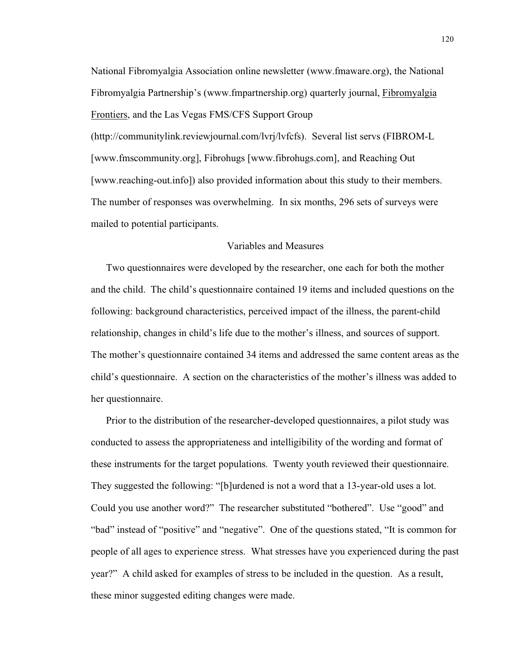National Fibromyalgia Association online newsletter (www.fmaware.org), the National Fibromyalgia Partnership's (www.fmpartnership.org) quarterly journal, Fibromyalgia Frontiers, and the Las Vegas FMS/CFS Support Group (http://communitylink.reviewjournal.com/lvrj/lvfcfs). Several list servs (FIBROM-L [www.fmscommunity.org], Fibrohugs [www.fibrohugs.com], and Reaching Out [www.reaching-out.info]) also provided information about this study to their members. The number of responses was overwhelming. In six months, 296 sets of surveys were mailed to potential participants.

### Variables and Measures

Two questionnaires were developed by the researcher, one each for both the mother and the child. The child's questionnaire contained 19 items and included questions on the following: background characteristics, perceived impact of the illness, the parent-child relationship, changes in child's life due to the mother's illness, and sources of support. The mother's questionnaire contained 34 items and addressed the same content areas as the child's questionnaire. A section on the characteristics of the mother's illness was added to her questionnaire.

Prior to the distribution of the researcher-developed questionnaires, a pilot study was conducted to assess the appropriateness and intelligibility of the wording and format of these instruments for the target populations. Twenty youth reviewed their questionnaire. They suggested the following: "[b]urdened is not a word that a 13-year-old uses a lot. Could you use another word?" The researcher substituted "bothered". Use "good" and "bad" instead of "positive" and "negative". One of the questions stated, "It is common for people of all ages to experience stress. What stresses have you experienced during the past year?" A child asked for examples of stress to be included in the question. As a result, these minor suggested editing changes were made.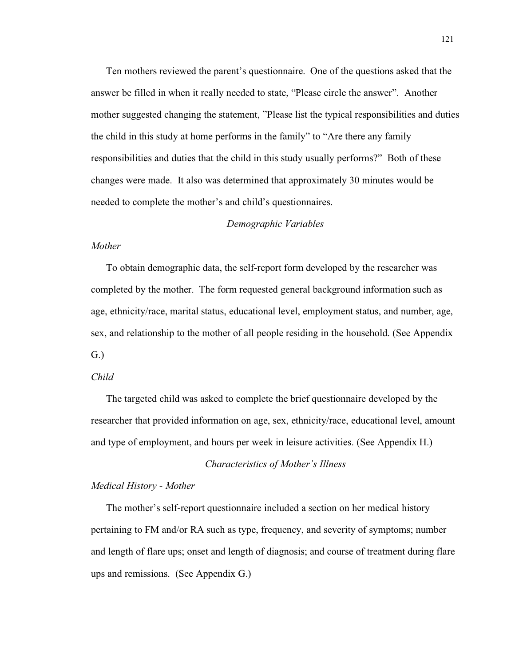Ten mothers reviewed the parent's questionnaire. One of the questions asked that the answer be filled in when it really needed to state, "Please circle the answer". Another mother suggested changing the statement, "Please list the typical responsibilities and duties the child in this study at home performs in the family" to "Are there any family responsibilities and duties that the child in this study usually performs?" Both of these changes were made. It also was determined that approximately 30 minutes would be needed to complete the mother's and child's questionnaires.

### *Demographic Variables*

#### *Mother*

To obtain demographic data, the self-report form developed by the researcher was completed by the mother. The form requested general background information such as age, ethnicity/race, marital status, educational level, employment status, and number, age, sex, and relationship to the mother of all people residing in the household. (See Appendix G.)

### *Child*

The targeted child was asked to complete the brief questionnaire developed by the researcher that provided information on age, sex, ethnicity/race, educational level, amount and type of employment, and hours per week in leisure activities. (See Appendix H.)

#### *Characteristics of Mother's Illness*

# *Medical History - Mother*

The mother's self-report questionnaire included a section on her medical history pertaining to FM and/or RA such as type, frequency, and severity of symptoms; number and length of flare ups; onset and length of diagnosis; and course of treatment during flare ups and remissions. (See Appendix G.)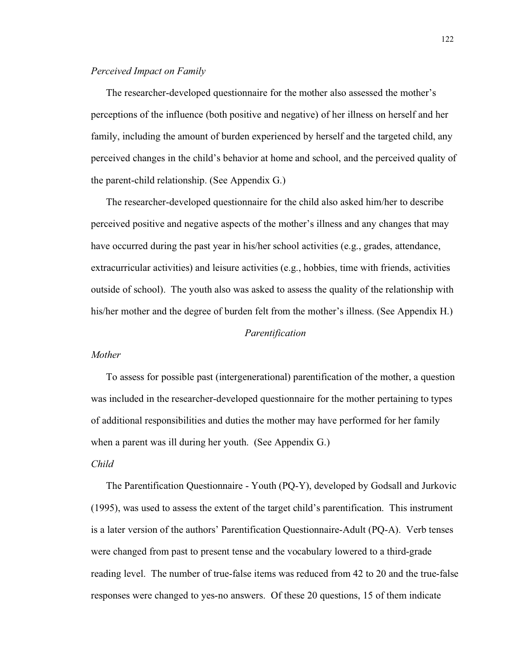### *Perceived Impact on Family*

The researcher-developed questionnaire for the mother also assessed the mother's perceptions of the influence (both positive and negative) of her illness on herself and her family, including the amount of burden experienced by herself and the targeted child, any perceived changes in the child's behavior at home and school, and the perceived quality of the parent-child relationship. (See Appendix G.)

The researcher-developed questionnaire for the child also asked him/her to describe perceived positive and negative aspects of the mother's illness and any changes that may have occurred during the past year in his/her school activities (e.g., grades, attendance, extracurricular activities) and leisure activities (e.g., hobbies, time with friends, activities outside of school). The youth also was asked to assess the quality of the relationship with his/her mother and the degree of burden felt from the mother's illness. (See Appendix H.)

### *Parentification*

#### *Mother*

To assess for possible past (intergenerational) parentification of the mother, a question was included in the researcher-developed questionnaire for the mother pertaining to types of additional responsibilities and duties the mother may have performed for her family when a parent was ill during her youth. (See Appendix G.)

### *Child*

The Parentification Questionnaire - Youth (PQ-Y), developed by Godsall and Jurkovic (1995), was used to assess the extent of the target child's parentification. This instrument is a later version of the authors' Parentification Questionnaire-Adult (PQ-A). Verb tenses were changed from past to present tense and the vocabulary lowered to a third-grade reading level. The number of true-false items was reduced from 42 to 20 and the true-false responses were changed to yes-no answers. Of these 20 questions, 15 of them indicate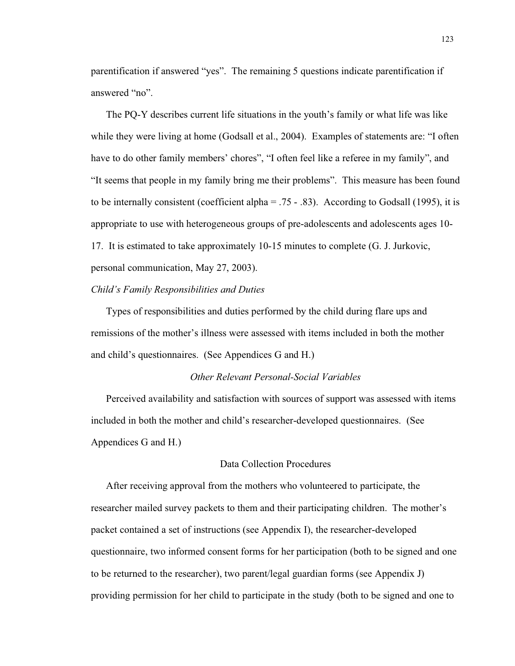parentification if answered "yes". The remaining 5 questions indicate parentification if answered "no".

The PQ-Y describes current life situations in the youth's family or what life was like while they were living at home (Godsall et al., 2004). Examples of statements are: "I often have to do other family members' chores", "I often feel like a referee in my family", and "It seems that people in my family bring me their problems". This measure has been found to be internally consistent (coefficient alpha  $= .75 - .83$ ). According to Godsall (1995), it is appropriate to use with heterogeneous groups of pre-adolescents and adolescents ages 10- 17. It is estimated to take approximately 10-15 minutes to complete (G. J. Jurkovic, personal communication, May 27, 2003).

### *Child's Family Responsibilities and Duties*

Types of responsibilities and duties performed by the child during flare ups and remissions of the mother's illness were assessed with items included in both the mother and child's questionnaires. (See Appendices G and H.)

### *Other Relevant Personal-Social Variables*

Perceived availability and satisfaction with sources of support was assessed with items included in both the mother and child's researcher-developed questionnaires. (See Appendices G and H.)

# Data Collection Procedures

After receiving approval from the mothers who volunteered to participate, the researcher mailed survey packets to them and their participating children. The mother's packet contained a set of instructions (see Appendix I), the researcher-developed questionnaire, two informed consent forms for her participation (both to be signed and one to be returned to the researcher), two parent/legal guardian forms (see Appendix J) providing permission for her child to participate in the study (both to be signed and one to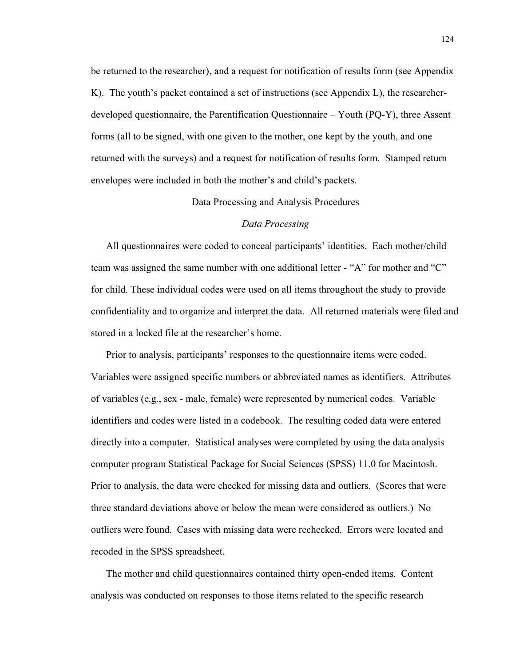be returned to the researcher), and a request for notification of results form (see Appendix K). The youth's packet contained a set of instructions (see Appendix L), the researcherdeveloped questionnaire, the Parentification Questionnaire – Youth (PQ-Y), three Assent forms (all to be signed, with one given to the mother, one kept by the youth, and one returned with the surveys) and a request for notification of results form. Stamped return envelopes were included in both the mother's and child's packets.

Data Processing and Analysis Procedures

### *Data Processing*

All questionnaires were coded to conceal participants' identities. Each mother/child team was assigned the same number with one additional letter - "A" for mother and "C" for child. These individual codes were used on all items throughout the study to provide confidentiality and to organize and interpret the data. All returned materials were filed and stored in a locked file at the researcher's home.

Prior to analysis, participants' responses to the questionnaire items were coded. Variables were assigned specific numbers or abbreviated names as identifiers. Attributes of variables (e.g., sex - male, female) were represented by numerical codes. Variable identifiers and codes were listed in a codebook. The resulting coded data were entered directly into a computer. Statistical analyses were completed by using the data analysis computer program Statistical Package for Social Sciences (SPSS) 11.0 for Macintosh. Prior to analysis, the data were checked for missing data and outliers. (Scores that were three standard deviations above or below the mean were considered as outliers.) No outliers were found. Cases with missing data were rechecked. Errors were located and recoded in the SPSS spreadsheet.

The mother and child questionnaires contained thirty open-ended items. Content analysis was conducted on responses to those items related to the specific research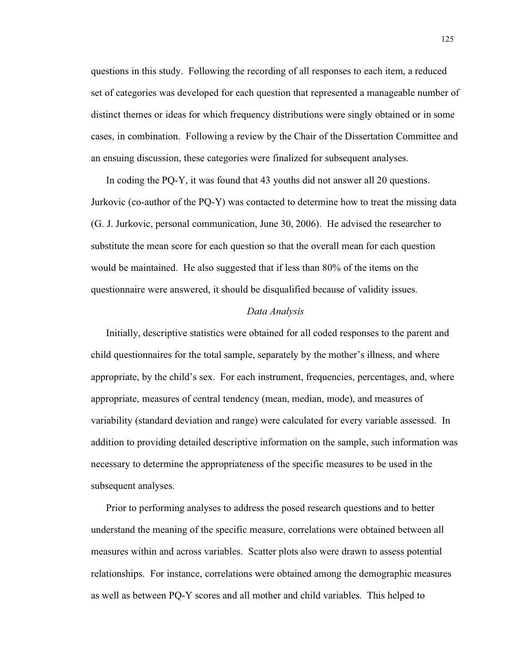questions in this study. Following the recording of all responses to each item, a reduced set of categories was developed for each question that represented a manageable number of distinct themes or ideas for which frequency distributions were singly obtained or in some cases, in combination. Following a review by the Chair of the Dissertation Committee and an ensuing discussion, these categories were finalized for subsequent analyses.

In coding the PQ-Y, it was found that 43 youths did not answer all 20 questions. Jurkovic (co-author of the PQ-Y) was contacted to determine how to treat the missing data (G. J. Jurkovic, personal communication, June 30, 2006). He advised the researcher to substitute the mean score for each question so that the overall mean for each question would be maintained. He also suggested that if less than 80% of the items on the questionnaire were answered, it should be disqualified because of validity issues.

#### *Data Analysis*

Initially, descriptive statistics were obtained for all coded responses to the parent and child questionnaires for the total sample, separately by the mother's illness, and where appropriate, by the child's sex. For each instrument, frequencies, percentages, and, where appropriate, measures of central tendency (mean, median, mode), and measures of variability (standard deviation and range) were calculated for every variable assessed. In addition to providing detailed descriptive information on the sample, such information was necessary to determine the appropriateness of the specific measures to be used in the subsequent analyses.

Prior to performing analyses to address the posed research questions and to better understand the meaning of the specific measure, correlations were obtained between all measures within and across variables. Scatter plots also were drawn to assess potential relationships. For instance, correlations were obtained among the demographic measures as well as between PQ-Y scores and all mother and child variables. This helped to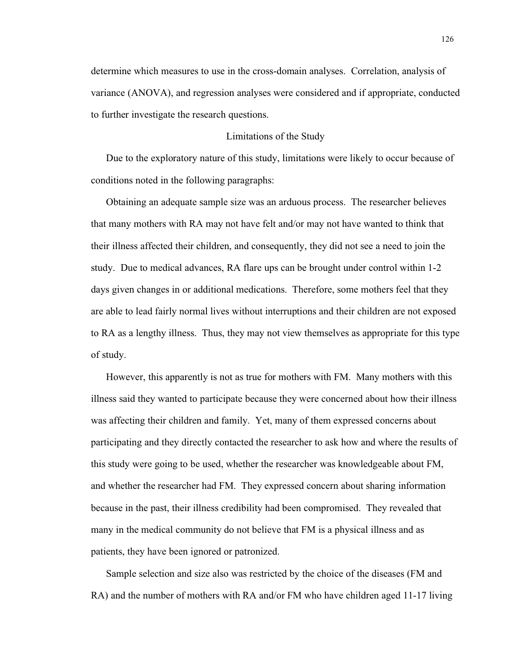determine which measures to use in the cross-domain analyses. Correlation, analysis of variance (ANOVA), and regression analyses were considered and if appropriate, conducted to further investigate the research questions.

#### Limitations of the Study

Due to the exploratory nature of this study, limitations were likely to occur because of conditions noted in the following paragraphs:

Obtaining an adequate sample size was an arduous process. The researcher believes that many mothers with RA may not have felt and/or may not have wanted to think that their illness affected their children, and consequently, they did not see a need to join the study. Due to medical advances, RA flare ups can be brought under control within 1-2 days given changes in or additional medications. Therefore, some mothers feel that they are able to lead fairly normal lives without interruptions and their children are not exposed to RA as a lengthy illness. Thus, they may not view themselves as appropriate for this type of study.

However, this apparently is not as true for mothers with FM. Many mothers with this illness said they wanted to participate because they were concerned about how their illness was affecting their children and family. Yet, many of them expressed concerns about participating and they directly contacted the researcher to ask how and where the results of this study were going to be used, whether the researcher was knowledgeable about FM, and whether the researcher had FM. They expressed concern about sharing information because in the past, their illness credibility had been compromised. They revealed that many in the medical community do not believe that FM is a physical illness and as patients, they have been ignored or patronized.

Sample selection and size also was restricted by the choice of the diseases (FM and RA) and the number of mothers with RA and/or FM who have children aged 11-17 living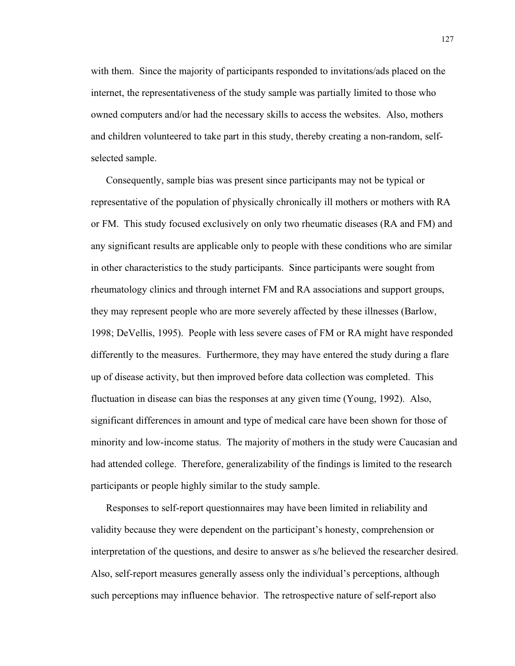with them. Since the majority of participants responded to invitations/ads placed on the internet, the representativeness of the study sample was partially limited to those who owned computers and/or had the necessary skills to access the websites. Also, mothers and children volunteered to take part in this study, thereby creating a non-random, selfselected sample.

Consequently, sample bias was present since participants may not be typical or representative of the population of physically chronically ill mothers or mothers with RA or FM. This study focused exclusively on only two rheumatic diseases (RA and FM) and any significant results are applicable only to people with these conditions who are similar in other characteristics to the study participants. Since participants were sought from rheumatology clinics and through internet FM and RA associations and support groups, they may represent people who are more severely affected by these illnesses (Barlow, 1998; DeVellis, 1995). People with less severe cases of FM or RA might have responded differently to the measures. Furthermore, they may have entered the study during a flare up of disease activity, but then improved before data collection was completed. This fluctuation in disease can bias the responses at any given time (Young, 1992). Also, significant differences in amount and type of medical care have been shown for those of minority and low-income status. The majority of mothers in the study were Caucasian and had attended college. Therefore, generalizability of the findings is limited to the research participants or people highly similar to the study sample.

Responses to self-report questionnaires may have been limited in reliability and validity because they were dependent on the participant's honesty, comprehension or interpretation of the questions, and desire to answer as s/he believed the researcher desired. Also, self-report measures generally assess only the individual's perceptions, although such perceptions may influence behavior. The retrospective nature of self-report also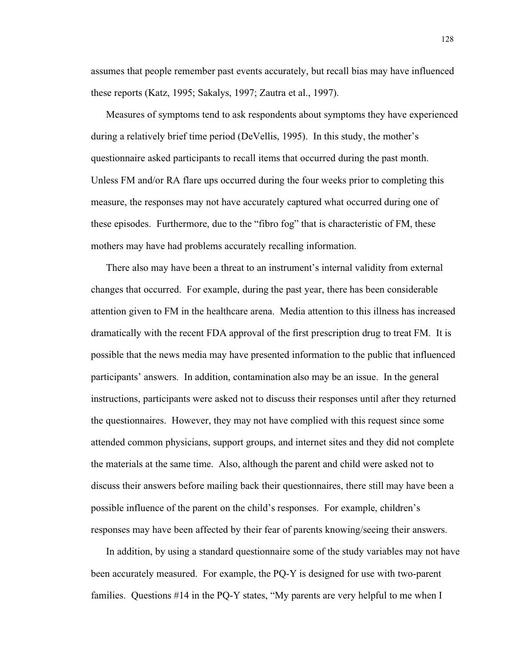assumes that people remember past events accurately, but recall bias may have influenced these reports (Katz, 1995; Sakalys, 1997; Zautra et al., 1997).

Measures of symptoms tend to ask respondents about symptoms they have experienced during a relatively brief time period (DeVellis, 1995). In this study, the mother's questionnaire asked participants to recall items that occurred during the past month. Unless FM and/or RA flare ups occurred during the four weeks prior to completing this measure, the responses may not have accurately captured what occurred during one of these episodes. Furthermore, due to the "fibro fog" that is characteristic of FM, these mothers may have had problems accurately recalling information.

There also may have been a threat to an instrument's internal validity from external changes that occurred. For example, during the past year, there has been considerable attention given to FM in the healthcare arena. Media attention to this illness has increased dramatically with the recent FDA approval of the first prescription drug to treat FM. It is possible that the news media may have presented information to the public that influenced participants' answers. In addition, contamination also may be an issue. In the general instructions, participants were asked not to discuss their responses until after they returned the questionnaires. However, they may not have complied with this request since some attended common physicians, support groups, and internet sites and they did not complete the materials at the same time. Also, although the parent and child were asked not to discuss their answers before mailing back their questionnaires, there still may have been a possible influence of the parent on the child's responses. For example, children's responses may have been affected by their fear of parents knowing/seeing their answers.

In addition, by using a standard questionnaire some of the study variables may not have been accurately measured. For example, the PQ-Y is designed for use with two-parent families. Questions #14 in the PQ-Y states, "My parents are very helpful to me when I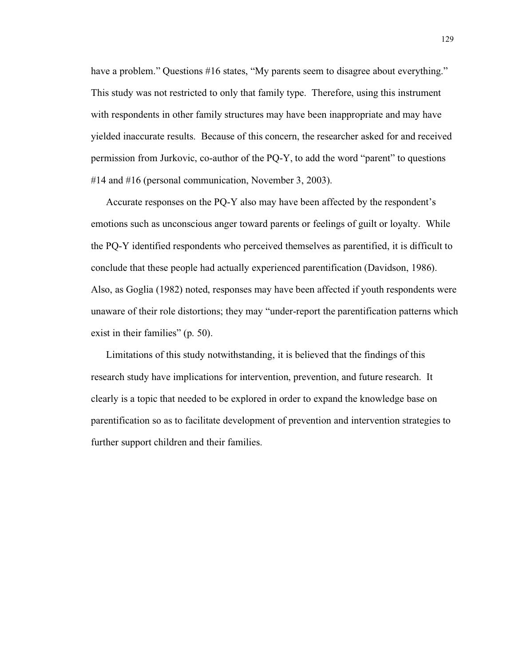have a problem." Questions #16 states, "My parents seem to disagree about everything." This study was not restricted to only that family type. Therefore, using this instrument with respondents in other family structures may have been inappropriate and may have yielded inaccurate results. Because of this concern, the researcher asked for and received permission from Jurkovic, co-author of the PQ-Y, to add the word "parent" to questions #14 and #16 (personal communication, November 3, 2003).

Accurate responses on the PQ-Y also may have been affected by the respondent's emotions such as unconscious anger toward parents or feelings of guilt or loyalty. While the PQ-Y identified respondents who perceived themselves as parentified, it is difficult to conclude that these people had actually experienced parentification (Davidson, 1986). Also, as Goglia (1982) noted, responses may have been affected if youth respondents were unaware of their role distortions; they may "under-report the parentification patterns which exist in their families" (p. 50).

Limitations of this study notwithstanding, it is believed that the findings of this research study have implications for intervention, prevention, and future research. It clearly is a topic that needed to be explored in order to expand the knowledge base on parentification so as to facilitate development of prevention and intervention strategies to further support children and their families.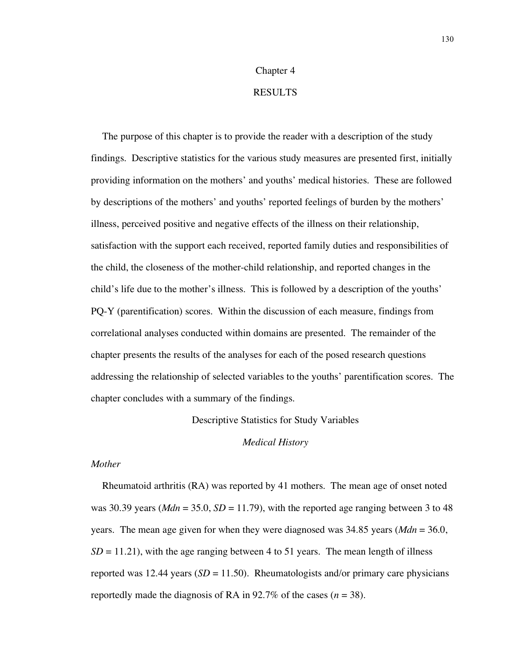# Chapter 4

# RESULTS

The purpose of this chapter is to provide the reader with a description of the study findings. Descriptive statistics for the various study measures are presented first, initially providing information on the mothers' and youths' medical histories. These are followed by descriptions of the mothers' and youths' reported feelings of burden by the mothers' illness, perceived positive and negative effects of the illness on their relationship, satisfaction with the support each received, reported family duties and responsibilities of the child, the closeness of the mother-child relationship, and reported changes in the child's life due to the mother's illness. This is followed by a description of the youths' PQ-Y (parentification) scores. Within the discussion of each measure, findings from correlational analyses conducted within domains are presented. The remainder of the chapter presents the results of the analyses for each of the posed research questions addressing the relationship of selected variables to the youths' parentification scores. The chapter concludes with a summary of the findings.

Descriptive Statistics for Study Variables

#### *Medical History*

## *Mother*

Rheumatoid arthritis (RA) was reported by 41 mothers. The mean age of onset noted was 30.39 years ( $Mdn = 35.0$ ,  $SD = 11.79$ ), with the reported age ranging between 3 to 48 years. The mean age given for when they were diagnosed was 34.85 years (*Mdn* = 36.0,  $SD = 11.21$ , with the age ranging between 4 to 51 years. The mean length of illness reported was 12.44 years  $(SD = 11.50)$ . Rheumatologists and/or primary care physicians reportedly made the diagnosis of RA in  $92.7\%$  of the cases ( $n = 38$ ).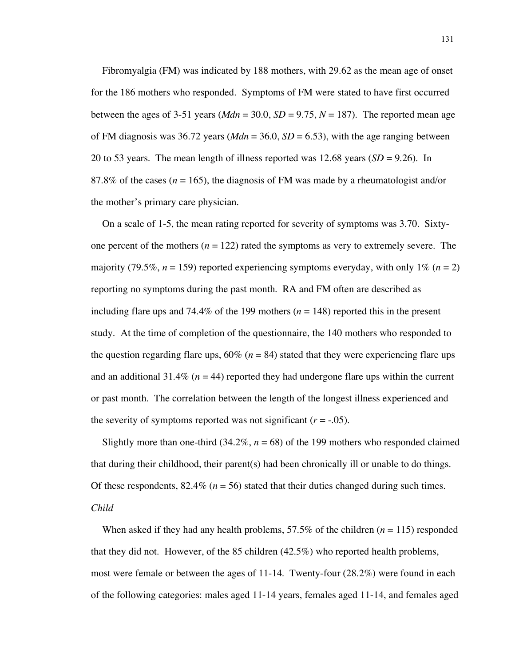Fibromyalgia (FM) was indicated by 188 mothers, with 29.62 as the mean age of onset for the 186 mothers who responded. Symptoms of FM were stated to have first occurred between the ages of 3-51 years ( $Mdn = 30.0$ ,  $SD = 9.75$ ,  $N = 187$ ). The reported mean age of FM diagnosis was 36.72 years ( $Mdn = 36.0$ ,  $SD = 6.53$ ), with the age ranging between 20 to 53 years. The mean length of illness reported was 12.68 years (*SD* = 9.26). In 87.8% of the cases ( $n = 165$ ), the diagnosis of FM was made by a rheumatologist and/or the mother's primary care physician.

On a scale of 1-5, the mean rating reported for severity of symptoms was 3.70. Sixtyone percent of the mothers  $(n = 122)$  rated the symptoms as very to extremely severe. The majority (79.5%,  $n = 159$ ) reported experiencing symptoms everyday, with only 1% ( $n = 2$ ) reporting no symptoms during the past month. RA and FM often are described as including flare ups and 74.4% of the 199 mothers  $(n = 148)$  reported this in the present study. At the time of completion of the questionnaire, the 140 mothers who responded to the question regarding flare ups,  $60\%$  ( $n = 84$ ) stated that they were experiencing flare ups and an additional 31.4% ( $n = 44$ ) reported they had undergone flare ups within the current or past month. The correlation between the length of the longest illness experienced and the severity of symptoms reported was not significant  $(r = -.05)$ .

Slightly more than one-third  $(34.2\%, n = 68)$  of the 199 mothers who responded claimed that during their childhood, their parent(s) had been chronically ill or unable to do things. Of these respondents,  $82.4\%$  ( $n = 56$ ) stated that their duties changed during such times. *Child*

When asked if they had any health problems,  $57.5\%$  of the children ( $n = 115$ ) responded that they did not. However, of the 85 children (42.5%) who reported health problems, most were female or between the ages of 11-14. Twenty-four (28.2%) were found in each of the following categories: males aged 11-14 years, females aged 11-14, and females aged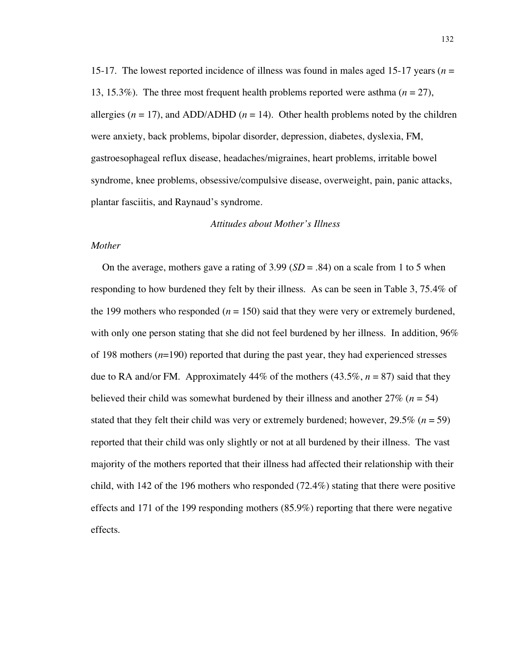15-17. The lowest reported incidence of illness was found in males aged 15-17 years (*n* = 13, 15.3%). The three most frequent health problems reported were asthma (*n* = 27), allergies ( $n = 17$ ), and ADD/ADHD ( $n = 14$ ). Other health problems noted by the children were anxiety, back problems, bipolar disorder, depression, diabetes, dyslexia, FM, gastroesophageal reflux disease, headaches/migraines, heart problems, irritable bowel syndrome, knee problems, obsessive/compulsive disease, overweight, pain, panic attacks, plantar fasciitis, and Raynaud's syndrome.

#### *Attitudes about Mother's Illness*

## *Mother*

On the average, mothers gave a rating of 3.99 (*SD* = .84) on a scale from 1 to 5 when responding to how burdened they felt by their illness. As can be seen in Table 3, 75.4% of the 199 mothers who responded  $(n = 150)$  said that they were very or extremely burdened, with only one person stating that she did not feel burdened by her illness. In addition, 96% of 198 mothers (*n*=190) reported that during the past year, they had experienced stresses due to RA and/or FM. Approximately  $44\%$  of the mothers  $(43.5\%, n = 87)$  said that they believed their child was somewhat burdened by their illness and another 27% (*n* = 54) stated that they felt their child was very or extremely burdened; however, 29.5% (*n* = 59) reported that their child was only slightly or not at all burdened by their illness. The vast majority of the mothers reported that their illness had affected their relationship with their child, with 142 of the 196 mothers who responded (72.4%) stating that there were positive effects and 171 of the 199 responding mothers (85.9%) reporting that there were negative effects.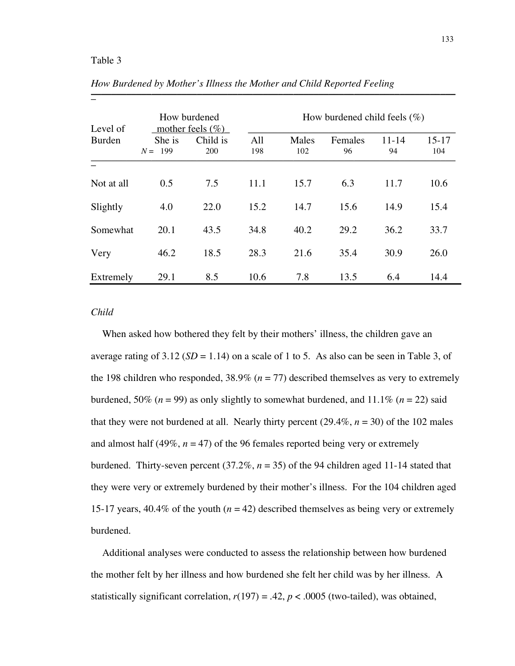## Table 3

 $\overline{a}$ 

| Level of   | How burdened<br>mother feels $(\% )$ |                        | How burdened child feels $(\% )$ |              |               |                 |                  |
|------------|--------------------------------------|------------------------|----------------------------------|--------------|---------------|-----------------|------------------|
| Burden     | She is<br>$N = 199$                  | Child is<br><b>200</b> | All<br>198                       | Males<br>102 | Females<br>96 | $11 - 14$<br>94 | $15 - 17$<br>104 |
|            |                                      |                        |                                  |              |               |                 |                  |
| Not at all | 0.5                                  | 7.5                    | 11.1                             | 15.7         | 6.3           | 11.7            | 10.6             |
| Slightly   | 4.0                                  | 22.0                   | 15.2                             | 14.7         | 15.6          | 14.9            | 15.4             |
| Somewhat   | 20.1                                 | 43.5                   | 34.8                             | 40.2         | 29.2          | 36.2            | 33.7             |
| Very       | 46.2                                 | 18.5                   | 28.3                             | 21.6         | 35.4          | 30.9            | 26.0             |
| Extremely  | 29.1                                 | 8.5                    | 10.6                             | 7.8          | 13.5          | 6.4             | 14.4             |

*How Burdened by Mother's Illness the Mother and Child Reported Feeling* 110<sup>h</sup> Durachea by Homer 5 Hiness the Homer and China Reported 1 centre

#### *Child*

When asked how bothered they felt by their mothers' illness, the children gave an average rating of  $3.12$  (*SD* = 1.14) on a scale of 1 to 5. As also can be seen in Table 3, of the 198 children who responded,  $38.9\%$  ( $n = 77$ ) described themselves as very to extremely burdened, 50% ( $n = 99$ ) as only slightly to somewhat burdened, and 11.1% ( $n = 22$ ) said that they were not burdened at all. Nearly thirty percent  $(29.4\%, n = 30)$  of the 102 males and almost half (49%,  $n = 47$ ) of the 96 females reported being very or extremely burdened. Thirty-seven percent  $(37.2\%, n = 35)$  of the 94 children aged 11-14 stated that they were very or extremely burdened by their mother's illness. For the 104 children aged 15-17 years,  $40.4\%$  of the youth ( $n = 42$ ) described themselves as being very or extremely burdened.

Additional analyses were conducted to assess the relationship between how burdened the mother felt by her illness and how burdened she felt her child was by her illness. A statistically significant correlation,  $r(197) = .42$ ,  $p < .0005$  (two-tailed), was obtained,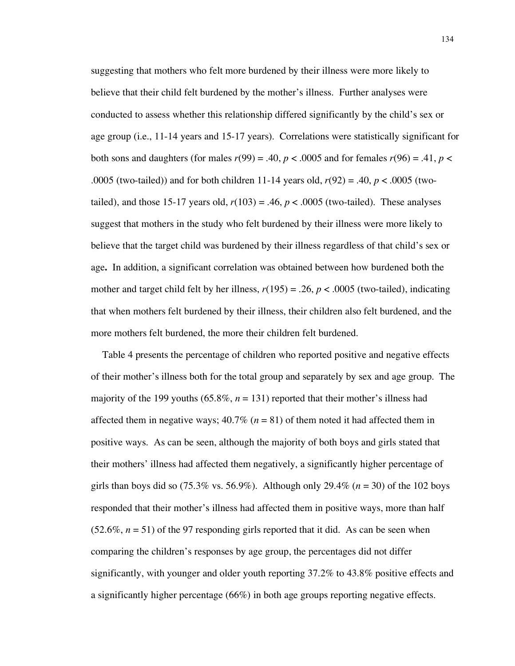suggesting that mothers who felt more burdened by their illness were more likely to believe that their child felt burdened by the mother's illness. Further analyses were conducted to assess whether this relationship differed significantly by the child's sex or age group (i.e., 11-14 years and 15-17 years). Correlations were statistically significant for both sons and daughters (for males  $r(99) = .40$ ,  $p < .0005$  and for females  $r(96) = .41$ ,  $p <$ .0005 (two-tailed)) and for both children 11-14 years old, *r*(92) = .40, *p* < .0005 (twotailed), and those 15-17 years old,  $r(103) = .46$ ,  $p < .0005$  (two-tailed). These analyses suggest that mothers in the study who felt burdened by their illness were more likely to believe that the target child was burdened by their illness regardless of that child's sex or age**.** In addition, a significant correlation was obtained between how burdened both the mother and target child felt by her illness,  $r(195) = .26$ ,  $p < .0005$  (two-tailed), indicating that when mothers felt burdened by their illness, their children also felt burdened, and the more mothers felt burdened, the more their children felt burdened.

Table 4 presents the percentage of children who reported positive and negative effects of their mother's illness both for the total group and separately by sex and age group. The majority of the 199 youths (65.8%,  $n = 131$ ) reported that their mother's illness had affected them in negative ways;  $40.7\%$  ( $n = 81$ ) of them noted it had affected them in positive ways. As can be seen, although the majority of both boys and girls stated that their mothers' illness had affected them negatively, a significantly higher percentage of girls than boys did so  $(75.3\% \text{ vs. } 56.9\%)$ . Although only 29.4%  $(n = 30)$  of the 102 boys responded that their mother's illness had affected them in positive ways, more than half  $(52.6\%, n = 51)$  of the 97 responding girls reported that it did. As can be seen when comparing the children's responses by age group, the percentages did not differ significantly, with younger and older youth reporting 37.2% to 43.8% positive effects and a significantly higher percentage (66%) in both age groups reporting negative effects.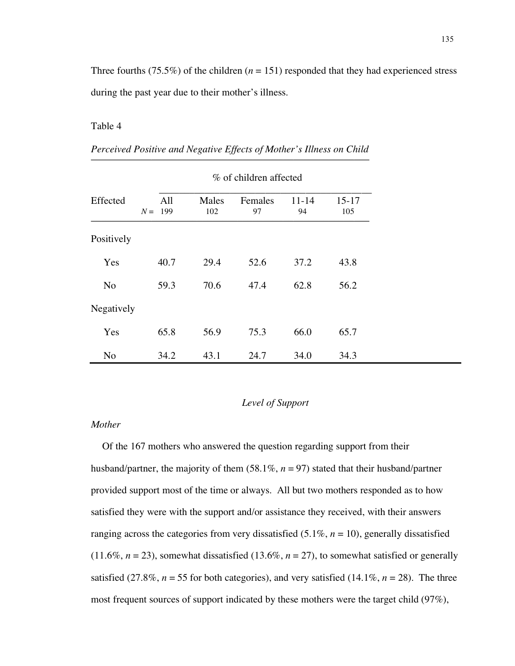Three fourths (75.5%) of the children  $(n = 151)$  responded that they had experienced stress during the past year due to their mother's illness.

## Table 4

|                | % of children affected |              |               |                 |                  |
|----------------|------------------------|--------------|---------------|-----------------|------------------|
| Effected       | All<br>$N = 199$       | Males<br>102 | Females<br>97 | $11 - 14$<br>94 | $15 - 17$<br>105 |
| Positively     |                        |              |               |                 |                  |
| Yes            | 40.7                   | 29.4         | 52.6          | 37.2            | 43.8             |
| N <sub>0</sub> | 59.3                   | 70.6         | 47.4          | 62.8            | 56.2             |
| Negatively     |                        |              |               |                 |                  |
| Yes            | 65.8                   | 56.9         | 75.3          | 66.0            | 65.7             |
| N <sub>o</sub> | 34.2                   | 43.1         | 24.7          | 34.0            | 34.3             |

*Perceived Positive and Negative Effects of Mother's Illness on Child* \_\_\_\_\_\_\_\_\_\_\_\_\_\_\_\_\_\_\_\_\_\_\_\_\_\_\_\_\_\_\_\_\_\_\_\_\_\_\_\_\_\_\_\_\_\_\_\_\_\_\_\_\_\_\_

## *Level of Support*

#### *Mother*

Of the 167 mothers who answered the question regarding support from their husband/partner, the majority of them (58.1%, *n* = 97) stated that their husband/partner provided support most of the time or always. All but two mothers responded as to how satisfied they were with the support and/or assistance they received, with their answers ranging across the categories from very dissatisfied (5.1%, *n* = 10), generally dissatisfied  $(11.6\%, n = 23)$ , somewhat dissatisfied  $(13.6\%, n = 27)$ , to somewhat satisfied or generally satisfied (27.8%,  $n = 55$  for both categories), and very satisfied (14.1%,  $n = 28$ ). The three most frequent sources of support indicated by these mothers were the target child (97%),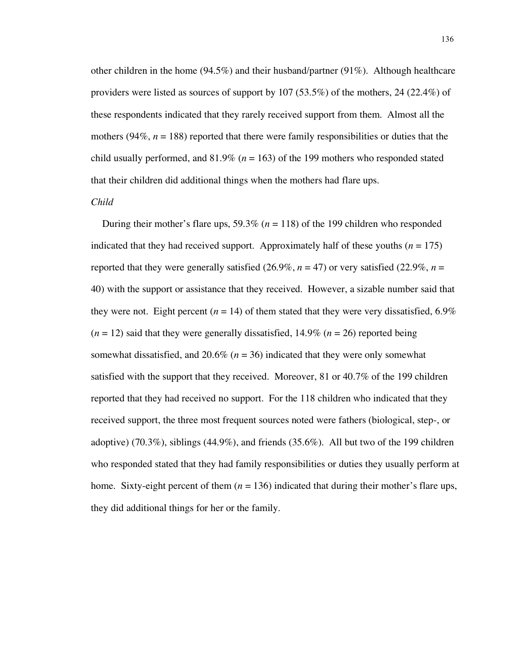other children in the home  $(94.5\%)$  and their husband/partner  $(91\%)$ . Although healthcare providers were listed as sources of support by 107 (53.5%) of the mothers, 24 (22.4%) of these respondents indicated that they rarely received support from them. Almost all the mothers ( $94\%$ ,  $n = 188$ ) reported that there were family responsibilities or duties that the child usually performed, and  $81.9\%$  ( $n = 163$ ) of the 199 mothers who responded stated that their children did additional things when the mothers had flare ups.

#### *Child*

During their mother's flare ups, 59.3% (*n* = 118) of the 199 children who responded indicated that they had received support. Approximately half of these youths  $(n = 175)$ reported that they were generally satisfied  $(26.9\%, n = 47)$  or very satisfied  $(22.9\%, n =$ 40) with the support or assistance that they received. However, a sizable number said that they were not. Eight percent  $(n = 14)$  of them stated that they were very dissatisfied, 6.9%  $(n = 12)$  said that they were generally dissatisfied, 14.9%  $(n = 26)$  reported being somewhat dissatisfied, and 20.6% (*n* = 36) indicated that they were only somewhat satisfied with the support that they received. Moreover, 81 or 40.7% of the 199 children reported that they had received no support. For the 118 children who indicated that they received support, the three most frequent sources noted were fathers (biological, step-, or adoptive) (70.3%), siblings (44.9%), and friends (35.6%). All but two of the 199 children who responded stated that they had family responsibilities or duties they usually perform at home. Sixty-eight percent of them  $(n = 136)$  indicated that during their mother's flare ups, they did additional things for her or the family.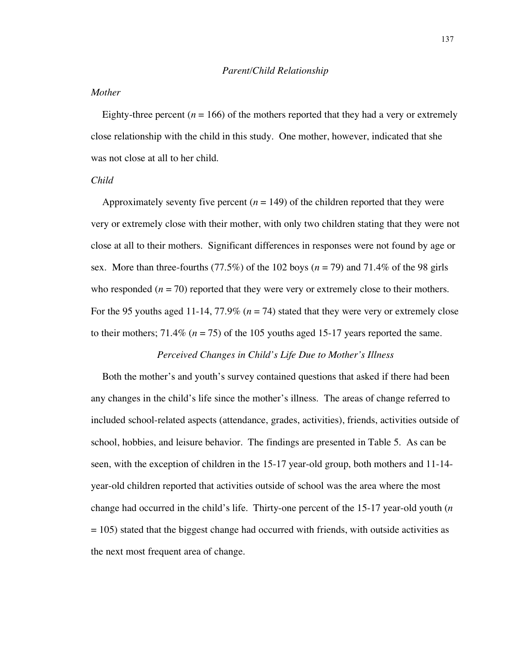## *Mother*

Eighty-three percent  $(n = 166)$  of the mothers reported that they had a very or extremely close relationship with the child in this study. One mother, however, indicated that she was not close at all to her child.

## *Child*

Approximately seventy five percent  $(n = 149)$  of the children reported that they were very or extremely close with their mother, with only two children stating that they were not close at all to their mothers. Significant differences in responses were not found by age or sex. More than three-fourths (77.5%) of the 102 boys (*n* = 79) and 71.4% of the 98 girls who responded  $(n = 70)$  reported that they were very or extremely close to their mothers. For the 95 youths aged 11-14, 77.9% ( $n = 74$ ) stated that they were very or extremely close to their mothers;  $71.4\%$  ( $n = 75$ ) of the 105 youths aged 15-17 years reported the same.

## *Perceived Changes in Child's Life Due to Mother's Illness*

Both the mother's and youth's survey contained questions that asked if there had been any changes in the child's life since the mother's illness. The areas of change referred to included school-related aspects (attendance, grades, activities), friends, activities outside of school, hobbies, and leisure behavior. The findings are presented in Table 5. As can be seen, with the exception of children in the 15-17 year-old group, both mothers and 11-14 year-old children reported that activities outside of school was the area where the most change had occurred in the child's life. Thirty-one percent of the 15-17 year-old youth (*n* = 105) stated that the biggest change had occurred with friends, with outside activities as the next most frequent area of change.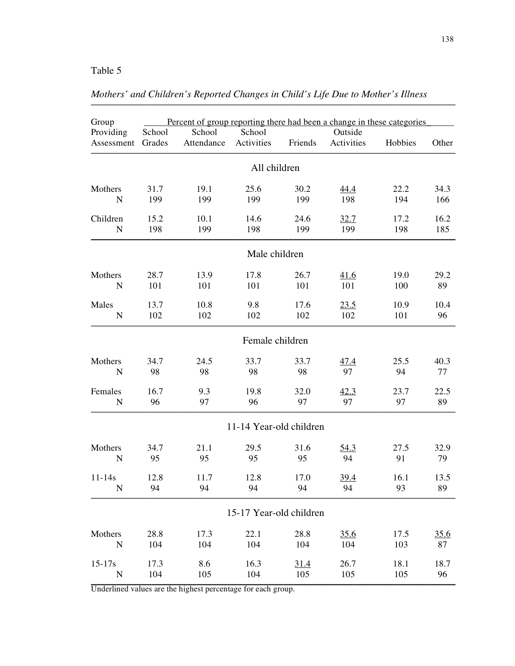# Table 5

| Group                   | Percent of group reporting there had been a change in these categories |                      |                         |         |                       |         |             |
|-------------------------|------------------------------------------------------------------------|----------------------|-------------------------|---------|-----------------------|---------|-------------|
| Providing<br>Assessment | School<br>Grades                                                       | School<br>Attendance | School<br>Activities    | Friends | Outside<br>Activities | Hobbies | Other       |
|                         |                                                                        |                      | All children            |         |                       |         |             |
| Mothers                 | 31.7                                                                   | 19.1                 | 25.6                    | 30.2    | 44.4                  | 22.2    | 34.3        |
| $\mathbf N$             | 199                                                                    | 199                  | 199                     | 199     | 198                   | 194     | 166         |
| Children                | 15.2                                                                   | 10.1                 | 14.6                    | 24.6    | 32.7                  | 17.2    | 16.2        |
| ${\bf N}$               | 198                                                                    | 199                  | 198                     | 199     | 199                   | 198     | 185         |
|                         |                                                                        |                      | Male children           |         |                       |         |             |
| Mothers                 | 28.7                                                                   | 13.9                 | 17.8                    | 26.7    | 41.6                  | 19.0    | 29.2        |
| $\mathbf N$             | 101                                                                    | 101                  | 101                     | 101     | 101                   | 100     | 89          |
| Males                   | 13.7                                                                   | 10.8                 | 9.8                     | 17.6    | 23.5                  | 10.9    | 10.4        |
| ${\bf N}$               | 102                                                                    | 102                  | 102                     | 102     | 102                   | 101     | 96          |
|                         |                                                                        |                      | Female children         |         |                       |         |             |
| Mothers                 | 34.7                                                                   | 24.5                 | 33.7                    | 33.7    | 47.4                  | 25.5    | 40.3        |
| $\mathbf N$             | 98                                                                     | 98                   | 98                      | 98      | 97                    | 94      | 77          |
| Females                 | 16.7                                                                   | 9.3                  | 19.8                    | 32.0    | 42.3                  | 23.7    | 22.5        |
| $\mathbf N$             | 96                                                                     | 97                   | 96                      | 97      | 97                    | 97      | 89          |
|                         |                                                                        |                      | 11-14 Year-old children |         |                       |         |             |
| Mothers                 | 34.7                                                                   | 21.1                 | 29.5                    | 31.6    | 54.3                  | 27.5    | 32.9        |
| N                       | 95                                                                     | 95                   | 95                      | 95      | 94                    | 91      | 79          |
| $11 - 14s$              | 12.8                                                                   | 11.7                 | 12.8                    | 17.0    | 39.4                  | 16.1    | 13.5        |
| N                       | 94                                                                     | 94                   | 94                      | 94      | 94                    | 93      | 89          |
|                         |                                                                        |                      | 15-17 Year-old children |         |                       |         |             |
| Mothers                 | 28.8                                                                   | 17.3                 | 22.1                    | 28.8    | 35.6                  | 17.5    | <u>35.6</u> |
| ${\bf N}$               | 104                                                                    | 104                  | 104                     | 104     | 104                   | 103     | 87          |
| $15 - 17s$              | 17.3                                                                   | 8.6                  | 16.3                    | 31.4    | 26.7                  | 18.1    | 18.7        |
| ${\bf N}$               | 104                                                                    | 105                  | 104                     | 105     | 105                   | 105     | 96          |

*Mothers' and Children's Reported Changes in Child's Life Due to Mother's Illness* 1. The merican character is responsed changes in character below to historic is runess

Underlined values are the highest percentage for each group.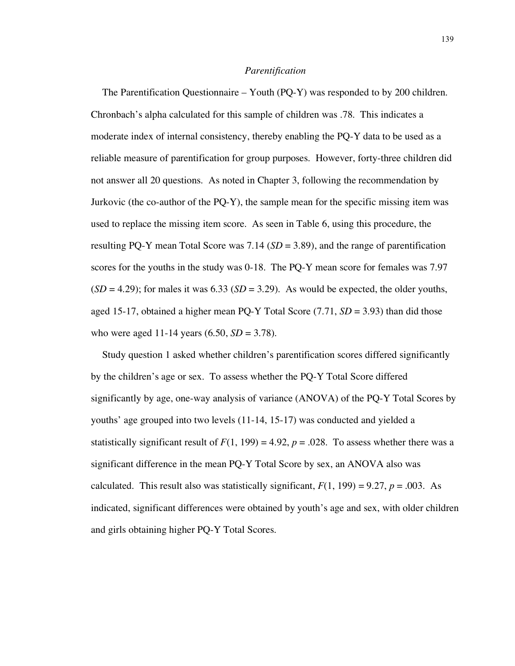#### *Parentification*

The Parentification Questionnaire – Youth (PQ-Y) was responded to by 200 children. Chronbach's alpha calculated for this sample of children was .78. This indicates a moderate index of internal consistency, thereby enabling the PQ-Y data to be used as a reliable measure of parentification for group purposes. However, forty-three children did not answer all 20 questions. As noted in Chapter 3, following the recommendation by Jurkovic (the co-author of the PQ-Y), the sample mean for the specific missing item was used to replace the missing item score. As seen in Table 6, using this procedure, the resulting PQ-Y mean Total Score was  $7.14$  ( $SD = 3.89$ ), and the range of parentification scores for the youths in the study was 0-18. The PQ-Y mean score for females was 7.97  $(SD = 4.29)$ ; for males it was  $6.33(SD = 3.29)$ . As would be expected, the older youths, aged 15-17, obtained a higher mean PQ-Y Total Score (7.71, *SD* = 3.93) than did those who were aged 11-14 years (6.50, *SD* = 3.78).

Study question 1 asked whether children's parentification scores differed significantly by the children's age or sex. To assess whether the PQ-Y Total Score differed significantly by age, one-way analysis of variance (ANOVA) of the PQ-Y Total Scores by youths' age grouped into two levels (11-14, 15-17) was conducted and yielded a statistically significant result of  $F(1, 199) = 4.92$ ,  $p = .028$ . To assess whether there was a significant difference in the mean PQ-Y Total Score by sex, an ANOVA also was calculated. This result also was statistically significant,  $F(1, 199) = 9.27$ ,  $p = .003$ . As indicated, significant differences were obtained by youth's age and sex, with older children and girls obtaining higher PQ-Y Total Scores.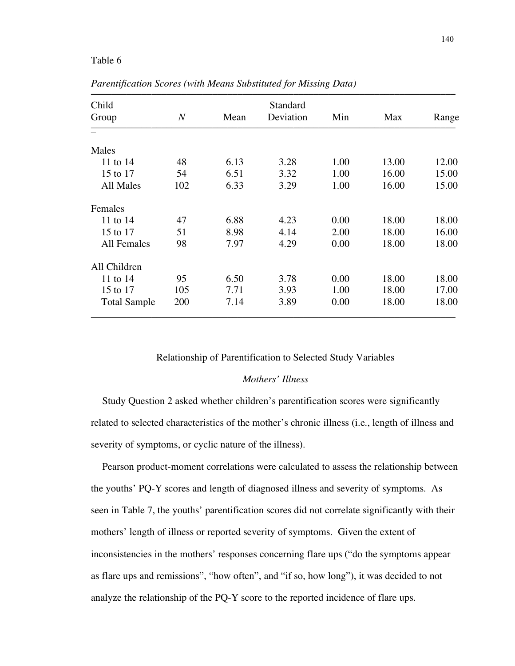## Table 6

| Child<br>Standard   |                  |      |           |      |       |       |
|---------------------|------------------|------|-----------|------|-------|-------|
| Group               | $\boldsymbol{N}$ | Mean | Deviation | Min  | Max   | Range |
|                     |                  |      |           |      |       |       |
| Males               |                  |      |           |      |       |       |
| 11 to 14            | 48               | 6.13 | 3.28      | 1.00 | 13.00 | 12.00 |
| 15 to 17            | 54               | 6.51 | 3.32      | 1.00 | 16.00 | 15.00 |
| All Males           | 102              | 6.33 | 3.29      | 1.00 | 16.00 | 15.00 |
| Females             |                  |      |           |      |       |       |
| 11 to 14            | 47               | 6.88 | 4.23      | 0.00 | 18.00 | 18.00 |
| 15 to 17            | 51               | 8.98 | 4.14      | 2.00 | 18.00 | 16.00 |
| All Females         | 98               | 7.97 | 4.29      | 0.00 | 18.00 | 18.00 |
| All Children        |                  |      |           |      |       |       |
| 11 to 14            | 95               | 6.50 | 3.78      | 0.00 | 18.00 | 18.00 |
| 15 to 17            | 105              | 7.71 | 3.93      | 1.00 | 18.00 | 17.00 |
| <b>Total Sample</b> | 200              | 7.14 | 3.89      | 0.00 | 18.00 | 18.00 |

*Parentification Scores (with Means Substituted for Missing Data)*

#### Relationship of Parentification to Selected Study Variables

## *Mothers' Illness*

Study Question 2 asked whether children's parentification scores were significantly related to selected characteristics of the mother's chronic illness (i.e., length of illness and severity of symptoms, or cyclic nature of the illness).

Pearson product-moment correlations were calculated to assess the relationship between the youths' PQ-Y scores and length of diagnosed illness and severity of symptoms. As seen in Table 7, the youths' parentification scores did not correlate significantly with their mothers' length of illness or reported severity of symptoms. Given the extent of inconsistencies in the mothers' responses concerning flare ups ("do the symptoms appear as flare ups and remissions", "how often", and "if so, how long"), it was decided to not analyze the relationship of the PQ-Y score to the reported incidence of flare ups.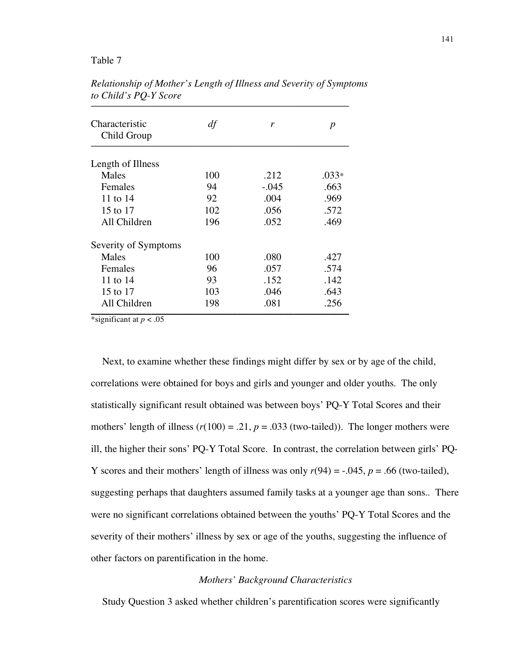## Table 7

| Characteristic<br>Child Group | df  | r       | p       |
|-------------------------------|-----|---------|---------|
| Length of Illness             |     |         |         |
| Males                         | 100 | .212    | $.033*$ |
| Females                       | 94  | $-.045$ | .663    |
| 11 to 14                      | 92  | .004    | .969    |
| 15 to 17                      | 102 | .056    | .572    |
| All Children                  | 196 | .052    | .469    |
| Severity of Symptoms          |     |         |         |
| Males                         | 100 | .080    | .427    |
| Females                       | 96  | .057    | .574    |
| 11 to 14                      | 93  | .152    | .142    |
| 15 to 17                      | 103 | .046    | .643    |
| All Children                  | 198 | .081    | .256    |

*Relationship of Mother's Length of Illness and Severity of Symptoms to Child's PQ-Y Score*  $\blacksquare$ 

\*significant at  $p < .05$ 

Next, to examine whether these findings might differ by sex or by age of the child, correlations were obtained for boys and girls and younger and older youths. The only statistically significant result obtained was between boys' PQ-Y Total Scores and their mothers' length of illness  $(r(100) = .21, p = .033$  (two-tailed)). The longer mothers were ill, the higher their sons' PQ-Y Total Score. In contrast, the correlation between girls' PQ-Y scores and their mothers' length of illness was only  $r(94) = -0.045$ ,  $p = 0.66$  (two-tailed), suggesting perhaps that daughters assumed family tasks at a younger age than sons.. There were no significant correlations obtained between the youths' PQ-Y Total Scores and the severity of their mothers' illness by sex or age of the youths, suggesting the influence of other factors on parentification in the home.

## *Mothers' Background Characteristics*

Study Question 3 asked whether children's parentification scores were significantly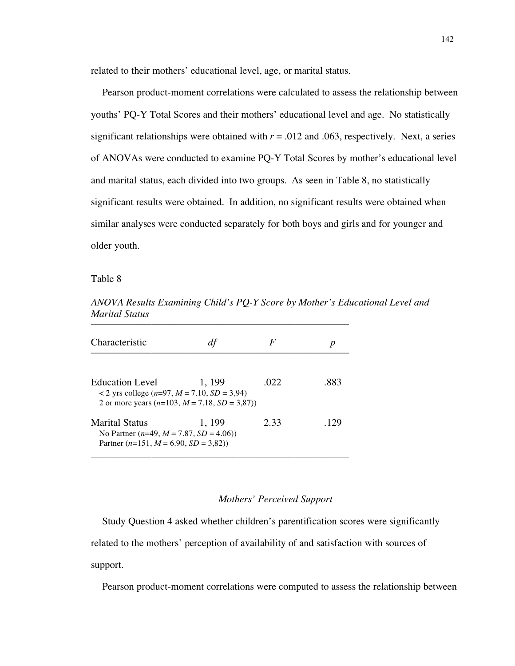related to their mothers' educational level, age, or marital status.

Pearson product-moment correlations were calculated to assess the relationship between youths' PQ-Y Total Scores and their mothers' educational level and age. No statistically significant relationships were obtained with  $r = .012$  and .063, respectively. Next, a series of ANOVAs were conducted to examine PQ-Y Total Scores by mother's educational level and marital status, each divided into two groups. As seen in Table 8, no statistically significant results were obtained. In addition, no significant results were obtained when similar analyses were conducted separately for both boys and girls and for younger and older youth.

Table 8

| www.com                                                                                                             |        |      |      |
|---------------------------------------------------------------------------------------------------------------------|--------|------|------|
| Characteristic                                                                                                      |        | F    |      |
| <b>Education Level</b><br>< 2 yrs college $(n=97, M=7.10, SD=3.94)$<br>2 or more years $(n=103, M=7.18, SD = 3.87)$ | 1, 199 | .022 | .883 |
| Marital Status<br>No Partner $(n=49, M=7.87, SD=4.06)$<br>Partner $(n=151, M=6.90, SD=3.82)$                        | 1, 199 | 2.33 | .129 |

*ANOVA Results Examining Child's PQ-Y Score by Mother's Educational Level and Marital Status*

## *Mothers' Perceived Support*

Study Question 4 asked whether children's parentification scores were significantly related to the mothers' perception of availability of and satisfaction with sources of support.

Pearson product-moment correlations were computed to assess the relationship between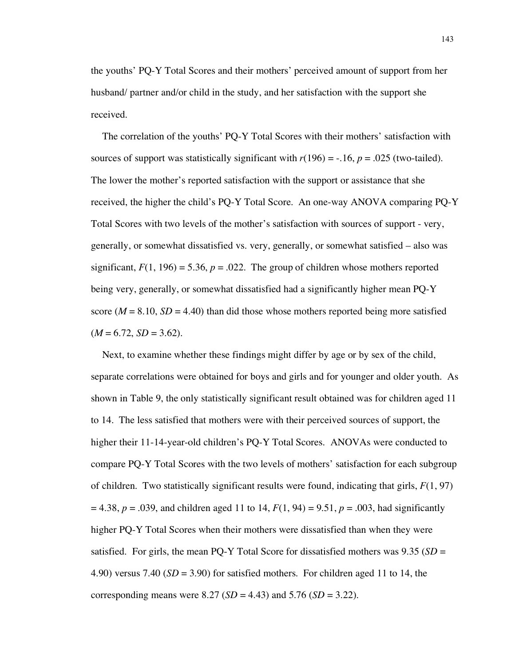the youths' PQ-Y Total Scores and their mothers' perceived amount of support from her husband/ partner and/or child in the study, and her satisfaction with the support she received.

The correlation of the youths' PQ-Y Total Scores with their mothers' satisfaction with sources of support was statistically significant with  $r(196) = -0.16$ ,  $p = 0.025$  (two-tailed). The lower the mother's reported satisfaction with the support or assistance that she received, the higher the child's PQ-Y Total Score. An one-way ANOVA comparing PQ-Y Total Scores with two levels of the mother's satisfaction with sources of support - very, generally, or somewhat dissatisfied vs. very, generally, or somewhat satisfied – also was significant,  $F(1, 196) = 5.36$ ,  $p = .022$ . The group of children whose mothers reported being very, generally, or somewhat dissatisfied had a significantly higher mean PQ-Y score ( $M = 8.10$ ,  $SD = 4.40$ ) than did those whose mothers reported being more satisfied  $(M = 6.72, SD = 3.62).$ 

Next, to examine whether these findings might differ by age or by sex of the child, separate correlations were obtained for boys and girls and for younger and older youth. As shown in Table 9, the only statistically significant result obtained was for children aged 11 to 14. The less satisfied that mothers were with their perceived sources of support, the higher their 11-14-year-old children's PQ-Y Total Scores. ANOVAs were conducted to compare PQ-Y Total Scores with the two levels of mothers' satisfaction for each subgroup of children. Two statistically significant results were found, indicating that girls, *F*(1, 97)  $= 4.38, p = .039$ , and children aged 11 to 14,  $F(1, 94) = 9.51, p = .003$ , had significantly higher PQ-Y Total Scores when their mothers were dissatisfied than when they were satisfied. For girls, the mean PQ-Y Total Score for dissatisfied mothers was  $9.35$  (*SD* = 4.90) versus 7.40 (*SD* = 3.90) for satisfied mothers. For children aged 11 to 14, the corresponding means were 8.27 (*SD* = 4.43) and 5.76 (*SD* = 3.22).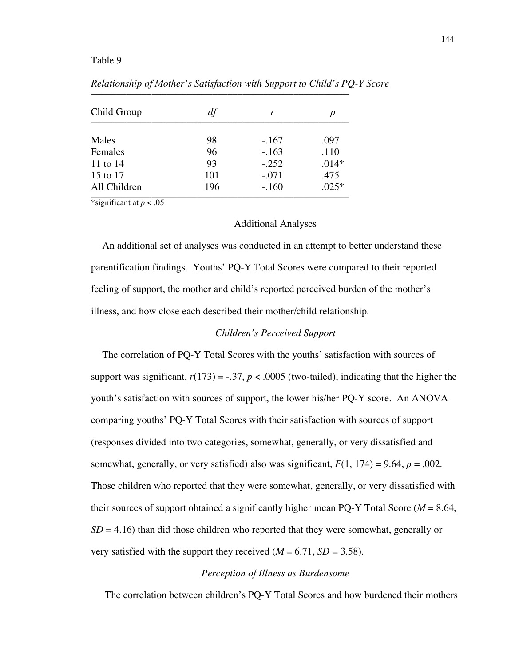## Table 9

| Child Group  | df  | r       | p       |
|--------------|-----|---------|---------|
| Males        | 98  | $-.167$ | .097    |
| Females      | 96  | $-.163$ | .110    |
| 11 to 14     | 93  | $-.252$ | $.014*$ |
| 15 to 17     | 101 | $-.071$ | .475    |
| All Children | 196 | $-.160$ | $.025*$ |

*Relationship of Mother's Satisfaction with Support to Child's PQ-Y Score* Letterwording of momer s bangachon win buppon to china s r

\*significant at  $p < .05$ 

#### Additional Analyses

An additional set of analyses was conducted in an attempt to better understand these parentification findings. Youths' PQ-Y Total Scores were compared to their reported feeling of support, the mother and child's reported perceived burden of the mother's illness, and how close each described their mother/child relationship.

#### *Children's Perceived Support*

The correlation of PQ-Y Total Scores with the youths' satisfaction with sources of support was significant,  $r(173) = -.37$ ,  $p < .0005$  (two-tailed), indicating that the higher the youth's satisfaction with sources of support, the lower his/her PQ-Y score. An ANOVA comparing youths' PQ-Y Total Scores with their satisfaction with sources of support (responses divided into two categories, somewhat, generally, or very dissatisfied and somewhat, generally, or very satisfied) also was significant,  $F(1, 174) = 9.64$ ,  $p = .002$ . Those children who reported that they were somewhat, generally, or very dissatisfied with their sources of support obtained a significantly higher mean PQ-Y Total Score (*M* = 8.64,  $SD = 4.16$ ) than did those children who reported that they were somewhat, generally or very satisfied with the support they received  $(M = 6.71, SD = 3.58)$ .

## *Perception of Illness as Burdensome*

The correlation between children's PQ-Y Total Scores and how burdened their mothers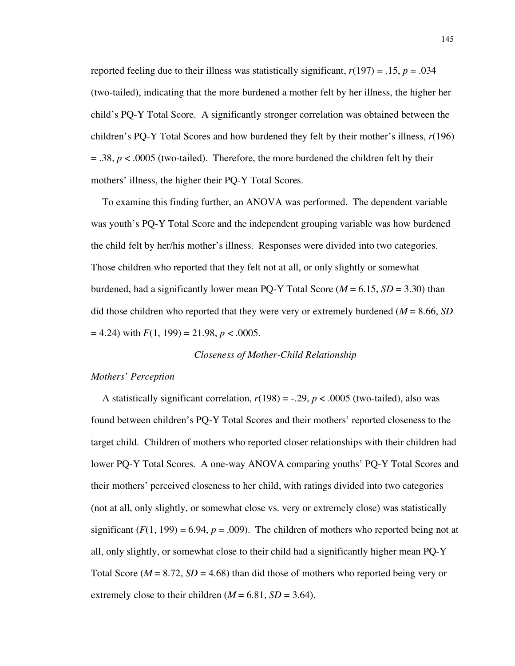reported feeling due to their illness was statistically significant,  $r(197) = .15$ ,  $p = .034$ (two-tailed), indicating that the more burdened a mother felt by her illness, the higher her child's PQ-Y Total Score. A significantly stronger correlation was obtained between the children's PQ-Y Total Scores and how burdened they felt by their mother's illness, *r*(196)  $= .38$ ,  $p < .0005$  (two-tailed). Therefore, the more burdened the children felt by their mothers' illness, the higher their PQ-Y Total Scores.

To examine this finding further, an ANOVA was performed. The dependent variable was youth's PQ-Y Total Score and the independent grouping variable was how burdened the child felt by her/his mother's illness. Responses were divided into two categories. Those children who reported that they felt not at all, or only slightly or somewhat burdened, had a significantly lower mean PQ-Y Total Score ( $M = 6.15$ ,  $SD = 3.30$ ) than did those children who reported that they were very or extremely burdened (*M* = 8.66, *SD*  $= 4.24$ ) with  $F(1, 199) = 21.98$ ,  $p < .0005$ .

#### *Closeness of Mother-Child Relationship*

#### *Mothers' Perception*

A statistically significant correlation,  $r(198) = -.29$ ,  $p < .0005$  (two-tailed), also was found between children's PQ-Y Total Scores and their mothers' reported closeness to the target child. Children of mothers who reported closer relationships with their children had lower PQ-Y Total Scores. A one-way ANOVA comparing youths' PQ-Y Total Scores and their mothers' perceived closeness to her child, with ratings divided into two categories (not at all, only slightly, or somewhat close vs. very or extremely close) was statistically significant  $(F(1, 199) = 6.94$ ,  $p = .009$ ). The children of mothers who reported being not at all, only slightly, or somewhat close to their child had a significantly higher mean PQ-Y Total Score ( $M = 8.72$ ,  $SD = 4.68$ ) than did those of mothers who reported being very or extremely close to their children  $(M = 6.81, SD = 3.64)$ .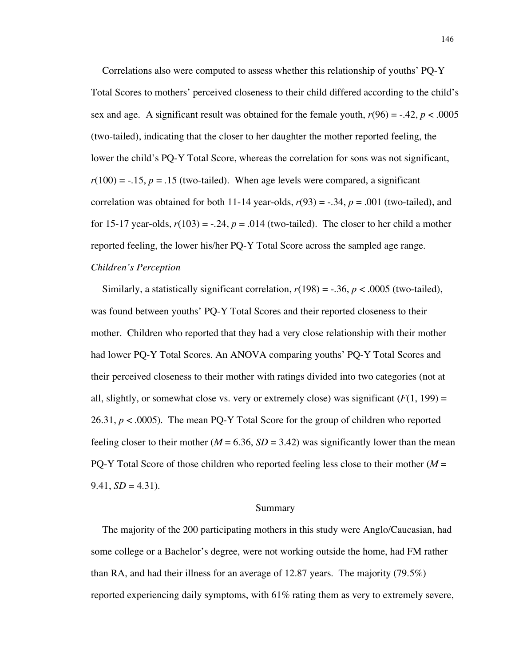Correlations also were computed to assess whether this relationship of youths' PQ-Y Total Scores to mothers' perceived closeness to their child differed according to the child's sex and age. A significant result was obtained for the female youth,  $r(96) = -0.42$ ,  $p < 0.0005$ (two-tailed), indicating that the closer to her daughter the mother reported feeling, the lower the child's PQ-Y Total Score, whereas the correlation for sons was not significant,  $r(100) = -.15$ ,  $p = .15$  (two-tailed). When age levels were compared, a significant correlation was obtained for both 11-14 year-olds,  $r(93) = -.34$ ,  $p = .001$  (two-tailed), and for 15-17 year-olds,  $r(103) = -.24$ ,  $p = .014$  (two-tailed). The closer to her child a mother reported feeling, the lower his/her PQ-Y Total Score across the sampled age range. *Children's Perception*

Similarly, a statistically significant correlation,  $r(198) = -.36$ ,  $p < .0005$  (two-tailed), was found between youths' PQ-Y Total Scores and their reported closeness to their mother. Children who reported that they had a very close relationship with their mother had lower PQ-Y Total Scores. An ANOVA comparing youths' PQ-Y Total Scores and their perceived closeness to their mother with ratings divided into two categories (not at all, slightly, or somewhat close vs. very or extremely close) was significant  $(F(1, 199) =$ 26.31,  $p < .0005$ ). The mean PQ-Y Total Score for the group of children who reported feeling closer to their mother ( $M = 6.36$ ,  $SD = 3.42$ ) was significantly lower than the mean PQ-Y Total Score of those children who reported feeling less close to their mother (*M* =  $9.41, SD = 4.31$ .

#### Summary

The majority of the 200 participating mothers in this study were Anglo/Caucasian, had some college or a Bachelor's degree, were not working outside the home, had FM rather than RA, and had their illness for an average of 12.87 years. The majority (79.5%) reported experiencing daily symptoms, with 61% rating them as very to extremely severe,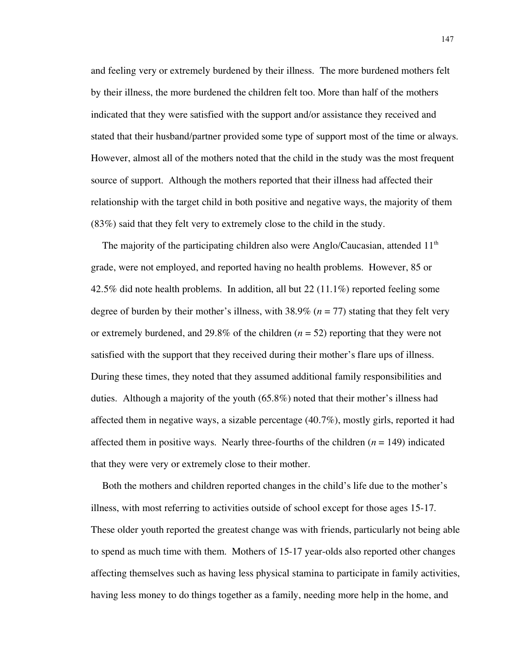and feeling very or extremely burdened by their illness. The more burdened mothers felt by their illness, the more burdened the children felt too. More than half of the mothers indicated that they were satisfied with the support and/or assistance they received and stated that their husband/partner provided some type of support most of the time or always. However, almost all of the mothers noted that the child in the study was the most frequent source of support. Although the mothers reported that their illness had affected their relationship with the target child in both positive and negative ways, the majority of them (83%) said that they felt very to extremely close to the child in the study.

The majority of the participating children also were Anglo/Caucasian, attended  $11<sup>th</sup>$ grade, were not employed, and reported having no health problems. However, 85 or 42.5% did note health problems. In addition, all but 22 (11.1%) reported feeling some degree of burden by their mother's illness, with  $38.9\%$  ( $n = 77$ ) stating that they felt very or extremely burdened, and 29.8% of the children  $(n = 52)$  reporting that they were not satisfied with the support that they received during their mother's flare ups of illness. During these times, they noted that they assumed additional family responsibilities and duties. Although a majority of the youth (65.8%) noted that their mother's illness had affected them in negative ways, a sizable percentage (40.7%), mostly girls, reported it had affected them in positive ways. Nearly three-fourths of the children (*n* = 149) indicated that they were very or extremely close to their mother.

Both the mothers and children reported changes in the child's life due to the mother's illness, with most referring to activities outside of school except for those ages 15-17. These older youth reported the greatest change was with friends, particularly not being able to spend as much time with them. Mothers of 15-17 year-olds also reported other changes affecting themselves such as having less physical stamina to participate in family activities, having less money to do things together as a family, needing more help in the home, and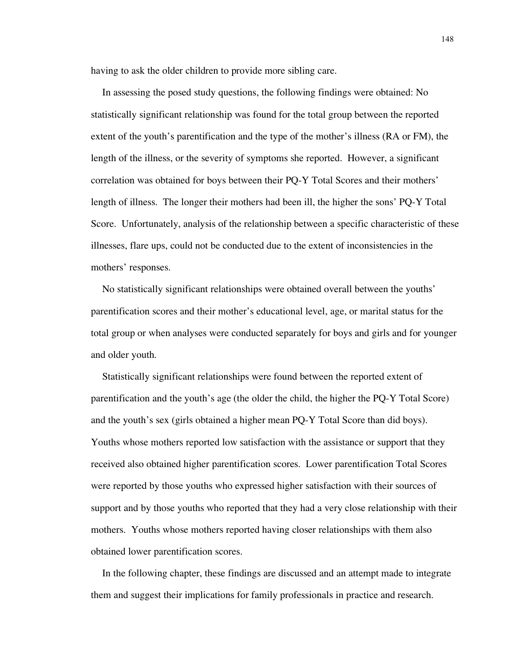having to ask the older children to provide more sibling care.

In assessing the posed study questions, the following findings were obtained: No statistically significant relationship was found for the total group between the reported extent of the youth's parentification and the type of the mother's illness (RA or FM), the length of the illness, or the severity of symptoms she reported. However, a significant correlation was obtained for boys between their PQ-Y Total Scores and their mothers' length of illness. The longer their mothers had been ill, the higher the sons' PQ-Y Total Score. Unfortunately, analysis of the relationship between a specific characteristic of these illnesses, flare ups, could not be conducted due to the extent of inconsistencies in the mothers' responses.

No statistically significant relationships were obtained overall between the youths' parentification scores and their mother's educational level, age, or marital status for the total group or when analyses were conducted separately for boys and girls and for younger and older youth.

Statistically significant relationships were found between the reported extent of parentification and the youth's age (the older the child, the higher the PQ-Y Total Score) and the youth's sex (girls obtained a higher mean PQ-Y Total Score than did boys). Youths whose mothers reported low satisfaction with the assistance or support that they received also obtained higher parentification scores. Lower parentification Total Scores were reported by those youths who expressed higher satisfaction with their sources of support and by those youths who reported that they had a very close relationship with their mothers. Youths whose mothers reported having closer relationships with them also obtained lower parentification scores.

In the following chapter, these findings are discussed and an attempt made to integrate them and suggest their implications for family professionals in practice and research.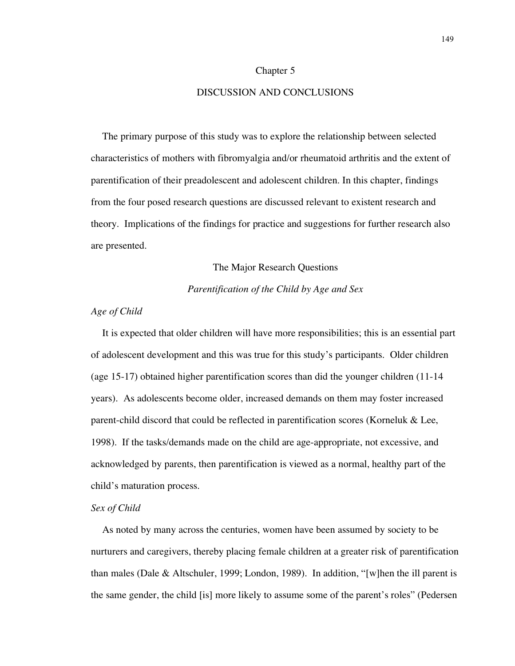#### Chapter 5

## DISCUSSION AND CONCLUSIONS

The primary purpose of this study was to explore the relationship between selected characteristics of mothers with fibromyalgia and/or rheumatoid arthritis and the extent of parentification of their preadolescent and adolescent children. In this chapter, findings from the four posed research questions are discussed relevant to existent research and theory. Implications of the findings for practice and suggestions for further research also are presented.

#### The Major Research Questions

## *Parentification of the Child by Age and Sex*

## *Age of Child*

It is expected that older children will have more responsibilities; this is an essential part of adolescent development and this was true for this study's participants. Older children (age 15-17) obtained higher parentification scores than did the younger children (11-14 years). As adolescents become older, increased demands on them may foster increased parent-child discord that could be reflected in parentification scores (Korneluk & Lee, 1998). If the tasks/demands made on the child are age-appropriate, not excessive, and acknowledged by parents, then parentification is viewed as a normal, healthy part of the child's maturation process.

#### *Sex of Child*

As noted by many across the centuries, women have been assumed by society to be nurturers and caregivers, thereby placing female children at a greater risk of parentification than males (Dale & Altschuler, 1999; London, 1989). In addition, "[w]hen the ill parent is the same gender, the child [is] more likely to assume some of the parent's roles" (Pedersen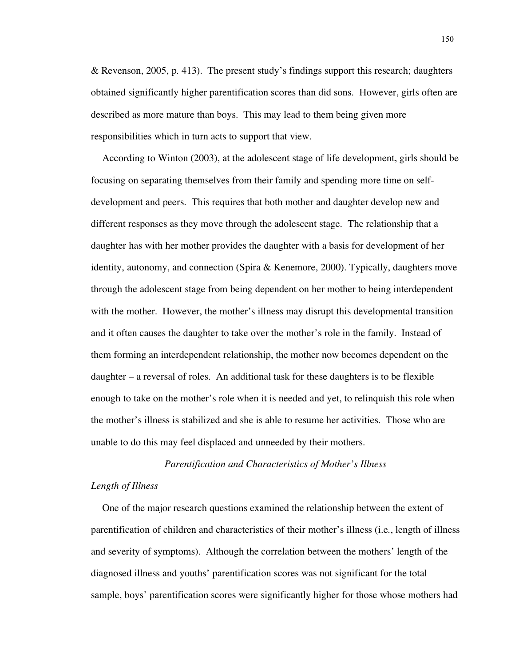& Revenson, 2005, p. 413). The present study's findings support this research; daughters obtained significantly higher parentification scores than did sons. However, girls often are described as more mature than boys. This may lead to them being given more responsibilities which in turn acts to support that view.

According to Winton (2003), at the adolescent stage of life development, girls should be focusing on separating themselves from their family and spending more time on selfdevelopment and peers. This requires that both mother and daughter develop new and different responses as they move through the adolescent stage. The relationship that a daughter has with her mother provides the daughter with a basis for development of her identity, autonomy, and connection (Spira & Kenemore, 2000). Typically, daughters move through the adolescent stage from being dependent on her mother to being interdependent with the mother. However, the mother's illness may disrupt this developmental transition and it often causes the daughter to take over the mother's role in the family. Instead of them forming an interdependent relationship, the mother now becomes dependent on the daughter – a reversal of roles. An additional task for these daughters is to be flexible enough to take on the mother's role when it is needed and yet, to relinquish this role when the mother's illness is stabilized and she is able to resume her activities. Those who are unable to do this may feel displaced and unneeded by their mothers.

#### *Parentification and Characteristics of Mother's Illness*

#### *Length of Illness*

One of the major research questions examined the relationship between the extent of parentification of children and characteristics of their mother's illness (i.e., length of illness and severity of symptoms). Although the correlation between the mothers' length of the diagnosed illness and youths' parentification scores was not significant for the total sample, boys' parentification scores were significantly higher for those whose mothers had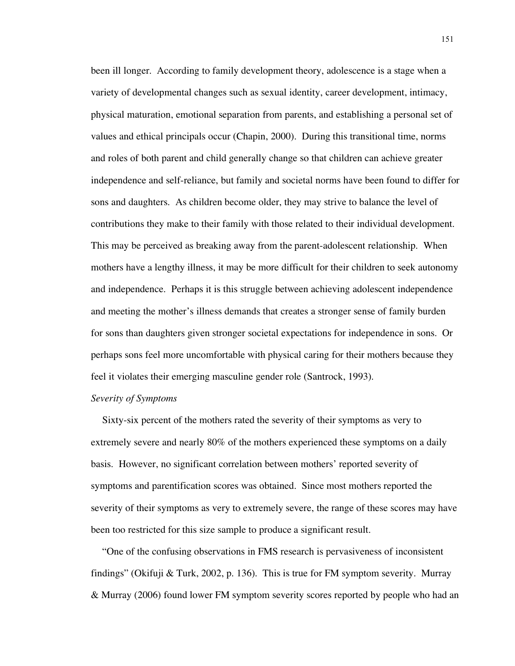been ill longer. According to family development theory, adolescence is a stage when a variety of developmental changes such as sexual identity, career development, intimacy, physical maturation, emotional separation from parents, and establishing a personal set of values and ethical principals occur (Chapin, 2000). During this transitional time, norms and roles of both parent and child generally change so that children can achieve greater independence and self-reliance, but family and societal norms have been found to differ for sons and daughters. As children become older, they may strive to balance the level of contributions they make to their family with those related to their individual development. This may be perceived as breaking away from the parent-adolescent relationship. When mothers have a lengthy illness, it may be more difficult for their children to seek autonomy and independence. Perhaps it is this struggle between achieving adolescent independence and meeting the mother's illness demands that creates a stronger sense of family burden for sons than daughters given stronger societal expectations for independence in sons. Or perhaps sons feel more uncomfortable with physical caring for their mothers because they feel it violates their emerging masculine gender role (Santrock, 1993).

#### *Severity of Symptoms*

Sixty-six percent of the mothers rated the severity of their symptoms as very to extremely severe and nearly 80% of the mothers experienced these symptoms on a daily basis. However, no significant correlation between mothers' reported severity of symptoms and parentification scores was obtained. Since most mothers reported the severity of their symptoms as very to extremely severe, the range of these scores may have been too restricted for this size sample to produce a significant result.

"One of the confusing observations in FMS research is pervasiveness of inconsistent findings" (Okifuji & Turk, 2002, p. 136). This is true for FM symptom severity. Murray & Murray (2006) found lower FM symptom severity scores reported by people who had an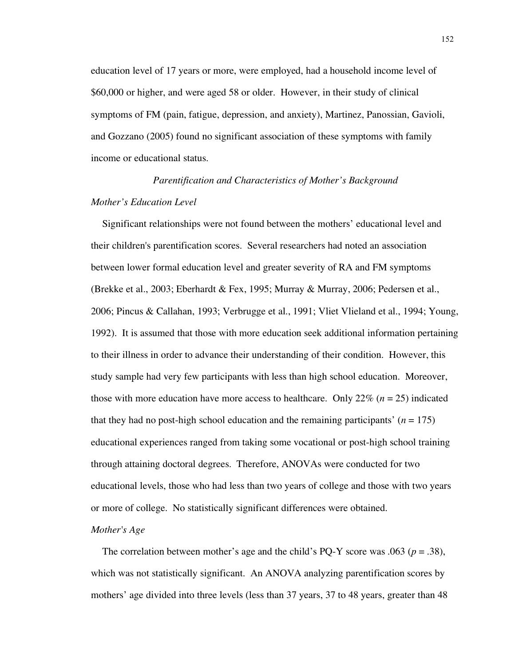education level of 17 years or more, were employed, had a household income level of \$60,000 or higher, and were aged 58 or older. However, in their study of clinical symptoms of FM (pain, fatigue, depression, and anxiety), Martinez, Panossian, Gavioli, and Gozzano (2005) found no significant association of these symptoms with family income or educational status.

# *Parentification and Characteristics of Mother's Background Mother's Education Level*

Significant relationships were not found between the mothers' educational level and their children's parentification scores. Several researchers had noted an association between lower formal education level and greater severity of RA and FM symptoms (Brekke et al., 2003; Eberhardt & Fex, 1995; Murray & Murray, 2006; Pedersen et al., 2006; Pincus & Callahan, 1993; Verbrugge et al., 1991; Vliet Vlieland et al., 1994; Young, 1992). It is assumed that those with more education seek additional information pertaining to their illness in order to advance their understanding of their condition. However, this study sample had very few participants with less than high school education. Moreover, those with more education have more access to healthcare. Only  $22\%$  ( $n = 25$ ) indicated that they had no post-high school education and the remaining participants'  $(n = 175)$ educational experiences ranged from taking some vocational or post-high school training through attaining doctoral degrees. Therefore, ANOVAs were conducted for two educational levels, those who had less than two years of college and those with two years or more of college. No statistically significant differences were obtained.

## *Mother's Age*

The correlation between mother's age and the child's PQ-Y score was .063 ( $p = .38$ ), which was not statistically significant. An ANOVA analyzing parentification scores by mothers' age divided into three levels (less than 37 years, 37 to 48 years, greater than 48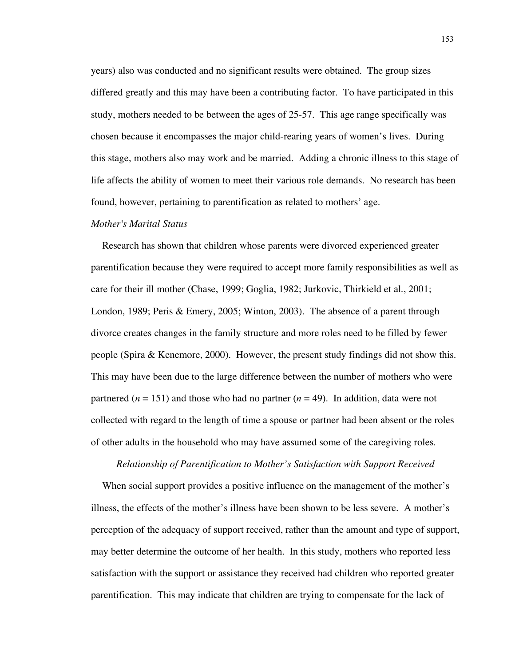years) also was conducted and no significant results were obtained. The group sizes differed greatly and this may have been a contributing factor. To have participated in this study, mothers needed to be between the ages of 25-57. This age range specifically was chosen because it encompasses the major child-rearing years of women's lives. During this stage, mothers also may work and be married. Adding a chronic illness to this stage of life affects the ability of women to meet their various role demands. No research has been found, however, pertaining to parentification as related to mothers' age.

## *Mother's Marital Status*

Research has shown that children whose parents were divorced experienced greater parentification because they were required to accept more family responsibilities as well as care for their ill mother (Chase, 1999; Goglia, 1982; Jurkovic, Thirkield et al., 2001; London, 1989; Peris & Emery, 2005; Winton, 2003). The absence of a parent through divorce creates changes in the family structure and more roles need to be filled by fewer people (Spira & Kenemore, 2000). However, the present study findings did not show this. This may have been due to the large difference between the number of mothers who were partnered ( $n = 151$ ) and those who had no partner ( $n = 49$ ). In addition, data were not collected with regard to the length of time a spouse or partner had been absent or the roles of other adults in the household who may have assumed some of the caregiving roles.

#### *Relationship of Parentification to Mother's Satisfaction with Support Received*

When social support provides a positive influence on the management of the mother's illness, the effects of the mother's illness have been shown to be less severe. A mother's perception of the adequacy of support received, rather than the amount and type of support, may better determine the outcome of her health. In this study, mothers who reported less satisfaction with the support or assistance they received had children who reported greater parentification. This may indicate that children are trying to compensate for the lack of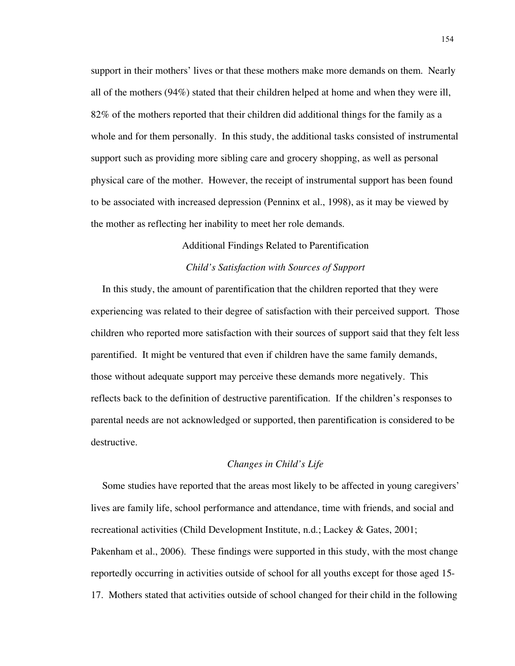support in their mothers' lives or that these mothers make more demands on them. Nearly all of the mothers (94%) stated that their children helped at home and when they were ill, 82% of the mothers reported that their children did additional things for the family as a whole and for them personally. In this study, the additional tasks consisted of instrumental support such as providing more sibling care and grocery shopping, as well as personal physical care of the mother. However, the receipt of instrumental support has been found to be associated with increased depression (Penninx et al., 1998), as it may be viewed by the mother as reflecting her inability to meet her role demands.

# Additional Findings Related to Parentification *Child's Satisfaction with Sources of Support*

In this study, the amount of parentification that the children reported that they were experiencing was related to their degree of satisfaction with their perceived support. Those children who reported more satisfaction with their sources of support said that they felt less parentified. It might be ventured that even if children have the same family demands, those without adequate support may perceive these demands more negatively. This reflects back to the definition of destructive parentification. If the children's responses to parental needs are not acknowledged or supported, then parentification is considered to be destructive.

## *Changes in Child's Life*

Some studies have reported that the areas most likely to be affected in young caregivers' lives are family life, school performance and attendance, time with friends, and social and recreational activities (Child Development Institute, n.d.; Lackey & Gates, 2001; Pakenham et al., 2006). These findings were supported in this study, with the most change reportedly occurring in activities outside of school for all youths except for those aged 15- 17. Mothers stated that activities outside of school changed for their child in the following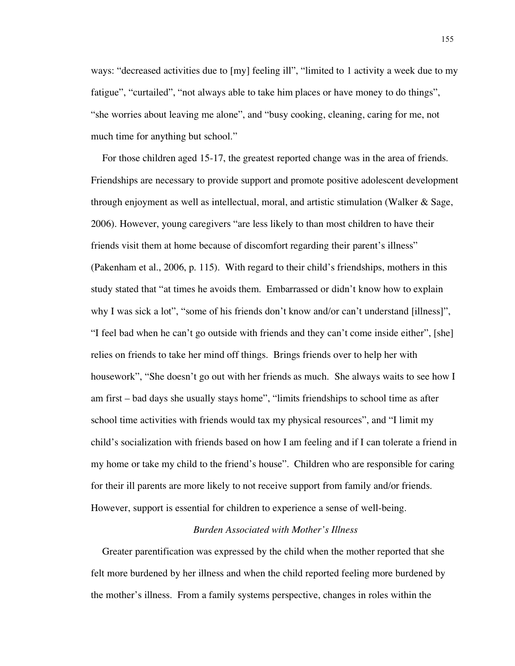ways: "decreased activities due to [my] feeling ill", "limited to 1 activity a week due to my fatigue", "curtailed", "not always able to take him places or have money to do things", "she worries about leaving me alone", and "busy cooking, cleaning, caring for me, not much time for anything but school."

For those children aged 15-17, the greatest reported change was in the area of friends. Friendships are necessary to provide support and promote positive adolescent development through enjoyment as well as intellectual, moral, and artistic stimulation (Walker & Sage, 2006). However, young caregivers "are less likely to than most children to have their friends visit them at home because of discomfort regarding their parent's illness" (Pakenham et al., 2006, p. 115). With regard to their child's friendships, mothers in this study stated that "at times he avoids them. Embarrassed or didn't know how to explain why I was sick a lot", "some of his friends don't know and/or can't understand [illness]", "I feel bad when he can't go outside with friends and they can't come inside either", [she] relies on friends to take her mind off things. Brings friends over to help her with housework", "She doesn't go out with her friends as much. She always waits to see how I am first – bad days she usually stays home", "limits friendships to school time as after school time activities with friends would tax my physical resources", and "I limit my child's socialization with friends based on how I am feeling and if I can tolerate a friend in my home or take my child to the friend's house". Children who are responsible for caring for their ill parents are more likely to not receive support from family and/or friends. However, support is essential for children to experience a sense of well-being.

## *Burden Associated with Mother's Illness*

Greater parentification was expressed by the child when the mother reported that she felt more burdened by her illness and when the child reported feeling more burdened by the mother's illness. From a family systems perspective, changes in roles within the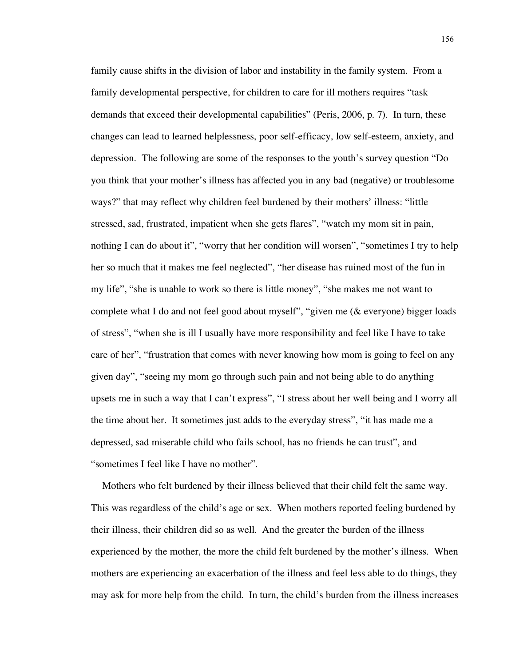family cause shifts in the division of labor and instability in the family system. From a family developmental perspective, for children to care for ill mothers requires "task demands that exceed their developmental capabilities" (Peris, 2006, p. 7). In turn, these changes can lead to learned helplessness, poor self-efficacy, low self-esteem, anxiety, and depression. The following are some of the responses to the youth's survey question "Do you think that your mother's illness has affected you in any bad (negative) or troublesome ways?" that may reflect why children feel burdened by their mothers' illness: "little stressed, sad, frustrated, impatient when she gets flares", "watch my mom sit in pain, nothing I can do about it", "worry that her condition will worsen", "sometimes I try to help her so much that it makes me feel neglected", "her disease has ruined most of the fun in my life", "she is unable to work so there is little money", "she makes me not want to complete what I do and not feel good about myself", "given me (& everyone) bigger loads of stress", "when she is ill I usually have more responsibility and feel like I have to take care of her", "frustration that comes with never knowing how mom is going to feel on any given day", "seeing my mom go through such pain and not being able to do anything upsets me in such a way that I can't express", "I stress about her well being and I worry all the time about her. It sometimes just adds to the everyday stress", "it has made me a depressed, sad miserable child who fails school, has no friends he can trust", and "sometimes I feel like I have no mother".

Mothers who felt burdened by their illness believed that their child felt the same way. This was regardless of the child's age or sex. When mothers reported feeling burdened by their illness, their children did so as well. And the greater the burden of the illness experienced by the mother, the more the child felt burdened by the mother's illness. When mothers are experiencing an exacerbation of the illness and feel less able to do things, they may ask for more help from the child. In turn, the child's burden from the illness increases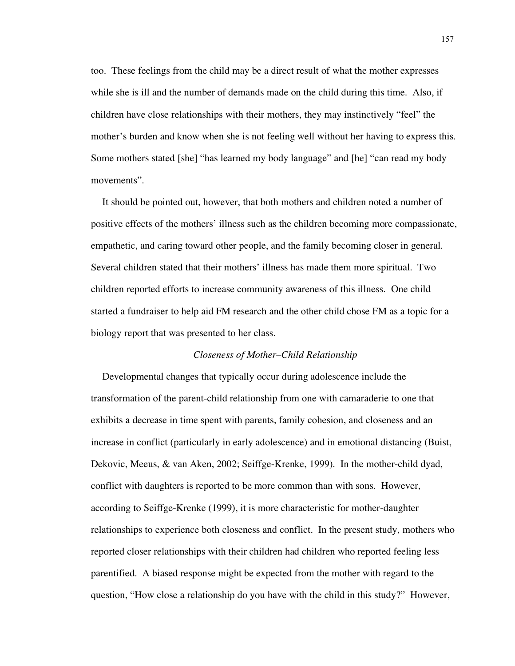too. These feelings from the child may be a direct result of what the mother expresses while she is ill and the number of demands made on the child during this time. Also, if children have close relationships with their mothers, they may instinctively "feel" the mother's burden and know when she is not feeling well without her having to express this. Some mothers stated [she] "has learned my body language" and [he] "can read my body movements".

It should be pointed out, however, that both mothers and children noted a number of positive effects of the mothers' illness such as the children becoming more compassionate, empathetic, and caring toward other people, and the family becoming closer in general. Several children stated that their mothers' illness has made them more spiritual. Two children reported efforts to increase community awareness of this illness. One child started a fundraiser to help aid FM research and the other child chose FM as a topic for a biology report that was presented to her class.

#### *Closeness of Mother–Child Relationship*

Developmental changes that typically occur during adolescence include the transformation of the parent-child relationship from one with camaraderie to one that exhibits a decrease in time spent with parents, family cohesion, and closeness and an increase in conflict (particularly in early adolescence) and in emotional distancing (Buist, Dekovic, Meeus, & van Aken, 2002; Seiffge-Krenke, 1999). In the mother-child dyad, conflict with daughters is reported to be more common than with sons. However, according to Seiffge-Krenke (1999), it is more characteristic for mother-daughter relationships to experience both closeness and conflict. In the present study, mothers who reported closer relationships with their children had children who reported feeling less parentified. A biased response might be expected from the mother with regard to the question, "How close a relationship do you have with the child in this study?" However,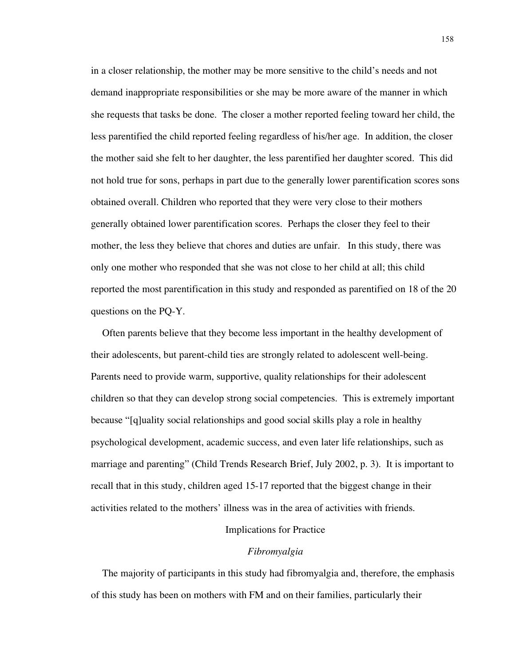in a closer relationship, the mother may be more sensitive to the child's needs and not demand inappropriate responsibilities or she may be more aware of the manner in which she requests that tasks be done. The closer a mother reported feeling toward her child, the less parentified the child reported feeling regardless of his/her age. In addition, the closer the mother said she felt to her daughter, the less parentified her daughter scored. This did not hold true for sons, perhaps in part due to the generally lower parentification scores sons obtained overall. Children who reported that they were very close to their mothers generally obtained lower parentification scores. Perhaps the closer they feel to their mother, the less they believe that chores and duties are unfair. In this study, there was only one mother who responded that she was not close to her child at all; this child reported the most parentification in this study and responded as parentified on 18 of the 20 questions on the PQ-Y.

Often parents believe that they become less important in the healthy development of their adolescents, but parent-child ties are strongly related to adolescent well-being. Parents need to provide warm, supportive, quality relationships for their adolescent children so that they can develop strong social competencies. This is extremely important because "[q]uality social relationships and good social skills play a role in healthy psychological development, academic success, and even later life relationships, such as marriage and parenting" (Child Trends Research Brief, July 2002, p. 3). It is important to recall that in this study, children aged 15-17 reported that the biggest change in their activities related to the mothers' illness was in the area of activities with friends.

## Implications for Practice

## *Fibromyalgia*

The majority of participants in this study had fibromyalgia and, therefore, the emphasis of this study has been on mothers with FM and on their families, particularly their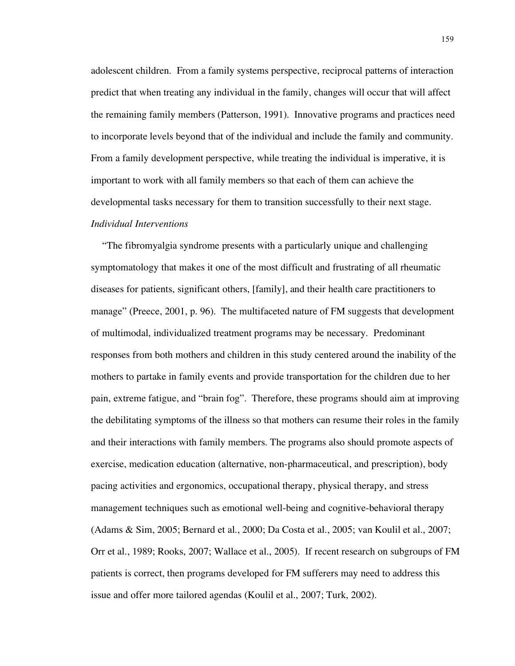adolescent children. From a family systems perspective, reciprocal patterns of interaction predict that when treating any individual in the family, changes will occur that will affect the remaining family members (Patterson, 1991). Innovative programs and practices need to incorporate levels beyond that of the individual and include the family and community. From a family development perspective, while treating the individual is imperative, it is important to work with all family members so that each of them can achieve the developmental tasks necessary for them to transition successfully to their next stage. *Individual Interventions*

"The fibromyalgia syndrome presents with a particularly unique and challenging symptomatology that makes it one of the most difficult and frustrating of all rheumatic diseases for patients, significant others, [family], and their health care practitioners to manage" (Preece, 2001, p. 96). The multifaceted nature of FM suggests that development of multimodal, individualized treatment programs may be necessary. Predominant responses from both mothers and children in this study centered around the inability of the mothers to partake in family events and provide transportation for the children due to her pain, extreme fatigue, and "brain fog". Therefore, these programs should aim at improving the debilitating symptoms of the illness so that mothers can resume their roles in the family and their interactions with family members. The programs also should promote aspects of exercise, medication education (alternative, non-pharmaceutical, and prescription), body pacing activities and ergonomics, occupational therapy, physical therapy, and stress management techniques such as emotional well-being and cognitive-behavioral therapy (Adams & Sim, 2005; Bernard et al., 2000; Da Costa et al., 2005; van Koulil et al., 2007; Orr et al., 1989; Rooks, 2007; Wallace et al., 2005). If recent research on subgroups of FM patients is correct, then programs developed for FM sufferers may need to address this issue and offer more tailored agendas (Koulil et al., 2007; Turk, 2002).

159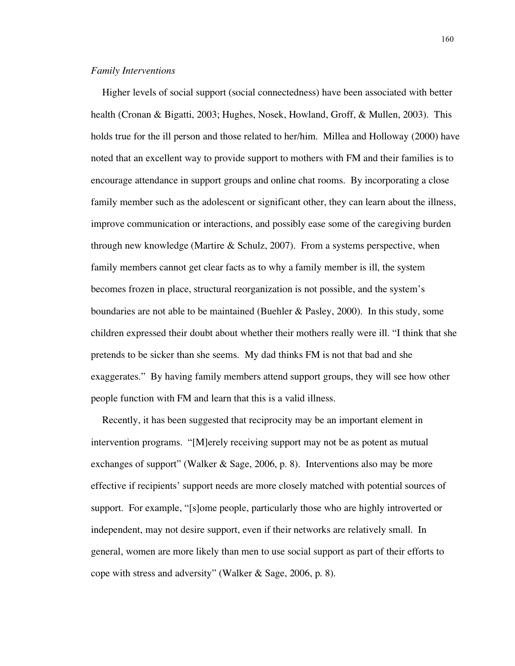#### *Family Interventions*

Higher levels of social support (social connectedness) have been associated with better health (Cronan & Bigatti, 2003; Hughes, Nosek, Howland, Groff, & Mullen, 2003). This holds true for the ill person and those related to her/him. Millea and Holloway (2000) have noted that an excellent way to provide support to mothers with FM and their families is to encourage attendance in support groups and online chat rooms. By incorporating a close family member such as the adolescent or significant other, they can learn about the illness, improve communication or interactions, and possibly ease some of the caregiving burden through new knowledge (Martire & Schulz, 2007). From a systems perspective, when family members cannot get clear facts as to why a family member is ill, the system becomes frozen in place, structural reorganization is not possible, and the system's boundaries are not able to be maintained (Buehler & Pasley, 2000). In this study, some children expressed their doubt about whether their mothers really were ill. "I think that she pretends to be sicker than she seems. My dad thinks FM is not that bad and she exaggerates." By having family members attend support groups, they will see how other people function with FM and learn that this is a valid illness.

Recently, it has been suggested that reciprocity may be an important element in intervention programs. "[M]erely receiving support may not be as potent as mutual exchanges of support" (Walker & Sage, 2006, p. 8). Interventions also may be more effective if recipients' support needs are more closely matched with potential sources of support. For example, "[s]ome people, particularly those who are highly introverted or independent, may not desire support, even if their networks are relatively small. In general, women are more likely than men to use social support as part of their efforts to cope with stress and adversity" (Walker & Sage, 2006, p. 8).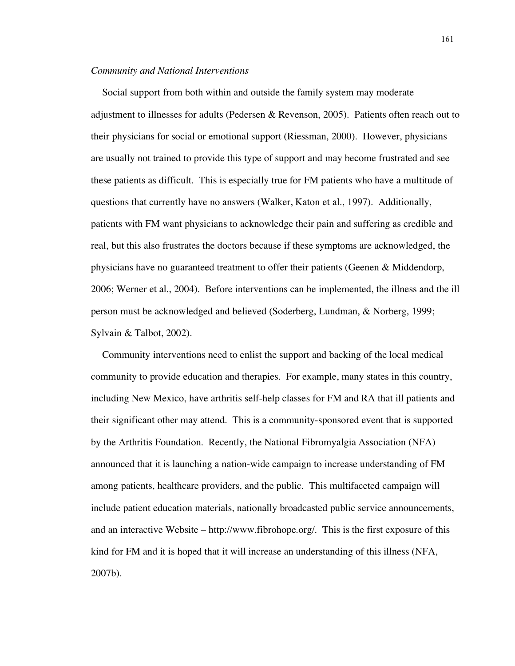#### *Community and National Interventions*

Social support from both within and outside the family system may moderate adjustment to illnesses for adults (Pedersen & Revenson, 2005). Patients often reach out to their physicians for social or emotional support (Riessman, 2000). However, physicians are usually not trained to provide this type of support and may become frustrated and see these patients as difficult. This is especially true for FM patients who have a multitude of questions that currently have no answers (Walker, Katon et al., 1997). Additionally, patients with FM want physicians to acknowledge their pain and suffering as credible and real, but this also frustrates the doctors because if these symptoms are acknowledged, the physicians have no guaranteed treatment to offer their patients (Geenen & Middendorp, 2006; Werner et al., 2004). Before interventions can be implemented, the illness and the ill person must be acknowledged and believed (Soderberg, Lundman, & Norberg, 1999; Sylvain & Talbot, 2002).

Community interventions need to enlist the support and backing of the local medical community to provide education and therapies. For example, many states in this country, including New Mexico, have arthritis self-help classes for FM and RA that ill patients and their significant other may attend. This is a community-sponsored event that is supported by the Arthritis Foundation. Recently, the National Fibromyalgia Association (NFA) announced that it is launching a nation-wide campaign to increase understanding of FM among patients, healthcare providers, and the public. This multifaceted campaign will include patient education materials, nationally broadcasted public service announcements, and an interactive Website – http://www.fibrohope.org/. This is the first exposure of this kind for FM and it is hoped that it will increase an understanding of this illness (NFA, 2007b).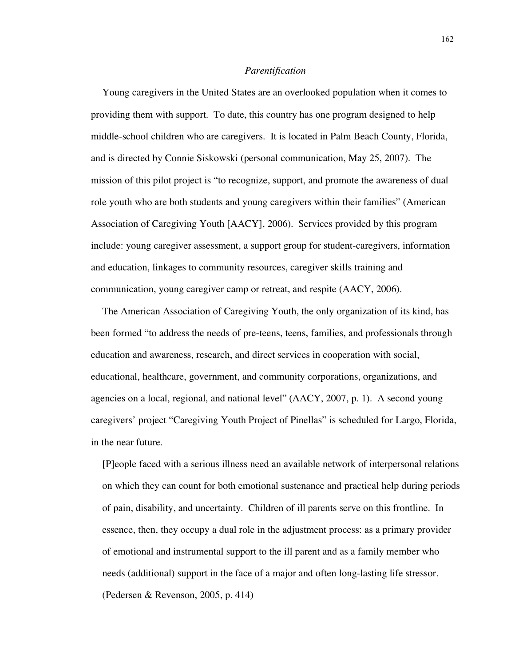#### *Parentification*

Young caregivers in the United States are an overlooked population when it comes to providing them with support. To date, this country has one program designed to help middle-school children who are caregivers. It is located in Palm Beach County, Florida, and is directed by Connie Siskowski (personal communication, May 25, 2007). The mission of this pilot project is "to recognize, support, and promote the awareness of dual role youth who are both students and young caregivers within their families" (American Association of Caregiving Youth [AACY], 2006). Services provided by this program include: young caregiver assessment, a support group for student-caregivers, information and education, linkages to community resources, caregiver skills training and communication, young caregiver camp or retreat, and respite (AACY, 2006).

The American Association of Caregiving Youth, the only organization of its kind, has been formed "to address the needs of pre-teens, teens, families, and professionals through education and awareness, research, and direct services in cooperation with social, educational, healthcare, government, and community corporations, organizations, and agencies on a local, regional, and national level" (AACY, 2007, p. 1). A second young caregivers' project "Caregiving Youth Project of Pinellas" is scheduled for Largo, Florida, in the near future.

[P]eople faced with a serious illness need an available network of interpersonal relations on which they can count for both emotional sustenance and practical help during periods of pain, disability, and uncertainty. Children of ill parents serve on this frontline. In essence, then, they occupy a dual role in the adjustment process: as a primary provider of emotional and instrumental support to the ill parent and as a family member who needs (additional) support in the face of a major and often long-lasting life stressor. (Pedersen & Revenson, 2005, p. 414)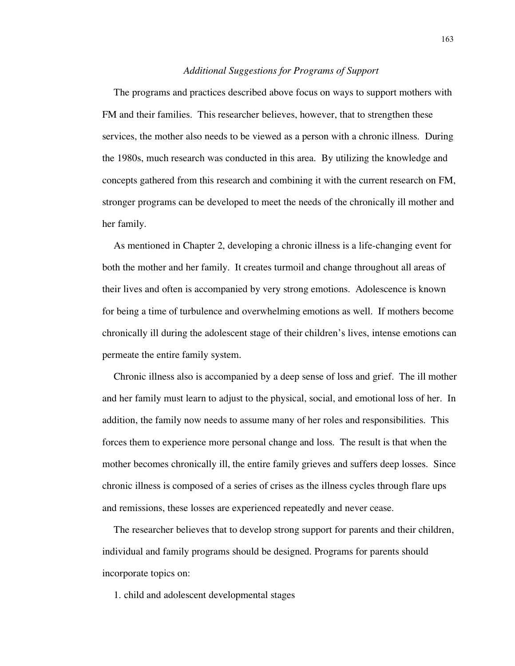#### *Additional Suggestions for Programs of Support*

The programs and practices described above focus on ways to support mothers with FM and their families. This researcher believes, however, that to strengthen these services, the mother also needs to be viewed as a person with a chronic illness. During the 1980s, much research was conducted in this area. By utilizing the knowledge and concepts gathered from this research and combining it with the current research on FM, stronger programs can be developed to meet the needs of the chronically ill mother and her family.

As mentioned in Chapter 2, developing a chronic illness is a life-changing event for both the mother and her family. It creates turmoil and change throughout all areas of their lives and often is accompanied by very strong emotions. Adolescence is known for being a time of turbulence and overwhelming emotions as well. If mothers become chronically ill during the adolescent stage of their children's lives, intense emotions can permeate the entire family system.

Chronic illness also is accompanied by a deep sense of loss and grief. The ill mother and her family must learn to adjust to the physical, social, and emotional loss of her. In addition, the family now needs to assume many of her roles and responsibilities. This forces them to experience more personal change and loss. The result is that when the mother becomes chronically ill, the entire family grieves and suffers deep losses. Since chronic illness is composed of a series of crises as the illness cycles through flare ups and remissions, these losses are experienced repeatedly and never cease.

The researcher believes that to develop strong support for parents and their children, individual and family programs should be designed. Programs for parents should incorporate topics on:

1. child and adolescent developmental stages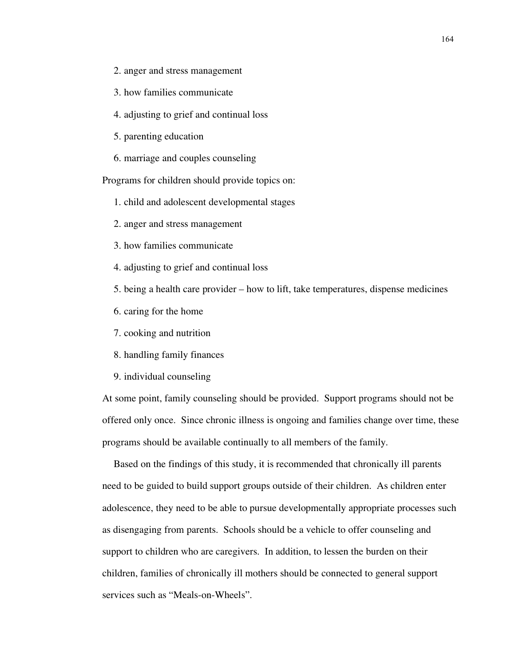- 2. anger and stress management
- 3. how families communicate
- 4. adjusting to grief and continual loss
- 5. parenting education
- 6. marriage and couples counseling

Programs for children should provide topics on:

- 1. child and adolescent developmental stages
- 2. anger and stress management
- 3. how families communicate
- 4. adjusting to grief and continual loss
- 5. being a health care provider how to lift, take temperatures, dispense medicines
- 6. caring for the home
- 7. cooking and nutrition
- 8. handling family finances
- 9. individual counseling

At some point, family counseling should be provided. Support programs should not be offered only once. Since chronic illness is ongoing and families change over time, these programs should be available continually to all members of the family.

Based on the findings of this study, it is recommended that chronically ill parents need to be guided to build support groups outside of their children. As children enter adolescence, they need to be able to pursue developmentally appropriate processes such as disengaging from parents. Schools should be a vehicle to offer counseling and support to children who are caregivers. In addition, to lessen the burden on their children, families of chronically ill mothers should be connected to general support services such as "Meals-on-Wheels".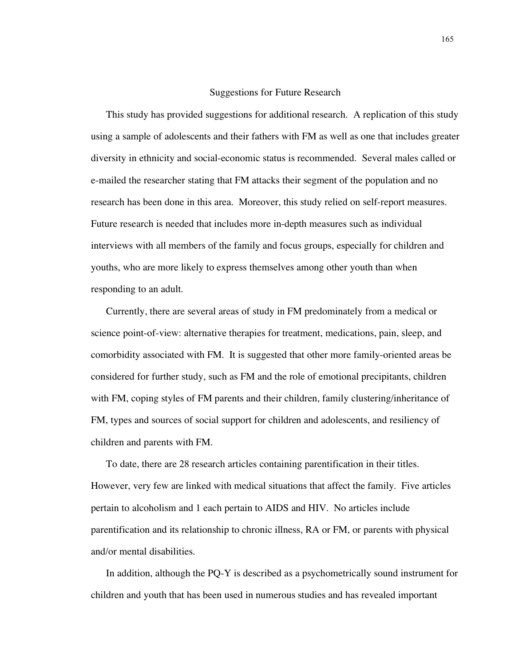#### Suggestions for Future Research

This study has provided suggestions for additional research. A replication of this study using a sample of adolescents and their fathers with FM as well as one that includes greater diversity in ethnicity and social-economic status is recommended. Several males called or e-mailed the researcher stating that FM attacks their segment of the population and no research has been done in this area. Moreover, this study relied on self-report measures. Future research is needed that includes more in-depth measures such as individual interviews with all members of the family and focus groups, especially for children and youths, who are more likely to express themselves among other youth than when responding to an adult.

Currently, there are several areas of study in FM predominately from a medical or science point-of-view: alternative therapies for treatment, medications, pain, sleep, and comorbidity associated with FM. It is suggested that other more family-oriented areas be considered for further study, such as FM and the role of emotional precipitants, children with FM, coping styles of FM parents and their children, family clustering/inheritance of FM, types and sources of social support for children and adolescents, and resiliency of children and parents with FM.

To date, there are 28 research articles containing parentification in their titles. However, very few are linked with medical situations that affect the family. Five articles pertain to alcoholism and 1 each pertain to AIDS and HIV. No articles include parentification and its relationship to chronic illness, RA or FM, or parents with physical and/or mental disabilities.

In addition, although the PQ-Y is described as a psychometrically sound instrument for children and youth that has been used in numerous studies and has revealed important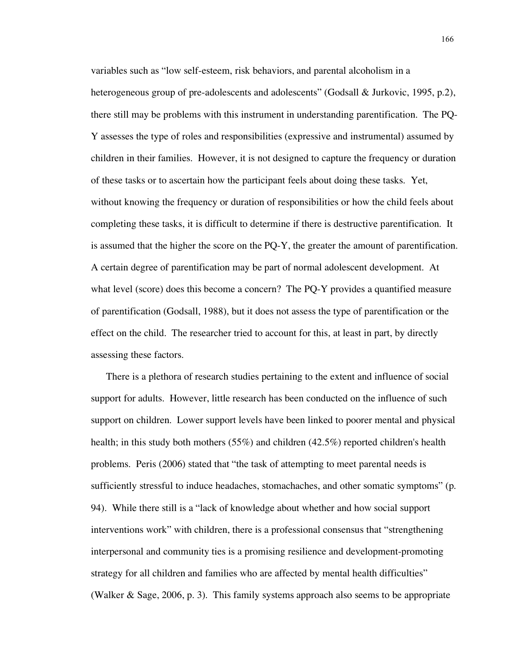variables such as "low self-esteem, risk behaviors, and parental alcoholism in a heterogeneous group of pre-adolescents and adolescents" (Godsall & Jurkovic, 1995, p.2), there still may be problems with this instrument in understanding parentification. The PQ-Y assesses the type of roles and responsibilities (expressive and instrumental) assumed by children in their families. However, it is not designed to capture the frequency or duration of these tasks or to ascertain how the participant feels about doing these tasks. Yet, without knowing the frequency or duration of responsibilities or how the child feels about completing these tasks, it is difficult to determine if there is destructive parentification. It is assumed that the higher the score on the PQ-Y, the greater the amount of parentification. A certain degree of parentification may be part of normal adolescent development. At what level (score) does this become a concern? The PQ-Y provides a quantified measure of parentification (Godsall, 1988), but it does not assess the type of parentification or the effect on the child. The researcher tried to account for this, at least in part, by directly assessing these factors.

There is a plethora of research studies pertaining to the extent and influence of social support for adults. However, little research has been conducted on the influence of such support on children. Lower support levels have been linked to poorer mental and physical health; in this study both mothers (55%) and children (42.5%) reported children's health problems. Peris (2006) stated that "the task of attempting to meet parental needs is sufficiently stressful to induce headaches, stomachaches, and other somatic symptoms" (p. 94). While there still is a "lack of knowledge about whether and how social support interventions work" with children, there is a professional consensus that "strengthening interpersonal and community ties is a promising resilience and development-promoting strategy for all children and families who are affected by mental health difficulties" (Walker & Sage, 2006, p. 3). This family systems approach also seems to be appropriate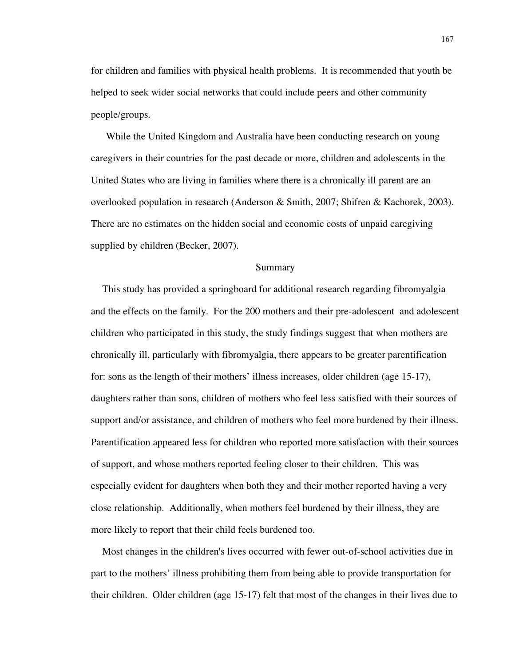for children and families with physical health problems. It is recommended that youth be helped to seek wider social networks that could include peers and other community people/groups.

While the United Kingdom and Australia have been conducting research on young caregivers in their countries for the past decade or more, children and adolescents in the United States who are living in families where there is a chronically ill parent are an overlooked population in research (Anderson & Smith, 2007; Shifren & Kachorek, 2003). There are no estimates on the hidden social and economic costs of unpaid caregiving supplied by children (Becker, 2007).

#### Summary

This study has provided a springboard for additional research regarding fibromyalgia and the effects on the family. For the 200 mothers and their pre-adolescent and adolescent children who participated in this study, the study findings suggest that when mothers are chronically ill, particularly with fibromyalgia, there appears to be greater parentification for: sons as the length of their mothers' illness increases, older children (age 15-17), daughters rather than sons, children of mothers who feel less satisfied with their sources of support and/or assistance, and children of mothers who feel more burdened by their illness. Parentification appeared less for children who reported more satisfaction with their sources of support, and whose mothers reported feeling closer to their children. This was especially evident for daughters when both they and their mother reported having a very close relationship. Additionally, when mothers feel burdened by their illness, they are more likely to report that their child feels burdened too.

Most changes in the children's lives occurred with fewer out-of-school activities due in part to the mothers' illness prohibiting them from being able to provide transportation for their children. Older children (age 15-17) felt that most of the changes in their lives due to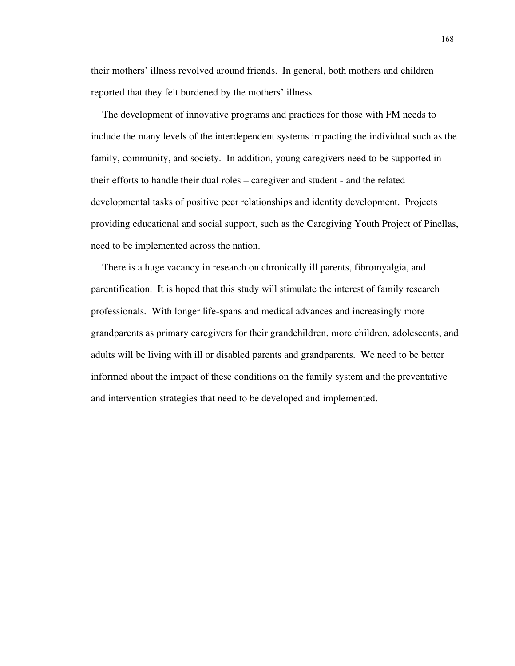their mothers' illness revolved around friends. In general, both mothers and children reported that they felt burdened by the mothers' illness.

The development of innovative programs and practices for those with FM needs to include the many levels of the interdependent systems impacting the individual such as the family, community, and society. In addition, young caregivers need to be supported in their efforts to handle their dual roles – caregiver and student - and the related developmental tasks of positive peer relationships and identity development. Projects providing educational and social support, such as the Caregiving Youth Project of Pinellas, need to be implemented across the nation.

There is a huge vacancy in research on chronically ill parents, fibromyalgia, and parentification. It is hoped that this study will stimulate the interest of family research professionals. With longer life-spans and medical advances and increasingly more grandparents as primary caregivers for their grandchildren, more children, adolescents, and adults will be living with ill or disabled parents and grandparents. We need to be better informed about the impact of these conditions on the family system and the preventative and intervention strategies that need to be developed and implemented.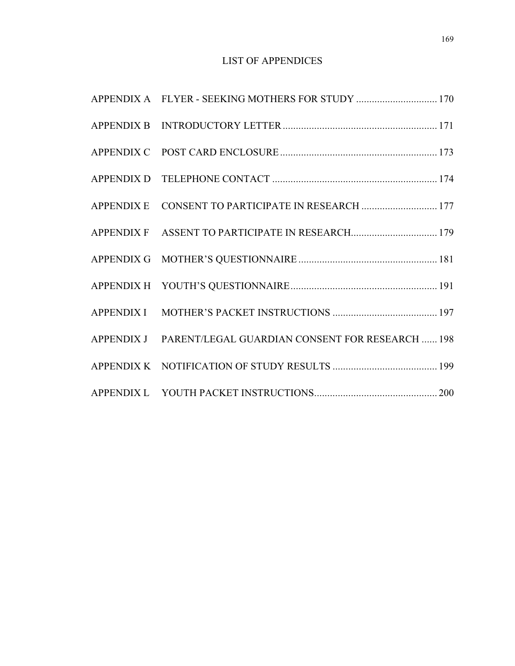# LIST OF APPENDICES

| APPENDIX E CONSENT TO PARTICIPATE IN RESEARCH  177         |  |
|------------------------------------------------------------|--|
|                                                            |  |
|                                                            |  |
|                                                            |  |
|                                                            |  |
| APPENDIX J PARENT/LEGAL GUARDIAN CONSENT FOR RESEARCH  198 |  |
|                                                            |  |
|                                                            |  |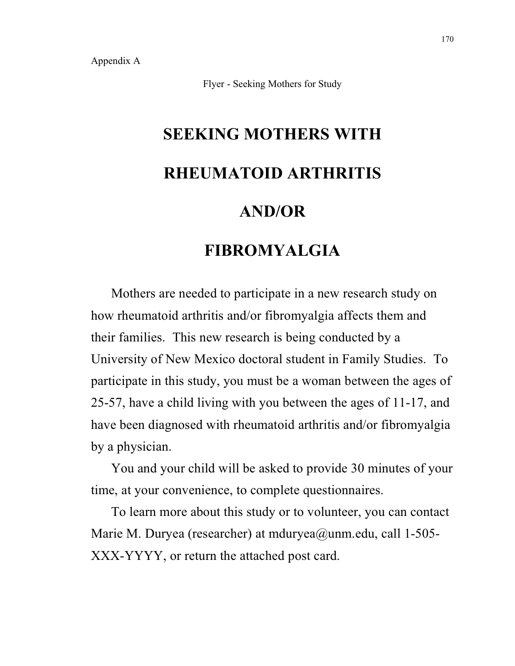Flyer - Seeking Mothers for Study

# **SEEKING MOTHERS WITH RHEUMATOID ARTHRITIS AND/OR**

# **FIBROMYALGIA**

Mothers are needed to participate in a new research study on how rheumatoid arthritis and/or fibromyalgia affects them and their families. This new research is being conducted by a University of New Mexico doctoral student in Family Studies. To participate in this study, you must be a woman between the ages of 25-57, have a child living with you between the ages of 11-17, and have been diagnosed with rheumatoid arthritis and/or fibromyalgia by a physician.

You and your child will be asked to provide 30 minutes of your time, at your convenience, to complete questionnaires.

To learn more about this study or to volunteer, you can contact Marie M. Duryea (researcher) at mduryea@unm.edu, call 1-505- XXX-YYYY, or return the attached post card.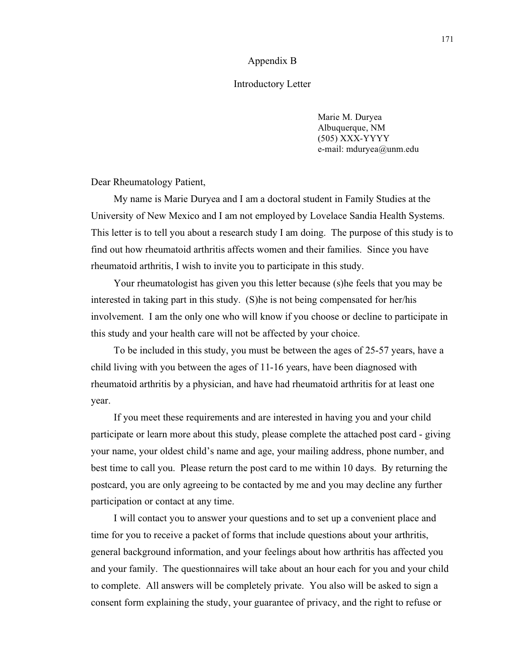#### Appendix B

#### Introductory Letter

Marie M. Duryea Albuquerque, NM (505) XXX-YYYY e-mail: mduryea@unm.edu

Dear Rheumatology Patient,

My name is Marie Duryea and I am a doctoral student in Family Studies at the University of New Mexico and I am not employed by Lovelace Sandia Health Systems. This letter is to tell you about a research study I am doing. The purpose of this study is to find out how rheumatoid arthritis affects women and their families. Since you have rheumatoid arthritis, I wish to invite you to participate in this study.

Your rheumatologist has given you this letter because (s)he feels that you may be interested in taking part in this study. (S)he is not being compensated for her/his involvement. I am the only one who will know if you choose or decline to participate in this study and your health care will not be affected by your choice.

To be included in this study, you must be between the ages of 25-57 years, have a child living with you between the ages of 11-16 years, have been diagnosed with rheumatoid arthritis by a physician, and have had rheumatoid arthritis for at least one year.

If you meet these requirements and are interested in having you and your child participate or learn more about this study, please complete the attached post card - giving your name, your oldest child's name and age, your mailing address, phone number, and best time to call you. Please return the post card to me within 10 days. By returning the postcard, you are only agreeing to be contacted by me and you may decline any further participation or contact at any time.

I will contact you to answer your questions and to set up a convenient place and time for you to receive a packet of forms that include questions about your arthritis, general background information, and your feelings about how arthritis has affected you and your family. The questionnaires will take about an hour each for you and your child to complete. All answers will be completely private. You also will be asked to sign a consent form explaining the study, your guarantee of privacy, and the right to refuse or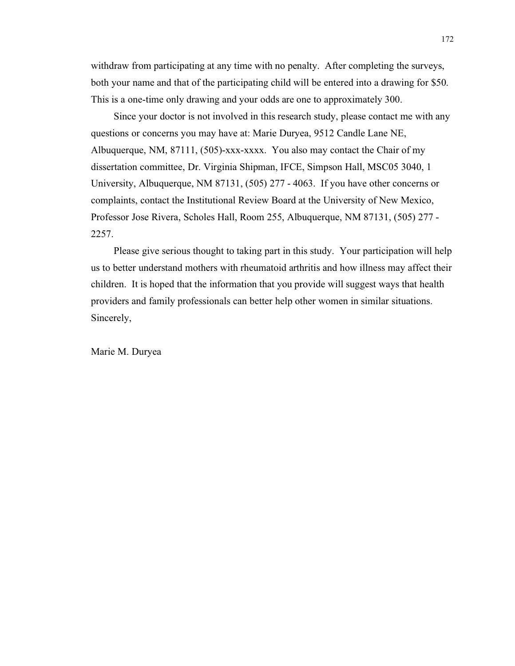withdraw from participating at any time with no penalty. After completing the surveys, both your name and that of the participating child will be entered into a drawing for \$50. This is a one-time only drawing and your odds are one to approximately 300.

Since your doctor is not involved in this research study, please contact me with any questions or concerns you may have at: Marie Duryea, 9512 Candle Lane NE, Albuquerque, NM, 87111, (505)-xxx-xxxx. You also may contact the Chair of my dissertation committee, Dr. Virginia Shipman, IFCE, Simpson Hall, MSC05 3040, 1 University, Albuquerque, NM 87131, (505) 277 - 4063. If you have other concerns or complaints, contact the Institutional Review Board at the University of New Mexico, Professor Jose Rivera, Scholes Hall, Room 255, Albuquerque, NM 87131, (505) 277 - 2257.

Please give serious thought to taking part in this study. Your participation will help us to better understand mothers with rheumatoid arthritis and how illness may affect their children. It is hoped that the information that you provide will suggest ways that health providers and family professionals can better help other women in similar situations. Sincerely,

Marie M. Duryea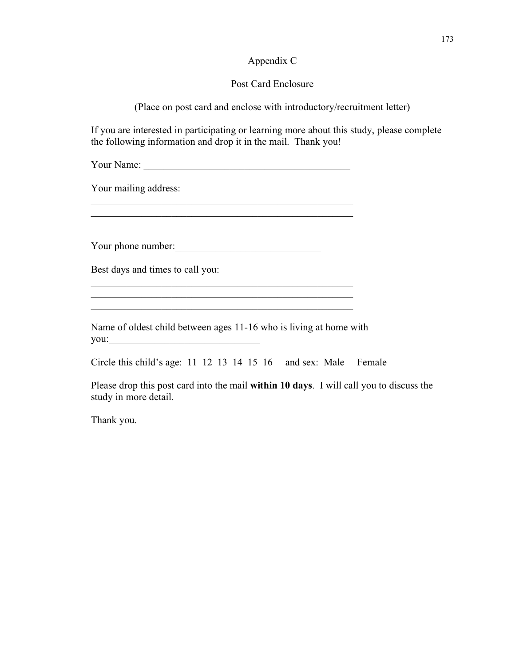#### Appendix C

#### Post Card Enclosure

(Place on post card and enclose with introductory/recruitment letter)

If you are interested in participating or learning more about this study, please complete the following information and drop it in the mail. Thank you!

| Your Name: |  |
|------------|--|
|            |  |

\_\_\_\_\_\_\_\_\_\_\_\_\_\_\_\_\_\_\_\_\_\_\_\_\_\_\_\_\_\_\_\_\_\_\_\_\_\_\_\_\_\_\_\_\_\_\_\_\_\_\_\_  $\mathcal{L}_\text{max}$  and the contract of the contract of the contract of the contract of the contract of the contract of the contract of the contract of the contract of the contract of the contract of the contract of the contrac \_\_\_\_\_\_\_\_\_\_\_\_\_\_\_\_\_\_\_\_\_\_\_\_\_\_\_\_\_\_\_\_\_\_\_\_\_\_\_\_\_\_\_\_\_\_\_\_\_\_\_\_

Your mailing address:

Your phone number:

Best days and times to call you:

Name of oldest child between ages 11-16 who is living at home with you:\_\_\_\_\_\_\_\_\_\_\_\_\_\_\_\_\_\_\_\_\_\_\_\_\_\_\_\_\_\_

\_\_\_\_\_\_\_\_\_\_\_\_\_\_\_\_\_\_\_\_\_\_\_\_\_\_\_\_\_\_\_\_\_\_\_\_\_\_\_\_\_\_\_\_\_\_\_\_\_\_\_\_  $\frac{1}{2}$  ,  $\frac{1}{2}$  ,  $\frac{1}{2}$  ,  $\frac{1}{2}$  ,  $\frac{1}{2}$  ,  $\frac{1}{2}$  ,  $\frac{1}{2}$  ,  $\frac{1}{2}$  ,  $\frac{1}{2}$  ,  $\frac{1}{2}$  ,  $\frac{1}{2}$  ,  $\frac{1}{2}$  ,  $\frac{1}{2}$  ,  $\frac{1}{2}$  ,  $\frac{1}{2}$  ,  $\frac{1}{2}$  ,  $\frac{1}{2}$  ,  $\frac{1}{2}$  ,  $\frac{1$  $\mathcal{L}_\text{max}$  and the contract of the contract of the contract of the contract of the contract of the contract of the contract of the contract of the contract of the contract of the contract of the contract of the contrac

Circle this child's age: 11 12 13 14 15 16 and sex: Male Female

Please drop this post card into the mail **within 10 days**. I will call you to discuss the study in more detail.

Thank you.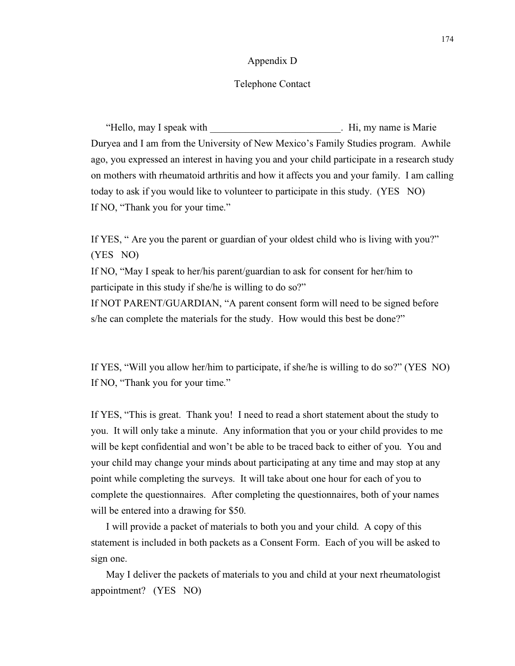#### Appendix D

#### Telephone Contact

"Hello, may I speak with The Book of The Hi, my name is Marie Duryea and I am from the University of New Mexico's Family Studies program. Awhile ago, you expressed an interest in having you and your child participate in a research study on mothers with rheumatoid arthritis and how it affects you and your family. I am calling today to ask if you would like to volunteer to participate in this study. (YES NO) If NO, "Thank you for your time."

If YES, " Are you the parent or guardian of your oldest child who is living with you?" (YES NO)

If NO, "May I speak to her/his parent/guardian to ask for consent for her/him to participate in this study if she/he is willing to do so?"

If NOT PARENT/GUARDIAN, "A parent consent form will need to be signed before s/he can complete the materials for the study. How would this best be done?"

If YES, "Will you allow her/him to participate, if she/he is willing to do so?" (YES NO) If NO, "Thank you for your time."

If YES, "This is great. Thank you! I need to read a short statement about the study to you. It will only take a minute. Any information that you or your child provides to me will be kept confidential and won't be able to be traced back to either of you. You and your child may change your minds about participating at any time and may stop at any point while completing the surveys. It will take about one hour for each of you to complete the questionnaires. After completing the questionnaires, both of your names will be entered into a drawing for \$50.

I will provide a packet of materials to both you and your child. A copy of this statement is included in both packets as a Consent Form. Each of you will be asked to sign one.

May I deliver the packets of materials to you and child at your next rheumatologist appointment? (YES NO)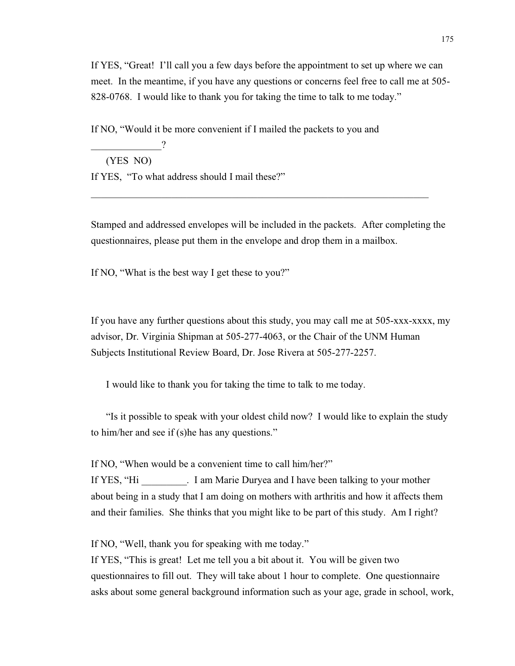If YES, "Great! I'll call you a few days before the appointment to set up where we can meet. In the meantime, if you have any questions or concerns feel free to call me at 505- 828-0768. I would like to thank you for taking the time to talk to me today."

If NO, "Would it be more convenient if I mailed the packets to you and

\_\_\_\_\_\_\_\_\_\_\_\_\_\_?

(YES NO)

If YES, "To what address should I mail these?"

Stamped and addressed envelopes will be included in the packets. After completing the questionnaires, please put them in the envelope and drop them in a mailbox.

\_\_\_\_\_\_\_\_\_\_\_\_\_\_\_\_\_\_\_\_\_\_\_\_\_\_\_\_\_\_\_\_\_\_\_\_\_\_\_\_\_\_\_\_\_\_\_\_\_\_\_\_\_\_\_\_\_\_\_\_\_\_\_\_\_\_\_

If NO, "What is the best way I get these to you?"

If you have any further questions about this study, you may call me at 505-xxx-xxxx, my advisor, Dr. Virginia Shipman at 505-277-4063, or the Chair of the UNM Human Subjects Institutional Review Board, Dr. Jose Rivera at 505-277-2257.

I would like to thank you for taking the time to talk to me today.

"Is it possible to speak with your oldest child now? I would like to explain the study to him/her and see if (s)he has any questions."

If NO, "When would be a convenient time to call him/her?"

If YES, "Hi \_\_\_\_\_\_\_\_\_. I am Marie Duryea and I have been talking to your mother about being in a study that I am doing on mothers with arthritis and how it affects them and their families. She thinks that you might like to be part of this study. Am I right?

If NO, "Well, thank you for speaking with me today."

If YES, "This is great! Let me tell you a bit about it. You will be given two questionnaires to fill out. They will take about 1 hour to complete. One questionnaire asks about some general background information such as your age, grade in school, work,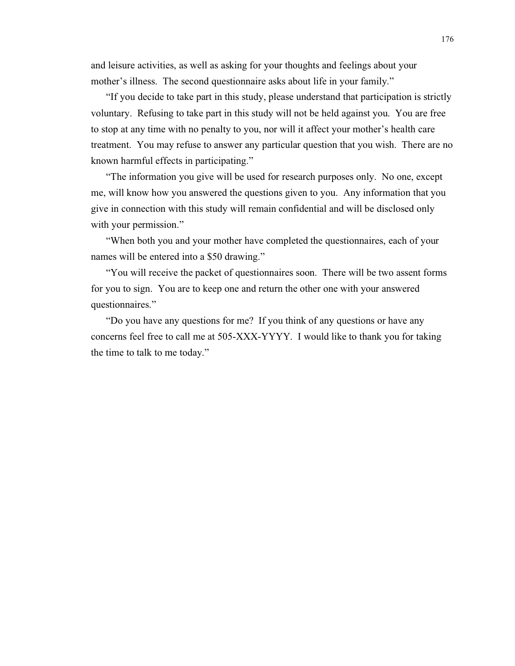and leisure activities, as well as asking for your thoughts and feelings about your mother's illness. The second questionnaire asks about life in your family."

"If you decide to take part in this study, please understand that participation is strictly voluntary. Refusing to take part in this study will not be held against you. You are free to stop at any time with no penalty to you, nor will it affect your mother's health care treatment. You may refuse to answer any particular question that you wish. There are no known harmful effects in participating."

"The information you give will be used for research purposes only. No one, except me, will know how you answered the questions given to you. Any information that you give in connection with this study will remain confidential and will be disclosed only with your permission."

"When both you and your mother have completed the questionnaires, each of your names will be entered into a \$50 drawing."

"You will receive the packet of questionnaires soon. There will be two assent forms for you to sign. You are to keep one and return the other one with your answered questionnaires."

"Do you have any questions for me? If you think of any questions or have any concerns feel free to call me at 505-XXX-YYYY. I would like to thank you for taking the time to talk to me today."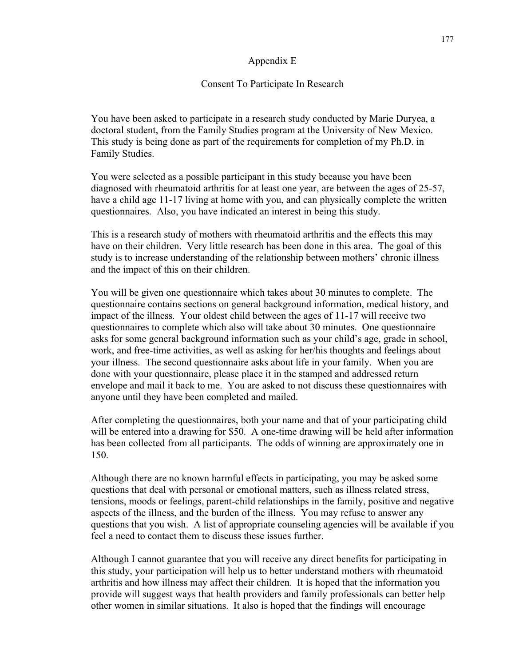#### Appendix E

#### Consent To Participate In Research

You have been asked to participate in a research study conducted by Marie Duryea, a doctoral student, from the Family Studies program at the University of New Mexico. This study is being done as part of the requirements for completion of my Ph.D. in Family Studies.

You were selected as a possible participant in this study because you have been diagnosed with rheumatoid arthritis for at least one year, are between the ages of 25-57, have a child age 11-17 living at home with you, and can physically complete the written questionnaires. Also, you have indicated an interest in being this study.

This is a research study of mothers with rheumatoid arthritis and the effects this may have on their children. Very little research has been done in this area. The goal of this study is to increase understanding of the relationship between mothers' chronic illness and the impact of this on their children.

You will be given one questionnaire which takes about 30 minutes to complete. The questionnaire contains sections on general background information, medical history, and impact of the illness. Your oldest child between the ages of 11-17 will receive two questionnaires to complete which also will take about 30 minutes. One questionnaire asks for some general background information such as your child's age, grade in school, work, and free-time activities, as well as asking for her/his thoughts and feelings about your illness. The second questionnaire asks about life in your family. When you are done with your questionnaire, please place it in the stamped and addressed return envelope and mail it back to me. You are asked to not discuss these questionnaires with anyone until they have been completed and mailed.

After completing the questionnaires, both your name and that of your participating child will be entered into a drawing for \$50. A one-time drawing will be held after information has been collected from all participants. The odds of winning are approximately one in 150.

Although there are no known harmful effects in participating, you may be asked some questions that deal with personal or emotional matters, such as illness related stress, tensions, moods or feelings, parent-child relationships in the family, positive and negative aspects of the illness, and the burden of the illness. You may refuse to answer any questions that you wish. A list of appropriate counseling agencies will be available if you feel a need to contact them to discuss these issues further.

Although I cannot guarantee that you will receive any direct benefits for participating in this study, your participation will help us to better understand mothers with rheumatoid arthritis and how illness may affect their children. It is hoped that the information you provide will suggest ways that health providers and family professionals can better help other women in similar situations. It also is hoped that the findings will encourage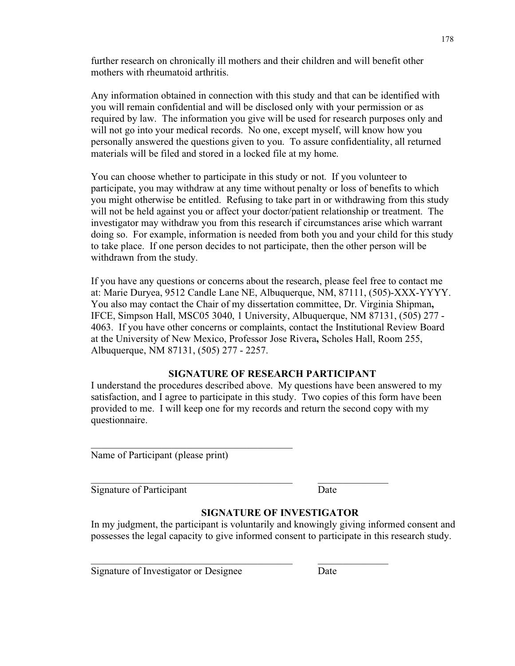further research on chronically ill mothers and their children and will benefit other mothers with rheumatoid arthritis.

Any information obtained in connection with this study and that can be identified with you will remain confidential and will be disclosed only with your permission or as required by law. The information you give will be used for research purposes only and will not go into your medical records. No one, except myself, will know how you personally answered the questions given to you. To assure confidentiality, all returned materials will be filed and stored in a locked file at my home.

You can choose whether to participate in this study or not. If you volunteer to participate, you may withdraw at any time without penalty or loss of benefits to which you might otherwise be entitled. Refusing to take part in or withdrawing from this study will not be held against you or affect your doctor/patient relationship or treatment. The investigator may withdraw you from this research if circumstances arise which warrant doing so. For example, information is needed from both you and your child for this study to take place. If one person decides to not participate, then the other person will be withdrawn from the study.

If you have any questions or concerns about the research, please feel free to contact me at: Marie Duryea, 9512 Candle Lane NE, Albuquerque, NM, 87111, (505)-XXX-YYYY. You also may contact the Chair of my dissertation committee, Dr. Virginia Shipman**,** IFCE, Simpson Hall, MSC05 3040, 1 University, Albuquerque, NM 87131, (505) 277 - 4063. If you have other concerns or complaints, contact the Institutional Review Board at the University of New Mexico, Professor Jose Rivera**,** Scholes Hall, Room 255, Albuquerque, NM 87131, (505) 277 - 2257.

#### **SIGNATURE OF RESEARCH PARTICIPANT**

I understand the procedures described above. My questions have been answered to my satisfaction, and I agree to participate in this study. Two copies of this form have been provided to me. I will keep one for my records and return the second copy with my questionnaire.

\_\_\_\_\_\_\_\_\_\_\_\_\_\_\_\_\_\_\_\_\_\_\_\_\_\_\_\_\_\_\_\_\_\_\_\_\_\_\_\_ \_\_\_\_\_\_\_\_\_\_\_\_\_\_

\_\_\_\_\_\_\_\_\_\_\_\_\_\_\_\_\_\_\_\_\_\_\_\_\_\_\_\_\_\_\_\_\_\_\_\_\_\_\_\_ \_\_\_\_\_\_\_\_\_\_\_\_\_\_

Name of Participant (please print)

 $\overline{\phantom{a}}$  , and the set of the set of the set of the set of the set of the set of the set of the set of the set of the set of the set of the set of the set of the set of the set of the set of the set of the set of the s

Signature of Participant Date

# **SIGNATURE OF INVESTIGATOR**

In my judgment, the participant is voluntarily and knowingly giving informed consent and possesses the legal capacity to give informed consent to participate in this research study.

Signature of Investigator or Designee Date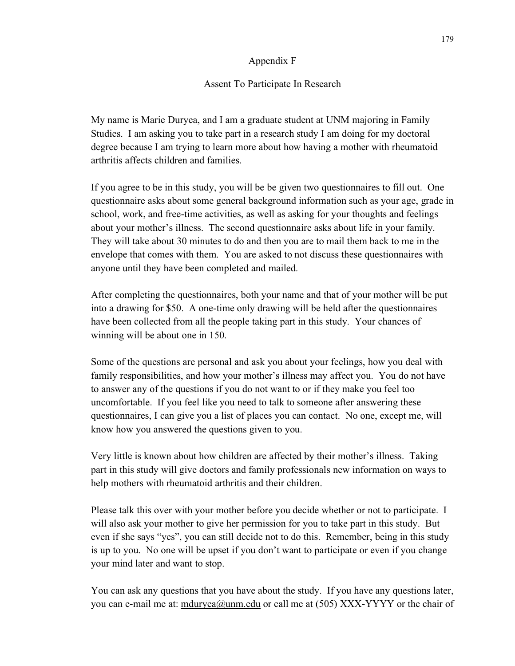#### Appendix F

#### Assent To Participate In Research

My name is Marie Duryea, and I am a graduate student at UNM majoring in Family Studies. I am asking you to take part in a research study I am doing for my doctoral degree because I am trying to learn more about how having a mother with rheumatoid arthritis affects children and families.

If you agree to be in this study, you will be be given two questionnaires to fill out. One questionnaire asks about some general background information such as your age, grade in school, work, and free-time activities, as well as asking for your thoughts and feelings about your mother's illness. The second questionnaire asks about life in your family. They will take about 30 minutes to do and then you are to mail them back to me in the envelope that comes with them. You are asked to not discuss these questionnaires with anyone until they have been completed and mailed.

After completing the questionnaires, both your name and that of your mother will be put into a drawing for \$50. A one-time only drawing will be held after the questionnaires have been collected from all the people taking part in this study. Your chances of winning will be about one in 150.

Some of the questions are personal and ask you about your feelings, how you deal with family responsibilities, and how your mother's illness may affect you. You do not have to answer any of the questions if you do not want to or if they make you feel too uncomfortable. If you feel like you need to talk to someone after answering these questionnaires, I can give you a list of places you can contact. No one, except me, will know how you answered the questions given to you.

Very little is known about how children are affected by their mother's illness. Taking part in this study will give doctors and family professionals new information on ways to help mothers with rheumatoid arthritis and their children.

Please talk this over with your mother before you decide whether or not to participate. I will also ask your mother to give her permission for you to take part in this study. But even if she says "yes", you can still decide not to do this. Remember, being in this study is up to you. No one will be upset if you don't want to participate or even if you change your mind later and want to stop.

You can ask any questions that you have about the study. If you have any questions later, you can e-mail me at: mduryea@unm.edu or call me at (505) XXX-YYYY or the chair of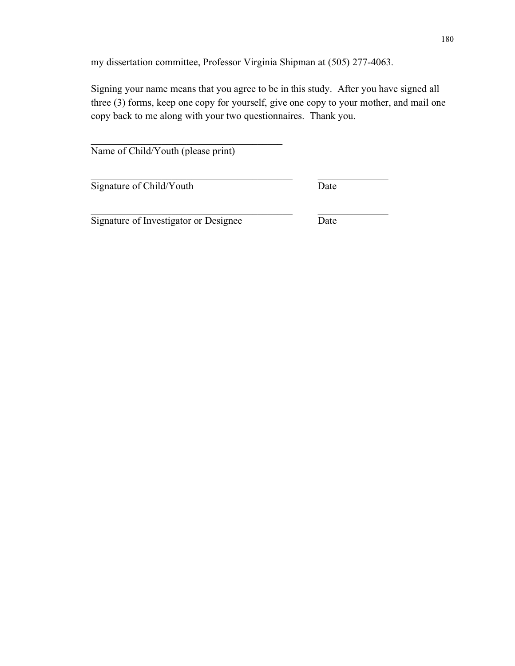my dissertation committee, Professor Virginia Shipman at (505) 277-4063.

\_\_\_\_\_\_\_\_\_\_\_\_\_\_\_\_\_\_\_\_\_\_\_\_\_\_\_\_\_\_\_\_\_\_\_\_\_\_\_\_ \_\_\_\_\_\_\_\_\_\_\_\_\_\_

Signing your name means that you agree to be in this study. After you have signed all three (3) forms, keep one copy for yourself, give one copy to your mother, and mail one copy back to me along with your two questionnaires. Thank you.

Name of Child/Youth (please print)

\_\_\_\_\_\_\_\_\_\_\_\_\_\_\_\_\_\_\_\_\_\_\_\_\_\_\_\_\_\_\_\_\_\_\_\_\_\_

Signature of Child/Youth Date

\_\_\_\_\_\_\_\_\_\_\_\_\_\_\_\_\_\_\_\_\_\_\_\_\_\_\_\_\_\_\_\_\_\_\_\_\_\_\_\_ \_\_\_\_\_\_\_\_\_\_\_\_\_\_

Signature of Investigator or Designee Date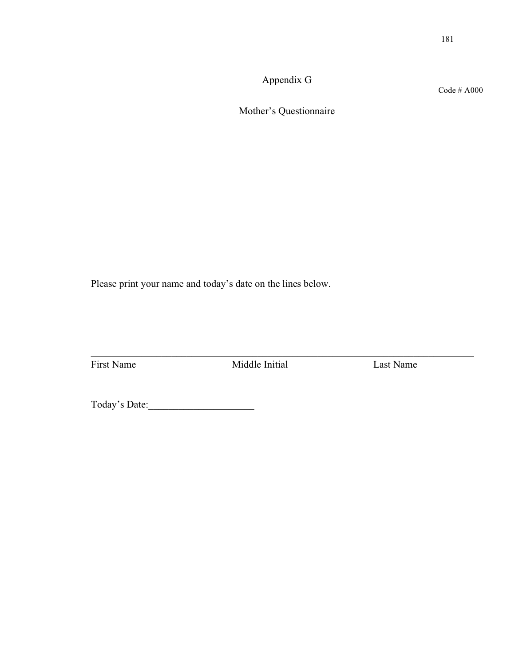Appendix G

Code # A000

Mother's Questionnaire

Please print your name and today's date on the lines below.

First Name Middle Initial Last Name

\_\_\_\_\_\_\_\_\_\_\_\_\_\_\_\_\_\_\_\_\_\_\_\_\_\_\_\_\_\_\_\_\_\_\_\_\_\_\_\_\_\_\_\_\_\_\_\_\_\_\_\_\_\_\_\_\_\_\_\_\_\_\_\_\_\_\_\_\_\_\_\_\_\_\_\_

Today's Date:\_\_\_\_\_\_\_\_\_\_\_\_\_\_\_\_\_\_\_\_\_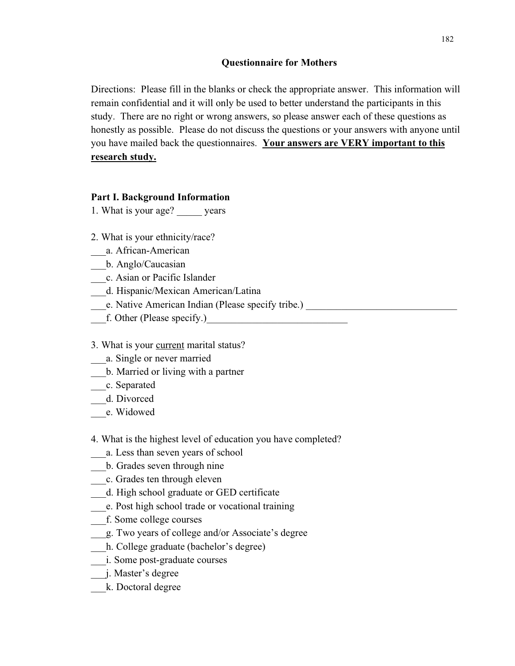## **Questionnaire for Mothers**

Directions: Please fill in the blanks or check the appropriate answer. This information will remain confidential and it will only be used to better understand the participants in this study. There are no right or wrong answers, so please answer each of these questions as honestly as possible. Please do not discuss the questions or your answers with anyone until you have mailed back the questionnaires. **Your answers are VERY important to this research study.**

### **Part I. Background Information**

1. What is your age? \_\_\_\_\_ years

- 2. What is your ethnicity/race?
- \_\_\_a. African-American
- \_\_\_b. Anglo/Caucasian
- \_\_\_c. Asian or Pacific Islander
- \_\_\_d. Hispanic/Mexican American/Latina
- Le. Native American Indian (Please specify tribe.) \_\_\_\_\_\_\_\_\_\_\_\_\_\_\_\_\_\_\_\_\_\_\_\_\_\_\_\_\_
- f. Other (Please specify.)

#### 3. What is your current marital status?

- \_\_\_a. Single or never married
- \_\_\_b. Married or living with a partner
- \_\_\_c. Separated
- \_\_\_d. Divorced
- \_\_\_e. Widowed

# 4. What is the highest level of education you have completed?

- \_\_\_a. Less than seven years of school
- \_\_\_b. Grades seven through nine
- \_\_\_c. Grades ten through eleven
- \_\_\_d. High school graduate or GED certificate
- \_\_\_e. Post high school trade or vocational training
- \_\_\_f. Some college courses
- \_\_\_g. Two years of college and/or Associate's degree
- \_\_\_h. College graduate (bachelor's degree)
- \_\_\_i. Some post-graduate courses
- \_\_\_j. Master's degree
- \_\_\_k. Doctoral degree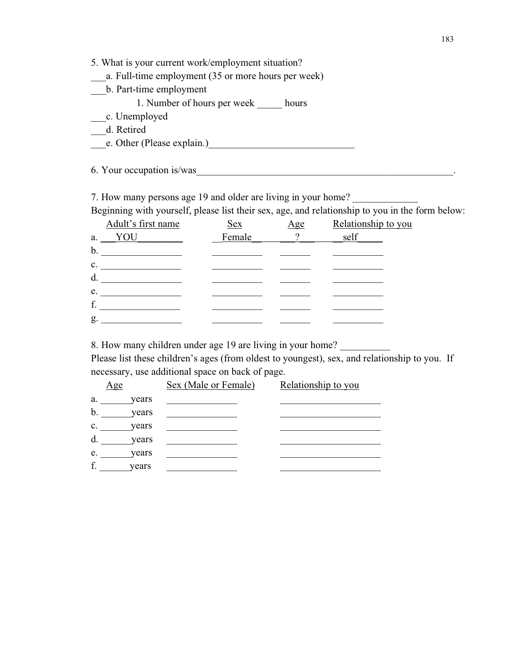|  |  |  |  | 5. What is your current work/employment situation? |
|--|--|--|--|----------------------------------------------------|
|  |  |  |  |                                                    |

| a. Full-time employment (35 or more hours per week) |
|-----------------------------------------------------|
|-----------------------------------------------------|

\_\_\_b. Part-time employment

1. Number of hours per week hours

\_\_\_c. Unemployed

\_\_\_d. Retired

Le. Other (Please explain.)<br>
Le. Other (Please explain.)

6. Your occupation is/was

7. How many persons age 19 and older are living in your home?

Beginning with yourself, please list their sex, age, and relationship to you in the form below:

|    | Adult's first name | <u>Sex</u> | Age      | Relationship to you |
|----|--------------------|------------|----------|---------------------|
| a. | YOU                | Female     | $\gamma$ | self                |
| b. |                    |            |          |                     |
| c. |                    |            |          |                     |
| d. |                    |            |          |                     |
| e. |                    |            |          |                     |
| f. |                    |            |          |                     |
| g. |                    |            |          |                     |

8. How many children under age 19 are living in your home?

Please list these children's ages (from oldest to youngest), sex, and relationship to you. If necessary, use additional space on back of page.

| <u>Age</u> |       | Sex (Male or Female) | Relationship to you |
|------------|-------|----------------------|---------------------|
| a.         | years |                      |                     |
| b.         | years |                      |                     |
| c.         | years |                      |                     |
| d.         | years |                      |                     |
| e.         | years |                      |                     |
| f.         | years |                      |                     |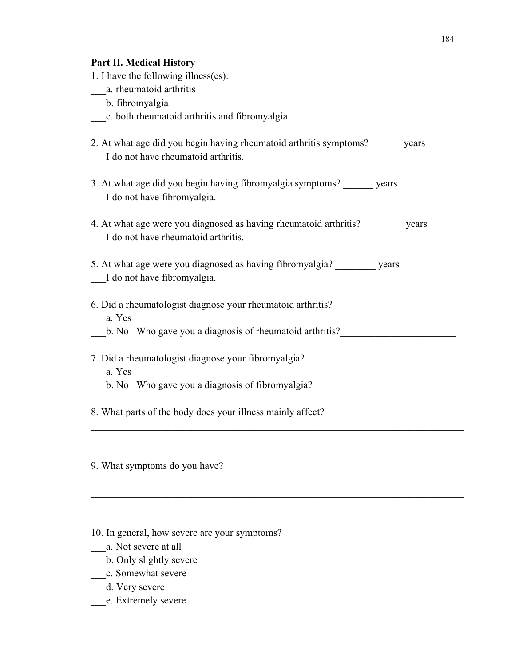# **Part II. Medical History**

| al e 11. Incuical Indebi<br>1. I have the following illness(es):                                                         |
|--------------------------------------------------------------------------------------------------------------------------|
| a. rheumatoid arthritis                                                                                                  |
| b. fibromyalgia                                                                                                          |
| c. both rheumatoid arthritis and fibromyalgia                                                                            |
| 2. At what age did you begin having rheumatoid arthritis symptoms? years<br>I do not have rheumatoid arthritis.          |
| 3. At what age did you begin having fibromyalgia symptoms? ______ years<br>I do not have fibromyalgia.                   |
| 4. At what age were you diagnosed as having rheumatoid arthritis? _________ years<br>I do not have rheumatoid arthritis. |
| 5. At what age were you diagnosed as having fibromyalgia? years<br>I do not have fibromyalgia.                           |
| 6. Did a rheumatologist diagnose your rheumatoid arthritis?<br>a. Yes                                                    |
| b. No Who gave you a diagnosis of rheumatoid arthritis?                                                                  |
| 7. Did a rheumatologist diagnose your fibromyalgia?<br>a. Yes                                                            |
| b. No Who gave you a diagnosis of fibromyalgia?                                                                          |
| 8. What parts of the body does your illness mainly affect?                                                               |
|                                                                                                                          |
| 9. What symptoms do you have?                                                                                            |
|                                                                                                                          |

\_\_\_\_\_\_\_\_\_\_\_\_\_\_\_\_\_\_\_\_\_\_\_\_\_\_\_\_\_\_\_\_\_\_\_\_\_\_\_\_\_\_\_\_\_\_\_\_\_\_\_\_\_\_\_\_\_\_\_\_\_\_\_\_\_\_\_\_\_\_\_\_\_\_

10. In general, how severe are your symptoms?

\_\_\_a. Not severe at all

- b. Only slightly severe
- \_\_\_c. Somewhat severe
- \_\_\_d. Very severe
- \_\_\_e. Extremely severe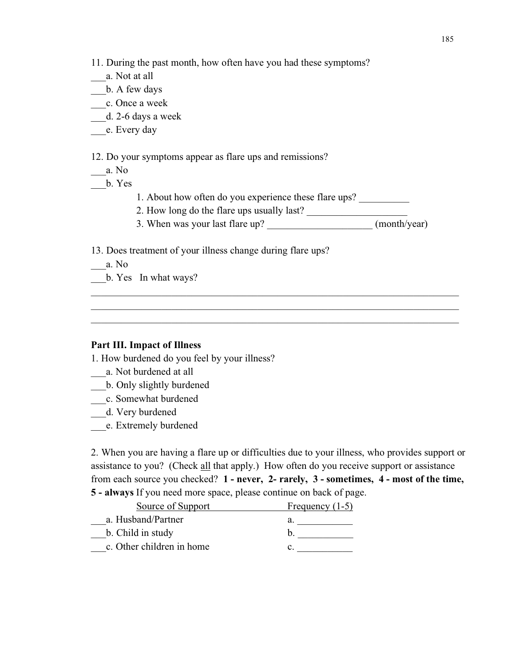11. During the past month, how often have you had these symptoms?

- \_\_\_a. Not at all
- \_\_\_b. A few days
- \_\_\_c. Once a week
- \_\_\_d. 2-6 days a week
- \_\_\_e. Every day

12. Do your symptoms appear as flare ups and remissions?

- \_\_\_a. No
- \_\_\_b. Yes
- 1. About how often do you experience these flare ups?
- 2. How long do the flare ups usually last?
- 3. When was your last flare up? \_\_\_\_\_\_\_\_\_\_\_\_\_\_\_\_\_\_\_\_\_\_\_\_\_ (month/year)

\_\_\_\_\_\_\_\_\_\_\_\_\_\_\_\_\_\_\_\_\_\_\_\_\_\_\_\_\_\_\_\_\_\_\_\_\_\_\_\_\_\_\_\_\_\_\_\_\_\_\_\_\_\_\_\_\_\_\_\_\_\_\_\_\_\_\_\_\_\_\_\_\_ \_\_\_\_\_\_\_\_\_\_\_\_\_\_\_\_\_\_\_\_\_\_\_\_\_\_\_\_\_\_\_\_\_\_\_\_\_\_\_\_\_\_\_\_\_\_\_\_\_\_\_\_\_\_\_\_\_\_\_\_\_\_\_\_\_\_\_\_\_\_\_\_\_ \_\_\_\_\_\_\_\_\_\_\_\_\_\_\_\_\_\_\_\_\_\_\_\_\_\_\_\_\_\_\_\_\_\_\_\_\_\_\_\_\_\_\_\_\_\_\_\_\_\_\_\_\_\_\_\_\_\_\_\_\_\_\_\_\_\_\_\_\_\_\_\_\_

13. Does treatment of your illness change during flare ups?

 $\equiv$  a. No

\_\_\_b. Yes In what ways?

#### **Part III. Impact of Illness**

1. How burdened do you feel by your illness?

- \_\_\_a. Not burdened at all
- \_\_\_b. Only slightly burdened
- \_\_\_c. Somewhat burdened
- \_\_\_d. Very burdened
- \_\_\_e. Extremely burdened

2. When you are having a flare up or difficulties due to your illness, who provides support or assistance to you? (Check all that apply.) How often do you receive support or assistance from each source you checked? **1 - never, 2- rarely, 3 - sometimes, 4 - most of the time, 5 - always** If you need more space, please continue on back of page.

| Source of Support         | Frequency $(1-5)$ |
|---------------------------|-------------------|
| a. Husband/Partner        | a.                |
| b. Child in study         |                   |
| c. Other children in home |                   |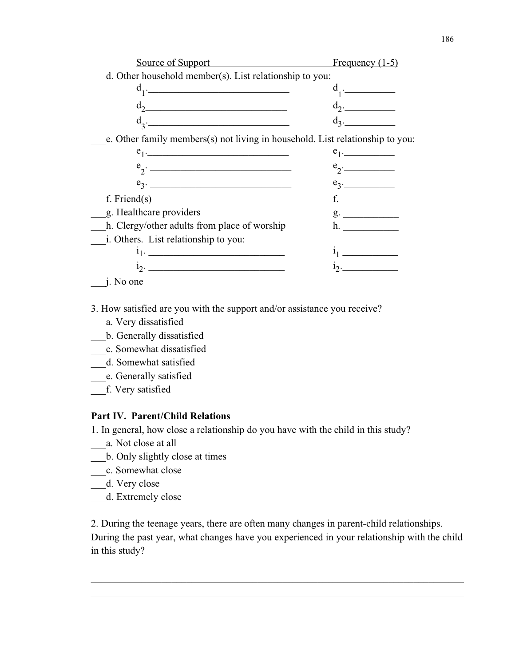| Source of Support                                                                                                                                                                                                           | Frequency $(1-5)$                                                                                                                                                                                                                                                                                                                                                                                                                                                                                                                                     |
|-----------------------------------------------------------------------------------------------------------------------------------------------------------------------------------------------------------------------------|-------------------------------------------------------------------------------------------------------------------------------------------------------------------------------------------------------------------------------------------------------------------------------------------------------------------------------------------------------------------------------------------------------------------------------------------------------------------------------------------------------------------------------------------------------|
| d. Other household member(s). List relationship to you:                                                                                                                                                                     |                                                                                                                                                                                                                                                                                                                                                                                                                                                                                                                                                       |
| $d_1$ .                                                                                                                                                                                                                     | $d_1$ .                                                                                                                                                                                                                                                                                                                                                                                                                                                                                                                                               |
| $d_2$ and $d_3$ and $d_4$ and $d_5$ and $d_7$ and $d_8$ and $d_9$ and $d_9$ and $d_9$ and $d_9$ and $d_9$ and $d_9$ and $d_9$ and $d_9$ and $d_9$ and $d_9$ and $d_9$ and $d_9$ and $d_9$ and $d_9$ and $d_9$ and $d_9$ and | $d_2$ .                                                                                                                                                                                                                                                                                                                                                                                                                                                                                                                                               |
| $d_2$ .                                                                                                                                                                                                                     | $d_3$ .                                                                                                                                                                                                                                                                                                                                                                                                                                                                                                                                               |
| e. Other family members(s) not living in household. List relationship to you:                                                                                                                                               |                                                                                                                                                                                                                                                                                                                                                                                                                                                                                                                                                       |
| $e_1$ .                                                                                                                                                                                                                     | $e_1$ .                                                                                                                                                                                                                                                                                                                                                                                                                                                                                                                                               |
| $e_{\gamma}$ .                                                                                                                                                                                                              | $e_2$ .                                                                                                                                                                                                                                                                                                                                                                                                                                                                                                                                               |
| $e_3.$                                                                                                                                                                                                                      | $e_3$ .                                                                                                                                                                                                                                                                                                                                                                                                                                                                                                                                               |
| f. Friend $(s)$                                                                                                                                                                                                             |                                                                                                                                                                                                                                                                                                                                                                                                                                                                                                                                                       |
| g. Healthcare providers                                                                                                                                                                                                     | g.                                                                                                                                                                                                                                                                                                                                                                                                                                                                                                                                                    |
| h. Clergy/other adults from place of worship                                                                                                                                                                                | h.                                                                                                                                                                                                                                                                                                                                                                                                                                                                                                                                                    |
| i. Others. List relationship to you:                                                                                                                                                                                        |                                                                                                                                                                                                                                                                                                                                                                                                                                                                                                                                                       |
| $i_1$ .                                                                                                                                                                                                                     | $\begin{array}{c} \begin{array}{c} \begin{array}{c} \begin{array}{c} \end{array} \\ \begin{array}{c} \end{array} \end{array} \end{array} \end{array} \end{array} \end{array} \end{array} \begin{array}{c} \begin{array}{c} \begin{array}{c} \end{array} \\ \begin{array}{c} \end{array} \end{array} \end{array} \begin{array}{c} \begin{array}{c} \end{array} \end{array} \end{array} \begin{array}{c} \begin{array}{c} \end{array} \end{array} \end{array} \begin{array}{c} \begin{array}{c} \end{array} \end{array} \end{array} \begin{array}{c} \$ |
| $1_2$ .                                                                                                                                                                                                                     |                                                                                                                                                                                                                                                                                                                                                                                                                                                                                                                                                       |
|                                                                                                                                                                                                                             |                                                                                                                                                                                                                                                                                                                                                                                                                                                                                                                                                       |

 $\Box$ j. No one

3. How satisfied are you with the support and/or assistance you receive?

- \_\_\_a. Very dissatisfied
- \_\_\_b. Generally dissatisfied
- \_\_c. Somewhat dissatisfied
- \_\_\_d. Somewhat satisfied
- \_\_\_e. Generally satisfied
- \_\_\_f. Very satisfied

#### **Part IV. Parent/Child Relations**

1. In general, how close a relationship do you have with the child in this study?

- \_\_\_\_\_\_ a. Not close at all
- \_\_\_b. Only slightly close at times
- \_\_\_\_c. Somewhat close
- \_\_\_d. Very close
- \_\_\_d. Extremely close

2. During the teenage years, there are often many changes in parent-child relationships. During the past year, what changes have you experienced in your relationship with the child in this study?

\_\_\_\_\_\_\_\_\_\_\_\_\_\_\_\_\_\_\_\_\_\_\_\_\_\_\_\_\_\_\_\_\_\_\_\_\_\_\_\_\_\_\_\_\_\_\_\_\_\_\_\_\_\_\_\_\_\_\_\_\_\_\_\_\_\_\_\_\_\_\_\_\_\_ \_\_\_\_\_\_\_\_\_\_\_\_\_\_\_\_\_\_\_\_\_\_\_\_\_\_\_\_\_\_\_\_\_\_\_\_\_\_\_\_\_\_\_\_\_\_\_\_\_\_\_\_\_\_\_\_\_\_\_\_\_\_\_\_\_\_\_\_\_\_\_\_\_\_ \_\_\_\_\_\_\_\_\_\_\_\_\_\_\_\_\_\_\_\_\_\_\_\_\_\_\_\_\_\_\_\_\_\_\_\_\_\_\_\_\_\_\_\_\_\_\_\_\_\_\_\_\_\_\_\_\_\_\_\_\_\_\_\_\_\_\_\_\_\_\_\_\_\_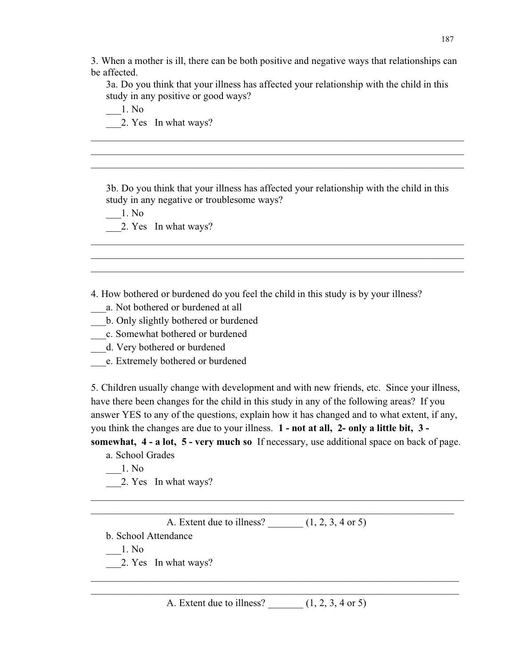3. When a mother is ill, there can be both positive and negative ways that relationships can be affected.

3a. Do you think that your illness has affected your relationship with the child in this study in any positive or good ways?

\_\_\_\_\_\_\_\_\_\_\_\_\_\_\_\_\_\_\_\_\_\_\_\_\_\_\_\_\_\_\_\_\_\_\_\_\_\_\_\_\_\_\_\_\_\_\_\_\_\_\_\_\_\_\_\_\_\_\_\_\_\_\_\_\_\_\_\_\_\_\_\_\_\_ \_\_\_\_\_\_\_\_\_\_\_\_\_\_\_\_\_\_\_\_\_\_\_\_\_\_\_\_\_\_\_\_\_\_\_\_\_\_\_\_\_\_\_\_\_\_\_\_\_\_\_\_\_\_\_\_\_\_\_\_\_\_\_\_\_\_\_\_\_\_\_\_\_\_ \_\_\_\_\_\_\_\_\_\_\_\_\_\_\_\_\_\_\_\_\_\_\_\_\_\_\_\_\_\_\_\_\_\_\_\_\_\_\_\_\_\_\_\_\_\_\_\_\_\_\_\_\_\_\_\_\_\_\_\_\_\_\_\_\_\_\_\_\_\_\_\_\_\_

\_\_\_1. No 2. Yes In what ways?

3b. Do you think that your illness has affected your relationship with the child in this study in any negative or troublesome ways?

\_\_\_\_\_\_\_\_\_\_\_\_\_\_\_\_\_\_\_\_\_\_\_\_\_\_\_\_\_\_\_\_\_\_\_\_\_\_\_\_\_\_\_\_\_\_\_\_\_\_\_\_\_\_\_\_\_\_\_\_\_\_\_\_\_\_\_\_\_\_\_\_\_\_ \_\_\_\_\_\_\_\_\_\_\_\_\_\_\_\_\_\_\_\_\_\_\_\_\_\_\_\_\_\_\_\_\_\_\_\_\_\_\_\_\_\_\_\_\_\_\_\_\_\_\_\_\_\_\_\_\_\_\_\_\_\_\_\_\_\_\_\_\_\_\_\_\_\_ \_\_\_\_\_\_\_\_\_\_\_\_\_\_\_\_\_\_\_\_\_\_\_\_\_\_\_\_\_\_\_\_\_\_\_\_\_\_\_\_\_\_\_\_\_\_\_\_\_\_\_\_\_\_\_\_\_\_\_\_\_\_\_\_\_\_\_\_\_\_\_\_\_\_

\_\_\_1. No 2. Yes In what ways?

4. How bothered or burdened do you feel the child in this study is by your illness?

\_\_\_a. Not bothered or burdened at all

\_\_\_b. Only slightly bothered or burdened

\_\_\_c. Somewhat bothered or burdened

\_\_\_d. Very bothered or burdened

\_\_\_e. Extremely bothered or burdened

5. Children usually change with development and with new friends, etc. Since your illness, have there been changes for the child in this study in any of the following areas? If you answer YES to any of the questions, explain how it has changed and to what extent, if any, you think the changes are due to your illness. **1 - not at all, 2- only a little bit, 3 somewhat, 4 - a lot, 5 - very much so** If necessary, use additional space on back of page.

\_\_\_\_\_\_\_\_\_\_\_\_\_\_\_\_\_\_\_\_\_\_\_\_\_\_\_\_\_\_\_\_\_\_\_\_\_\_\_\_\_\_\_\_\_\_\_\_\_\_\_\_\_\_\_\_\_\_\_\_\_\_\_\_\_\_\_\_\_\_\_\_\_\_  $\_$  , and the set of the set of the set of the set of the set of the set of the set of the set of the set of the set of the set of the set of the set of the set of the set of the set of the set of the set of the set of th

a. School Grades

 $-1.$  No

\_\_\_2. Yes In what ways?

A. Extent due to illness?  $(1, 2, 3, 4 \text{ or } 5)$ 

b. School Attendance

\_\_\_1. No

2. Yes In what ways?

A. Extent due to illness?  $(1, 2, 3, 4 \text{ or } 5)$ 

\_\_\_\_\_\_\_\_\_\_\_\_\_\_\_\_\_\_\_\_\_\_\_\_\_\_\_\_\_\_\_\_\_\_\_\_\_\_\_\_\_\_\_\_\_\_\_\_\_\_\_\_\_\_\_\_\_\_\_\_\_\_\_\_\_\_\_\_\_\_\_\_\_ \_\_\_\_\_\_\_\_\_\_\_\_\_\_\_\_\_\_\_\_\_\_\_\_\_\_\_\_\_\_\_\_\_\_\_\_\_\_\_\_\_\_\_\_\_\_\_\_\_\_\_\_\_\_\_\_\_\_\_\_\_\_\_\_\_\_\_\_\_\_\_\_\_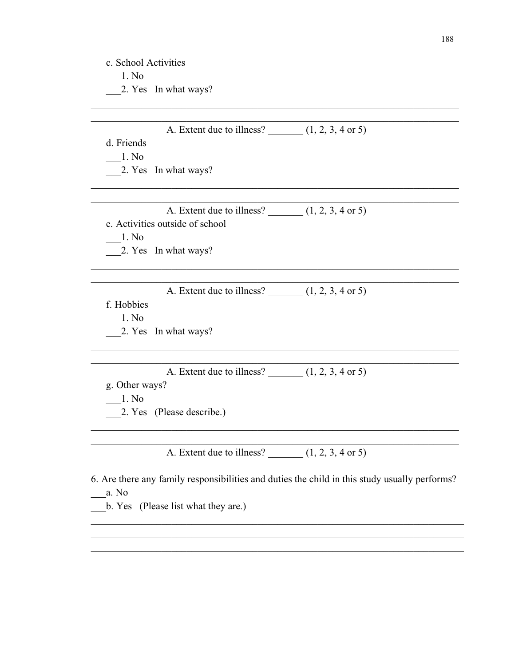| 2. Yes In what ways?<br>A. Extent due to illness? $(1, 2, 3, 4 \text{ or } 5)$<br>d. Friends<br>1. No<br>2. Yes In what ways?<br>A. Extent due to illness? $(1, 2, 3, 4 \text{ or } 5)$<br>e. Activities outside of school<br>1. No<br>2. Yes In what ways?<br>A. Extent due to illness? $(1, 2, 3, 4 \text{ or } 5)$<br>f. Hobbies<br>1. No<br>2. Yes In what ways?<br>A. Extent due to illness? $(1, 2, 3, 4 \text{ or } 5)$<br>g. Other ways?<br>1. No<br>2. Yes (Please describe.)<br>A. Extent due to illness? $(1, 2, 3, 4 \text{ or } 5)$<br>6. Are there any family responsibilities and duties the child in this study usually performs?<br>a. No<br>b. Yes (Please list what they are.) | c. School Activities<br>1. No |  |
|---------------------------------------------------------------------------------------------------------------------------------------------------------------------------------------------------------------------------------------------------------------------------------------------------------------------------------------------------------------------------------------------------------------------------------------------------------------------------------------------------------------------------------------------------------------------------------------------------------------------------------------------------------------------------------------------------|-------------------------------|--|
|                                                                                                                                                                                                                                                                                                                                                                                                                                                                                                                                                                                                                                                                                                   |                               |  |
|                                                                                                                                                                                                                                                                                                                                                                                                                                                                                                                                                                                                                                                                                                   |                               |  |
|                                                                                                                                                                                                                                                                                                                                                                                                                                                                                                                                                                                                                                                                                                   |                               |  |
|                                                                                                                                                                                                                                                                                                                                                                                                                                                                                                                                                                                                                                                                                                   |                               |  |
|                                                                                                                                                                                                                                                                                                                                                                                                                                                                                                                                                                                                                                                                                                   |                               |  |
|                                                                                                                                                                                                                                                                                                                                                                                                                                                                                                                                                                                                                                                                                                   |                               |  |
|                                                                                                                                                                                                                                                                                                                                                                                                                                                                                                                                                                                                                                                                                                   |                               |  |
|                                                                                                                                                                                                                                                                                                                                                                                                                                                                                                                                                                                                                                                                                                   |                               |  |
|                                                                                                                                                                                                                                                                                                                                                                                                                                                                                                                                                                                                                                                                                                   |                               |  |
|                                                                                                                                                                                                                                                                                                                                                                                                                                                                                                                                                                                                                                                                                                   |                               |  |
|                                                                                                                                                                                                                                                                                                                                                                                                                                                                                                                                                                                                                                                                                                   |                               |  |
|                                                                                                                                                                                                                                                                                                                                                                                                                                                                                                                                                                                                                                                                                                   |                               |  |
|                                                                                                                                                                                                                                                                                                                                                                                                                                                                                                                                                                                                                                                                                                   |                               |  |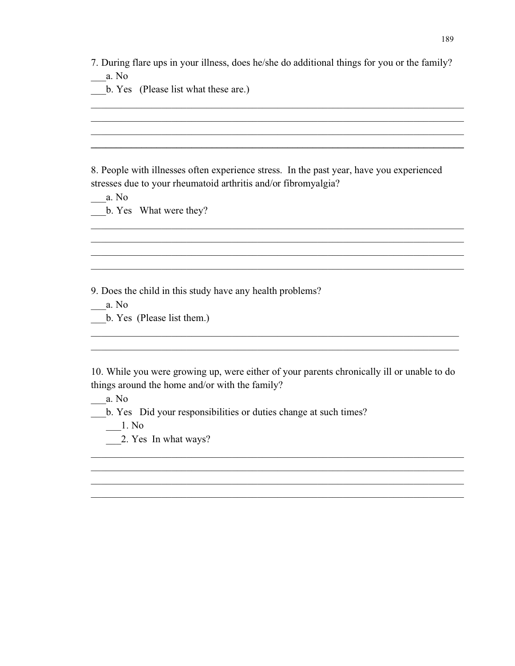| 7. During flare ups in your illness, does he/she do additional things for you or the family? |  |
|----------------------------------------------------------------------------------------------|--|
|----------------------------------------------------------------------------------------------|--|

\_\_\_\_\_\_\_\_\_\_\_\_\_\_\_\_\_\_\_\_\_\_\_\_\_\_\_\_\_\_\_\_\_\_\_\_\_\_\_\_\_\_\_\_\_\_\_\_\_\_\_\_\_\_\_\_\_\_\_\_\_\_\_\_\_\_\_\_\_\_\_\_\_\_ \_\_\_\_\_\_\_\_\_\_\_\_\_\_\_\_\_\_\_\_\_\_\_\_\_\_\_\_\_\_\_\_\_\_\_\_\_\_\_\_\_\_\_\_\_\_\_\_\_\_\_\_\_\_\_\_\_\_\_\_\_\_\_\_\_\_\_\_\_\_\_\_\_\_ \_\_\_\_\_\_\_\_\_\_\_\_\_\_\_\_\_\_\_\_\_\_\_\_\_\_\_\_\_\_\_\_\_\_\_\_\_\_\_\_\_\_\_\_\_\_\_\_\_\_\_\_\_\_\_\_\_\_\_\_\_\_\_\_\_\_\_\_\_\_\_\_\_\_ **\_\_\_\_\_\_\_\_\_\_\_\_\_\_\_\_\_\_\_\_\_\_\_\_\_\_\_\_\_\_\_\_\_\_\_\_\_\_\_\_\_\_\_\_\_\_\_\_\_\_\_\_\_\_\_\_\_\_\_\_\_\_\_\_\_\_\_\_\_\_\_\_\_\_**

\_\_\_a. No

b. Yes (Please list what these are.)

8. People with illnesses often experience stress. In the past year, have you experienced stresses due to your rheumatoid arthritis and/or fibromyalgia?

\_\_\_\_\_\_\_\_\_\_\_\_\_\_\_\_\_\_\_\_\_\_\_\_\_\_\_\_\_\_\_\_\_\_\_\_\_\_\_\_\_\_\_\_\_\_\_\_\_\_\_\_\_\_\_\_\_\_\_\_\_\_\_\_\_\_\_\_\_\_\_\_\_\_ \_\_\_\_\_\_\_\_\_\_\_\_\_\_\_\_\_\_\_\_\_\_\_\_\_\_\_\_\_\_\_\_\_\_\_\_\_\_\_\_\_\_\_\_\_\_\_\_\_\_\_\_\_\_\_\_\_\_\_\_\_\_\_\_\_\_\_\_\_\_\_\_\_\_ \_\_\_\_\_\_\_\_\_\_\_\_\_\_\_\_\_\_\_\_\_\_\_\_\_\_\_\_\_\_\_\_\_\_\_\_\_\_\_\_\_\_\_\_\_\_\_\_\_\_\_\_\_\_\_\_\_\_\_\_\_\_\_\_\_\_\_\_\_\_\_\_\_\_ \_\_\_\_\_\_\_\_\_\_\_\_\_\_\_\_\_\_\_\_\_\_\_\_\_\_\_\_\_\_\_\_\_\_\_\_\_\_\_\_\_\_\_\_\_\_\_\_\_\_\_\_\_\_\_\_\_\_\_\_\_\_\_\_\_\_\_\_\_\_\_\_\_\_

\_\_\_a. No \_\_\_b. Yes What were they?

9. Does the child in this study have any health problems?

\_\_\_a. No

b. Yes (Please list them.)

10. While you were growing up, were either of your parents chronically ill or unable to do things around the home and/or with the family?

\_\_\_\_\_\_\_\_\_\_\_\_\_\_\_\_\_\_\_\_\_\_\_\_\_\_\_\_\_\_\_\_\_\_\_\_\_\_\_\_\_\_\_\_\_\_\_\_\_\_\_\_\_\_\_\_\_\_\_\_\_\_\_\_\_\_\_\_\_\_\_\_\_\_ \_\_\_\_\_\_\_\_\_\_\_\_\_\_\_\_\_\_\_\_\_\_\_\_\_\_\_\_\_\_\_\_\_\_\_\_\_\_\_\_\_\_\_\_\_\_\_\_\_\_\_\_\_\_\_\_\_\_\_\_\_\_\_\_\_\_\_\_\_\_\_\_\_\_ \_\_\_\_\_\_\_\_\_\_\_\_\_\_\_\_\_\_\_\_\_\_\_\_\_\_\_\_\_\_\_\_\_\_\_\_\_\_\_\_\_\_\_\_\_\_\_\_\_\_\_\_\_\_\_\_\_\_\_\_\_\_\_\_\_\_\_\_\_\_\_\_\_\_ \_\_\_\_\_\_\_\_\_\_\_\_\_\_\_\_\_\_\_\_\_\_\_\_\_\_\_\_\_\_\_\_\_\_\_\_\_\_\_\_\_\_\_\_\_\_\_\_\_\_\_\_\_\_\_\_\_\_\_\_\_\_\_\_\_\_\_\_\_\_\_\_\_\_

\_\_\_\_\_\_\_\_\_\_\_\_\_\_\_\_\_\_\_\_\_\_\_\_\_\_\_\_\_\_\_\_\_\_\_\_\_\_\_\_\_\_\_\_\_\_\_\_\_\_\_\_\_\_\_\_\_\_\_\_\_\_\_\_\_\_\_\_\_\_\_\_\_ \_\_\_\_\_\_\_\_\_\_\_\_\_\_\_\_\_\_\_\_\_\_\_\_\_\_\_\_\_\_\_\_\_\_\_\_\_\_\_\_\_\_\_\_\_\_\_\_\_\_\_\_\_\_\_\_\_\_\_\_\_\_\_\_\_\_\_\_\_\_\_\_\_

\_\_\_a. No

\_\_\_b. Yes Did your responsibilities or duties change at such times?

 $\frac{1}{2}$ . No

\_\_\_2. Yes In what ways?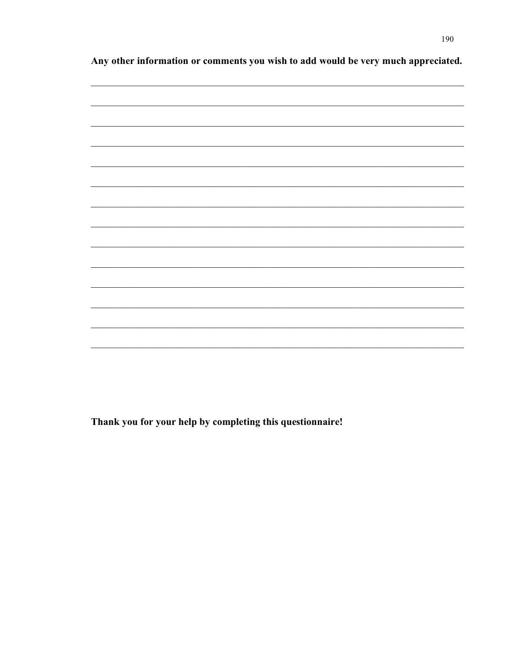Any other information or comments you wish to add would be very much appreciated.



Thank you for your help by completing this questionnaire!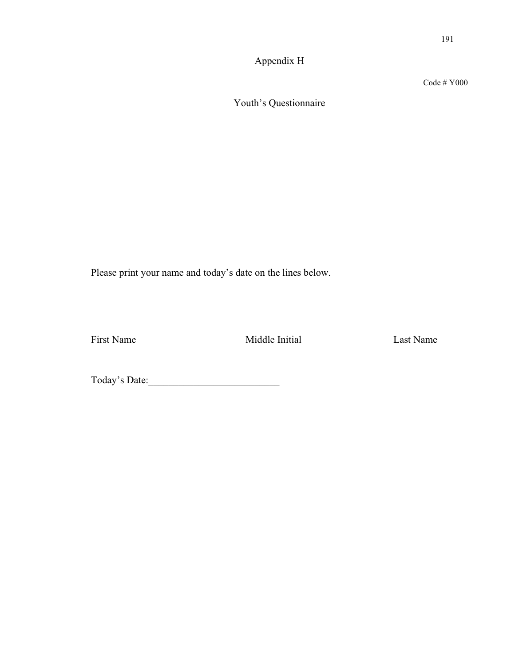Appendix H

Code # Y000

Youth's Questionnaire

Please print your name and today's date on the lines below.

\_\_\_\_\_\_\_\_\_\_\_\_\_\_\_\_\_\_\_\_\_\_\_\_\_\_\_\_\_\_\_\_\_\_\_\_\_\_\_\_\_\_\_\_\_\_\_\_\_\_\_\_\_\_\_\_\_\_\_\_\_\_\_\_\_\_\_\_\_\_\_\_\_ First Name Middle Initial Last Name

Today's Date:\_\_\_\_\_\_\_\_\_\_\_\_\_\_\_\_\_\_\_\_\_\_\_\_\_\_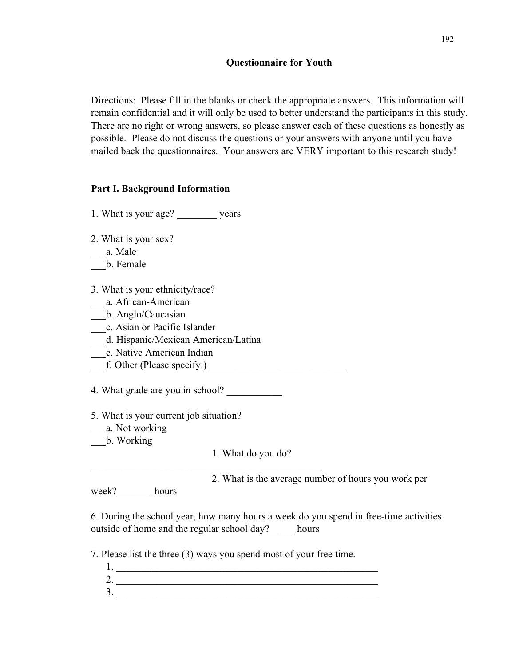Directions: Please fill in the blanks or check the appropriate answers. This information will remain confidential and it will only be used to better understand the participants in this study. There are no right or wrong answers, so please answer each of these questions as honestly as possible. Please do not discuss the questions or your answers with anyone until you have mailed back the questionnaires. Your answers are VERY important to this research study!

### **Part I. Background Information**

1. What is your age? years

2. What is your sex?

\_\_\_a. Male

\_\_\_b. Female

3. What is your ethnicity/race?

- \_\_\_a. African-American
- \_\_\_b. Anglo/Caucasian

\_\_\_c. Asian or Pacific Islander

- \_\_\_d. Hispanic/Mexican American/Latina
- \_\_\_e. Native American Indian
- f. Other (Please specify.)

 $\mathcal{L}_\mathcal{L}$  , and the set of the set of the set of the set of the set of the set of the set of the set of the set of the set of the set of the set of the set of the set of the set of the set of the set of the set of th

4. What grade are you in school?

- 5. What is your current job situation?
- \_\_\_a. Not working

\_\_\_b. Working

1. What do you do?

2. What is the average number of hours you work per

week? hours

6. During the school year, how many hours a week do you spend in free-time activities outside of home and the regular school day? hours

7. Please list the three (3) ways you spend most of your free time.

1. \_\_\_\_\_\_\_\_\_\_\_\_\_\_\_\_\_\_\_\_\_\_\_\_\_\_\_\_\_\_\_\_\_\_\_\_\_\_\_\_\_\_\_\_\_\_\_\_\_\_\_\_  $2.$  $3.$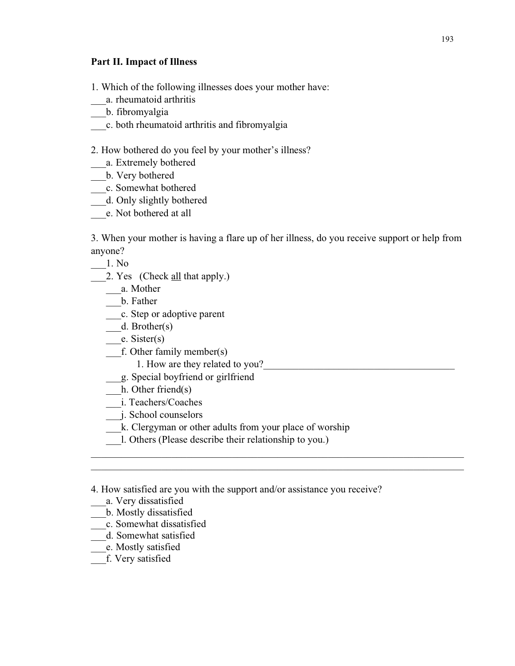#### **Part II. Impact of Illness**

1. Which of the following illnesses does your mother have:

- \_\_\_a. rheumatoid arthritis
- \_\_\_b. fibromyalgia
- \_\_\_c. both rheumatoid arthritis and fibromyalgia

2. How bothered do you feel by your mother's illness?

- \_\_\_a. Extremely bothered
- \_\_\_b. Very bothered
- \_\_\_\_\_c. Somewhat bothered
- \_\_\_d. Only slightly bothered
- \_\_\_e. Not bothered at all

3. When your mother is having a flare up of her illness, do you receive support or help from anyone?

\_\_\_\_\_\_\_\_\_\_\_\_\_\_\_\_\_\_\_\_\_\_\_\_\_\_\_\_\_\_\_\_\_\_\_\_\_\_\_\_\_\_\_\_\_\_\_\_\_\_\_\_\_\_\_\_\_\_\_\_\_\_\_\_\_\_\_\_\_\_\_\_\_\_ \_\_\_\_\_\_\_\_\_\_\_\_\_\_\_\_\_\_\_\_\_\_\_\_\_\_\_\_\_\_\_\_\_\_\_\_\_\_\_\_\_\_\_\_\_\_\_\_\_\_\_\_\_\_\_\_\_\_\_\_\_\_\_\_\_\_\_\_\_\_\_\_\_\_

\_\_\_1. No

2. Yes (Check all that apply.)

\_\_\_a. Mother

\_\_\_b. Father

\_\_\_c. Step or adoptive parent

\_\_\_d. Brother(s)

\_\_\_e. Sister(s)

\_\_\_f. Other family member(s)

1. How are they related to you?

- \_\_\_g. Special boyfriend or girlfriend
- h. Other friend(s)

\_\_\_i. Teachers/Coaches

\_\_\_j. School counselors

- \_\_\_k. Clergyman or other adults from your place of worship
- \_\_\_l. Others (Please describe their relationship to you.)
- 4. How satisfied are you with the support and/or assistance you receive?
- \_\_\_a. Very dissatisfied
- \_\_\_b. Mostly dissatisfied
- \_\_c. Somewhat dissatisfied
- \_\_\_d. Somewhat satisfied
- \_\_\_e. Mostly satisfied
- \_\_\_f. Very satisfied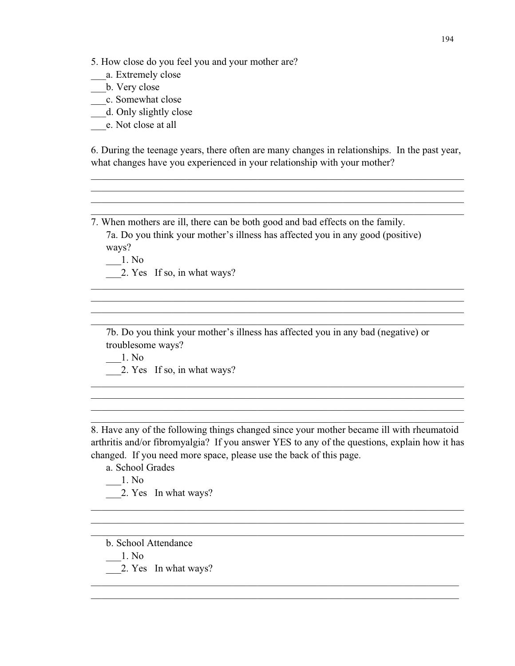5. How close do you feel you and your mother are?

- \_\_\_a. Extremely close
- \_\_\_b. Very close
- \_\_\_\_c. Somewhat close
- \_\_\_d. Only slightly close
- \_\_\_e. Not close at all

6. During the teenage years, there often are many changes in relationships. In the past year, what changes have you experienced in your relationship with your mother?

\_\_\_\_\_\_\_\_\_\_\_\_\_\_\_\_\_\_\_\_\_\_\_\_\_\_\_\_\_\_\_\_\_\_\_\_\_\_\_\_\_\_\_\_\_\_\_\_\_\_\_\_\_\_\_\_\_\_\_\_\_\_\_\_\_\_\_\_\_\_\_\_\_\_ \_\_\_\_\_\_\_\_\_\_\_\_\_\_\_\_\_\_\_\_\_\_\_\_\_\_\_\_\_\_\_\_\_\_\_\_\_\_\_\_\_\_\_\_\_\_\_\_\_\_\_\_\_\_\_\_\_\_\_\_\_\_\_\_\_\_\_\_\_\_\_\_\_\_ \_\_\_\_\_\_\_\_\_\_\_\_\_\_\_\_\_\_\_\_\_\_\_\_\_\_\_\_\_\_\_\_\_\_\_\_\_\_\_\_\_\_\_\_\_\_\_\_\_\_\_\_\_\_\_\_\_\_\_\_\_\_\_\_\_\_\_\_\_\_\_\_\_\_ \_\_\_\_\_\_\_\_\_\_\_\_\_\_\_\_\_\_\_\_\_\_\_\_\_\_\_\_\_\_\_\_\_\_\_\_\_\_\_\_\_\_\_\_\_\_\_\_\_\_\_\_\_\_\_\_\_\_\_\_\_\_\_\_\_\_\_\_\_\_\_\_\_\_

- 7. When mothers are ill, there can be both good and bad effects on the family. 7a. Do you think your mother's illness has affected you in any good (positive) ways?
	- \_\_\_1. No
	- 2. Yes If so, in what ways?
	- 7b. Do you think your mother's illness has affected you in any bad (negative) or troublesome ways?

\_\_\_\_\_\_\_\_\_\_\_\_\_\_\_\_\_\_\_\_\_\_\_\_\_\_\_\_\_\_\_\_\_\_\_\_\_\_\_\_\_\_\_\_\_\_\_\_\_\_\_\_\_\_\_\_\_\_\_\_\_\_\_\_\_\_\_\_\_\_\_\_\_\_ \_\_\_\_\_\_\_\_\_\_\_\_\_\_\_\_\_\_\_\_\_\_\_\_\_\_\_\_\_\_\_\_\_\_\_\_\_\_\_\_\_\_\_\_\_\_\_\_\_\_\_\_\_\_\_\_\_\_\_\_\_\_\_\_\_\_\_\_\_\_\_\_\_\_ \_\_\_\_\_\_\_\_\_\_\_\_\_\_\_\_\_\_\_\_\_\_\_\_\_\_\_\_\_\_\_\_\_\_\_\_\_\_\_\_\_\_\_\_\_\_\_\_\_\_\_\_\_\_\_\_\_\_\_\_\_\_\_\_\_\_\_\_\_\_\_\_\_\_ \_\_\_\_\_\_\_\_\_\_\_\_\_\_\_\_\_\_\_\_\_\_\_\_\_\_\_\_\_\_\_\_\_\_\_\_\_\_\_\_\_\_\_\_\_\_\_\_\_\_\_\_\_\_\_\_\_\_\_\_\_\_\_\_\_\_\_\_\_\_\_\_\_\_

- \_\_\_1. No
- 2. Yes If so, in what ways?

8. Have any of the following things changed since your mother became ill with rheumatoid arthritis and/or fibromyalgia? If you answer YES to any of the questions, explain how it has changed. If you need more space, please use the back of this page.

\_\_\_\_\_\_\_\_\_\_\_\_\_\_\_\_\_\_\_\_\_\_\_\_\_\_\_\_\_\_\_\_\_\_\_\_\_\_\_\_\_\_\_\_\_\_\_\_\_\_\_\_\_\_\_\_\_\_\_\_\_\_\_\_\_\_\_\_\_\_\_\_\_\_ \_\_\_\_\_\_\_\_\_\_\_\_\_\_\_\_\_\_\_\_\_\_\_\_\_\_\_\_\_\_\_\_\_\_\_\_\_\_\_\_\_\_\_\_\_\_\_\_\_\_\_\_\_\_\_\_\_\_\_\_\_\_\_\_\_\_\_\_\_\_\_\_\_\_ \_\_\_\_\_\_\_\_\_\_\_\_\_\_\_\_\_\_\_\_\_\_\_\_\_\_\_\_\_\_\_\_\_\_\_\_\_\_\_\_\_\_\_\_\_\_\_\_\_\_\_\_\_\_\_\_\_\_\_\_\_\_\_\_\_\_\_\_\_\_\_\_\_\_

\_\_\_\_\_\_\_\_\_\_\_\_\_\_\_\_\_\_\_\_\_\_\_\_\_\_\_\_\_\_\_\_\_\_\_\_\_\_\_\_\_\_\_\_\_\_\_\_\_\_\_\_\_\_\_\_\_\_\_\_\_\_\_\_\_\_\_\_\_\_\_\_\_ \_\_\_\_\_\_\_\_\_\_\_\_\_\_\_\_\_\_\_\_\_\_\_\_\_\_\_\_\_\_\_\_\_\_\_\_\_\_\_\_\_\_\_\_\_\_\_\_\_\_\_\_\_\_\_\_\_\_\_\_\_\_\_\_\_\_\_\_\_\_\_\_\_

\_\_\_\_\_\_\_\_\_\_\_\_\_\_\_\_\_\_\_\_\_\_\_\_\_\_\_\_\_\_\_\_\_\_\_\_\_\_\_\_\_\_\_\_\_\_\_\_\_\_\_\_\_\_\_\_\_\_\_\_\_\_\_\_\_\_\_\_\_\_\_\_\_\_ \_\_\_\_\_\_\_\_\_\_\_\_\_\_\_\_\_\_\_\_\_\_\_\_\_\_\_\_\_\_\_\_\_\_\_\_\_\_\_\_\_\_\_\_\_\_\_\_\_\_\_\_\_\_\_\_\_\_\_\_\_\_\_\_\_\_\_\_\_\_\_\_\_\_ \_\_\_\_\_\_\_\_\_\_\_\_\_\_\_\_\_\_\_\_\_\_\_\_\_\_\_\_\_\_\_\_\_\_\_\_\_\_\_\_\_\_\_\_\_\_\_\_\_\_\_\_\_\_\_\_\_\_\_\_\_\_\_\_\_\_\_\_\_\_\_\_\_\_ \_\_\_\_\_\_\_\_\_\_\_\_\_\_\_\_\_\_\_\_\_\_\_\_\_\_\_\_\_\_\_\_\_\_\_\_\_\_\_\_\_\_\_\_\_\_\_\_\_\_\_\_\_\_\_\_\_\_\_\_\_\_\_\_\_\_\_\_\_\_\_\_\_\_

- a. School Grades
	- \_\_\_1. No
- 2. Yes In what ways?
- b. School Attendance
- \_\_\_1. No
- 2. Yes In what ways?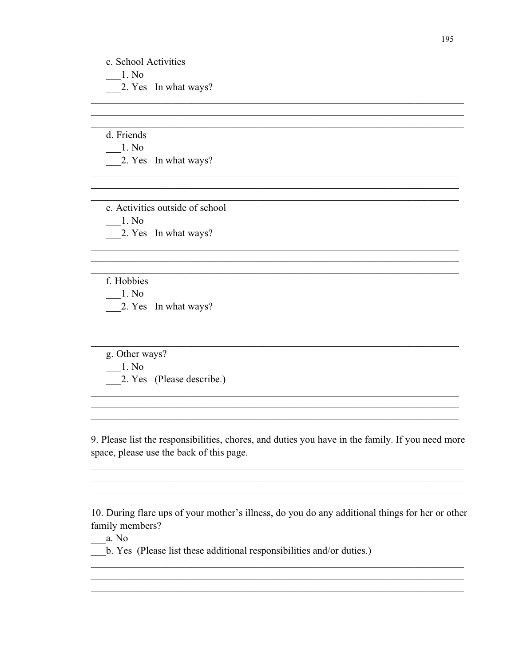c. School Activities 1. No 2. Yes In what ways?

d. Friends  $\frac{1}{2}$ . No 2. Yes In what ways?

e. Activities outside of school  $-1.$  No  $\frac{2}{2}$ . Yes In what ways?

f. Hobbies 1. No 2. Yes In what ways?

g. Other ways?  $-1.$  No 2. Yes (Please describe.)

9. Please list the responsibilities, chores, and duties you have in the family. If you need more space, please use the back of this page.

<u> 1980 - Johann John Stoff, deutscher Stoffen und der Stoffen und der Stoffen und der Stoffen und der Stoffen u</u>

10. During flare ups of your mother's illness, do you do any additional things for her or other family members?

 $\frac{a. N_0}{a}$ 

b. Yes (Please list these additional responsibilities and/or duties.)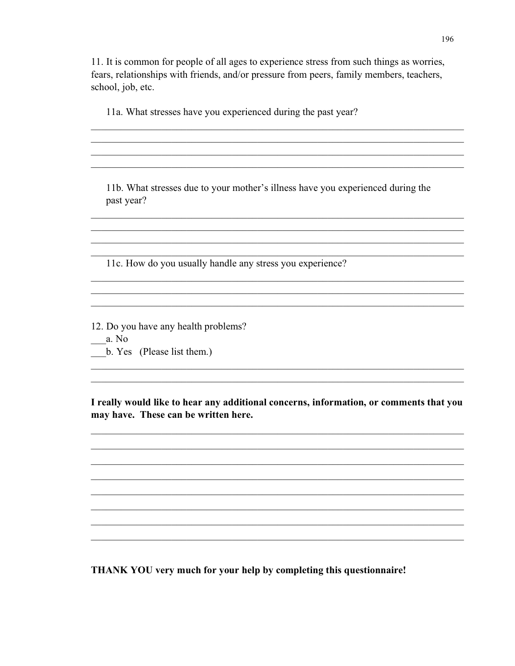11. It is common for people of all ages to experience stress from such things as worries, fears, relationships with friends, and/or pressure from peers, family members, teachers, school, job, etc.

11a. What stresses have you experienced during the past year?

11b. What stresses due to your mother's illness have you experienced during the past year?

11c. How do you usually handle any stress you experience?

12. Do you have any health problems?

- $a. No$
- b. Yes (Please list them.)

I really would like to hear any additional concerns, information, or comments that you may have. These can be written here.

THANK YOU very much for your help by completing this questionnaire!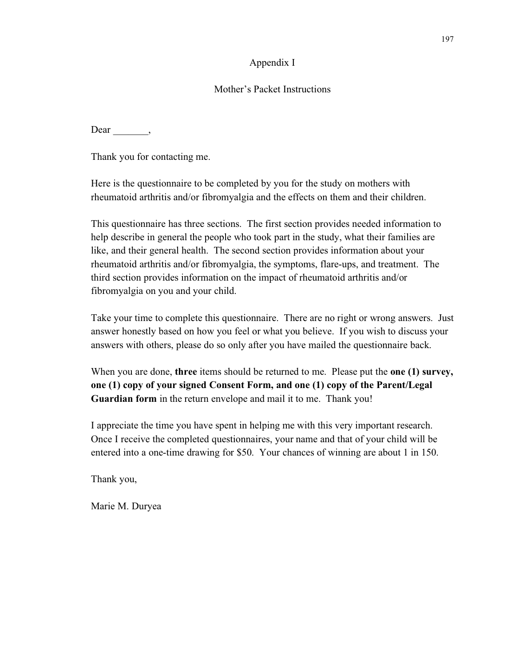### Appendix I

### Mother's Packet Instructions

Dear  $\_\_\_\_\_\_\$ 

Thank you for contacting me.

Here is the questionnaire to be completed by you for the study on mothers with rheumatoid arthritis and/or fibromyalgia and the effects on them and their children.

This questionnaire has three sections. The first section provides needed information to help describe in general the people who took part in the study, what their families are like, and their general health. The second section provides information about your rheumatoid arthritis and/or fibromyalgia, the symptoms, flare-ups, and treatment. The third section provides information on the impact of rheumatoid arthritis and/or fibromyalgia on you and your child.

Take your time to complete this questionnaire. There are no right or wrong answers. Just answer honestly based on how you feel or what you believe. If you wish to discuss your answers with others, please do so only after you have mailed the questionnaire back.

When you are done, **three** items should be returned to me. Please put the **one (1) survey, one (1) copy of your signed Consent Form, and one (1) copy of the Parent/Legal Guardian form** in the return envelope and mail it to me. Thank you!

I appreciate the time you have spent in helping me with this very important research. Once I receive the completed questionnaires, your name and that of your child will be entered into a one-time drawing for \$50. Your chances of winning are about 1 in 150.

Thank you,

Marie M. Duryea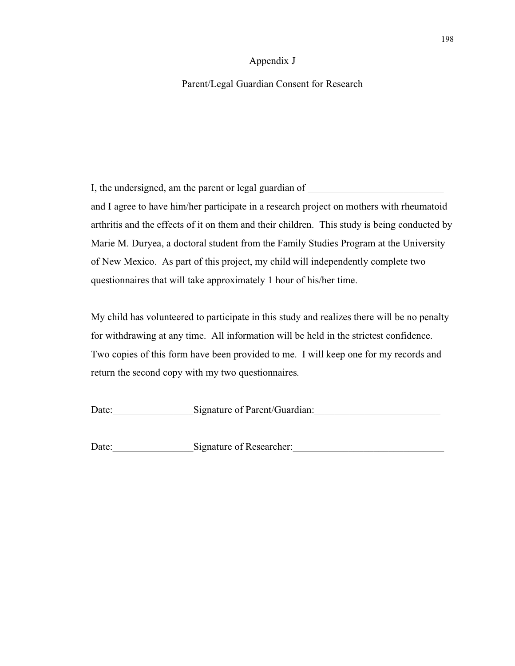#### Appendix J

### Parent/Legal Guardian Consent for Research

I, the undersigned, am the parent or legal guardian of and I agree to have him/her participate in a research project on mothers with rheumatoid arthritis and the effects of it on them and their children. This study is being conducted by Marie M. Duryea, a doctoral student from the Family Studies Program at the University of New Mexico. As part of this project, my child will independently complete two questionnaires that will take approximately 1 hour of his/her time.

My child has volunteered to participate in this study and realizes there will be no penalty for withdrawing at any time. All information will be held in the strictest confidence. Two copies of this form have been provided to me. I will keep one for my records and return the second copy with my two questionnaires.

Date: Signature of Parent/Guardian:

Date: Signature of Researcher: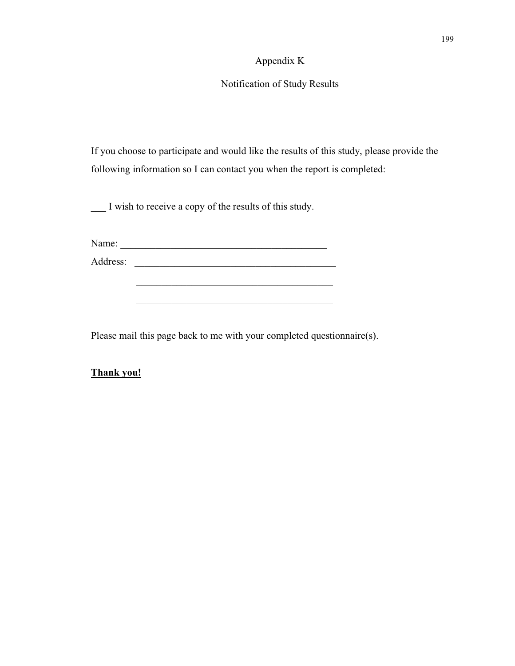#### Appendix K

# Notification of Study Results

If you choose to participate and would like the results of this study, please provide the following information so I can contact you when the report is completed:

**\_\_\_** I wish to receive a copy of the results of this study.

Name: \_\_\_\_\_\_\_\_\_\_\_\_\_\_\_\_\_\_\_\_\_\_\_\_\_\_\_\_\_\_\_\_\_\_\_\_\_\_\_\_\_

Address: \_\_\_\_\_\_\_\_\_\_\_\_\_\_\_\_\_\_\_\_\_\_\_\_\_\_\_\_\_\_\_\_\_\_\_\_\_\_\_\_

Please mail this page back to me with your completed questionnaire(s).

\_\_\_\_\_\_\_\_\_\_\_\_\_\_\_\_\_\_\_\_\_\_\_\_\_\_\_\_\_\_\_\_\_\_\_\_\_\_\_

# **Thank you!**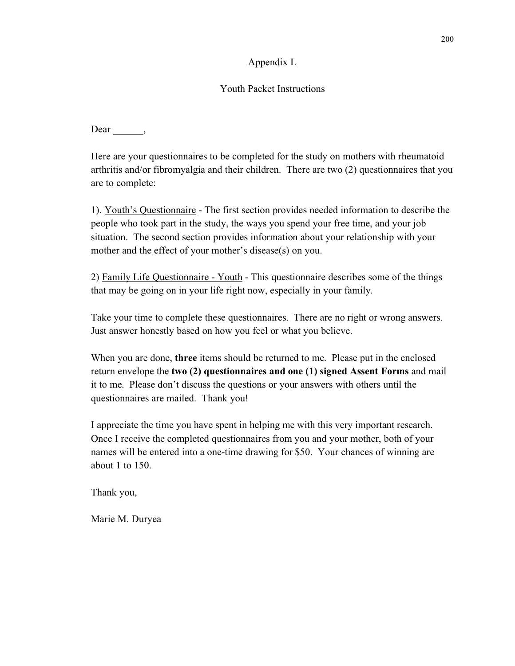## Appendix L

## Youth Packet Instructions

Dear \_\_\_\_\_,

Here are your questionnaires to be completed for the study on mothers with rheumatoid arthritis and/or fibromyalgia and their children. There are two (2) questionnaires that you are to complete:

1). Youth's Questionnaire - The first section provides needed information to describe the people who took part in the study, the ways you spend your free time, and your job situation. The second section provides information about your relationship with your mother and the effect of your mother's disease(s) on you.

2) Family Life Questionnaire - Youth - This questionnaire describes some of the things that may be going on in your life right now, especially in your family.

Take your time to complete these questionnaires. There are no right or wrong answers. Just answer honestly based on how you feel or what you believe.

When you are done, **three** items should be returned to me. Please put in the enclosed return envelope the **two (2) questionnaires and one (1) signed Assent Forms** and mail it to me. Please don't discuss the questions or your answers with others until the questionnaires are mailed. Thank you!

I appreciate the time you have spent in helping me with this very important research. Once I receive the completed questionnaires from you and your mother, both of your names will be entered into a one-time drawing for \$50. Your chances of winning are about 1 to 150.

Thank you,

Marie M. Duryea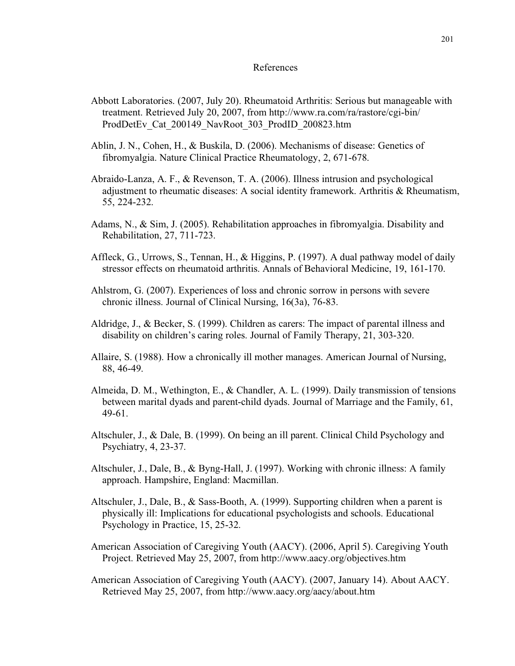## References

- Abbott Laboratories. (2007, July 20). Rheumatoid Arthritis: Serious but manageable with treatment. Retrieved July 20, 2007, from http://www.ra.com/ra/rastore/cgi-bin/ ProdDetEv\_Cat\_200149\_NavRoot\_303\_ProdID\_200823.htm
- Ablin, J. N., Cohen, H., & Buskila, D. (2006). Mechanisms of disease: Genetics of fibromyalgia. Nature Clinical Practice Rheumatology, 2, 671-678.
- Abraido-Lanza, A. F., & Revenson, T. A. (2006). Illness intrusion and psychological adjustment to rheumatic diseases: A social identity framework. Arthritis & Rheumatism, 55, 224-232.
- Adams, N., & Sim, J. (2005). Rehabilitation approaches in fibromyalgia. Disability and Rehabilitation, 27, 711-723.
- Affleck, G., Urrows, S., Tennan, H., & Higgins, P. (1997). A dual pathway model of daily stressor effects on rheumatoid arthritis. Annals of Behavioral Medicine, 19, 161-170.
- Ahlstrom, G. (2007). Experiences of loss and chronic sorrow in persons with severe chronic illness. Journal of Clinical Nursing, 16(3a), 76-83.
- Aldridge, J., & Becker, S. (1999). Children as carers: The impact of parental illness and disability on children's caring roles. Journal of Family Therapy, 21, 303-320.
- Allaire, S. (1988). How a chronically ill mother manages. American Journal of Nursing, 88, 46-49.
- Almeida, D. M., Wethington, E., & Chandler, A. L. (1999). Daily transmission of tensions between marital dyads and parent-child dyads. Journal of Marriage and the Family, 61, 49-61.
- Altschuler, J., & Dale, B. (1999). On being an ill parent. Clinical Child Psychology and Psychiatry, 4, 23-37.
- Altschuler, J., Dale, B., & Byng-Hall, J. (1997). Working with chronic illness: A family approach. Hampshire, England: Macmillan.
- Altschuler, J., Dale, B., & Sass-Booth, A. (1999). Supporting children when a parent is physically ill: Implications for educational psychologists and schools. Educational Psychology in Practice, 15, 25-32.
- American Association of Caregiving Youth (AACY). (2006, April 5). Caregiving Youth Project. Retrieved May 25, 2007, from http://www.aacy.org/objectives.htm
- American Association of Caregiving Youth (AACY). (2007, January 14). About AACY. Retrieved May 25, 2007, from http://www.aacy.org/aacy/about.htm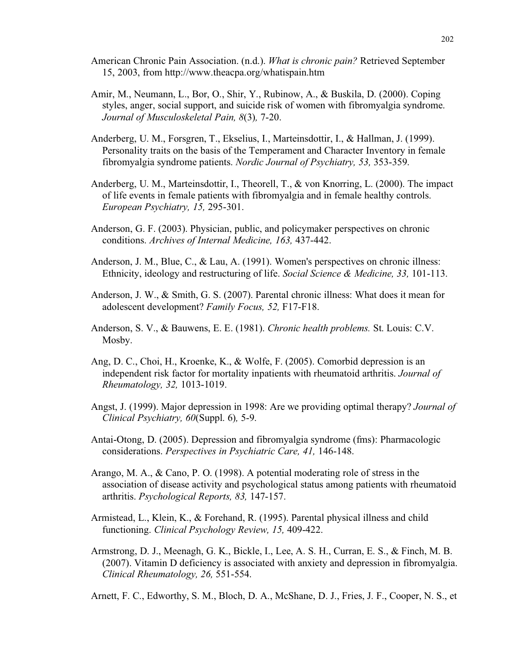- American Chronic Pain Association. (n.d.). *What is chronic pain?* Retrieved September 15, 2003, from http://www.theacpa.org/whatispain.htm
- Amir, M., Neumann, L., Bor, O., Shir, Y., Rubinow, A., & Buskila, D. (2000). Coping styles, anger, social support, and suicide risk of women with fibromyalgia syndrome. *Journal of Musculoskeletal Pain, 8*(3)*,* 7-20.
- Anderberg, U. M., Forsgren, T., Ekselius, I., Marteinsdottir, I., & Hallman, J. (1999). Personality traits on the basis of the Temperament and Character Inventory in female fibromyalgia syndrome patients. *Nordic Journal of Psychiatry, 53,* 353-359.
- Anderberg, U. M., Marteinsdottir, I., Theorell, T., & von Knorring, L. (2000). The impact of life events in female patients with fibromyalgia and in female healthy controls. *European Psychiatry, 15,* 295-301.
- Anderson, G. F. (2003). Physician, public, and policymaker perspectives on chronic conditions. *Archives of Internal Medicine, 163,* 437-442.
- Anderson, J. M., Blue, C., & Lau, A. (1991). Women's perspectives on chronic illness: Ethnicity, ideology and restructuring of life. *Social Science & Medicine, 33,* 101-113.
- Anderson, J. W., & Smith, G. S. (2007). Parental chronic illness: What does it mean for adolescent development? *Family Focus, 52,* F17-F18.
- Anderson, S. V., & Bauwens, E. E. (1981). *Chronic health problems.* St. Louis: C.V. Mosby.
- Ang, D. C., Choi, H., Kroenke, K., & Wolfe, F. (2005). Comorbid depression is an independent risk factor for mortality inpatients with rheumatoid arthritis. *Journal of Rheumatology, 32,* 1013-1019.
- Angst, J. (1999). Major depression in 1998: Are we providing optimal therapy? *Journal of Clinical Psychiatry, 60*(Suppl. 6)*,* 5-9.
- Antai-Otong, D. (2005). Depression and fibromyalgia syndrome (fms): Pharmacologic considerations. *Perspectives in Psychiatric Care, 41,* 146-148.
- Arango, M. A., & Cano, P. O. (1998). A potential moderating role of stress in the association of disease activity and psychological status among patients with rheumatoid arthritis. *Psychological Reports, 83,* 147-157.
- Armistead, L., Klein, K., & Forehand, R. (1995). Parental physical illness and child functioning. *Clinical Psychology Review, 15,* 409-422.
- Armstrong, D. J., Meenagh, G. K., Bickle, I., Lee, A. S. H., Curran, E. S., & Finch, M. B. (2007). Vitamin D deficiency is associated with anxiety and depression in fibromyalgia. *Clinical Rheumatology, 26,* 551-554.

Arnett, F. C., Edworthy, S. M., Bloch, D. A., McShane, D. J., Fries, J. F., Cooper, N. S., et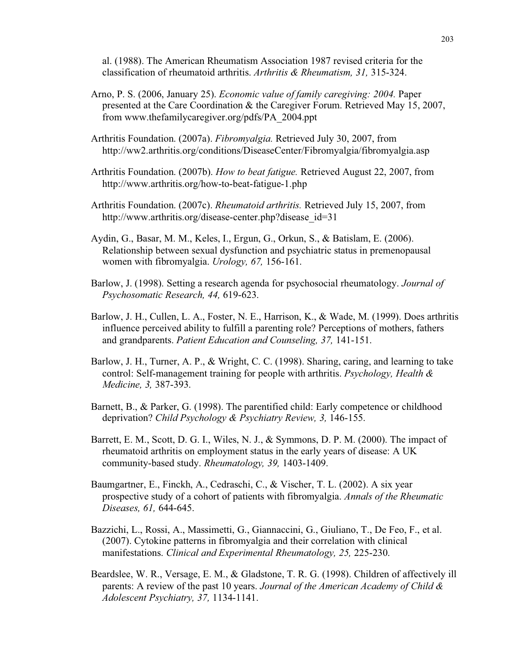al. (1988). The American Rheumatism Association 1987 revised criteria for the classification of rheumatoid arthritis. *Arthritis & Rheumatism, 31,* 315-324.

- Arno, P. S. (2006, January 25). *Economic value of family caregiving: 2004.* Paper presented at the Care Coordination & the Caregiver Forum. Retrieved May 15, 2007, from www.thefamilycaregiver.org/pdfs/PA\_2004.ppt
- Arthritis Foundation. (2007a). *Fibromyalgia.* Retrieved July 30, 2007, from http://ww2.arthritis.org/conditions/DiseaseCenter/Fibromyalgia/fibromyalgia.asp
- Arthritis Foundation. (2007b). *How to beat fatigue.* Retrieved August 22, 2007, from http://www.arthritis.org/how-to-beat-fatigue-1.php
- Arthritis Foundation. (2007c). *Rheumatoid arthritis.* Retrieved July 15, 2007, from http://www.arthritis.org/disease-center.php?disease\_id=31
- Aydin, G., Basar, M. M., Keles, I., Ergun, G., Orkun, S., & Batislam, E. (2006). Relationship between sexual dysfunction and psychiatric status in premenopausal women with fibromyalgia. *Urology, 67,* 156-161.
- Barlow, J. (1998). Setting a research agenda for psychosocial rheumatology. *Journal of Psychosomatic Research, 44,* 619-623.
- Barlow, J. H., Cullen, L. A., Foster, N. E., Harrison, K., & Wade, M. (1999). Does arthritis influence perceived ability to fulfill a parenting role? Perceptions of mothers, fathers and grandparents. *Patient Education and Counseling, 37,* 141-151.
- Barlow, J. H., Turner, A. P., & Wright, C. C. (1998). Sharing, caring, and learning to take control: Self-management training for people with arthritis. *Psychology, Health & Medicine, 3,* 387-393.
- Barnett, B., & Parker, G. (1998). The parentified child: Early competence or childhood deprivation? *Child Psychology & Psychiatry Review, 3,* 146-155.
- Barrett, E. M., Scott, D. G. I., Wiles, N. J., & Symmons, D. P. M. (2000). The impact of rheumatoid arthritis on employment status in the early years of disease: A UK community-based study. *Rheumatology, 39,* 1403-1409.
- Baumgartner, E., Finckh, A., Cedraschi, C., & Vischer, T. L. (2002). A six year prospective study of a cohort of patients with fibromyalgia. *Annals of the Rheumatic Diseases, 61,* 644-645.
- Bazzichi, L., Rossi, A., Massimetti, G., Giannaccini, G., Giuliano, T., De Feo, F., et al. (2007). Cytokine patterns in fibromyalgia and their correlation with clinical manifestations. *Clinical and Experimental Rheumatology, 25,* 225-230.
- Beardslee, W. R., Versage, E. M., & Gladstone, T. R. G. (1998). Children of affectively ill parents: A review of the past 10 years. *Journal of the American Academy of Child & Adolescent Psychiatry, 37,* 1134-1141.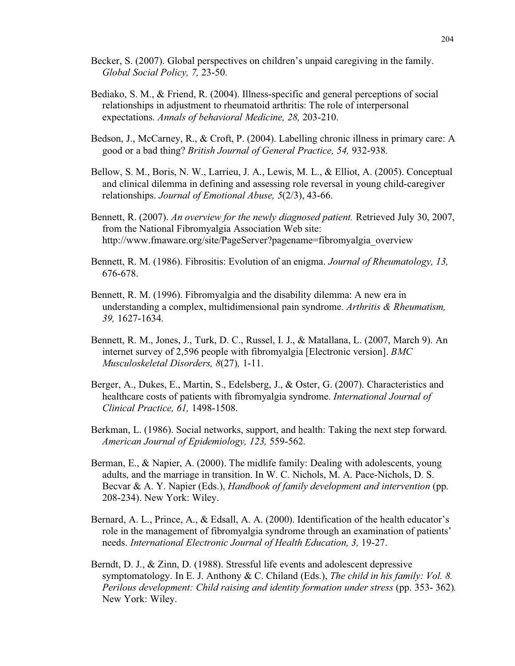- Becker, S. (2007). Global perspectives on children's unpaid caregiving in the family. *Global Social Policy, 7,* 23-50.
- Bediako, S. M., & Friend, R. (2004). Illness-specific and general perceptions of social relationships in adjustment to rheumatoid arthritis: The role of interpersonal expectations. *Annals of behavioral Medicine, 28,* 203-210.
- Bedson, J., McCarney, R., & Croft, P. (2004). Labelling chronic illness in primary care: A good or a bad thing? *British Journal of General Practice, 54,* 932-938.
- Bellow, S. M., Boris, N. W., Larrieu, J. A., Lewis, M. L., & Elliot, A. (2005). Conceptual and clinical dilemma in defining and assessing role reversal in young child-caregiver relationships. *Journal of Emotional Abuse, 5*(2/3), 43-66.
- Bennett, R. (2007). *An overview for the newly diagnosed patient.* Retrieved July 30, 2007, from the National Fibromyalgia Association Web site: http://www.fmaware.org/site/PageServer?pagename=fibromyalgia\_overview
- Bennett, R. M. (1986). Fibrositis: Evolution of an enigma. *Journal of Rheumatology, 13,* 676-678.
- Bennett, R. M. (1996). Fibromyalgia and the disability dilemma: A new era in understanding a complex, multidimensional pain syndrome. *Arthritis & Rheumatism, 39,* 1627-1634.
- Bennett, R. M., Jones, J., Turk, D. C., Russel, I. J., & Matallana, L. (2007, March 9). An internet survey of 2,596 people with fibromyalgia [Electronic version]. *BMC Musculoskeletal Disorders, 8*(27)*,* 1-11.
- Berger, A., Dukes, E., Martin, S., Edelsberg, J., & Oster, G. (2007). Characteristics and healthcare costs of patients with fibromyalgia syndrome. *International Journal of Clinical Practice, 61,* 1498-1508.
- Berkman, L. (1986). Social networks, support, and health: Taking the next step forward. *American Journal of Epidemiology, 123,* 559-562.
- Berman, E., & Napier, A. (2000). The midlife family: Dealing with adolescents, young adults, and the marriage in transition. In W. C. Nichols, M. A. Pace-Nichols, D. S. Becvar & A. Y. Napier (Eds.), *Handbook of family development and intervention* (pp. 208-234). New York: Wiley.
- Bernard, A. L., Prince, A., & Edsall, A. A. (2000). Identification of the health educator's role in the management of fibromyalgia syndrome through an examination of patients' needs. *International Electronic Journal of Health Education, 3,* 19-27.
- Berndt, D. J., & Zinn, D. (1988). Stressful life events and adolescent depressive symptomatology. In E. J. Anthony & C. Chiland (Eds.), *The child in his family: Vol. 8. Perilous development: Child raising and identity formation under stress* (pp. 353- 362)*.* New York: Wiley.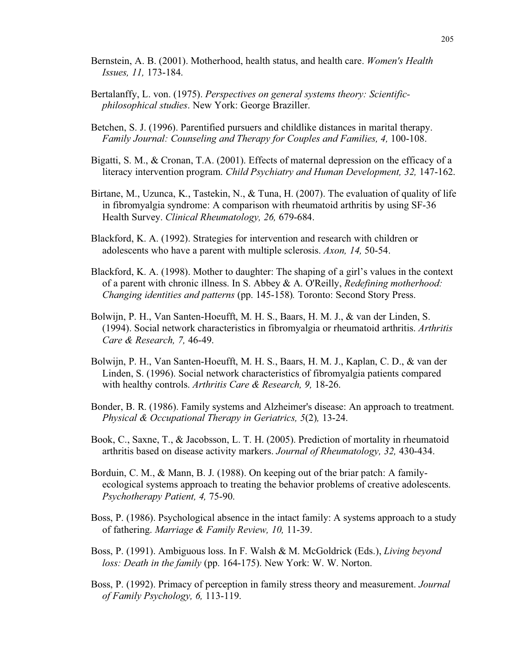- Bernstein, A. B. (2001). Motherhood, health status, and health care. *Women's Health Issues, 11,* 173-184.
- Bertalanffy, L. von. (1975). *Perspectives on general systems theory: Scientificphilosophical studies*. New York: George Braziller.
- Betchen, S. J. (1996). Parentified pursuers and childlike distances in marital therapy. *Family Journal: Counseling and Therapy for Couples and Families, 4,* 100-108.
- Bigatti, S. M., & Cronan, T.A. (2001). Effects of maternal depression on the efficacy of a literacy intervention program. *Child Psychiatry and Human Development, 32,* 147-162.
- Birtane, M., Uzunca, K., Tastekin, N., & Tuna, H. (2007). The evaluation of quality of life in fibromyalgia syndrome: A comparison with rheumatoid arthritis by using SF-36 Health Survey. *Clinical Rheumatology, 26,* 679-684.
- Blackford, K. A. (1992). Strategies for intervention and research with children or adolescents who have a parent with multiple sclerosis. *Axon, 14,* 50-54.
- Blackford, K. A. (1998). Mother to daughter: The shaping of a girl's values in the context of a parent with chronic illness. In S. Abbey & A. O'Reilly, *Redefining motherhood: Changing identities and patterns* (pp. 145-158)*.* Toronto: Second Story Press.
- Bolwijn, P. H., Van Santen-Hoeufft, M. H. S., Baars, H. M. J., & van der Linden, S. (1994). Social network characteristics in fibromyalgia or rheumatoid arthritis. *Arthritis Care & Research, 7,* 46-49.
- Bolwijn, P. H., Van Santen-Hoeufft, M. H. S., Baars, H. M. J., Kaplan, C. D., & van der Linden, S. (1996). Social network characteristics of fibromyalgia patients compared with healthy controls. *Arthritis Care & Research, 9,* 18-26.
- Bonder, B. R. (1986). Family systems and Alzheimer's disease: An approach to treatment. *Physical & Occupational Therapy in Geriatrics, 5*(2)*,* 13-24.
- Book, C., Saxne, T., & Jacobsson, L. T. H. (2005). Prediction of mortality in rheumatoid arthritis based on disease activity markers. *Journal of Rheumatology, 32,* 430-434.
- Borduin, C. M., & Mann, B. J. (1988). On keeping out of the briar patch: A familyecological systems approach to treating the behavior problems of creative adolescents. *Psychotherapy Patient, 4,* 75-90.
- Boss, P. (1986). Psychological absence in the intact family: A systems approach to a study of fathering. *Marriage & Family Review, 10,* 11-39.
- Boss, P. (1991). Ambiguous loss. In F. Walsh & M. McGoldrick (Eds.), *Living beyond loss: Death in the family* (pp. 164-175). New York: W. W. Norton.
- Boss, P. (1992). Primacy of perception in family stress theory and measurement. *Journal of Family Psychology, 6,* 113-119.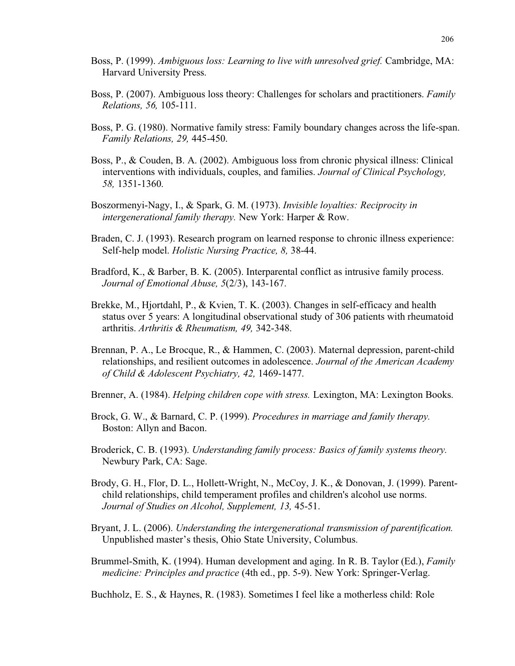- Boss, P. (1999). *Ambiguous loss: Learning to live with unresolved grief.* Cambridge, MA: Harvard University Press.
- Boss, P. (2007). Ambiguous loss theory: Challenges for scholars and practitioners. *Family Relations, 56,* 105-111.
- Boss, P. G. (1980). Normative family stress: Family boundary changes across the life-span. *Family Relations, 29,* 445-450.
- Boss, P., & Couden, B. A. (2002). Ambiguous loss from chronic physical illness: Clinical interventions with individuals, couples, and families. *Journal of Clinical Psychology, 58,* 1351-1360.
- Boszormenyi-Nagy, I., & Spark, G. M. (1973). *Invisible loyalties: Reciprocity in intergenerational family therapy.* New York: Harper & Row.
- Braden, C. J. (1993). Research program on learned response to chronic illness experience: Self-help model. *Holistic Nursing Practice, 8,* 38-44.
- Bradford, K., & Barber, B. K. (2005). Interparental conflict as intrusive family process. *Journal of Emotional Abuse, 5*(2/3), 143-167.
- Brekke, M., Hjortdahl, P., & Kvien, T. K. (2003). Changes in self-efficacy and health status over 5 years: A longitudinal observational study of 306 patients with rheumatoid arthritis. *Arthritis & Rheumatism, 49,* 342-348.
- Brennan, P. A., Le Brocque, R., & Hammen, C. (2003). Maternal depression, parent-child relationships, and resilient outcomes in adolescence. *Journal of the American Academy of Child & Adolescent Psychiatry, 42,* 1469-1477.
- Brenner, A. (1984). *Helping children cope with stress.* Lexington, MA: Lexington Books.
- Brock, G. W., & Barnard, C. P. (1999). *Procedures in marriage and family therapy.* Boston: Allyn and Bacon.
- Broderick, C. B. (1993). *Understanding family process: Basics of family systems theory.* Newbury Park, CA: Sage.
- Brody, G. H., Flor, D. L., Hollett-Wright, N., McCoy, J. K., & Donovan, J. (1999). Parentchild relationships, child temperament profiles and children's alcohol use norms. *Journal of Studies on Alcohol, Supplement, 13,* 45-51.
- Bryant, J. L. (2006). *Understanding the intergenerational transmission of parentification.* Unpublished master's thesis, Ohio State University, Columbus.
- Brummel-Smith, K. (1994). Human development and aging. In R. B. Taylor (Ed.), *Family medicine: Principles and practice* (4th ed., pp. 5-9). New York: Springer-Verlag.
- Buchholz, E. S., & Haynes, R. (1983). Sometimes I feel like a motherless child: Role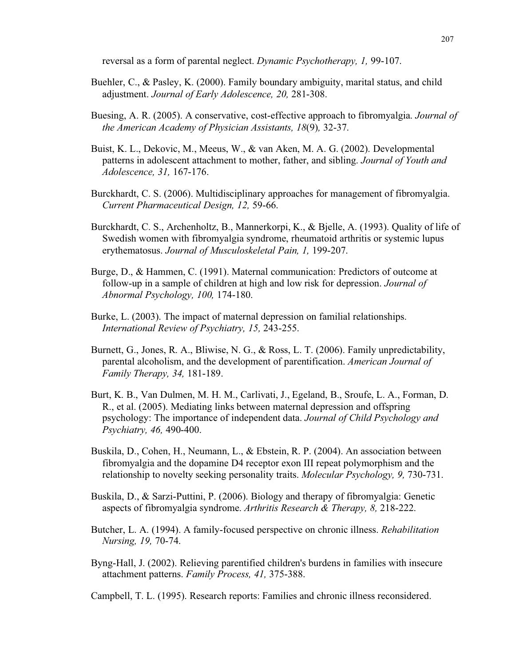reversal as a form of parental neglect. *Dynamic Psychotherapy, 1,* 99-107.

- Buehler, C., & Pasley, K. (2000). Family boundary ambiguity, marital status, and child adjustment. *Journal of Early Adolescence, 20,* 281-308.
- Buesing, A. R. (2005). A conservative, cost-effective approach to fibromyalgia. *Journal of the American Academy of Physician Assistants, 18*(9)*,* 32-37.
- Buist, K. L., Dekovic, M., Meeus, W., & van Aken, M. A. G. (2002). Developmental patterns in adolescent attachment to mother, father, and sibling. *Journal of Youth and Adolescence, 31,* 167-176.
- Burckhardt, C. S. (2006). Multidisciplinary approaches for management of fibromyalgia. *Current Pharmaceutical Design, 12,* 59-66.
- Burckhardt, C. S., Archenholtz, B., Mannerkorpi, K., & Bjelle, A. (1993). Quality of life of Swedish women with fibromyalgia syndrome, rheumatoid arthritis or systemic lupus erythematosus. *Journal of Musculoskeletal Pain, 1,* 199-207.
- Burge, D., & Hammen, C. (1991). Maternal communication: Predictors of outcome at follow-up in a sample of children at high and low risk for depression. *Journal of Abnormal Psychology, 100,* 174-180.
- Burke, L. (2003). The impact of maternal depression on familial relationships. *International Review of Psychiatry, 15,* 243-255.
- Burnett, G., Jones, R. A., Bliwise, N. G., & Ross, L. T. (2006). Family unpredictability, parental alcoholism, and the development of parentification. *American Journal of Family Therapy, 34,* 181-189.
- Burt, K. B., Van Dulmen, M. H. M., Carlivati, J., Egeland, B., Sroufe, L. A., Forman, D. R., et al. (2005). Mediating links between maternal depression and offspring psychology: The importance of independent data. *Journal of Child Psychology and Psychiatry, 46,* 490-400.
- Buskila, D., Cohen, H., Neumann, L., & Ebstein, R. P. (2004). An association between fibromyalgia and the dopamine D4 receptor exon III repeat polymorphism and the relationship to novelty seeking personality traits. *Molecular Psychology, 9,* 730-731.
- Buskila, D., & Sarzi-Puttini, P. (2006). Biology and therapy of fibromyalgia: Genetic aspects of fibromyalgia syndrome. *Arthritis Research & Therapy, 8,* 218-222.
- Butcher, L. A. (1994). A family-focused perspective on chronic illness. *Rehabilitation Nursing, 19,* 70-74.
- Byng-Hall, J. (2002). Relieving parentified children's burdens in families with insecure attachment patterns. *Family Process, 41,* 375-388.

Campbell, T. L. (1995). Research reports: Families and chronic illness reconsidered.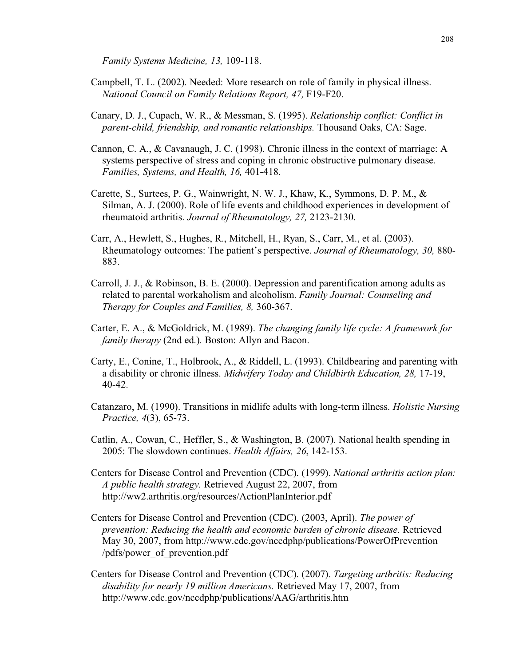*Family Systems Medicine, 13,* 109-118.

- Campbell, T. L. (2002). Needed: More research on role of family in physical illness. *National Council on Family Relations Report, 47,* F19-F20.
- Canary, D. J., Cupach, W. R., & Messman, S. (1995). *Relationship conflict: Conflict in parent-child, friendship, and romantic relationships.* Thousand Oaks, CA: Sage.
- Cannon, C. A., & Cavanaugh, J. C. (1998). Chronic illness in the context of marriage: A systems perspective of stress and coping in chronic obstructive pulmonary disease. *Families, Systems, and Health, 16,* 401-418.
- Carette, S., Surtees, P. G., Wainwright, N. W. J., Khaw, K., Symmons, D. P. M., & Silman, A. J. (2000). Role of life events and childhood experiences in development of rheumatoid arthritis. *Journal of Rheumatology, 27,* 2123-2130.
- Carr, A., Hewlett, S., Hughes, R., Mitchell, H., Ryan, S., Carr, M., et al. (2003). Rheumatology outcomes: The patient's perspective. *Journal of Rheumatology, 30,* 880- 883.
- Carroll, J. J., & Robinson, B. E. (2000). Depression and parentification among adults as related to parental workaholism and alcoholism. *Family Journal: Counseling and Therapy for Couples and Families, 8,* 360-367.
- Carter, E. A., & McGoldrick, M. (1989). *The changing family life cycle: A framework for family therapy* (2nd ed.)*.* Boston: Allyn and Bacon.
- Carty, E., Conine, T., Holbrook, A., & Riddell, L. (1993). Childbearing and parenting with a disability or chronic illness. *Midwifery Today and Childbirth Education, 28,* 17-19, 40-42.
- Catanzaro, M. (1990). Transitions in midlife adults with long-term illness. *Holistic Nursing Practice, 4*(3), 65-73.
- Catlin, A., Cowan, C., Heffler, S., & Washington, B. (2007). National health spending in 2005: The slowdown continues. *Health Affairs, 26*, 142-153.
- Centers for Disease Control and Prevention (CDC). (1999). *National arthritis action plan: A public health strategy.* Retrieved August 22, 2007, from http://ww2.arthritis.org/resources/ActionPlanInterior.pdf
- Centers for Disease Control and Prevention (CDC). (2003, April). *The power of prevention: Reducing the health and economic burden of chronic disease.* Retrieved May 30, 2007, from http://www.cdc.gov/nccdphp/publications/PowerOfPrevention /pdfs/power\_of\_prevention.pdf
- Centers for Disease Control and Prevention (CDC). (2007). *Targeting arthritis: Reducing disability for nearly 19 million Americans.* Retrieved May 17, 2007, from http://www.cdc.gov/nccdphp/publications/AAG/arthritis.htm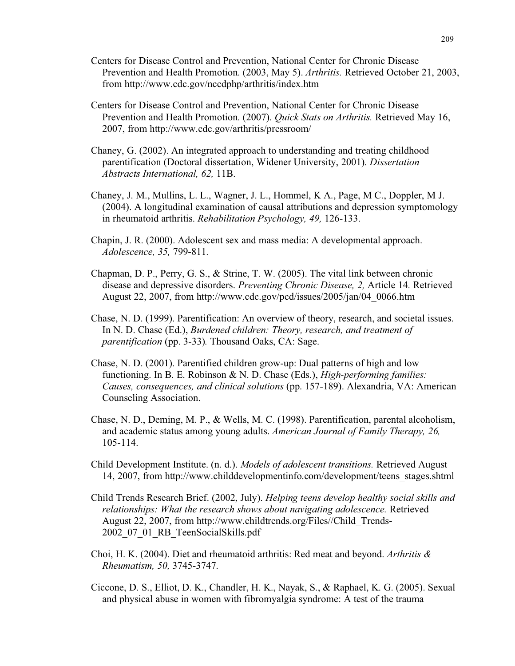- Centers for Disease Control and Prevention, National Center for Chronic Disease Prevention and Health Promotion. (2003, May 5). *Arthritis.* Retrieved October 21, 2003, from http://www.cdc.gov/nccdphp/arthritis/index.htm
- Centers for Disease Control and Prevention, National Center for Chronic Disease Prevention and Health Promotion. (2007). *Quick Stats on Arthritis.* Retrieved May 16, 2007, from http://www.cdc.gov/arthritis/pressroom/
- Chaney, G. (2002). An integrated approach to understanding and treating childhood parentification (Doctoral dissertation, Widener University, 2001). *Dissertation Abstracts International, 62,* 11B.
- Chaney, J. M., Mullins, L. L., Wagner, J. L., Hommel, K A., Page, M C., Doppler, M J. (2004). A longitudinal examination of causal attributions and depression symptomology in rheumatoid arthritis. *Rehabilitation Psychology, 49,* 126-133.
- Chapin, J. R. (2000). Adolescent sex and mass media: A developmental approach. *Adolescence, 35,* 799-811*.*
- Chapman, D. P., Perry, G. S., & Strine, T. W. (2005). The vital link between chronic disease and depressive disorders. *Preventing Chronic Disease, 2,* Article 14*.* Retrieved August 22, 2007, from http://www.cdc.gov/pcd/issues/2005/jan/04\_0066.htm
- Chase, N. D. (1999). Parentification: An overview of theory, research, and societal issues. In N. D. Chase (Ed.), *Burdened children: Theory, research, and treatment of parentification* (pp. 3-33)*.* Thousand Oaks, CA: Sage.
- Chase, N. D. (2001). Parentified children grow-up: Dual patterns of high and low functioning. In B. E. Robinson & N. D. Chase (Eds.), *High-performing families: Causes, consequences, and clinical solutions* (pp. 157-189). Alexandria, VA: American Counseling Association.
- Chase, N. D., Deming, M. P., & Wells, M. C. (1998). Parentification, parental alcoholism, and academic status among young adults. *American Journal of Family Therapy, 26,* 105-114.
- Child Development Institute. (n. d.). *Models of adolescent transitions.* Retrieved August 14, 2007, from http://www.childdevelopmentinfo.com/development/teens\_stages.shtml
- Child Trends Research Brief. (2002, July). *Helping teens develop healthy social skills and relationships: What the research shows about navigating adolescence.* Retrieved August 22, 2007, from http://www.childtrends.org/Files//Child\_Trends-2002\_07\_01\_RB\_TeenSocialSkills.pdf
- Choi, H. K. (2004). Diet and rheumatoid arthritis: Red meat and beyond. *Arthritis & Rheumatism, 50,* 3745-3747.
- Ciccone, D. S., Elliot, D. K., Chandler, H. K., Nayak, S., & Raphael, K. G. (2005). Sexual and physical abuse in women with fibromyalgia syndrome: A test of the trauma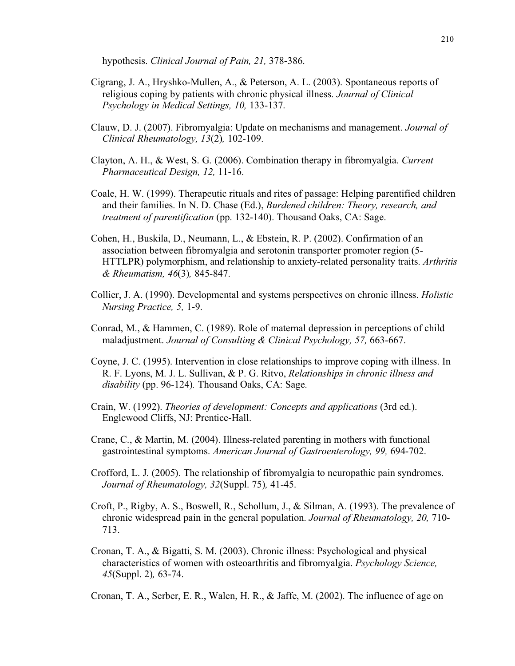hypothesis. *Clinical Journal of Pain, 21,* 378-386.

- Cigrang, J. A., Hryshko-Mullen, A., & Peterson, A. L. (2003). Spontaneous reports of religious coping by patients with chronic physical illness. *Journal of Clinical Psychology in Medical Settings, 10,* 133-137.
- Clauw, D. J. (2007). Fibromyalgia: Update on mechanisms and management. *Journal of Clinical Rheumatology, 13*(2)*,* 102-109.
- Clayton, A. H., & West, S. G. (2006). Combination therapy in fibromyalgia. *Current Pharmaceutical Design, 12,* 11-16.
- Coale, H. W. (1999). Therapeutic rituals and rites of passage: Helping parentified children and their families. In N. D. Chase (Ed.), *Burdened children: Theory, research, and treatment of parentification* (pp. 132-140). Thousand Oaks, CA: Sage.
- Cohen, H., Buskila, D., Neumann, L., & Ebstein, R. P. (2002). Confirmation of an association between fibromyalgia and serotonin transporter promoter region (5- HTTLPR) polymorphism, and relationship to anxiety-related personality traits. *Arthritis & Rheumatism, 46*(3)*,* 845-847.
- Collier, J. A. (1990). Developmental and systems perspectives on chronic illness. *Holistic Nursing Practice, 5,* 1-9.
- Conrad, M., & Hammen, C. (1989). Role of maternal depression in perceptions of child maladjustment. *Journal of Consulting & Clinical Psychology, 57,* 663-667.
- Coyne, J. C. (1995). Intervention in close relationships to improve coping with illness. In R. F. Lyons, M. J. L. Sullivan, & P. G. Ritvo, *Relationships in chronic illness and disability* (pp. 96-124)*.* Thousand Oaks, CA: Sage.
- Crain, W. (1992). *Theories of development: Concepts and applications* (3rd ed.). Englewood Cliffs, NJ: Prentice-Hall.
- Crane, C., & Martin, M. (2004). Illness-related parenting in mothers with functional gastrointestinal symptoms. *American Journal of Gastroenterology, 99,* 694-702.
- Crofford, L. J. (2005). The relationship of fibromyalgia to neuropathic pain syndromes. *Journal of Rheumatology, 32*(Suppl. 75)*,* 41-45.
- Croft, P., Rigby, A. S., Boswell, R., Schollum, J., & Silman, A. (1993). The prevalence of chronic widespread pain in the general population. *Journal of Rheumatology, 20,* 710- 713.
- Cronan, T. A., & Bigatti, S. M. (2003). Chronic illness: Psychological and physical characteristics of women with osteoarthritis and fibromyalgia. *Psychology Science, 45*(Suppl. 2)*,* 63-74.
- Cronan, T. A., Serber, E. R., Walen, H. R., & Jaffe, M. (2002). The influence of age on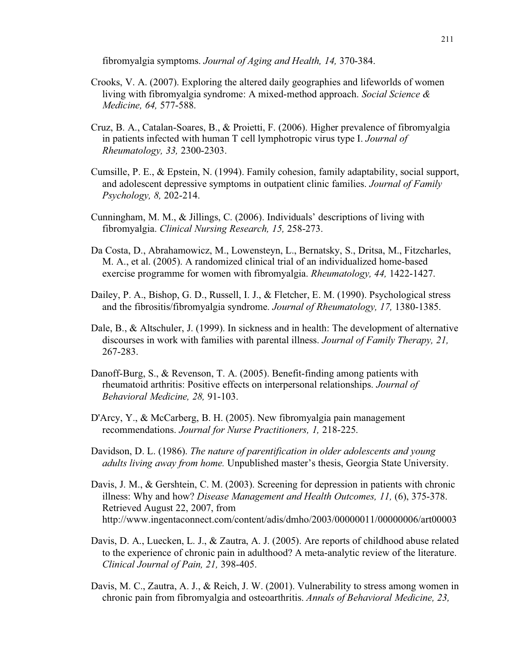fibromyalgia symptoms. *Journal of Aging and Health, 14,* 370-384.

- Crooks, V. A. (2007). Exploring the altered daily geographies and lifeworlds of women living with fibromyalgia syndrome: A mixed-method approach. *Social Science & Medicine, 64,* 577-588.
- Cruz, B. A., Catalan-Soares, B., & Proietti, F. (2006). Higher prevalence of fibromyalgia in patients infected with human T cell lymphotropic virus type I. *Journal of Rheumatology, 33,* 2300-2303.
- Cumsille, P. E., & Epstein, N. (1994). Family cohesion, family adaptability, social support, and adolescent depressive symptoms in outpatient clinic families. *Journal of Family Psychology, 8,* 202-214.
- Cunningham, M. M., & Jillings, C. (2006). Individuals' descriptions of living with fibromyalgia. *Clinical Nursing Research, 15,* 258-273.
- Da Costa, D., Abrahamowicz, M., Lowensteyn, L., Bernatsky, S., Dritsa, M., Fitzcharles, M. A., et al. (2005). A randomized clinical trial of an individualized home-based exercise programme for women with fibromyalgia. *Rheumatology, 44,* 1422-1427.
- Dailey, P. A., Bishop, G. D., Russell, I. J., & Fletcher, E. M. (1990). Psychological stress and the fibrositis/fibromyalgia syndrome. *Journal of Rheumatology, 17,* 1380-1385.
- Dale, B., & Altschuler, J. (1999). In sickness and in health: The development of alternative discourses in work with families with parental illness. *Journal of Family Therapy, 21,* 267-283.
- Danoff-Burg, S., & Revenson, T. A. (2005). Benefit-finding among patients with rheumatoid arthritis: Positive effects on interpersonal relationships. *Journal of Behavioral Medicine, 28,* 91-103.
- D'Arcy, Y., & McCarberg, B. H. (2005). New fibromyalgia pain management recommendations. *Journal for Nurse Practitioners, 1,* 218-225.
- Davidson, D. L. (1986). *The nature of parentification in older adolescents and young adults living away from home.* Unpublished master's thesis, Georgia State University.
- Davis, J. M., & Gershtein, C. M. (2003). Screening for depression in patients with chronic illness: Why and how? *Disease Management and Health Outcomes, 11,* (6), 375-378. Retrieved August 22, 2007, from http://www.ingentaconnect.com/content/adis/dmho/2003/00000011/00000006/art00003
- Davis, D. A., Luecken, L. J., & Zautra, A. J. (2005). Are reports of childhood abuse related to the experience of chronic pain in adulthood? A meta-analytic review of the literature. *Clinical Journal of Pain, 21,* 398-405.
- Davis, M. C., Zautra, A. J., & Reich, J. W. (2001). Vulnerability to stress among women in chronic pain from fibromyalgia and osteoarthritis. *Annals of Behavioral Medicine, 23,*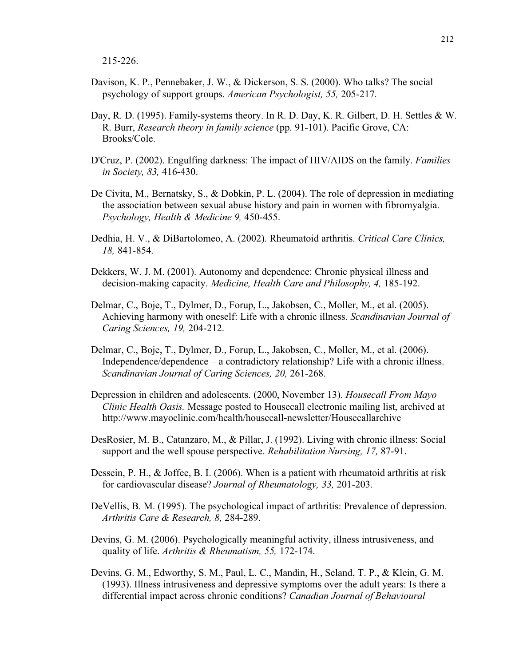215-226.

- Davison, K. P., Pennebaker, J. W., & Dickerson, S. S. (2000). Who talks? The social psychology of support groups. *American Psychologist, 55,* 205-217.
- Day, R. D. (1995). Family-systems theory. In R. D. Day, K. R. Gilbert, D. H. Settles & W. R. Burr, *Research theory in family science* (pp. 91-101). Pacific Grove, CA: Brooks/Cole.
- D'Cruz, P. (2002). Engulfing darkness: The impact of HIV/AIDS on the family. *Families in Society, 83,* 416-430.
- De Civita, M., Bernatsky, S., & Dobkin, P. L. (2004). The role of depression in mediating the association between sexual abuse history and pain in women with fibromyalgia. *Psychology, Health & Medicine 9,* 450-455.
- Dedhia, H. V., & DiBartolomeo, A. (2002). Rheumatoid arthritis. *Critical Care Clinics, 18,* 841-854.
- Dekkers, W. J. M. (2001). Autonomy and dependence: Chronic physical illness and decision-making capacity. *Medicine, Health Care and Philosophy, 4,* 185-192.
- Delmar, C., Boje, T., Dylmer, D., Forup, L., Jakobsen, C., Moller, M., et al. (2005). Achieving harmony with oneself: Life with a chronic illness. *Scandinavian Journal of Caring Sciences, 19,* 204-212.
- Delmar, C., Boje, T., Dylmer, D., Forup, L., Jakobsen, C., Moller, M., et al. (2006). Independence/dependence – a contradictory relationship? Life with a chronic illness. *Scandinavian Journal of Caring Sciences, 20,* 261-268.
- Depression in children and adolescents. (2000, November 13). *Housecall From Mayo Clinic Health Oasis.* Message posted to Housecall electronic mailing list, archived at http://www.mayoclinic.com/health/housecall-newsletter/Housecallarchive
- DesRosier, M. B., Catanzaro, M., & Pillar, J. (1992). Living with chronic illness: Social support and the well spouse perspective. *Rehabilitation Nursing, 17,* 87-91.
- Dessein, P. H., & Joffee, B. I. (2006). When is a patient with rheumatoid arthritis at risk for cardiovascular disease? *Journal of Rheumatology, 33,* 201-203.
- DeVellis, B. M. (1995). The psychological impact of arthritis: Prevalence of depression. *Arthritis Care & Research, 8,* 284-289.
- Devins, G. M. (2006). Psychologically meaningful activity, illness intrusiveness, and quality of life. *Arthritis & Rheumatism, 55,* 172-174.
- Devins, G. M., Edworthy, S. M., Paul, L. C., Mandin, H., Seland, T. P., & Klein, G. M. (1993). Illness intrusiveness and depressive symptoms over the adult years: Is there a differential impact across chronic conditions? *Canadian Journal of Behavioural*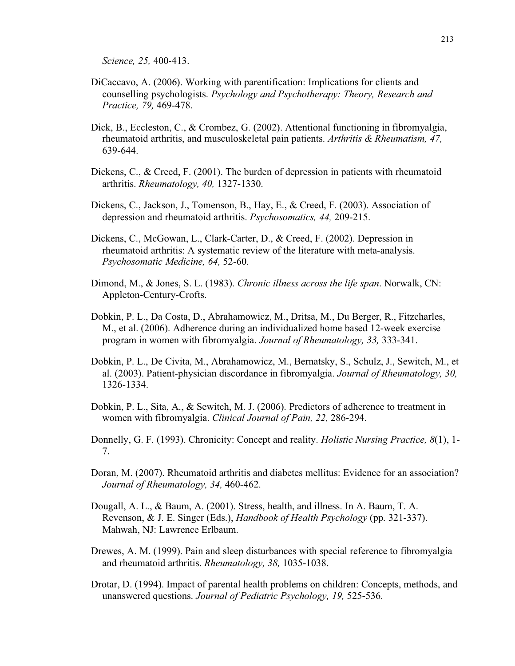*Science, 25,* 400-413.

- DiCaccavo, A. (2006). Working with parentification: Implications for clients and counselling psychologists. *Psychology and Psychotherapy: Theory, Research and Practice, 79,* 469-478.
- Dick, B., Eccleston, C., & Crombez, G. (2002). Attentional functioning in fibromyalgia, rheumatoid arthritis, and musculoskeletal pain patients. *Arthritis & Rheumatism, 47,* 639-644.
- Dickens, C., & Creed, F. (2001). The burden of depression in patients with rheumatoid arthritis. *Rheumatology, 40,* 1327-1330.
- Dickens, C., Jackson, J., Tomenson, B., Hay, E., & Creed, F. (2003). Association of depression and rheumatoid arthritis. *Psychosomatics, 44,* 209-215.
- Dickens, C., McGowan, L., Clark-Carter, D., & Creed, F. (2002). Depression in rheumatoid arthritis: A systematic review of the literature with meta-analysis. *Psychosomatic Medicine, 64,* 52-60.
- Dimond, M., & Jones, S. L. (1983). *Chronic illness across the life span*. Norwalk, CN: Appleton-Century-Crofts.
- Dobkin, P. L., Da Costa, D., Abrahamowicz, M., Dritsa, M., Du Berger, R., Fitzcharles, M., et al. (2006). Adherence during an individualized home based 12-week exercise program in women with fibromyalgia. *Journal of Rheumatology, 33,* 333-341.
- Dobkin, P. L., De Civita, M., Abrahamowicz, M., Bernatsky, S., Schulz, J., Sewitch, M., et al. (2003). Patient-physician discordance in fibromyalgia. *Journal of Rheumatology, 30,* 1326-1334.
- Dobkin, P. L., Sita, A., & Sewitch, M. J. (2006). Predictors of adherence to treatment in women with fibromyalgia. *Clinical Journal of Pain, 22,* 286-294.
- Donnelly, G. F. (1993). Chronicity: Concept and reality. *Holistic Nursing Practice, 8*(1), 1- 7.
- Doran, M. (2007). Rheumatoid arthritis and diabetes mellitus: Evidence for an association? *Journal of Rheumatology, 34,* 460-462.
- Dougall, A. L., & Baum, A. (2001). Stress, health, and illness. In A. Baum, T. A. Revenson, & J. E. Singer (Eds.), *Handbook of Health Psychology* (pp. 321-337). Mahwah, NJ: Lawrence Erlbaum.
- Drewes, A. M. (1999). Pain and sleep disturbances with special reference to fibromyalgia and rheumatoid arthritis. *Rheumatology, 38,* 1035-1038.
- Drotar, D. (1994). Impact of parental health problems on children: Concepts, methods, and unanswered questions. *Journal of Pediatric Psychology, 19,* 525-536.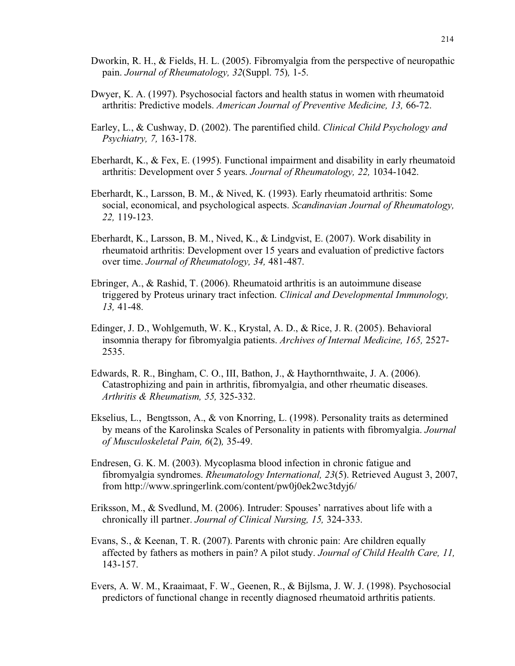- Dworkin, R. H., & Fields, H. L. (2005). Fibromyalgia from the perspective of neuropathic pain. *Journal of Rheumatology, 32*(Suppl. 75)*,* 1-5.
- Dwyer, K. A. (1997). Psychosocial factors and health status in women with rheumatoid arthritis: Predictive models. *American Journal of Preventive Medicine, 13,* 66-72.
- Earley, L., & Cushway, D. (2002). The parentified child. *Clinical Child Psychology and Psychiatry, 7,* 163-178.
- Eberhardt, K., & Fex, E. (1995). Functional impairment and disability in early rheumatoid arthritis: Development over 5 years. *Journal of Rheumatology, 22,* 1034-1042.
- Eberhardt, K., Larsson, B. M., & Nived, K. (1993). Early rheumatoid arthritis: Some social, economical, and psychological aspects. *Scandinavian Journal of Rheumatology, 22,* 119-123.
- Eberhardt, K., Larsson, B. M., Nived, K., & Lindgvist, E. (2007). Work disability in rheumatoid arthritis: Development over 15 years and evaluation of predictive factors over time. *Journal of Rheumatology, 34,* 481-487.
- Ebringer, A., & Rashid, T. (2006). Rheumatoid arthritis is an autoimmune disease triggered by Proteus urinary tract infection. *Clinical and Developmental Immunology, 13,* 41-48.
- Edinger, J. D., Wohlgemuth, W. K., Krystal, A. D., & Rice, J. R. (2005). Behavioral insomnia therapy for fibromyalgia patients. *Archives of Internal Medicine, 165,* 2527- 2535.
- Edwards, R. R., Bingham, C. O., III, Bathon, J., & Haythornthwaite, J. A. (2006). Catastrophizing and pain in arthritis, fibromyalgia, and other rheumatic diseases. *Arthritis & Rheumatism, 55,* 325-332.
- Ekselius, L., Bengtsson, A., & von Knorring, L. (1998). Personality traits as determined by means of the Karolinska Scales of Personality in patients with fibromyalgia. *Journal of Musculoskeletal Pain, 6*(2)*,* 35-49.
- Endresen, G. K. M. (2003). Mycoplasma blood infection in chronic fatigue and fibromyalgia syndromes. *Rheumatology International, 23*(5). Retrieved August 3, 2007, from http://www.springerlink.com/content/pw0j0ek2wc3tdyj6/
- Eriksson, M., & Svedlund, M. (2006). Intruder: Spouses' narratives about life with a chronically ill partner. *Journal of Clinical Nursing, 15,* 324-333.
- Evans, S., & Keenan, T. R. (2007). Parents with chronic pain: Are children equally affected by fathers as mothers in pain? A pilot study. *Journal of Child Health Care, 11,* 143-157.
- Evers, A. W. M., Kraaimaat, F. W., Geenen, R., & Bijlsma, J. W. J. (1998). Psychosocial predictors of functional change in recently diagnosed rheumatoid arthritis patients.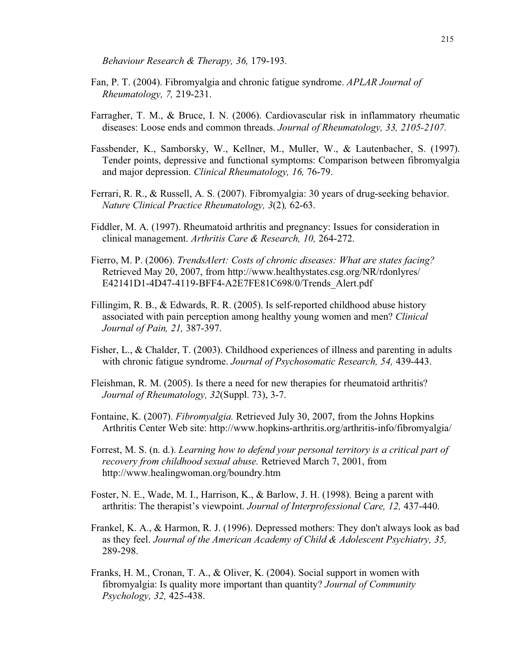*Behaviour Research & Therapy, 36,* 179-193.

- Fan, P. T. (2004). Fibromyalgia and chronic fatigue syndrome. *APLAR Journal of Rheumatology, 7,* 219-231.
- Farragher, T. M., & Bruce, I. N. (2006). Cardiovascular risk in inflammatory rheumatic diseases: Loose ends and common threads. *Journal of Rheumatology, 33, 2105-2107.*
- Fassbender, K., Samborsky, W., Kellner, M., Muller, W., & Lautenbacher, S. (1997). Tender points, depressive and functional symptoms: Comparison between fibromyalgia and major depression. *Clinical Rheumatology, 16,* 76-79.
- Ferrari, R. R., & Russell, A. S. (2007). Fibromyalgia: 30 years of drug-seeking behavior. *Nature Clinical Practice Rheumatology, 3*(2)*,* 62-63.
- Fiddler, M. A. (1997). Rheumatoid arthritis and pregnancy: Issues for consideration in clinical management. *Arthritis Care & Research, 10,* 264-272.
- Fierro, M. P. (2006). *TrendsAlert: Costs of chronic diseases: What are states facing?* Retrieved May 20, 2007, from http://www.healthystates.csg.org/NR/rdonlyres/ E42141D1-4D47-4119-BFF4-A2E7FE81C698/0/Trends\_Alert.pdf
- Fillingim, R. B., & Edwards, R. R. (2005). Is self-reported childhood abuse history associated with pain perception among healthy young women and men? *Clinical Journal of Pain, 21,* 387-397.
- Fisher, L., & Chalder, T. (2003). Childhood experiences of illness and parenting in adults with chronic fatigue syndrome. *Journal of Psychosomatic Research, 54,* 439-443.
- Fleishman, R. M. (2005). Is there a need for new therapies for rheumatoid arthritis? *Journal of Rheumatology, 32*(Suppl. 73), 3-7.
- Fontaine, K. (2007). *Fibromyalgia.* Retrieved July 30, 2007, from the Johns Hopkins Arthritis Center Web site: http://www.hopkins-arthritis.org/arthritis-info/fibromyalgia/
- Forrest, M. S. (n. d.). *Learning how to defend your personal territory is a critical part of recovery from childhood sexual abuse.* Retrieved March 7, 2001, from http://www.healingwoman.org/boundry.htm
- Foster, N. E., Wade, M. I., Harrison, K., & Barlow, J. H. (1998). Being a parent with arthritis: The therapist's viewpoint. *Journal of Interprofessional Care, 12,* 437-440.
- Frankel, K. A., & Harmon, R. J. (1996). Depressed mothers: They don't always look as bad as they feel. *Journal of the American Academy of Child & Adolescent Psychiatry, 35,* 289-298.
- Franks, H. M., Cronan, T. A., & Oliver, K. (2004). Social support in women with fibromyalgia: Is quality more important than quantity? *Journal of Community Psychology, 32,* 425-438.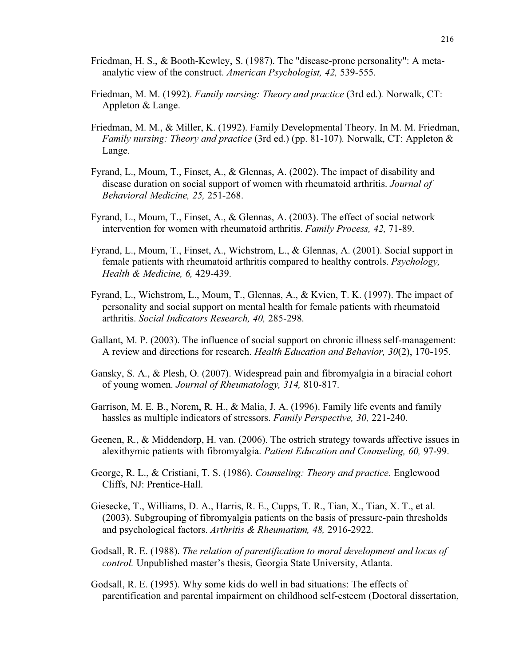- Friedman, H. S., & Booth-Kewley, S. (1987). The "disease-prone personality": A metaanalytic view of the construct. *American Psychologist, 42,* 539-555.
- Friedman, M. M. (1992). *Family nursing: Theory and practice* (3rd ed.)*.* Norwalk, CT: Appleton & Lange.
- Friedman, M. M., & Miller, K. (1992). Family Developmental Theory. In M. M. Friedman, *Family nursing: Theory and practice* (3rd ed.) (pp. 81-107). Norwalk, CT: Appleton & Lange.
- Fyrand, L., Moum, T., Finset, A., & Glennas, A. (2002). The impact of disability and disease duration on social support of women with rheumatoid arthritis. *Journal of Behavioral Medicine, 25,* 251-268.
- Fyrand, L., Moum, T., Finset, A., & Glennas, A. (2003). The effect of social network intervention for women with rheumatoid arthritis. *Family Process, 42,* 71-89.
- Fyrand, L., Moum, T., Finset, A., Wichstrom, L., & Glennas, A. (2001). Social support in female patients with rheumatoid arthritis compared to healthy controls. *Psychology, Health & Medicine, 6,* 429-439.
- Fyrand, L., Wichstrom, L., Moum, T., Glennas, A., & Kvien, T. K. (1997). The impact of personality and social support on mental health for female patients with rheumatoid arthritis. *Social Indicators Research, 40,* 285-298.
- Gallant, M. P. (2003). The influence of social support on chronic illness self-management: A review and directions for research. *Health Education and Behavior, 30*(2), 170-195.
- Gansky, S. A., & Plesh, O. (2007). Widespread pain and fibromyalgia in a biracial cohort of young women. *Journal of Rheumatology, 314,* 810-817.
- Garrison, M. E. B., Norem, R. H., & Malia, J. A. (1996). Family life events and family hassles as multiple indicators of stressors. *Family Perspective, 30,* 221-240.
- Geenen, R., & Middendorp, H. van. (2006). The ostrich strategy towards affective issues in alexithymic patients with fibromyalgia. *Patient Education and Counseling, 60,* 97-99.
- George, R. L., & Cristiani, T. S. (1986). *Counseling: Theory and practice.* Englewood Cliffs, NJ: Prentice-Hall.
- Giesecke, T., Williams, D. A., Harris, R. E., Cupps, T. R., Tian, X., Tian, X. T., et al. (2003). Subgrouping of fibromyalgia patients on the basis of pressure-pain thresholds and psychological factors. *Arthritis & Rheumatism, 48,* 2916-2922.
- Godsall, R. E. (1988). *The relation of parentification to moral development and locus of control.* Unpublished master's thesis, Georgia State University, Atlanta.
- Godsall, R. E. (1995). Why some kids do well in bad situations: The effects of parentification and parental impairment on childhood self-esteem (Doctoral dissertation,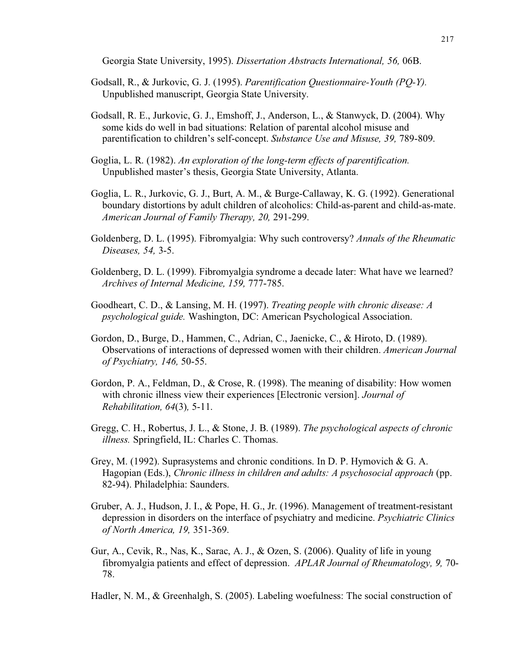Georgia State University, 1995). *Dissertation Abstracts International, 56,* 06B.

- Godsall, R., & Jurkovic, G. J. (1995). *Parentification Questionnaire-Youth (PQ-Y).* Unpublished manuscript, Georgia State University.
- Godsall, R. E., Jurkovic, G. J., Emshoff, J., Anderson, L., & Stanwyck, D. (2004). Why some kids do well in bad situations: Relation of parental alcohol misuse and parentification to children's self-concept. *Substance Use and Misuse, 39,* 789-809.
- Goglia, L. R. (1982). *An exploration of the long-term effects of parentification.* Unpublished master's thesis, Georgia State University, Atlanta.
- Goglia, L. R., Jurkovic, G. J., Burt, A. M., & Burge-Callaway, K. G. (1992). Generational boundary distortions by adult children of alcoholics: Child-as-parent and child-as-mate. *American Journal of Family Therapy, 20,* 291-299.
- Goldenberg, D. L. (1995). Fibromyalgia: Why such controversy? *Annals of the Rheumatic Diseases, 54,* 3-5.
- Goldenberg, D. L. (1999). Fibromyalgia syndrome a decade later: What have we learned? *Archives of Internal Medicine, 159,* 777-785.
- Goodheart, C. D., & Lansing, M. H. (1997). *Treating people with chronic disease: A psychological guide.* Washington, DC: American Psychological Association.
- Gordon, D., Burge, D., Hammen, C., Adrian, C., Jaenicke, C., & Hiroto, D. (1989). Observations of interactions of depressed women with their children. *American Journal of Psychiatry, 146,* 50-55.
- Gordon, P. A., Feldman, D., & Crose, R. (1998). The meaning of disability: How women with chronic illness view their experiences [Electronic version]. *Journal of Rehabilitation, 64*(3)*,* 5-11.
- Gregg, C. H., Robertus, J. L., & Stone, J. B. (1989). *The psychological aspects of chronic illness.* Springfield, IL: Charles C. Thomas.
- Grey, M. (1992). Suprasystems and chronic conditions. In D. P. Hymovich & G. A. Hagopian (Eds.), *Chronic illness in children and adults: A psychosocial approach* (pp. 82-94). Philadelphia: Saunders.
- Gruber, A. J., Hudson, J. I., & Pope, H. G., Jr. (1996). Management of treatment-resistant depression in disorders on the interface of psychiatry and medicine. *Psychiatric Clinics of North America, 19,* 351-369.
- Gur, A., Cevik, R., Nas, K., Sarac, A. J., & Ozen, S. (2006). Quality of life in young fibromyalgia patients and effect of depression. *APLAR Journal of Rheumatology, 9,* 70- 78.

Hadler, N. M., & Greenhalgh, S. (2005). Labeling woefulness: The social construction of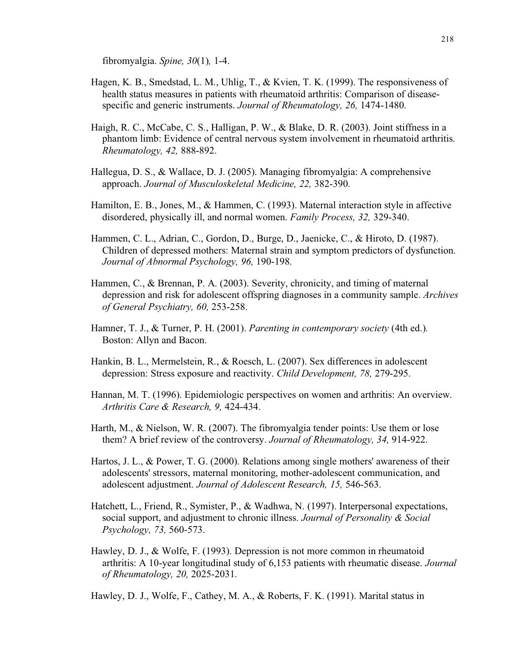fibromyalgia. *Spine, 30*(1)*,* 1-4.

- Hagen, K. B., Smedstad, L. M., Uhlig, T., & Kvien, T. K. (1999). The responsiveness of health status measures in patients with rheumatoid arthritis: Comparison of diseasespecific and generic instruments. *Journal of Rheumatology, 26,* 1474-1480.
- Haigh, R. C., McCabe, C. S., Halligan, P. W., & Blake, D. R. (2003). Joint stiffness in a phantom limb: Evidence of central nervous system involvement in rheumatoid arthritis. *Rheumatology, 42,* 888-892.
- Hallegua, D. S., & Wallace, D. J. (2005). Managing fibromyalgia: A comprehensive approach. *Journal of Musculoskeletal Medicine, 22,* 382-390.
- Hamilton, E. B., Jones, M., & Hammen, C. (1993). Maternal interaction style in affective disordered, physically ill, and normal women. *Family Process, 32,* 329-340.
- Hammen, C. L., Adrian, C., Gordon, D., Burge, D., Jaenicke, C., & Hiroto, D. (1987). Children of depressed mothers: Maternal strain and symptom predictors of dysfunction. *Journal of Abnormal Psychology, 96,* 190-198.
- Hammen, C., & Brennan, P. A. (2003). Severity, chronicity, and timing of maternal depression and risk for adolescent offspring diagnoses in a community sample. *Archives of General Psychiatry, 60,* 253-258.
- Hamner, T. J., & Turner, P. H. (2001). *Parenting in contemporary society* (4th ed.)*.* Boston: Allyn and Bacon.
- Hankin, B. L., Mermelstein, R., & Roesch, L. (2007). Sex differences in adolescent depression: Stress exposure and reactivity. *Child Development, 78,* 279-295.
- Hannan, M. T. (1996). Epidemiologic perspectives on women and arthritis: An overview. *Arthritis Care & Research, 9,* 424-434.
- Harth, M., & Nielson, W. R. (2007). The fibromyalgia tender points: Use them or lose them? A brief review of the controversy. *Journal of Rheumatology, 34,* 914-922.
- Hartos, J. L., & Power, T. G. (2000). Relations among single mothers' awareness of their adolescents' stressors, maternal monitoring, mother-adolescent communication, and adolescent adjustment. *Journal of Adolescent Research, 15,* 546-563.
- Hatchett, L., Friend, R., Symister, P., & Wadhwa, N. (1997). Interpersonal expectations, social support, and adjustment to chronic illness. *Journal of Personality & Social Psychology, 73,* 560-573.
- Hawley, D. J., & Wolfe, F. (1993). Depression is not more common in rheumatoid arthritis: A 10-year longitudinal study of 6,153 patients with rheumatic disease. *Journal of Rheumatology, 20,* 2025-2031.
- Hawley, D. J., Wolfe, F., Cathey, M. A., & Roberts, F. K. (1991). Marital status in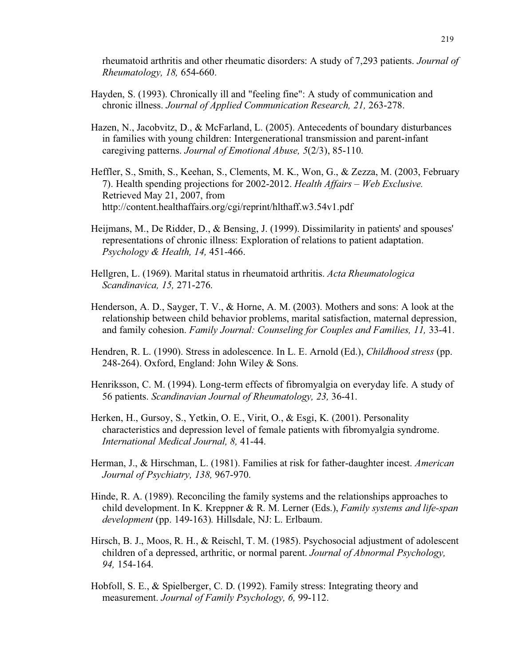rheumatoid arthritis and other rheumatic disorders: A study of 7,293 patients. *Journal of Rheumatology, 18,* 654-660.

- Hayden, S. (1993). Chronically ill and "feeling fine": A study of communication and chronic illness. *Journal of Applied Communication Research, 21,* 263-278.
- Hazen, N., Jacobvitz, D., & McFarland, L. (2005). Antecedents of boundary disturbances in families with young children: Intergenerational transmission and parent-infant caregiving patterns. *Journal of Emotional Abuse, 5*(2/3), 85-110.
- Heffler, S., Smith, S., Keehan, S., Clements, M. K., Won, G., & Zezza, M. (2003, February 7). Health spending projections for 2002-2012. *Health Affairs – Web Exclusive.* Retrieved May 21, 2007, from http://content.healthaffairs.org/cgi/reprint/hlthaff.w3.54v1.pdf
- Heijmans, M., De Ridder, D., & Bensing, J. (1999). Dissimilarity in patients' and spouses' representations of chronic illness: Exploration of relations to patient adaptation. *Psychology & Health, 14,* 451-466.
- Hellgren, L. (1969). Marital status in rheumatoid arthritis. *Acta Rheumatologica Scandinavica, 15,* 271-276.
- Henderson, A. D., Sayger, T. V., & Horne, A. M. (2003). Mothers and sons: A look at the relationship between child behavior problems, marital satisfaction, maternal depression, and family cohesion. *Family Journal: Counseling for Couples and Families, 11,* 33-41.
- Hendren, R. L. (1990). Stress in adolescence. In L. E. Arnold (Ed.), *Childhood stress* (pp. 248-264). Oxford, England: John Wiley & Sons.
- Henriksson, C. M. (1994). Long-term effects of fibromyalgia on everyday life. A study of 56 patients. *Scandinavian Journal of Rheumatology, 23,* 36-41.
- Herken, H., Gursoy, S., Yetkin, O. E., Virit, O., & Esgi, K. (2001). Personality characteristics and depression level of female patients with fibromyalgia syndrome. *International Medical Journal, 8,* 41-44.
- Herman, J., & Hirschman, L. (1981). Families at risk for father-daughter incest. *American Journal of Psychiatry, 138,* 967-970.
- Hinde, R. A. (1989). Reconciling the family systems and the relationships approaches to child development. In K. Kreppner & R. M. Lerner (Eds.), *Family systems and life-span development* (pp. 149-163)*.* Hillsdale, NJ: L. Erlbaum.
- Hirsch, B. J., Moos, R. H., & Reischl, T. M. (1985). Psychosocial adjustment of adolescent children of a depressed, arthritic, or normal parent. *Journal of Abnormal Psychology, 94,* 154-164.
- Hobfoll, S. E., & Spielberger, C. D. (1992). Family stress: Integrating theory and measurement. *Journal of Family Psychology, 6,* 99-112.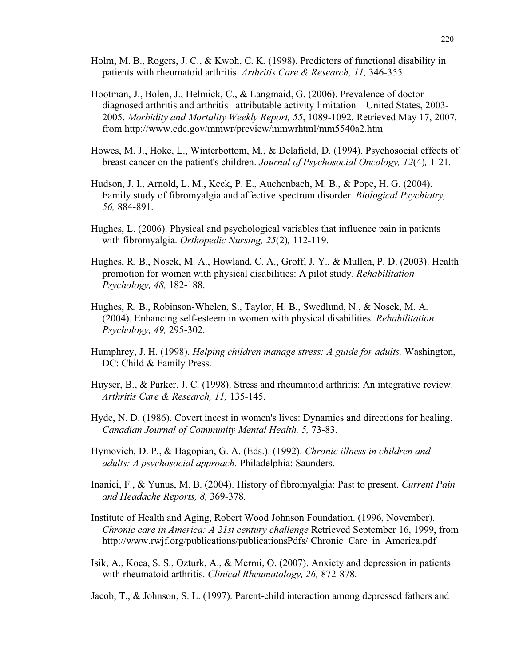- Holm, M. B., Rogers, J. C., & Kwoh, C. K. (1998). Predictors of functional disability in patients with rheumatoid arthritis. *Arthritis Care & Research, 11,* 346-355.
- Hootman, J., Bolen, J., Helmick, C., & Langmaid, G. (2006). Prevalence of doctordiagnosed arthritis and arthritis –attributable activity limitation – United States, 2003- 2005. *Morbidity and Mortality Weekly Report, 55*, 1089-1092*.* Retrieved May 17, 2007, from http://www.cdc.gov/mmwr/preview/mmwrhtml/mm5540a2.htm
- Howes, M. J., Hoke, L., Winterbottom, M., & Delafield, D. (1994). Psychosocial effects of breast cancer on the patient's children. *Journal of Psychosocial Oncology, 12*(4)*,* 1-21.
- Hudson, J. I., Arnold, L. M., Keck, P. E., Auchenbach, M. B., & Pope, H. G. (2004). Family study of fibromyalgia and affective spectrum disorder. *Biological Psychiatry, 56,* 884-891.
- Hughes, L. (2006). Physical and psychological variables that influence pain in patients with fibromyalgia. *Orthopedic Nursing, 25*(2)*,* 112-119.
- Hughes, R. B., Nosek, M. A., Howland, C. A., Groff, J. Y., & Mullen, P. D. (2003). Health promotion for women with physical disabilities: A pilot study. *Rehabilitation Psychology, 48,* 182-188.
- Hughes, R. B., Robinson-Whelen, S., Taylor, H. B., Swedlund, N., & Nosek, M. A. (2004). Enhancing self-esteem in women with physical disabilities. *Rehabilitation Psychology, 49,* 295-302.
- Humphrey, J. H. (1998). *Helping children manage stress: A guide for adults.* Washington, DC: Child & Family Press.
- Huyser, B., & Parker, J. C. (1998). Stress and rheumatoid arthritis: An integrative review. *Arthritis Care & Research, 11,* 135-145.
- Hyde, N. D. (1986). Covert incest in women's lives: Dynamics and directions for healing. *Canadian Journal of Community Mental Health, 5,* 73-83.
- Hymovich, D. P., & Hagopian, G. A. (Eds.). (1992). *Chronic illness in children and adults: A psychosocial approach.* Philadelphia: Saunders.
- Inanici, F., & Yunus, M. B. (2004). History of fibromyalgia: Past to present. *Current Pain and Headache Reports, 8,* 369-378.
- Institute of Health and Aging, Robert Wood Johnson Foundation. (1996, November). *Chronic care in America: A 21st century challenge* Retrieved September 16, 1999, from http://www.rwjf.org/publications/publicationsPdfs/ Chronic Care in America.pdf
- Isik, A., Koca, S. S., Ozturk, A., & Mermi, O. (2007). Anxiety and depression in patients with rheumatoid arthritis. *Clinical Rheumatology, 26,* 872-878.
- Jacob, T., & Johnson, S. L. (1997). Parent-child interaction among depressed fathers and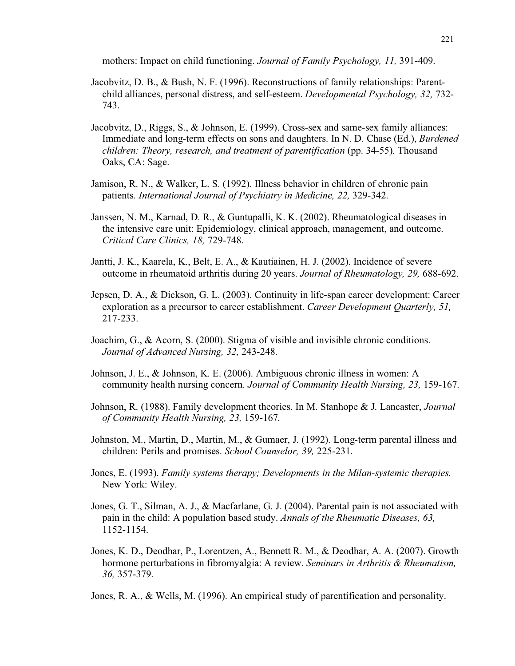mothers: Impact on child functioning. *Journal of Family Psychology, 11,* 391-409.

- Jacobvitz, D. B., & Bush, N. F. (1996). Reconstructions of family relationships: Parentchild alliances, personal distress, and self-esteem. *Developmental Psychology, 32,* 732- 743.
- Jacobvitz, D., Riggs, S., & Johnson, E. (1999). Cross-sex and same-sex family alliances: Immediate and long-term effects on sons and daughters. In N. D. Chase (Ed.), *Burdened children: Theory, research, and treatment of parentification* (pp. 34-55)*.* Thousand Oaks, CA: Sage.
- Jamison, R. N., & Walker, L. S. (1992). Illness behavior in children of chronic pain patients. *International Journal of Psychiatry in Medicine, 22,* 329-342.
- Janssen, N. M., Karnad, D. R., & Guntupalli, K. K. (2002). Rheumatological diseases in the intensive care unit: Epidemiology, clinical approach, management, and outcome. *Critical Care Clinics, 18,* 729-748.
- Jantti, J. K., Kaarela, K., Belt, E. A., & Kautiainen, H. J. (2002). Incidence of severe outcome in rheumatoid arthritis during 20 years. *Journal of Rheumatology, 29,* 688-692.
- Jepsen, D. A., & Dickson, G. L. (2003). Continuity in life-span career development: Career exploration as a precursor to career establishment. *Career Development Quarterly, 51,* 217-233.
- Joachim, G., & Acorn, S. (2000). Stigma of visible and invisible chronic conditions. *Journal of Advanced Nursing, 32,* 243-248.
- Johnson, J. E., & Johnson, K. E. (2006). Ambiguous chronic illness in women: A community health nursing concern. *Journal of Community Health Nursing, 23,* 159-167.
- Johnson, R. (1988). Family development theories. In M. Stanhope & J. Lancaster, *Journal of Community Health Nursing, 23,* 159-167*.*
- Johnston, M., Martin, D., Martin, M., & Gumaer, J. (1992). Long-term parental illness and children: Perils and promises. *School Counselor, 39,* 225-231.
- Jones, E. (1993). *Family systems therapy; Developments in the Milan-systemic therapies.* New York: Wiley.
- Jones, G. T., Silman, A. J., & Macfarlane, G. J. (2004). Parental pain is not associated with pain in the child: A population based study. *Annals of the Rheumatic Diseases, 63,* 1152-1154.
- Jones, K. D., Deodhar, P., Lorentzen, A., Bennett R. M., & Deodhar, A. A. (2007). Growth hormone perturbations in fibromyalgia: A review. *Seminars in Arthritis & Rheumatism, 36,* 357-379.

Jones, R. A., & Wells, M. (1996). An empirical study of parentification and personality.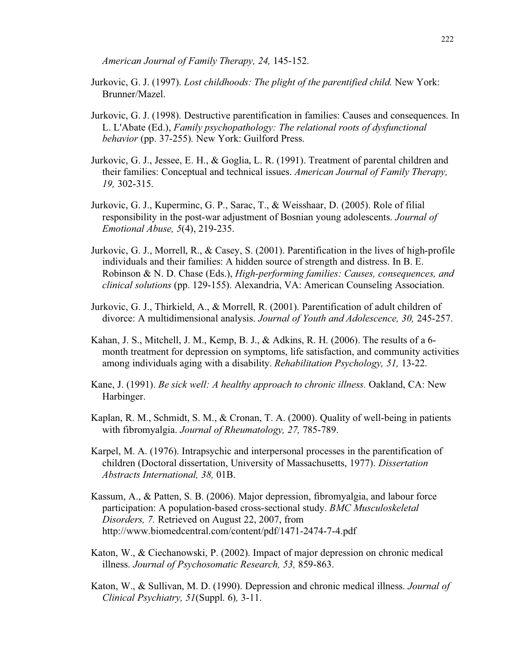*American Journal of Family Therapy, 24,* 145-152.

- Jurkovic, G. J. (1997). *Lost childhoods: The plight of the parentified child.* New York: Brunner/Mazel.
- Jurkovic, G. J. (1998). Destructive parentification in families: Causes and consequences. In L. L'Abate (Ed.), *Family psychopathology: The relational roots of dysfunctional behavior* (pp. 37-255)*.* New York: Guilford Press.
- Jurkovic, G. J., Jessee, E. H., & Goglia, L. R. (1991). Treatment of parental children and their families: Conceptual and technical issues. *American Journal of Family Therapy, 19,* 302-315.
- Jurkovic, G. J., Kuperminc, G. P., Sarac, T., & Weisshaar, D. (2005). Role of filial responsibility in the post-war adjustment of Bosnian young adolescents. *Journal of Emotional Abuse, 5*(4), 219-235.
- Jurkovic, G. J., Morrell, R., & Casey, S. (2001). Parentification in the lives of high-profile individuals and their families: A hidden source of strength and distress. In B. E. Robinson & N. D. Chase (Eds.), *High-performing families: Causes, consequences, and clinical solutions* (pp. 129-155). Alexandria, VA: American Counseling Association.
- Jurkovic, G. J., Thirkield, A., & Morrell, R. (2001). Parentification of adult children of divorce: A multidimensional analysis. *Journal of Youth and Adolescence, 30,* 245-257.
- Kahan, J. S., Mitchell, J. M., Kemp, B. J., & Adkins, R. H. (2006). The results of a 6 month treatment for depression on symptoms, life satisfaction, and community activities among individuals aging with a disability. *Rehabilitation Psychology, 51,* 13-22.
- Kane, J. (1991). *Be sick well: A healthy approach to chronic illness.* Oakland, CA: New Harbinger.
- Kaplan, R. M., Schmidt, S. M., & Cronan, T. A. (2000). Quality of well-being in patients with fibromyalgia. *Journal of Rheumatology, 27,* 785-789.
- Karpel, M. A. (1976). Intrapsychic and interpersonal processes in the parentification of children (Doctoral dissertation, University of Massachusetts, 1977). *Dissertation Abstracts International, 38,* 01B.
- Kassum, A., & Patten, S. B. (2006). Major depression, fibromyalgia, and labour force participation: A population-based cross-sectional study. *BMC Musculoskeletal Disorders, 7.* Retrieved on August 22, 2007, from http://www.biomedcentral.com/content/pdf/1471-2474-7-4.pdf
- Katon, W., & Ciechanowski, P. (2002). Impact of major depression on chronic medical illness. *Journal of Psychosomatic Research, 53,* 859-863.
- Katon, W., & Sullivan, M. D. (1990). Depression and chronic medical illness. *Journal of Clinical Psychiatry, 51*(Suppl. 6)*,* 3-11.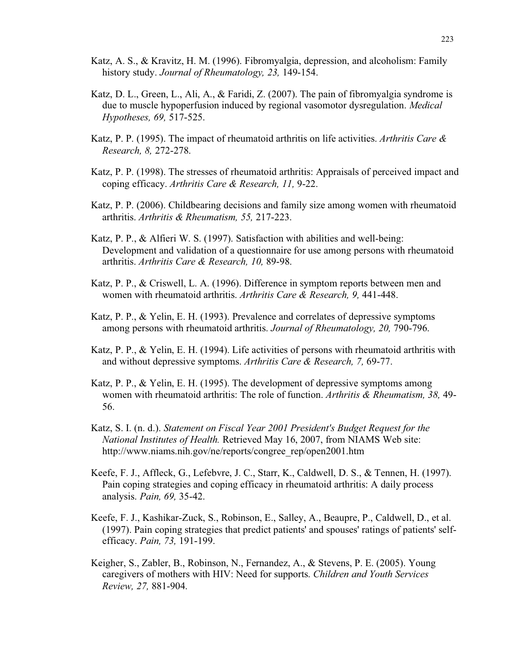- Katz, A. S., & Kravitz, H. M. (1996). Fibromyalgia, depression, and alcoholism: Family history study. *Journal of Rheumatology, 23,* 149-154.
- Katz, D. L., Green, L., Ali, A., & Faridi, Z. (2007). The pain of fibromyalgia syndrome is due to muscle hypoperfusion induced by regional vasomotor dysregulation. *Medical Hypotheses, 69,* 517-525.
- Katz, P. P. (1995). The impact of rheumatoid arthritis on life activities. *Arthritis Care & Research, 8,* 272-278.
- Katz, P. P. (1998). The stresses of rheumatoid arthritis: Appraisals of perceived impact and coping efficacy. *Arthritis Care & Research, 11,* 9-22.
- Katz, P. P. (2006). Childbearing decisions and family size among women with rheumatoid arthritis. *Arthritis & Rheumatism, 55,* 217-223.
- Katz, P. P., & Alfieri W. S. (1997). Satisfaction with abilities and well-being: Development and validation of a questionnaire for use among persons with rheumatoid arthritis. *Arthritis Care & Research, 10,* 89-98.
- Katz, P. P., & Criswell, L. A. (1996). Difference in symptom reports between men and women with rheumatoid arthritis. *Arthritis Care & Research, 9,* 441-448.
- Katz, P. P., & Yelin, E. H. (1993). Prevalence and correlates of depressive symptoms among persons with rheumatoid arthritis. *Journal of Rheumatology, 20,* 790-796.
- Katz, P. P., & Yelin, E. H. (1994). Life activities of persons with rheumatoid arthritis with and without depressive symptoms. *Arthritis Care & Research, 7,* 69-77.
- Katz, P. P., & Yelin, E. H. (1995). The development of depressive symptoms among women with rheumatoid arthritis: The role of function. *Arthritis & Rheumatism, 38,* 49- 56.
- Katz, S. I. (n. d.). *Statement on Fiscal Year 2001 President's Budget Request for the National Institutes of Health.* Retrieved May 16, 2007, from NIAMS Web site: http://www.niams.nih.gov/ne/reports/congree\_rep/open2001.htm
- Keefe, F. J., Affleck, G., Lefebvre, J. C., Starr, K., Caldwell, D. S., & Tennen, H. (1997). Pain coping strategies and coping efficacy in rheumatoid arthritis: A daily process analysis. *Pain, 69,* 35-42.
- Keefe, F. J., Kashikar-Zuck, S., Robinson, E., Salley, A., Beaupre, P., Caldwell, D., et al. (1997). Pain coping strategies that predict patients' and spouses' ratings of patients' selfefficacy. *Pain, 73,* 191-199.
- Keigher, S., Zabler, B., Robinson, N., Fernandez, A., & Stevens, P. E. (2005). Young caregivers of mothers with HIV: Need for supports. *Children and Youth Services Review, 27,* 881-904.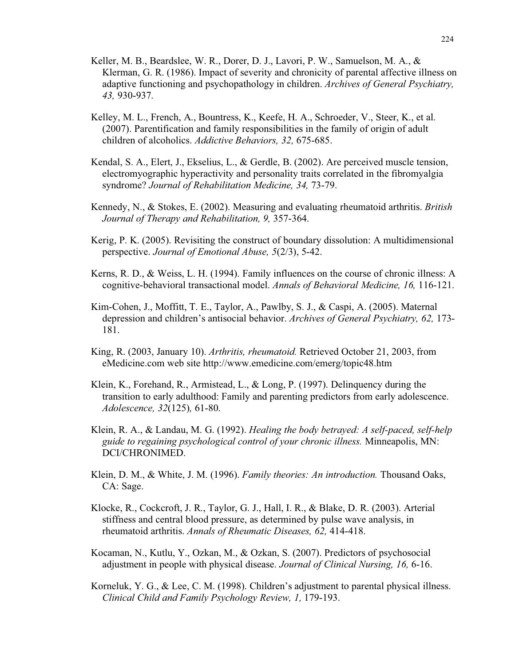- Keller, M. B., Beardslee, W. R., Dorer, D. J., Lavori, P. W., Samuelson, M. A., & Klerman, G. R. (1986). Impact of severity and chronicity of parental affective illness on adaptive functioning and psychopathology in children. *Archives of General Psychiatry, 43,* 930-937.
- Kelley, M. L., French, A., Bountress, K., Keefe, H. A., Schroeder, V., Steer, K., et al. (2007). Parentification and family responsibilities in the family of origin of adult children of alcoholics. *Addictive Behaviors, 32,* 675-685.
- Kendal, S. A., Elert, J., Ekselius, L., & Gerdle, B. (2002). Are perceived muscle tension, electromyographic hyperactivity and personality traits correlated in the fibromyalgia syndrome? *Journal of Rehabilitation Medicine, 34,* 73-79.
- Kennedy, N., & Stokes, E. (2002). Measuring and evaluating rheumatoid arthritis. *British Journal of Therapy and Rehabilitation, 9,* 357-364.
- Kerig, P. K. (2005). Revisiting the construct of boundary dissolution: A multidimensional perspective. *Journal of Emotional Abuse, 5*(2/3), 5-42.
- Kerns, R. D., & Weiss, L. H. (1994). Family influences on the course of chronic illness: A cognitive-behavioral transactional model. *Annals of Behavioral Medicine, 16,* 116-121.
- Kim-Cohen, J., Moffitt, T. E., Taylor, A., Pawlby, S. J., & Caspi, A. (2005). Maternal depression and children's antisocial behavior. *Archives of General Psychiatry, 62,* 173- 181.
- King, R. (2003, January 10). *Arthritis, rheumatoid.* Retrieved October 21, 2003, from eMedicine.com web site http://www.emedicine.com/emerg/topic48.htm
- Klein, K., Forehand, R., Armistead, L., & Long, P. (1997). Delinquency during the transition to early adulthood: Family and parenting predictors from early adolescence. *Adolescence, 32*(125)*,* 61-80.
- Klein, R. A., & Landau, M. G. (1992). *Healing the body betrayed: A self-paced, self-help guide to regaining psychological control of your chronic illness.* Minneapolis, MN: DCI/CHRONIMED.
- Klein, D. M., & White, J. M. (1996). *Family theories: An introduction.* Thousand Oaks, CA: Sage.
- Klocke, R., Cockcroft, J. R., Taylor, G. J., Hall, I. R., & Blake, D. R. (2003). Arterial stiffness and central blood pressure, as determined by pulse wave analysis, in rheumatoid arthritis. *Annals of Rheumatic Diseases, 62,* 414-418.
- Kocaman, N., Kutlu, Y., Ozkan, M., & Ozkan, S. (2007). Predictors of psychosocial adjustment in people with physical disease. *Journal of Clinical Nursing, 16,* 6-16.
- Korneluk, Y. G., & Lee, C. M. (1998). Children's adjustment to parental physical illness. *Clinical Child and Family Psychology Review, 1,* 179-193.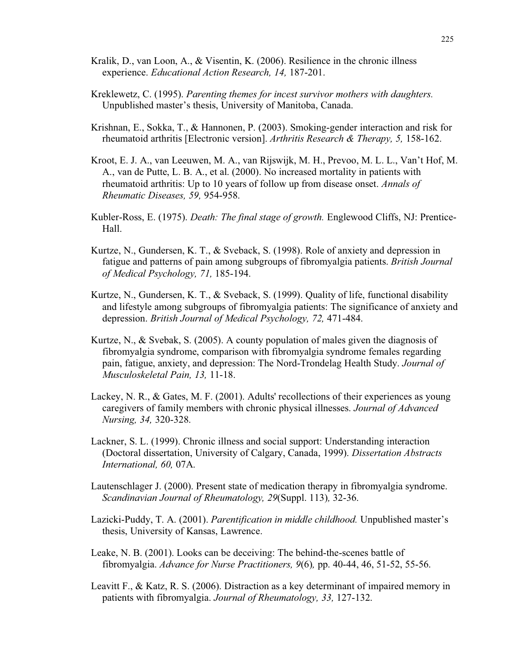- Kralik, D., van Loon, A., & Visentin, K. (2006). Resilience in the chronic illness experience. *Educational Action Research, 14,* 187-201.
- Kreklewetz, C. (1995). *Parenting themes for incest survivor mothers with daughters.* Unpublished master's thesis, University of Manitoba, Canada.
- Krishnan, E., Sokka, T., & Hannonen, P. (2003). Smoking-gender interaction and risk for rheumatoid arthritis [Electronic version]. *Arthritis Research & Therapy, 5,* 158-162.
- Kroot, E. J. A., van Leeuwen, M. A., van Rijswijk, M. H., Prevoo, M. L. L., Van't Hof, M. A., van de Putte, L. B. A., et al. (2000). No increased mortality in patients with rheumatoid arthritis: Up to 10 years of follow up from disease onset. *Annals of Rheumatic Diseases, 59,* 954-958.
- Kubler-Ross, E. (1975). *Death: The final stage of growth.* Englewood Cliffs, NJ: Prentice-Hall.
- Kurtze, N., Gundersen, K. T., & Sveback, S. (1998). Role of anxiety and depression in fatigue and patterns of pain among subgroups of fibromyalgia patients. *British Journal of Medical Psychology, 71,* 185-194.
- Kurtze, N., Gundersen, K. T., & Sveback, S. (1999). Quality of life, functional disability and lifestyle among subgroups of fibromyalgia patients: The significance of anxiety and depression. *British Journal of Medical Psychology, 72,* 471-484.
- Kurtze, N., & Svebak, S. (2005). A county population of males given the diagnosis of fibromyalgia syndrome, comparison with fibromyalgia syndrome females regarding pain, fatigue, anxiety, and depression: The Nord-Trondelag Health Study. *Journal of Musculoskeletal Pain, 13,* 11-18.
- Lackey, N. R., & Gates, M. F. (2001). Adults' recollections of their experiences as young caregivers of family members with chronic physical illnesses. *Journal of Advanced Nursing, 34,* 320-328.
- Lackner, S. L. (1999). Chronic illness and social support: Understanding interaction (Doctoral dissertation, University of Calgary, Canada, 1999). *Dissertation Abstracts International, 60,* 07A.
- Lautenschlager J. (2000). Present state of medication therapy in fibromyalgia syndrome. *Scandinavian Journal of Rheumatology, 29*(Suppl. 113)*,* 32-36.
- Lazicki-Puddy, T. A. (2001). *Parentification in middle childhood.* Unpublished master's thesis, University of Kansas, Lawrence.
- Leake, N. B. (2001). Looks can be deceiving: The behind-the-scenes battle of fibromyalgia. *Advance for Nurse Practitioners, 9*(6)*,* pp. 40-44, 46, 51-52, 55-56.
- Leavitt F., & Katz, R. S. (2006). Distraction as a key determinant of impaired memory in patients with fibromyalgia. *Journal of Rheumatology, 33,* 127-132.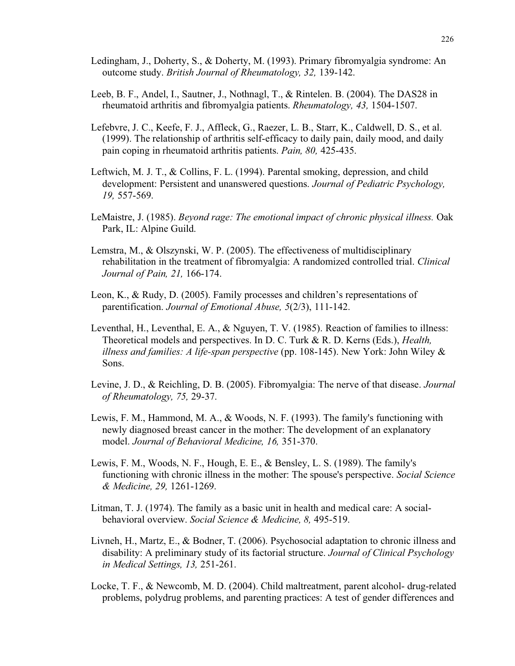- Ledingham, J., Doherty, S., & Doherty, M. (1993). Primary fibromyalgia syndrome: An outcome study. *British Journal of Rheumatology, 32,* 139-142.
- Leeb, B. F., Andel, I., Sautner, J., Nothnagl, T., & Rintelen. B. (2004). The DAS28 in rheumatoid arthritis and fibromyalgia patients. *Rheumatology, 43,* 1504-1507.
- Lefebvre, J. C., Keefe, F. J., Affleck, G., Raezer, L. B., Starr, K., Caldwell, D. S., et al. (1999). The relationship of arthritis self-efficacy to daily pain, daily mood, and daily pain coping in rheumatoid arthritis patients. *Pain, 80,* 425-435.
- Leftwich, M. J. T., & Collins, F. L. (1994). Parental smoking, depression, and child development: Persistent and unanswered questions. *Journal of Pediatric Psychology, 19,* 557-569.
- LeMaistre, J. (1985). *Beyond rage: The emotional impact of chronic physical illness.* Oak Park, IL: Alpine Guild.
- Lemstra, M., & Olszynski, W. P. (2005). The effectiveness of multidisciplinary rehabilitation in the treatment of fibromyalgia: A randomized controlled trial. *Clinical Journal of Pain, 21,* 166-174.
- Leon, K., & Rudy, D. (2005). Family processes and children's representations of parentification. *Journal of Emotional Abuse, 5*(2/3), 111-142.
- Leventhal, H., Leventhal, E. A., & Nguyen, T. V. (1985). Reaction of families to illness: Theoretical models and perspectives. In D. C. Turk & R. D. Kerns (Eds.), *Health, illness and families: A life-span perspective* (pp. 108-145). New York: John Wiley & Sons.
- Levine, J. D., & Reichling, D. B. (2005). Fibromyalgia: The nerve of that disease. *Journal of Rheumatology, 75,* 29-37.
- Lewis, F. M., Hammond, M. A., & Woods, N. F. (1993). The family's functioning with newly diagnosed breast cancer in the mother: The development of an explanatory model. *Journal of Behavioral Medicine, 16,* 351-370.
- Lewis, F. M., Woods, N. F., Hough, E. E., & Bensley, L. S. (1989). The family's functioning with chronic illness in the mother: The spouse's perspective. *Social Science & Medicine, 29,* 1261-1269.
- Litman, T. J. (1974). The family as a basic unit in health and medical care: A socialbehavioral overview. *Social Science & Medicine, 8,* 495-519.
- Livneh, H., Martz, E., & Bodner, T. (2006). Psychosocial adaptation to chronic illness and disability: A preliminary study of its factorial structure. *Journal of Clinical Psychology in Medical Settings, 13,* 251-261.
- Locke, T. F., & Newcomb, M. D. (2004). Child maltreatment, parent alcohol- drug-related problems, polydrug problems, and parenting practices: A test of gender differences and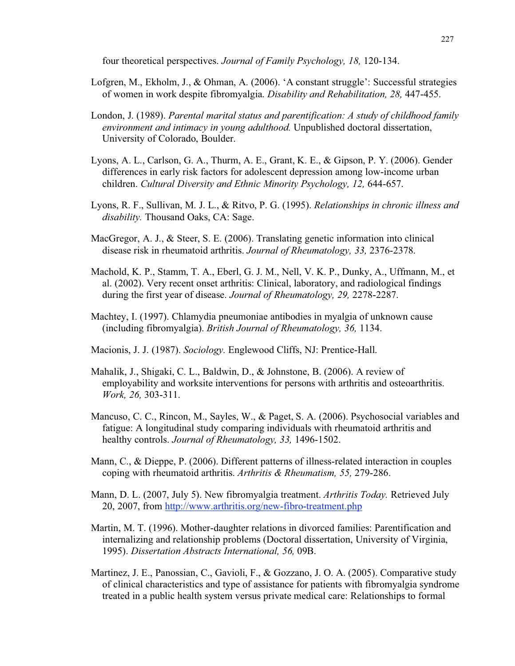four theoretical perspectives. *Journal of Family Psychology, 18,* 120-134.

- Lofgren, M., Ekholm, J., & Ohman, A. (2006). 'A constant struggle': Successful strategies of women in work despite fibromyalgia. *Disability and Rehabilitation, 28,* 447-455.
- London, J. (1989). *Parental marital status and parentification: A study of childhood family environment and intimacy in young adulthood.* Unpublished doctoral dissertation, University of Colorado, Boulder.
- Lyons, A. L., Carlson, G. A., Thurm, A. E., Grant, K. E., & Gipson, P. Y. (2006). Gender differences in early risk factors for adolescent depression among low-income urban children. *Cultural Diversity and Ethnic Minority Psychology, 12,* 644-657.
- Lyons, R. F., Sullivan, M. J. L., & Ritvo, P. G. (1995). *Relationships in chronic illness and disability.* Thousand Oaks, CA: Sage.
- MacGregor, A. J., & Steer, S. E. (2006). Translating genetic information into clinical disease risk in rheumatoid arthritis. *Journal of Rheumatology, 33,* 2376-2378.
- Machold, K. P., Stamm, T. A., Eberl, G. J. M., Nell, V. K. P., Dunky, A., Uffmann, M., et al. (2002). Very recent onset arthritis: Clinical, laboratory, and radiological findings during the first year of disease. *Journal of Rheumatology, 29,* 2278-2287.
- Machtey, I. (1997). Chlamydia pneumoniae antibodies in myalgia of unknown cause (including fibromyalgia). *British Journal of Rheumatology, 36,* 1134.
- Macionis, J. J. (1987). *Sociology.* Englewood Cliffs, NJ: Prentice-Hall.
- Mahalik, J., Shigaki, C. L., Baldwin, D., & Johnstone, B. (2006). A review of employability and worksite interventions for persons with arthritis and osteoarthritis. *Work, 26,* 303-311.
- Mancuso, C. C., Rincon, M., Sayles, W., & Paget, S. A. (2006). Psychosocial variables and fatigue: A longitudinal study comparing individuals with rheumatoid arthritis and healthy controls. *Journal of Rheumatology, 33,* 1496-1502.
- Mann, C., & Dieppe, P. (2006). Different patterns of illness-related interaction in couples coping with rheumatoid arthritis. *Arthritis & Rheumatism, 55,* 279-286.
- Mann, D. L. (2007, July 5). New fibromyalgia treatment. *Arthritis Today.* Retrieved July 20, 2007, from http://www.arthritis.org/new-fibro-treatment.php
- Martin, M. T. (1996). Mother-daughter relations in divorced families: Parentification and internalizing and relationship problems (Doctoral dissertation, University of Virginia, 1995). *Dissertation Abstracts International, 56,* 09B.
- Martinez, J. E., Panossian, C., Gavioli, F., & Gozzano, J. O. A. (2005). Comparative study of clinical characteristics and type of assistance for patients with fibromyalgia syndrome treated in a public health system versus private medical care: Relationships to formal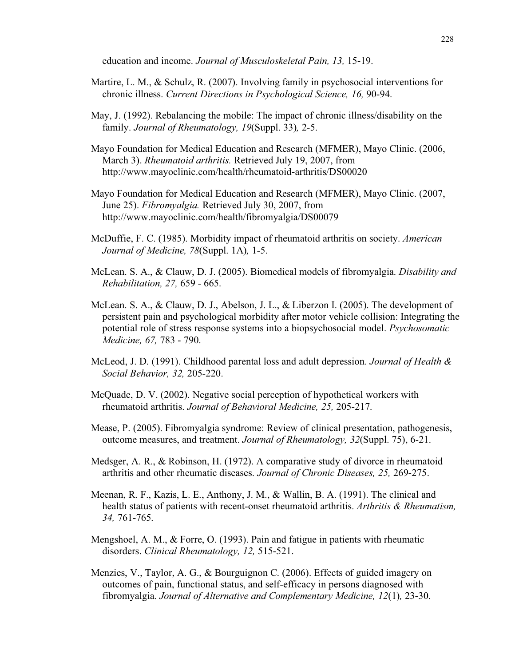education and income. *Journal of Musculoskeletal Pain, 13,* 15-19.

- Martire, L. M., & Schulz, R. (2007). Involving family in psychosocial interventions for chronic illness. *Current Directions in Psychological Science, 16,* 90-94.
- May, J. (1992). Rebalancing the mobile: The impact of chronic illness/disability on the family. *Journal of Rheumatology, 19*(Suppl. 33)*,* 2-5.
- Mayo Foundation for Medical Education and Research (MFMER), Mayo Clinic. (2006, March 3). *Rheumatoid arthritis.* Retrieved July 19, 2007, from http://www.mayoclinic.com/health/rheumatoid-arthritis/DS00020
- Mayo Foundation for Medical Education and Research (MFMER), Mayo Clinic. (2007, June 25). *Fibromyalgia.* Retrieved July 30, 2007, from http://www.mayoclinic.com/health/fibromyalgia/DS00079
- McDuffie, F. C. (1985). Morbidity impact of rheumatoid arthritis on society. *American Journal of Medicine, 78*(Suppl. 1A)*,* 1-5.
- McLean. S. A., & Clauw, D. J. (2005). Biomedical models of fibromyalgia. *Disability and Rehabilitation, 27,* 659 - 665.
- McLean. S. A., & Clauw, D. J., Abelson, J. L., & Liberzon I. (2005). The development of persistent pain and psychological morbidity after motor vehicle collision: Integrating the potential role of stress response systems into a biopsychosocial model. *Psychosomatic Medicine, 67,* 783 - 790.
- McLeod, J. D. (1991). Childhood parental loss and adult depression. *Journal of Health & Social Behavior, 32,* 205-220.
- McQuade, D. V. (2002). Negative social perception of hypothetical workers with rheumatoid arthritis. *Journal of Behavioral Medicine, 25,* 205-217.
- Mease, P. (2005). Fibromyalgia syndrome: Review of clinical presentation, pathogenesis, outcome measures, and treatment. *Journal of Rheumatology, 32*(Suppl. 75), 6-21.
- Medsger, A. R., & Robinson, H. (1972). A comparative study of divorce in rheumatoid arthritis and other rheumatic diseases. *Journal of Chronic Diseases, 25,* 269-275.
- Meenan, R. F., Kazis, L. E., Anthony, J. M., & Wallin, B. A. (1991). The clinical and health status of patients with recent-onset rheumatoid arthritis. *Arthritis & Rheumatism, 34,* 761-765.
- Mengshoel, A. M., & Forre, O. (1993). Pain and fatigue in patients with rheumatic disorders. *Clinical Rheumatology, 12,* 515-521.
- Menzies, V., Taylor, A. G., & Bourguignon C. (2006). Effects of guided imagery on outcomes of pain, functional status, and self-efficacy in persons diagnosed with fibromyalgia. *Journal of Alternative and Complementary Medicine, 12*(1)*,* 23-30.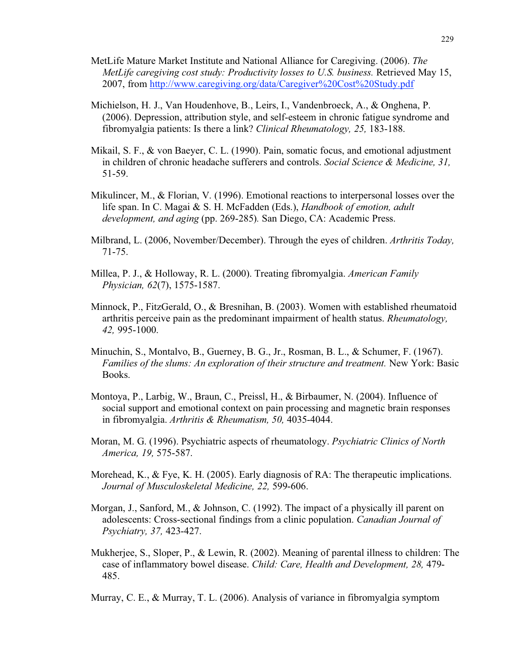- MetLife Mature Market Institute and National Alliance for Caregiving. (2006). *The MetLife caregiving cost study: Productivity losses to U.S. business.* Retrieved May 15, 2007, from http://www.caregiving.org/data/Caregiver%20Cost%20Study.pdf
- Michielson, H. J., Van Houdenhove, B., Leirs, I., Vandenbroeck, A., & Onghena, P. (2006). Depression, attribution style, and self-esteem in chronic fatigue syndrome and fibromyalgia patients: Is there a link? *Clinical Rheumatology, 25,* 183-188.
- Mikail, S. F., & von Baeyer, C. L. (1990). Pain, somatic focus, and emotional adjustment in children of chronic headache sufferers and controls. *Social Science & Medicine, 31,* 51-59.
- Mikulincer, M., & Florian, V. (1996). Emotional reactions to interpersonal losses over the life span. In C. Magai & S. H. McFadden (Eds.), *Handbook of emotion, adult development, and aging* (pp. 269-285)*.* San Diego, CA: Academic Press.
- Milbrand, L. (2006, November/December). Through the eyes of children. *Arthritis Today,* 71-75.
- Millea, P. J., & Holloway, R. L. (2000). Treating fibromyalgia. *American Family Physician, 62*(7), 1575-1587.
- Minnock, P., FitzGerald, O., & Bresnihan, B. (2003). Women with established rheumatoid arthritis perceive pain as the predominant impairment of health status. *Rheumatology, 42,* 995-1000.
- Minuchin, S., Montalvo, B., Guerney, B. G., Jr., Rosman, B. L., & Schumer, F. (1967). *Families of the slums: An exploration of their structure and treatment.* New York: Basic Books.
- Montoya, P., Larbig, W., Braun, C., Preissl, H., & Birbaumer, N. (2004). Influence of social support and emotional context on pain processing and magnetic brain responses in fibromyalgia. *Arthritis & Rheumatism, 50,* 4035-4044.
- Moran, M. G. (1996). Psychiatric aspects of rheumatology. *Psychiatric Clinics of North America, 19,* 575-587.
- Morehead, K., & Fye, K. H. (2005). Early diagnosis of RA: The therapeutic implications. *Journal of Musculoskeletal Medicine, 22,* 599-606.
- Morgan, J., Sanford, M., & Johnson, C. (1992). The impact of a physically ill parent on adolescents: Cross-sectional findings from a clinic population. *Canadian Journal of Psychiatry, 37,* 423-427.
- Mukherjee, S., Sloper, P., & Lewin, R. (2002). Meaning of parental illness to children: The case of inflammatory bowel disease. *Child: Care, Health and Development, 28,* 479- 485.
- Murray, C. E., & Murray, T. L. (2006). Analysis of variance in fibromyalgia symptom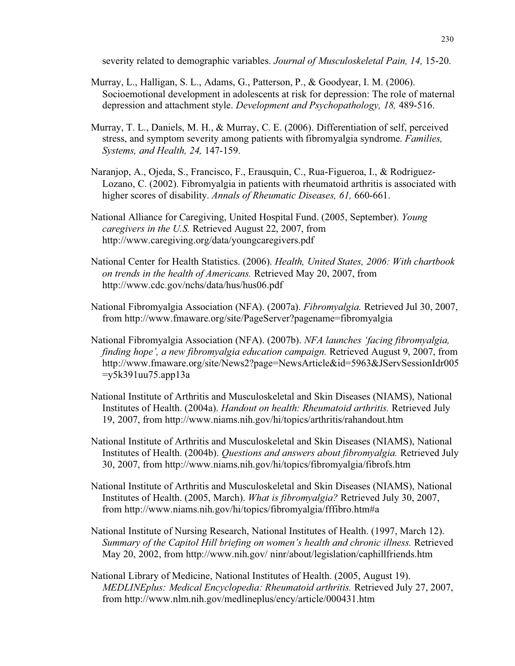severity related to demographic variables. *Journal of Musculoskeletal Pain, 14,* 15-20.

- Murray, L., Halligan, S. L., Adams, G., Patterson, P., & Goodyear, I. M. (2006). Socioemotional development in adolescents at risk for depression: The role of maternal depression and attachment style. *Development and Psychopathology, 18,* 489-516.
- Murray, T. L., Daniels, M. H., & Murray, C. E. (2006). Differentiation of self, perceived stress, and symptom severity among patients with fibromyalgia syndrome. *Families, Systems, and Health, 24,* 147-159.
- Naranjop, A., Ojeda, S., Francisco, F., Erausquin, C., Rua-Figueroa, I., & Rodriguez-Lozano, C. (2002). Fibromyalgia in patients with rheumatoid arthritis is associated with higher scores of disability. *Annals of Rheumatic Diseases, 61,* 660-661.
- National Alliance for Caregiving, United Hospital Fund. (2005, September). *Young caregivers in the U.S.* Retrieved August 22, 2007, from http://www.caregiving.org/data/youngcaregivers.pdf
- National Center for Health Statistics. (2006). *Health, United States, 2006: With chartbook on trends in the health of Americans.* Retrieved May 20, 2007, from http://www.cdc.gov/nchs/data/hus/hus06.pdf
- National Fibromyalgia Association (NFA). (2007a). *Fibromyalgia.* Retrieved Jul 30, 2007, from http://www.fmaware.org/site/PageServer?pagename=fibromyalgia
- National Fibromyalgia Association (NFA). (2007b). *NFA launches 'facing fibromyalgia, finding hope', a new fibromyalgia education campaign.* Retrieved August 9, 2007, from http://www.fmaware.org/site/News2?page=NewsArticle&id=5963&JServSessionIdr005  $=y5k391uu75.\text{app13a}$
- National Institute of Arthritis and Musculoskeletal and Skin Diseases (NIAMS), National Institutes of Health. (2004a). *Handout on health: Rheumatoid arthritis.* Retrieved July 19, 2007, from http://www.niams.nih.gov/hi/topics/arthritis/rahandout.htm
- National Institute of Arthritis and Musculoskeletal and Skin Diseases (NIAMS), National Institutes of Health. (2004b). *Questions and answers about fibromyalgia.* Retrieved July 30, 2007, from http://www.niams.nih.gov/hi/topics/fibromyalgia/fibrofs.htm
- National Institute of Arthritis and Musculoskeletal and Skin Diseases (NIAMS), National Institutes of Health. (2005, March). *What is fibromyalgia?* Retrieved July 30, 2007, from http://www.niams.nih.gov/hi/topics/fibromyalgia/fffibro.htm#a
- National Institute of Nursing Research, National Institutes of Health. (1997, March 12). *Summary of the Capitol Hill briefing on women's health and chronic illness.* Retrieved May 20, 2002, from http://www.nih.gov/ ninr/about/legislation/caphillfriends.htm
- National Library of Medicine, National Institutes of Health. (2005, August 19). *MEDLINEplus: Medical Encyclopedia: Rheumatoid arthritis.* Retrieved July 27, 2007, from http://www.nlm.nih.gov/medlineplus/ency/article/000431.htm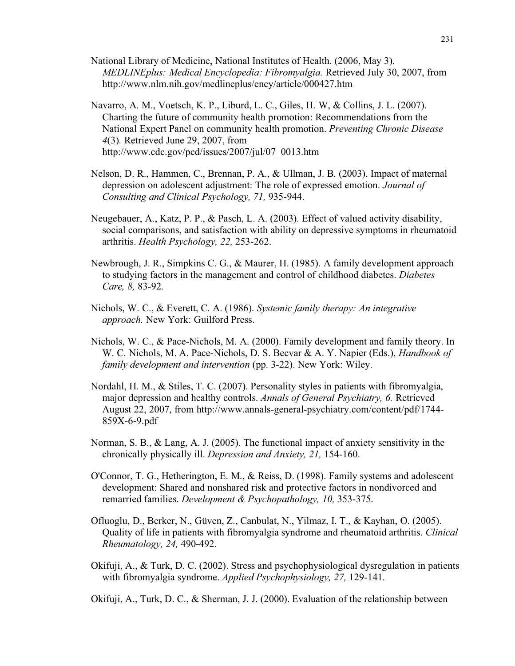- National Library of Medicine, National Institutes of Health. (2006, May 3). *MEDLINEplus: Medical Encyclopedia: Fibromyalgia.* Retrieved July 30, 2007, from http://www.nlm.nih.gov/medlineplus/ency/article/000427.htm
- Navarro, A. M., Voetsch, K. P., Liburd, L. C., Giles, H. W, & Collins, J. L. (2007). Charting the future of community health promotion: Recommendations from the National Expert Panel on community health promotion. *Preventing Chronic Disease 4*(3)*.* Retrieved June 29, 2007, from http://www.cdc.gov/pcd/issues/2007/jul/07\_0013.htm
- Nelson, D. R., Hammen, C., Brennan, P. A., & Ullman, J. B. (2003). Impact of maternal depression on adolescent adjustment: The role of expressed emotion. *Journal of Consulting and Clinical Psychology, 71,* 935-944.
- Neugebauer, A., Katz, P. P., & Pasch, L. A. (2003). Effect of valued activity disability, social comparisons, and satisfaction with ability on depressive symptoms in rheumatoid arthritis. *Health Psychology, 22,* 253-262.
- Newbrough, J. R., Simpkins C. G., & Maurer, H. (1985). A family development approach to studying factors in the management and control of childhood diabetes. *Diabetes Care, 8,* 83-92.
- Nichols, W. C., & Everett, C. A. (1986). *Systemic family therapy: An integrative approach.* New York: Guilford Press.
- Nichols, W. C., & Pace-Nichols, M. A. (2000). Family development and family theory. In W. C. Nichols, M. A. Pace-Nichols, D. S. Becvar & A. Y. Napier (Eds.), *Handbook of family development and intervention* (pp. 3-22). New York: Wiley.
- Nordahl, H. M., & Stiles, T. C. (2007). Personality styles in patients with fibromyalgia, major depression and healthy controls. *Annals of General Psychiatry, 6.* Retrieved August 22, 2007, from http://www.annals-general-psychiatry.com/content/pdf/1744- 859X-6-9.pdf
- Norman, S. B., & Lang, A. J. (2005). The functional impact of anxiety sensitivity in the chronically physically ill. *Depression and Anxiety, 21,* 154-160.
- O'Connor, T. G., Hetherington, E. M., & Reiss, D. (1998). Family systems and adolescent development: Shared and nonshared risk and protective factors in nondivorced and remarried families. *Development & Psychopathology, 10,* 353-375.
- Ofluoglu, D., Berker, N., Güven, Z., Canbulat, N., Yilmaz, I. T., & Kayhan, O. (2005). Quality of life in patients with fibromyalgia syndrome and rheumatoid arthritis. *Clinical Rheumatology, 24,* 490-492.
- Okifuji, A., & Turk, D. C. (2002). Stress and psychophysiological dysregulation in patients with fibromyalgia syndrome. *Applied Psychophysiology, 27,* 129-141.

Okifuji, A., Turk, D. C., & Sherman, J. J. (2000). Evaluation of the relationship between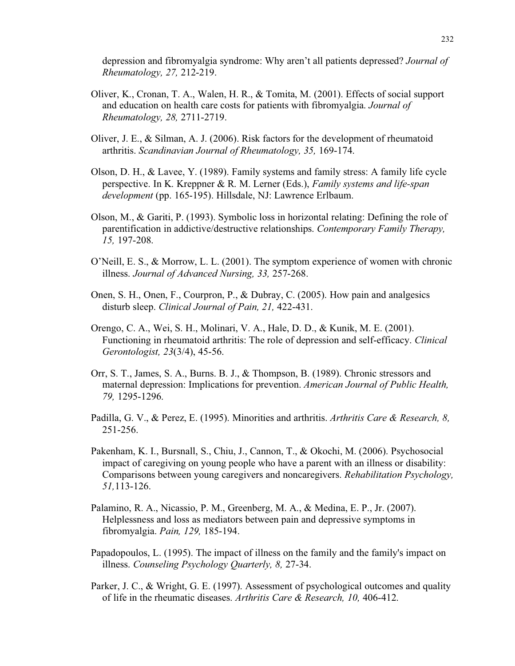depression and fibromyalgia syndrome: Why aren't all patients depressed? *Journal of Rheumatology, 27,* 212-219.

- Oliver, K., Cronan, T. A., Walen, H. R., & Tomita, M. (2001). Effects of social support and education on health care costs for patients with fibromyalgia. *Journal of Rheumatology, 28,* 2711-2719.
- Oliver, J. E., & Silman, A. J. (2006). Risk factors for the development of rheumatoid arthritis. *Scandinavian Journal of Rheumatology, 35,* 169-174.
- Olson, D. H., & Lavee, Y. (1989). Family systems and family stress: A family life cycle perspective. In K. Kreppner & R. M. Lerner (Eds.), *Family systems and life-span development* (pp. 165-195). Hillsdale, NJ: Lawrence Erlbaum.
- Olson, M., & Gariti, P. (1993). Symbolic loss in horizontal relating: Defining the role of parentification in addictive/destructive relationships. *Contemporary Family Therapy, 15,* 197-208.
- O'Neill, E. S., & Morrow, L. L. (2001). The symptom experience of women with chronic illness. *Journal of Advanced Nursing, 33,* 257-268.
- Onen, S. H., Onen, F., Courpron, P., & Dubray, C. (2005). How pain and analgesics disturb sleep. *Clinical Journal of Pain, 21,* 422-431.
- Orengo, C. A., Wei, S. H., Molinari, V. A., Hale, D. D., & Kunik, M. E. (2001). Functioning in rheumatoid arthritis: The role of depression and self-efficacy. *Clinical Gerontologist, 23*(3/4), 45-56.
- Orr, S. T., James, S. A., Burns. B. J., & Thompson, B. (1989). Chronic stressors and maternal depression: Implications for prevention. *American Journal of Public Health, 79,* 1295-1296.
- Padilla, G. V., & Perez, E. (1995). Minorities and arthritis. *Arthritis Care & Research, 8,* 251-256.
- Pakenham, K. I., Bursnall, S., Chiu, J., Cannon, T., & Okochi, M. (2006). Psychosocial impact of caregiving on young people who have a parent with an illness or disability: Comparisons between young caregivers and noncaregivers. *Rehabilitation Psychology, 51,*113-126.
- Palamino, R. A., Nicassio, P. M., Greenberg, M. A., & Medina, E. P., Jr. (2007). Helplessness and loss as mediators between pain and depressive symptoms in fibromyalgia. *Pain, 129,* 185-194.
- Papadopoulos, L. (1995). The impact of illness on the family and the family's impact on illness. *Counseling Psychology Quarterly, 8,* 27-34.
- Parker, J. C., & Wright, G. E. (1997). Assessment of psychological outcomes and quality of life in the rheumatic diseases. *Arthritis Care & Research, 10,* 406-412.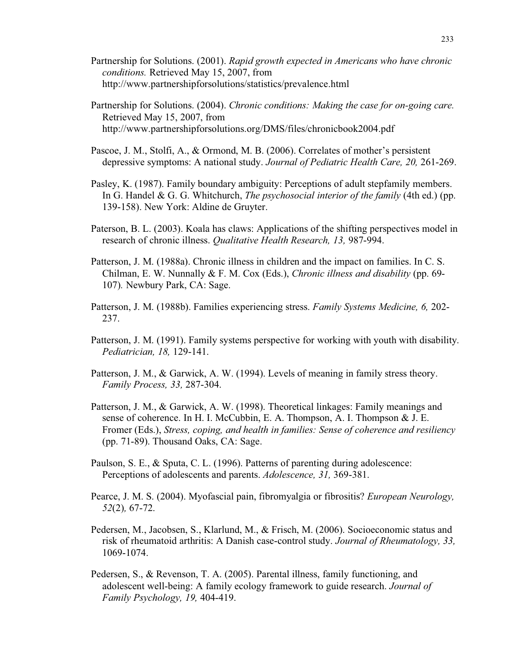- Partnership for Solutions. (2001). *Rapid growth expected in Americans who have chronic conditions.* Retrieved May 15, 2007, from http://www.partnershipforsolutions/statistics/prevalence.html
- Partnership for Solutions. (2004). *Chronic conditions: Making the case for on-going care.* Retrieved May 15, 2007, from http://www.partnershipforsolutions.org/DMS/files/chronicbook2004.pdf
- Pascoe, J. M., Stolfi, A., & Ormond, M. B. (2006). Correlates of mother's persistent depressive symptoms: A national study. *Journal of Pediatric Health Care, 20,* 261-269.
- Pasley, K. (1987). Family boundary ambiguity: Perceptions of adult stepfamily members. In G. Handel & G. G. Whitchurch, *The psychosocial interior of the family* (4th ed.) (pp. 139-158). New York: Aldine de Gruyter.
- Paterson, B. L. (2003). Koala has claws: Applications of the shifting perspectives model in research of chronic illness. *Qualitative Health Research, 13,* 987-994.
- Patterson, J. M. (1988a). Chronic illness in children and the impact on families. In C. S. Chilman, E. W. Nunnally & F. M. Cox (Eds.), *Chronic illness and disability* (pp. 69- 107)*.* Newbury Park, CA: Sage.
- Patterson, J. M. (1988b). Families experiencing stress. *Family Systems Medicine, 6,* 202- 237.
- Patterson, J. M. (1991). Family systems perspective for working with youth with disability. *Pediatrician, 18,* 129-141.
- Patterson, J. M., & Garwick, A. W. (1994). Levels of meaning in family stress theory. *Family Process, 33,* 287-304.
- Patterson, J. M., & Garwick, A. W. (1998). Theoretical linkages: Family meanings and sense of coherence. In H. I. McCubbin, E. A. Thompson, A. I. Thompson & J. E. Fromer (Eds.), *Stress, coping, and health in families: Sense of coherence and resiliency* (pp. 71-89). Thousand Oaks, CA: Sage.
- Paulson, S. E., & Sputa, C. L. (1996). Patterns of parenting during adolescence: Perceptions of adolescents and parents. *Adolescence, 31,* 369-381.
- Pearce, J. M. S. (2004). Myofascial pain, fibromyalgia or fibrositis? *European Neurology, 52*(2)*,* 67-72.
- Pedersen, M., Jacobsen, S., Klarlund, M., & Frisch, M. (2006). Socioeconomic status and risk of rheumatoid arthritis: A Danish case-control study. *Journal of Rheumatology, 33,* 1069-1074.
- Pedersen, S., & Revenson, T. A. (2005). Parental illness, family functioning, and adolescent well-being: A family ecology framework to guide research. *Journal of Family Psychology, 19,* 404-419.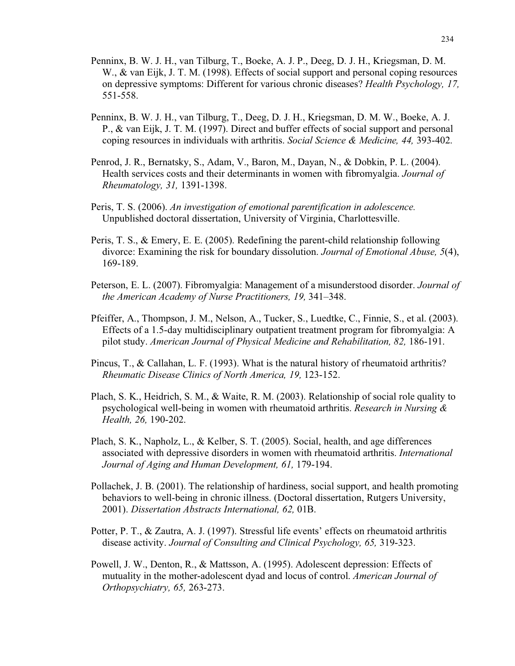- Penninx, B. W. J. H., van Tilburg, T., Boeke, A. J. P., Deeg, D. J. H., Kriegsman, D. M. W., & van Eijk, J. T. M. (1998). Effects of social support and personal coping resources on depressive symptoms: Different for various chronic diseases? *Health Psychology, 17,* 551-558.
- Penninx, B. W. J. H., van Tilburg, T., Deeg, D. J. H., Kriegsman, D. M. W., Boeke, A. J. P., & van Eijk, J. T. M. (1997). Direct and buffer effects of social support and personal coping resources in individuals with arthritis. *Social Science & Medicine, 44,* 393-402.
- Penrod, J. R., Bernatsky, S., Adam, V., Baron, M., Dayan, N., & Dobkin, P. L. (2004). Health services costs and their determinants in women with fibromyalgia. *Journal of Rheumatology, 31,* 1391-1398.
- Peris, T. S. (2006). *An investigation of emotional parentification in adolescence.* Unpublished doctoral dissertation, University of Virginia, Charlottesville.
- Peris, T. S., & Emery, E. E. (2005). Redefining the parent-child relationship following divorce: Examining the risk for boundary dissolution. *Journal of Emotional Abuse, 5*(4), 169-189.
- Peterson, E. L. (2007). Fibromyalgia: Management of a misunderstood disorder. *Journal of the American Academy of Nurse Practitioners, 19,* 341–348.
- Pfeiffer, A., Thompson, J. M., Nelson, A., Tucker, S., Luedtke, C., Finnie, S., et al. (2003). Effects of a 1.5-day multidisciplinary outpatient treatment program for fibromyalgia: A pilot study. *American Journal of Physical Medicine and Rehabilitation, 82,* 186-191.
- Pincus, T., & Callahan, L. F. (1993). What is the natural history of rheumatoid arthritis? *Rheumatic Disease Clinics of North America, 19,* 123-152.
- Plach, S. K., Heidrich, S. M., & Waite, R. M. (2003). Relationship of social role quality to psychological well-being in women with rheumatoid arthritis. *Research in Nursing & Health, 26,* 190-202.
- Plach, S. K., Napholz, L., & Kelber, S. T. (2005). Social, health, and age differences associated with depressive disorders in women with rheumatoid arthritis. *International Journal of Aging and Human Development, 61,* 179-194.
- Pollachek, J. B. (2001). The relationship of hardiness, social support, and health promoting behaviors to well-being in chronic illness. (Doctoral dissertation, Rutgers University, 2001). *Dissertation Abstracts International, 62,* 01B.
- Potter, P. T., & Zautra, A. J. (1997). Stressful life events' effects on rheumatoid arthritis disease activity. *Journal of Consulting and Clinical Psychology, 65,* 319-323.
- Powell, J. W., Denton, R., & Mattsson, A. (1995). Adolescent depression: Effects of mutuality in the mother-adolescent dyad and locus of control. *American Journal of Orthopsychiatry, 65,* 263-273.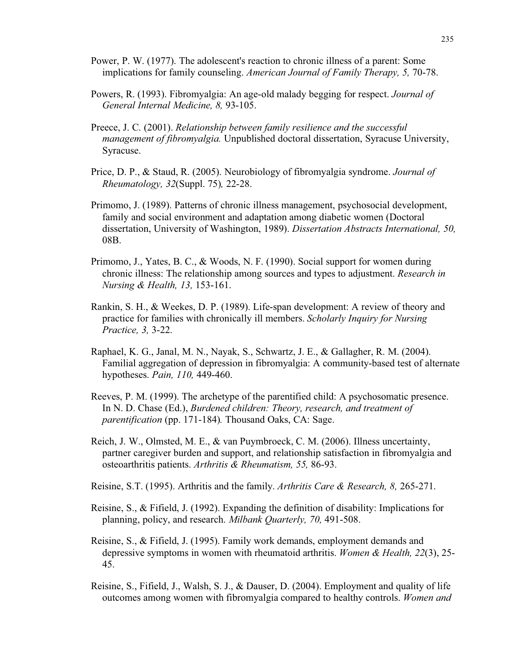- Power, P. W. (1977). The adolescent's reaction to chronic illness of a parent: Some implications for family counseling. *American Journal of Family Therapy, 5,* 70-78.
- Powers, R. (1993). Fibromyalgia: An age-old malady begging for respect. *Journal of General Internal Medicine, 8,* 93-105.
- Preece, J. C. (2001). *Relationship between family resilience and the successful management of fibromyalgia.* Unpublished doctoral dissertation, Syracuse University, Syracuse.
- Price, D. P., & Staud, R. (2005). Neurobiology of fibromyalgia syndrome. *Journal of Rheumatology, 32*(Suppl. 75)*,* 22-28.
- Primomo, J. (1989). Patterns of chronic illness management, psychosocial development, family and social environment and adaptation among diabetic women (Doctoral dissertation, University of Washington, 1989). *Dissertation Abstracts International, 50,* 08B.
- Primomo, J., Yates, B. C., & Woods, N. F. (1990). Social support for women during chronic illness: The relationship among sources and types to adjustment. *Research in Nursing & Health, 13,* 153-161.
- Rankin, S. H., & Weekes, D. P. (1989). Life-span development: A review of theory and practice for families with chronically ill members. *Scholarly Inquiry for Nursing Practice, 3,* 3-22.
- Raphael, K. G., Janal, M. N., Nayak, S., Schwartz, J. E., & Gallagher, R. M. (2004). Familial aggregation of depression in fibromyalgia: A community-based test of alternate hypotheses. *Pain, 110,* 449-460.
- Reeves, P. M. (1999). The archetype of the parentified child: A psychosomatic presence. In N. D. Chase (Ed.), *Burdened children: Theory, research, and treatment of parentification* (pp. 171-184)*.* Thousand Oaks, CA: Sage.
- Reich, J. W., Olmsted, M. E., & van Puymbroeck, C. M. (2006). Illness uncertainty, partner caregiver burden and support, and relationship satisfaction in fibromyalgia and osteoarthritis patients. *Arthritis & Rheumatism, 55,* 86-93.
- Reisine, S.T. (1995). Arthritis and the family. *Arthritis Care & Research, 8,* 265-271.
- Reisine, S., & Fifield, J. (1992). Expanding the definition of disability: Implications for planning, policy, and research. *Milbank Quarterly, 70,* 491-508.
- Reisine, S., & Fifield, J. (1995). Family work demands, employment demands and depressive symptoms in women with rheumatoid arthritis. *Women & Health, 22*(3), 25- 45.
- Reisine, S., Fifield, J., Walsh, S. J., & Dauser, D. (2004). Employment and quality of life outcomes among women with fibromyalgia compared to healthy controls. *Women and*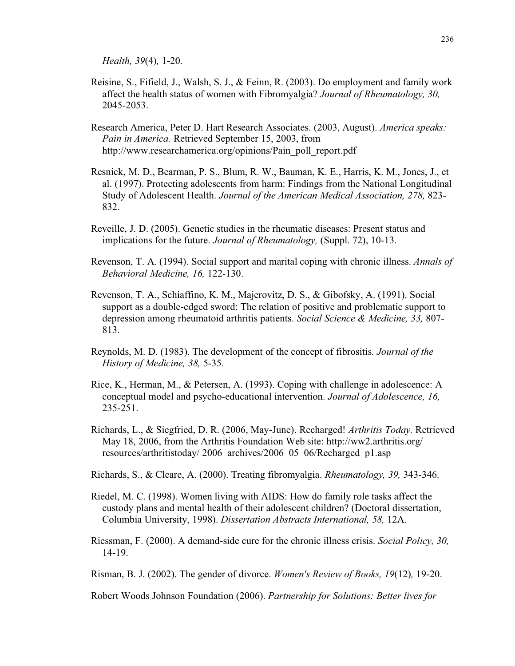*Health, 39*(4)*,* 1-20.

- Reisine, S., Fifield, J., Walsh, S. J., & Feinn, R. (2003). Do employment and family work affect the health status of women with Fibromyalgia? *Journal of Rheumatology, 30,* 2045-2053.
- Research America, Peter D. Hart Research Associates. (2003, August). *America speaks: Pain in America.* Retrieved September 15, 2003, from http://www.researchamerica.org/opinions/Pain\_poll\_report.pdf
- Resnick, M. D., Bearman, P. S., Blum, R. W., Bauman, K. E., Harris, K. M., Jones, J., et al. (1997). Protecting adolescents from harm: Findings from the National Longitudinal Study of Adolescent Health. *Journal of the American Medical Association, 278,* 823- 832.
- Reveille, J. D. (2005). Genetic studies in the rheumatic diseases: Present status and implications for the future. *Journal of Rheumatology,* (Suppl. 72), 10-13.
- Revenson, T. A. (1994). Social support and marital coping with chronic illness. *Annals of Behavioral Medicine, 16,* 122-130.
- Revenson, T. A., Schiaffino, K. M., Majerovitz, D. S., & Gibofsky, A. (1991). Social support as a double-edged sword: The relation of positive and problematic support to depression among rheumatoid arthritis patients. *Social Science & Medicine, 33,* 807- 813.
- Reynolds, M. D. (1983). The development of the concept of fibrositis. *Journal of the History of Medicine, 38,* 5-35.
- Rice, K., Herman, M., & Petersen, A. (1993). Coping with challenge in adolescence: A conceptual model and psycho-educational intervention. *Journal of Adolescence, 16,* 235-251.
- Richards, L., & Siegfried, D. R. (2006, May-June). Recharged! *Arthritis Today.* Retrieved May 18, 2006, from the Arthritis Foundation Web site: http://ww2.arthritis.org/ resources/arthritistoday/ 2006\_archives/2006\_05\_06/Recharged\_p1.asp
- Richards, S., & Cleare, A. (2000). Treating fibromyalgia. *Rheumatology, 39,* 343-346.
- Riedel, M. C. (1998). Women living with AIDS: How do family role tasks affect the custody plans and mental health of their adolescent children? (Doctoral dissertation, Columbia University, 1998). *Dissertation Abstracts International, 58,* 12A.
- Riessman, F. (2000). A demand-side cure for the chronic illness crisis. *Social Policy, 30,* 14-19.

Risman, B. J. (2002). The gender of divorce. *Women's Review of Books, 19*(12)*,* 19-20.

Robert Woods Johnson Foundation (2006). *Partnership for Solutions: Better lives for*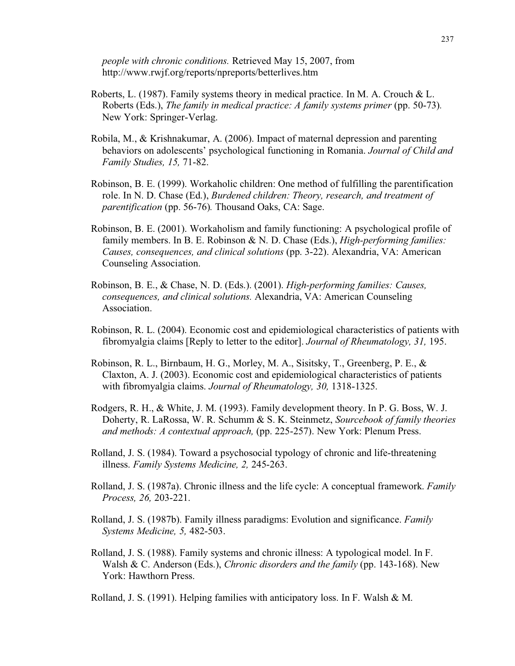*people with chronic conditions.* Retrieved May 15, 2007, from http://www.rwjf.org/reports/npreports/betterlives.htm

- Roberts, L. (1987). Family systems theory in medical practice. In M. A. Crouch & L. Roberts (Eds.), *The family in medical practice: A family systems primer* (pp. 50-73)*.* New York: Springer-Verlag.
- Robila, M., & Krishnakumar, A. (2006). Impact of maternal depression and parenting behaviors on adolescents' psychological functioning in Romania. *Journal of Child and Family Studies, 15,* 71-82.
- Robinson, B. E. (1999). Workaholic children: One method of fulfilling the parentification role. In N. D. Chase (Ed.), *Burdened children: Theory, research, and treatment of parentification* (pp. 56-76)*.* Thousand Oaks, CA: Sage.
- Robinson, B. E. (2001). Workaholism and family functioning: A psychological profile of family members. In B. E. Robinson & N. D. Chase (Eds.), *High-performing families: Causes, consequences, and clinical solutions* (pp. 3-22). Alexandria, VA: American Counseling Association.
- Robinson, B. E., & Chase, N. D. (Eds.). (2001). *High-performing families: Causes, consequences, and clinical solutions.* Alexandria, VA: American Counseling Association.
- Robinson, R. L. (2004). Economic cost and epidemiological characteristics of patients with fibromyalgia claims [Reply to letter to the editor]. *Journal of Rheumatology, 31,* 195.
- Robinson, R. L., Birnbaum, H. G., Morley, M. A., Sisitsky, T., Greenberg, P. E., & Claxton, A. J. (2003). Economic cost and epidemiological characteristics of patients with fibromyalgia claims. *Journal of Rheumatology, 30,* 1318-1325.
- Rodgers, R. H., & White, J. M. (1993). Family development theory. In P. G. Boss, W. J. Doherty, R. LaRossa, W. R. Schumm & S. K. Steinmetz, *Sourcebook of family theories and methods: A contextual approach,* (pp. 225-257). New York: Plenum Press.
- Rolland, J. S. (1984). Toward a psychosocial typology of chronic and life-threatening illness. *Family Systems Medicine, 2,* 245-263.
- Rolland, J. S. (1987a). Chronic illness and the life cycle: A conceptual framework. *Family Process, 26,* 203-221.
- Rolland, J. S. (1987b). Family illness paradigms: Evolution and significance. *Family Systems Medicine, 5,* 482-503.
- Rolland, J. S. (1988). Family systems and chronic illness: A typological model. In F. Walsh & C. Anderson (Eds.), *Chronic disorders and the family* (pp. 143-168). New York: Hawthorn Press.

Rolland, J. S. (1991). Helping families with anticipatory loss. In F. Walsh & M.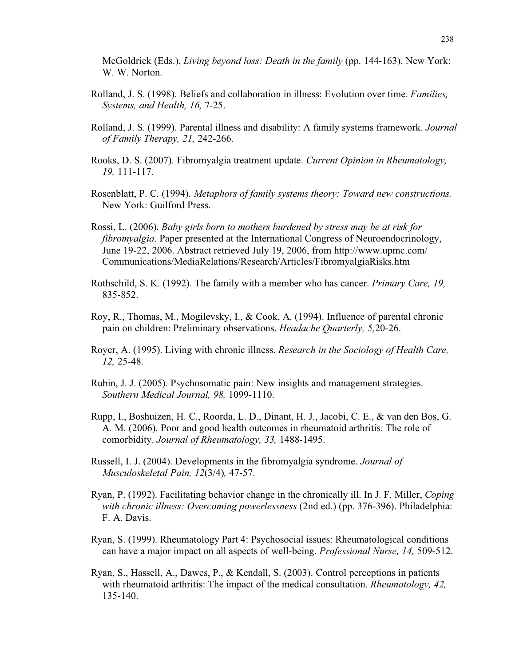McGoldrick (Eds.), *Living beyond loss: Death in the family* (pp. 144-163). New York: W. W. Norton.

- Rolland, J. S. (1998). Beliefs and collaboration in illness: Evolution over time. *Families, Systems, and Health, 16,* 7-25.
- Rolland, J. S. (1999). Parental illness and disability: A family systems framework. *Journal of Family Therapy, 21,* 242-266.
- Rooks, D. S. (2007). Fibromyalgia treatment update. *Current Opinion in Rheumatology, 19,* 111-117.
- Rosenblatt, P. C. (1994). *Metaphors of family systems theory: Toward new constructions.* New York: Guilford Press.
- Rossi, L. (2006). *Baby girls born to mothers burdened by stress may be at risk for fibromyalgia*. Paper presented at the International Congress of Neuroendocrinology, June 19-22, 2006. Abstract retrieved July 19, 2006, from http://www.upmc.com/ Communications/MediaRelations/Research/Articles/FibromyalgiaRisks.htm
- Rothschild, S. K. (1992). The family with a member who has cancer. *Primary Care, 19,* 835-852.
- Roy, R., Thomas, M., Mogilevsky, I., & Cook, A. (1994). Influence of parental chronic pain on children: Preliminary observations. *Headache Quarterly, 5,*20-26.
- Royer, A. (1995). Living with chronic illness. *Research in the Sociology of Health Care, 12,* 25-48.
- Rubin, J. J. (2005). Psychosomatic pain: New insights and management strategies. *Southern Medical Journal, 98,* 1099-1110.
- Rupp, I., Boshuizen, H. C., Roorda, L. D., Dinant, H. J., Jacobi, C. E., & van den Bos, G. A. M. (2006). Poor and good health outcomes in rheumatoid arthritis: The role of comorbidity. *Journal of Rheumatology, 33,* 1488-1495.
- Russell, I. J. (2004). Developments in the fibromyalgia syndrome. *Journal of Musculoskeletal Pain, 12*(3/4)*,* 47-57.
- Ryan, P. (1992). Facilitating behavior change in the chronically ill. In J. F. Miller, *Coping with chronic illness: Overcoming powerlessness* (2nd ed.) (pp. 376-396). Philadelphia: F. A. Davis.
- Ryan, S. (1999). Rheumatology Part 4: Psychosocial issues: Rheumatological conditions can have a major impact on all aspects of well-being. *Professional Nurse, 14,* 509-512.
- Ryan, S., Hassell, A., Dawes, P., & Kendall, S. (2003). Control perceptions in patients with rheumatoid arthritis: The impact of the medical consultation. *Rheumatology, 42,* 135-140.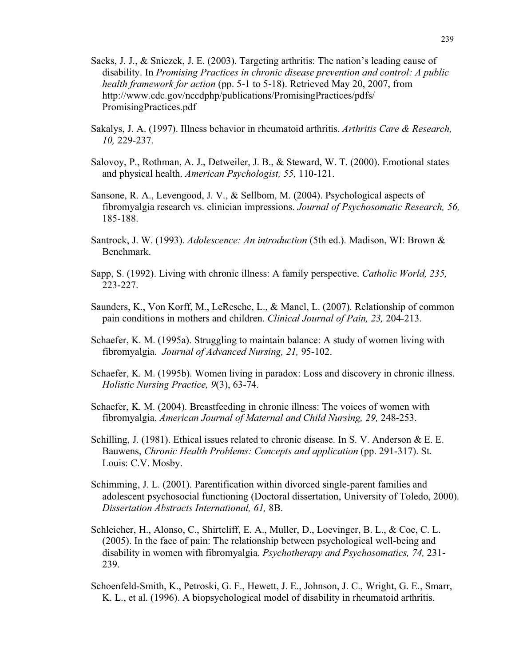- Sacks, J. J., & Sniezek, J. E. (2003). Targeting arthritis: The nation's leading cause of disability. In *Promising Practices in chronic disease prevention and control: A public health framework for action* (pp. 5-1 to 5-18). Retrieved May 20, 2007, from http://www.cdc.gov/nccdphp/publications/PromisingPractices/pdfs/ PromisingPractices.pdf
- Sakalys, J. A. (1997). Illness behavior in rheumatoid arthritis. *Arthritis Care & Research, 10,* 229-237.
- Salovoy, P., Rothman, A. J., Detweiler, J. B., & Steward, W. T. (2000). Emotional states and physical health. *American Psychologist, 55,* 110-121.
- Sansone, R. A., Levengood, J. V., & Sellbom, M. (2004). Psychological aspects of fibromyalgia research vs. clinician impressions. *Journal of Psychosomatic Research, 56,* 185-188.
- Santrock, J. W. (1993). *Adolescence: An introduction* (5th ed.). Madison, WI: Brown & Benchmark.
- Sapp, S. (1992). Living with chronic illness: A family perspective. *Catholic World, 235,* 223-227.
- Saunders, K., Von Korff, M., LeResche, L., & Mancl, L. (2007). Relationship of common pain conditions in mothers and children. *Clinical Journal of Pain, 23,* 204-213.
- Schaefer, K. M. (1995a). Struggling to maintain balance: A study of women living with fibromyalgia. *Journal of Advanced Nursing, 21,* 95-102.
- Schaefer, K. M. (1995b). Women living in paradox: Loss and discovery in chronic illness. *Holistic Nursing Practice, 9*(3), 63-74.
- Schaefer, K. M. (2004). Breastfeeding in chronic illness: The voices of women with fibromyalgia. *American Journal of Maternal and Child Nursing, 29,* 248-253.
- Schilling, J. (1981). Ethical issues related to chronic disease. In S. V. Anderson & E. E. Bauwens, *Chronic Health Problems: Concepts and application* (pp. 291-317). St. Louis: C.V. Mosby.
- Schimming, J. L. (2001). Parentification within divorced single-parent families and adolescent psychosocial functioning (Doctoral dissertation, University of Toledo, 2000). *Dissertation Abstracts International, 61,* 8B.
- Schleicher, H., Alonso, C., Shirtcliff, E. A., Muller, D., Loevinger, B. L., & Coe, C. L. (2005). In the face of pain: The relationship between psychological well-being and disability in women with fibromyalgia. *Psychotherapy and Psychosomatics, 74,* 231- 239.
- Schoenfeld-Smith, K., Petroski, G. F., Hewett, J. E., Johnson, J. C., Wright, G. E., Smarr, K. L., et al. (1996). A biopsychological model of disability in rheumatoid arthritis.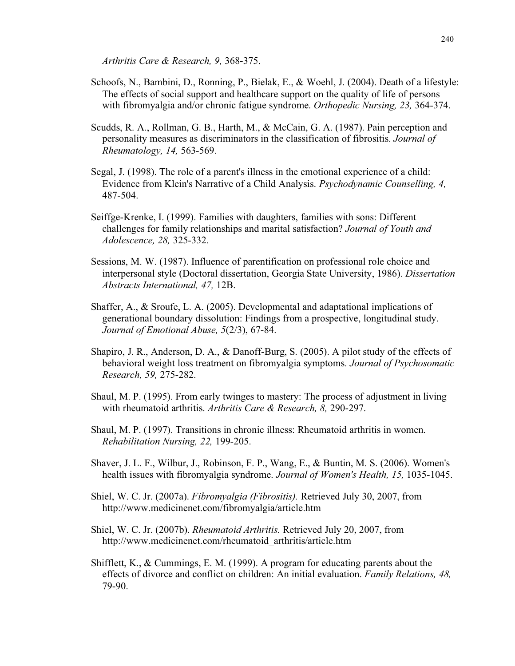*Arthritis Care & Research, 9,* 368-375.

- Schoofs, N., Bambini, D., Ronning, P., Bielak, E., & Woehl, J. (2004). Death of a lifestyle: The effects of social support and healthcare support on the quality of life of persons with fibromyalgia and/or chronic fatigue syndrome. *Orthopedic Nursing, 23,* 364-374.
- Scudds, R. A., Rollman, G. B., Harth, M., & McCain, G. A. (1987). Pain perception and personality measures as discriminators in the classification of fibrositis. *Journal of Rheumatology, 14,* 563-569.
- Segal, J. (1998). The role of a parent's illness in the emotional experience of a child: Evidence from Klein's Narrative of a Child Analysis. *Psychodynamic Counselling, 4,* 487-504.
- Seiffge-Krenke, I. (1999). Families with daughters, families with sons: Different challenges for family relationships and marital satisfaction? *Journal of Youth and Adolescence, 28,* 325-332.
- Sessions, M. W. (1987). Influence of parentification on professional role choice and interpersonal style (Doctoral dissertation, Georgia State University, 1986). *Dissertation Abstracts International, 47,* 12B.
- Shaffer, A., & Sroufe, L. A. (2005). Developmental and adaptational implications of generational boundary dissolution: Findings from a prospective, longitudinal study. *Journal of Emotional Abuse, 5*(2/3), 67-84.
- Shapiro, J. R., Anderson, D. A., & Danoff-Burg, S. (2005). A pilot study of the effects of behavioral weight loss treatment on fibromyalgia symptoms. *Journal of Psychosomatic Research, 59,* 275-282.
- Shaul, M. P. (1995). From early twinges to mastery: The process of adjustment in living with rheumatoid arthritis. *Arthritis Care & Research, 8,* 290-297.
- Shaul, M. P. (1997). Transitions in chronic illness: Rheumatoid arthritis in women. *Rehabilitation Nursing, 22,* 199-205.
- Shaver, J. L. F., Wilbur, J., Robinson, F. P., Wang, E., & Buntin, M. S. (2006). Women's health issues with fibromyalgia syndrome. *Journal of Women's Health, 15,* 1035-1045.
- Shiel, W. C. Jr. (2007a). *Fibromyalgia (Fibrositis).* Retrieved July 30, 2007, from http://www.medicinenet.com/fibromyalgia/article.htm
- Shiel, W. C. Jr. (2007b). *Rheumatoid Arthritis.* Retrieved July 20, 2007, from http://www.medicinenet.com/rheumatoid\_arthritis/article.htm
- Shifflett, K., & Cummings, E. M. (1999). A program for educating parents about the effects of divorce and conflict on children: An initial evaluation. *Family Relations, 48,* 79-90.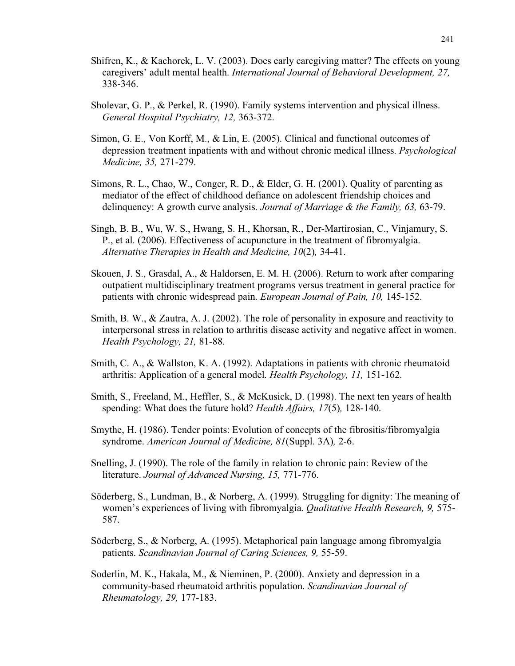- Shifren, K., & Kachorek, L. V. (2003). Does early caregiving matter? The effects on young caregivers' adult mental health. *International Journal of Behavioral Development, 27,* 338-346.
- Sholevar, G. P., & Perkel, R. (1990). Family systems intervention and physical illness. *General Hospital Psychiatry, 12,* 363-372.
- Simon, G. E., Von Korff, M., & Lin, E. (2005). Clinical and functional outcomes of depression treatment inpatients with and without chronic medical illness. *Psychological Medicine, 35,* 271-279.
- Simons, R. L., Chao, W., Conger, R. D., & Elder, G. H. (2001). Quality of parenting as mediator of the effect of childhood defiance on adolescent friendship choices and delinquency: A growth curve analysis. *Journal of Marriage & the Family, 63,* 63-79.
- Singh, B. B., Wu, W. S., Hwang, S. H., Khorsan, R., Der-Martirosian, C., Vinjamury, S. P., et al. (2006). Effectiveness of acupuncture in the treatment of fibromyalgia. *Alternative Therapies in Health and Medicine, 10*(2)*,* 34-41.
- Skouen, J. S., Grasdal, A., & Haldorsen, E. M. H. (2006). Return to work after comparing outpatient multidisciplinary treatment programs versus treatment in general practice for patients with chronic widespread pain. *European Journal of Pain, 10,* 145-152.
- Smith, B. W., & Zautra, A. J. (2002). The role of personality in exposure and reactivity to interpersonal stress in relation to arthritis disease activity and negative affect in women. *Health Psychology, 21,* 81-88.
- Smith, C. A., & Wallston, K. A. (1992). Adaptations in patients with chronic rheumatoid arthritis: Application of a general model. *Health Psychology, 11,* 151-162.
- Smith, S., Freeland, M., Heffler, S., & McKusick, D. (1998). The next ten years of health spending: What does the future hold? *Health Affairs, 17*(5)*,* 128-140.
- Smythe, H. (1986). Tender points: Evolution of concepts of the fibrositis/fibromyalgia syndrome. *American Journal of Medicine, 81*(Suppl. 3A)*,* 2-6.
- Snelling, J. (1990). The role of the family in relation to chronic pain: Review of the literature. *Journal of Advanced Nursing, 15,* 771-776.
- Söderberg, S., Lundman, B., & Norberg, A. (1999). Struggling for dignity: The meaning of women's experiences of living with fibromyalgia. *Qualitative Health Research, 9,* 575- 587.
- Söderberg, S., & Norberg, A. (1995). Metaphorical pain language among fibromyalgia patients. *Scandinavian Journal of Caring Sciences, 9,* 55-59.
- Soderlin, M. K., Hakala, M., & Nieminen, P. (2000). Anxiety and depression in a community-based rheumatoid arthritis population. *Scandinavian Journal of Rheumatology, 29,* 177-183.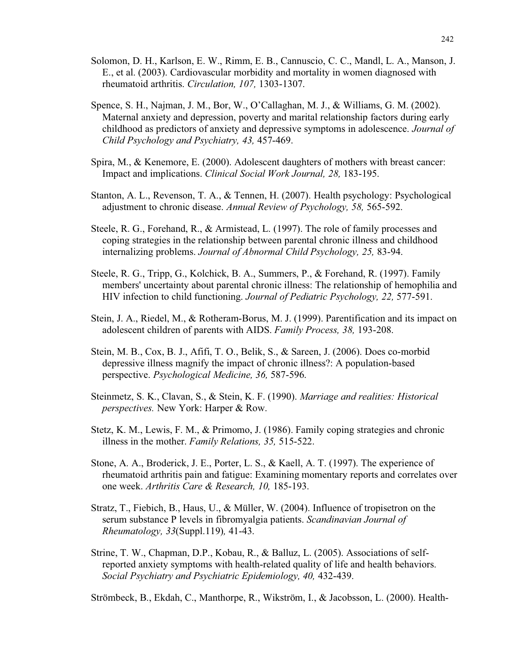- Solomon, D. H., Karlson, E. W., Rimm, E. B., Cannuscio, C. C., Mandl, L. A., Manson, J. E., et al. (2003). Cardiovascular morbidity and mortality in women diagnosed with rheumatoid arthritis. *Circulation, 107,* 1303-1307.
- Spence, S. H., Najman, J. M., Bor, W., O'Callaghan, M. J., & Williams, G. M. (2002). Maternal anxiety and depression, poverty and marital relationship factors during early childhood as predictors of anxiety and depressive symptoms in adolescence. *Journal of Child Psychology and Psychiatry, 43,* 457-469.
- Spira, M., & Kenemore, E. (2000). Adolescent daughters of mothers with breast cancer: Impact and implications. *Clinical Social Work Journal, 28,* 183-195.
- Stanton, A. L., Revenson, T. A., & Tennen, H. (2007). Health psychology: Psychological adjustment to chronic disease. *Annual Review of Psychology, 58,* 565-592.
- Steele, R. G., Forehand, R., & Armistead, L. (1997). The role of family processes and coping strategies in the relationship between parental chronic illness and childhood internalizing problems. *Journal of Abnormal Child Psychology, 25,* 83-94.
- Steele, R. G., Tripp, G., Kolchick, B. A., Summers, P., & Forehand, R. (1997). Family members' uncertainty about parental chronic illness: The relationship of hemophilia and HIV infection to child functioning. *Journal of Pediatric Psychology, 22,* 577-591.
- Stein, J. A., Riedel, M., & Rotheram-Borus, M. J. (1999). Parentification and its impact on adolescent children of parents with AIDS. *Family Process, 38,* 193-208.
- Stein, M. B., Cox, B. J., Afifi, T. O., Belik, S., & Sareen, J. (2006). Does co-morbid depressive illness magnify the impact of chronic illness?: A population-based perspective. *Psychological Medicine, 36,* 587-596.
- Steinmetz, S. K., Clavan, S., & Stein, K. F. (1990). *Marriage and realities: Historical perspectives.* New York: Harper & Row.
- Stetz, K. M., Lewis, F. M., & Primomo, J. (1986). Family coping strategies and chronic illness in the mother. *Family Relations, 35,* 515-522.
- Stone, A. A., Broderick, J. E., Porter, L. S., & Kaell, A. T. (1997). The experience of rheumatoid arthritis pain and fatigue: Examining momentary reports and correlates over one week. *Arthritis Care & Research, 10,* 185-193.
- Stratz, T., Fiebich, B., Haus, U., & Müller, W. (2004). Influence of tropisetron on the serum substance P levels in fibromyalgia patients. *Scandinavian Journal of Rheumatology, 33*(Suppl.119)*,* 41-43.
- Strine, T. W., Chapman, D.P., Kobau, R., & Balluz, L. (2005). Associations of selfreported anxiety symptoms with health-related quality of life and health behaviors. *Social Psychiatry and Psychiatric Epidemiology, 40,* 432-439.

Strömbeck, B., Ekdah, C., Manthorpe, R., Wikström, I., & Jacobsson, L. (2000). Health-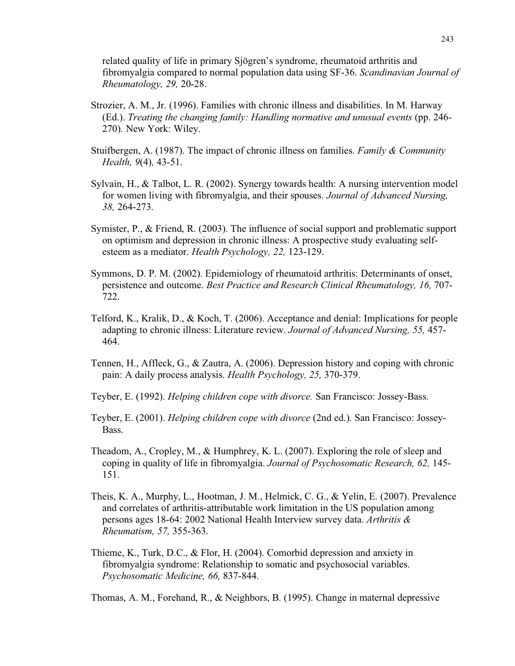related quality of life in primary Sjögren's syndrome, rheumatoid arthritis and fibromyalgia compared to normal population data using SF-36. *Scandinavian Journal of Rheumatology, 29,* 20-28.

- Strozier, A. M., Jr. (1996). Families with chronic illness and disabilities. In M. Harway (Ed.). *Treating the changing family: Handling normative and unusual events* (pp. 246- 270)*.* New York: Wiley.
- Stuifbergen, A. (1987). The impact of chronic illness on families. *Family & Community Health, 9*(4)*,* 43-51.
- Sylvain, H., & Talbot, L. R. (2002). Synergy towards health: A nursing intervention model for women living with fibromyalgia, and their spouses. *Journal of Advanced Nursing, 38,* 264-273.
- Symister, P., & Friend, R. (2003). The influence of social support and problematic support on optimism and depression in chronic illness: A prospective study evaluating selfesteem as a mediator. *Health Psychology, 22,* 123-129.
- Symmons, D. P. M. (2002). Epidemiology of rheumatoid arthritis: Determinants of onset, persistence and outcome. *Best Practice and Research Clinical Rheumatology, 16,* 707- 722.
- Telford, K., Kralik, D., & Koch, T. (2006). Acceptance and denial: Implications for people adapting to chronic illness: Literature review. *Journal of Advanced Nursing, 55,* 457- 464.
- Tennen, H., Affleck, G., & Zautra, A. (2006). Depression history and coping with chronic pain: A daily process analysis. *Health Psychology, 25,* 370-379.
- Teyber, E. (1992). *Helping children cope with divorce.* San Francisco: Jossey-Bass.
- Teyber, E. (2001). *Helping children cope with divorce* (2nd ed.)*.* San Francisco: Jossey-Bass.
- Theadom, A., Cropley, M., & Humphrey, K. L. (2007). Exploring the role of sleep and coping in quality of life in fibromyalgia. *Journal of Psychosomatic Research, 62,* 145- 151.
- Theis, K. A., Murphy, L., Hootman, J. M., Helmick, C. G., & Yelin, E. (2007). Prevalence and correlates of arthritis-attributable work limitation in the US population among persons ages 18-64: 2002 National Health Interview survey data. *Arthritis & Rheumatism, 57,* 355-363.
- Thieme, K., Turk, D.C., & Flor, H. (2004). Comorbid depression and anxiety in fibromyalgia syndrome: Relationship to somatic and psychosocial variables. *Psychosomatic Medicine, 66,* 837-844.

Thomas, A. M., Forehand, R., & Neighbors, B. (1995). Change in maternal depressive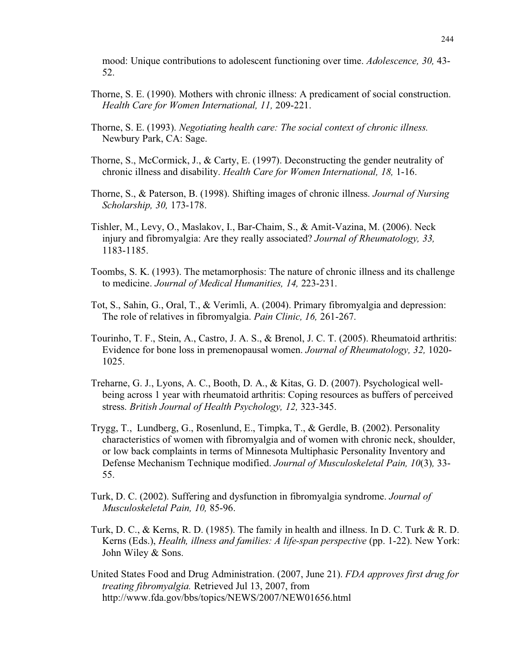mood: Unique contributions to adolescent functioning over time. *Adolescence, 30,* 43- 52.

- Thorne, S. E. (1990). Mothers with chronic illness: A predicament of social construction. *Health Care for Women International, 11,* 209-221.
- Thorne, S. E. (1993). *Negotiating health care: The social context of chronic illness.* Newbury Park, CA: Sage.
- Thorne, S., McCormick, J., & Carty, E. (1997). Deconstructing the gender neutrality of chronic illness and disability. *Health Care for Women International, 18,* 1-16.
- Thorne, S., & Paterson, B. (1998). Shifting images of chronic illness. *Journal of Nursing Scholarship, 30,* 173-178.
- Tishler, M., Levy, O., Maslakov, I., Bar-Chaim, S., & Amit-Vazina, M. (2006). Neck injury and fibromyalgia: Are they really associated? *Journal of Rheumatology, 33,* 1183-1185.
- Toombs, S. K. (1993). The metamorphosis: The nature of chronic illness and its challenge to medicine. *Journal of Medical Humanities, 14,* 223-231.
- Tot, S., Sahin, G., Oral, T., & Verimli, A. (2004). Primary fibromyalgia and depression: The role of relatives in fibromyalgia. *Pain Clinic, 16,* 261-267.
- Tourinho, T. F., Stein, A., Castro, J. A. S., & Brenol, J. C. T. (2005). Rheumatoid arthritis: Evidence for bone loss in premenopausal women. *Journal of Rheumatology, 32,* 1020- 1025.
- Treharne, G. J., Lyons, A. C., Booth, D. A., & Kitas, G. D. (2007). Psychological wellbeing across 1 year with rheumatoid arthritis: Coping resources as buffers of perceived stress. *British Journal of Health Psychology, 12,* 323-345.
- Trygg, T., Lundberg, G., Rosenlund, E., Timpka, T., & Gerdle, B. (2002). Personality characteristics of women with fibromyalgia and of women with chronic neck, shoulder, or low back complaints in terms of Minnesota Multiphasic Personality Inventory and Defense Mechanism Technique modified. *Journal of Musculoskeletal Pain, 10*(3)*,* 33- 55.
- Turk, D. C. (2002). Suffering and dysfunction in fibromyalgia syndrome. *Journal of Musculoskeletal Pain, 10,* 85-96.
- Turk, D. C., & Kerns, R. D. (1985). The family in health and illness. In D. C. Turk & R. D. Kerns (Eds.), *Health, illness and families: A life-span perspective* (pp. 1-22). New York: John Wiley & Sons.
- United States Food and Drug Administration. (2007, June 21). *FDA approves first drug for treating fibromyalgia.* Retrieved Jul 13, 2007, from http://www.fda.gov/bbs/topics/NEWS/2007/NEW01656.html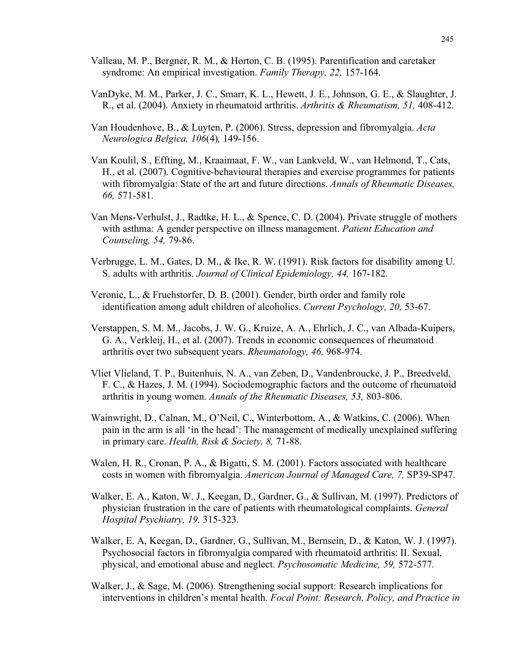- Valleau, M. P., Bergner, R. M., & Horton, C. B. (1995). Parentification and caretaker syndrome: An empirical investigation. *Family Therapy, 22,* 157-164.
- VanDyke, M. M., Parker, J. C., Smarr, K. L., Hewett, J. E., Johnson, G. E., & Slaughter, J. R., et al. (2004). Anxiety in rheumatoid arthritis. *Arthritis & Rheumatism, 51,* 408-412.
- Van Houdenhove, B., & Luyten, P. (2006). Stress, depression and fibromyalgia. *Acta Neurologica Belgica, 106*(4)*,* 149-156.
- Van Koulil, S., Effting, M., Kraaimaat, F. W., van Lankveld, W., van Helmond, T., Cats, H., et al. (2007). Cognitive-behavioural therapies and exercise programmes for patients with fibromyalgia: State of the art and future directions. *Annals of Rheumatic Diseases, 66,* 571-581.
- Van Mens-Verhulst, J., Radtke, H. L., & Spence, C. D. (2004). Private struggle of mothers with asthma: A gender perspective on illness management. *Patient Education and Counseling, 54,* 79-86.
- Verbrugge, L. M., Gates, D. M., & Ike, R. W. (1991). Risk factors for disability among U. S. adults with arthritis. *Journal of Clinical Epidemiology, 44,* 167-182.
- Veronie, L., & Fruehstorfer, D. B. (2001). Gender, birth order and family role identification among adult children of alcoholics. *Current Psychology, 20,* 53-67.
- Verstappen, S. M. M., Jacobs, J. W. G., Kruize, A. A., Ehrlich, J. C., van Albada-Kuipers, G. A., Verkleij, H., et al. (2007). Trends in economic consequences of rheumatoid arthritis over two subsequent years. *Rheumatology, 46,* 968-974.
- Vliet Vlieland, T. P., Buitenhuis, N. A., van Zeben, D., Vandenbroucke, J. P., Breedveld, F. C., & Hazes, J. M. (1994). Sociodemographic factors and the outcome of rheumatoid arthritis in young women. *Annals of the Rheumatic Diseases, 53,* 803-806.
- Wainwright, D., Calnan, M., O'Neil, C., Winterbottom, A., & Watkins, C. (2006). When pain in the arm is all 'in the head': The management of medically unexplained suffering in primary care. *Health, Risk & Society, 8,* 71-88.
- Walen, H. R., Cronan, P. A., & Bigatti, S. M. (2001). Factors associated with healthcare costs in women with fibromyalgia. *American Journal of Managed Care, 7,* SP39-SP47.
- Walker, E. A., Katon, W. J., Keegan, D., Gardner, G., & Sullivan, M. (1997). Predictors of physician frustration in the care of patients with rheumatological complaints. *General Hospital Psychiatry, 19,* 315-323.
- Walker, E. A, Keegan, D., Gardner, G., Sullivan, M., Bernsein, D., & Katon, W. J. (1997). Psychosocial factors in fibromyalgia compared with rheumatoid arthritis: II. Sexual, physical, and emotional abuse and neglect. *Psychosomatic Medicine, 59,* 572-577.
- Walker, J., & Sage, M. (2006). Strengthening social support: Research implications for interventions in children's mental health. *Focal Point: Research, Policy, and Practice in*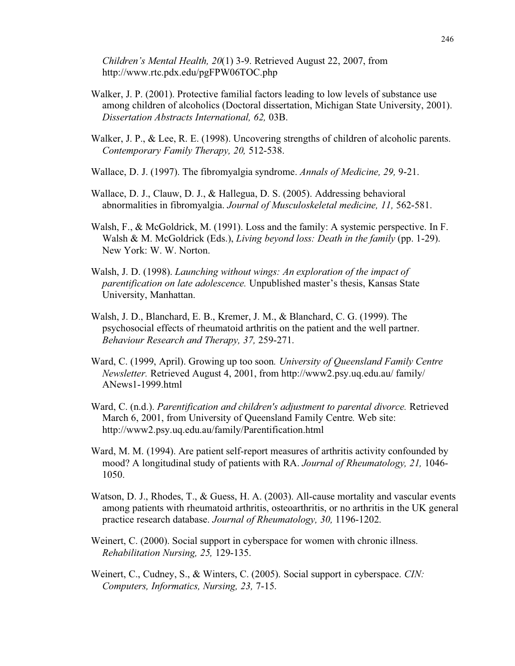*Children's Mental Health, 20*(1) 3-9. Retrieved August 22, 2007, from http://www.rtc.pdx.edu/pgFPW06TOC.php

- Walker, J. P. (2001). Protective familial factors leading to low levels of substance use among children of alcoholics (Doctoral dissertation, Michigan State University, 2001). *Dissertation Abstracts International, 62,* 03B.
- Walker, J. P., & Lee, R. E. (1998). Uncovering strengths of children of alcoholic parents. *Contemporary Family Therapy, 20,* 512-538.
- Wallace, D. J. (1997). The fibromyalgia syndrome. *Annals of Medicine, 29,* 9-21.
- Wallace, D. J., Clauw, D. J., & Hallegua, D. S. (2005). Addressing behavioral abnormalities in fibromyalgia. *Journal of Musculoskeletal medicine, 11,* 562-581.
- Walsh, F., & McGoldrick, M. (1991). Loss and the family: A systemic perspective. In F. Walsh & M. McGoldrick (Eds.), *Living beyond loss: Death in the family* (pp. 1-29). New York: W. W. Norton.
- Walsh, J. D. (1998). *Launching without wings: An exploration of the impact of parentification on late adolescence.* Unpublished master's thesis, Kansas State University, Manhattan.
- Walsh, J. D., Blanchard, E. B., Kremer, J. M., & Blanchard, C. G. (1999). The psychosocial effects of rheumatoid arthritis on the patient and the well partner. *Behaviour Research and Therapy, 37,* 259-271.
- Ward, C. (1999, April). Growing up too soon*. University of Queensland Family Centre Newsletter.* Retrieved August 4, 2001, from http://www2.psy.uq.edu.au/ family/ ANews1-1999.html
- Ward, C. (n.d.). *Parentification and children's adjustment to parental divorce.* Retrieved March 6, 2001, from University of Queensland Family Centre*.* Web site: http://www2.psy.uq.edu.au/family/Parentification.html
- Ward, M. M. (1994). Are patient self-report measures of arthritis activity confounded by mood? A longitudinal study of patients with RA. *Journal of Rheumatology, 21,* 1046- 1050.
- Watson, D. J., Rhodes, T., & Guess, H. A. (2003). All-cause mortality and vascular events among patients with rheumatoid arthritis, osteoarthritis, or no arthritis in the UK general practice research database. *Journal of Rheumatology, 30,* 1196-1202.
- Weinert, C. (2000). Social support in cyberspace for women with chronic illness. *Rehabilitation Nursing, 25,* 129-135.
- Weinert, C., Cudney, S., & Winters, C. (2005). Social support in cyberspace. *CIN: Computers, Informatics, Nursing, 23,* 7-15.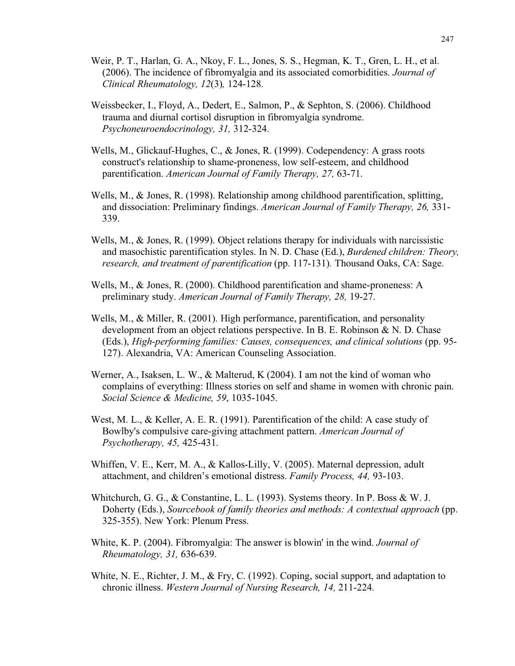- Weir, P. T., Harlan, G. A., Nkoy, F. L., Jones, S. S., Hegman, K. T., Gren, L. H., et al. (2006). The incidence of fibromyalgia and its associated comorbidities. *Journal of Clinical Rheumatology, 12*(3)*,* 124-128.
- Weissbecker, I., Floyd, A., Dedert, E., Salmon, P., & Sephton, S. (2006). Childhood trauma and diurnal cortisol disruption in fibromyalgia syndrome. *Psychoneuroendocrinology, 31,* 312-324.
- Wells, M., Glickauf-Hughes, C., & Jones, R. (1999). Codependency: A grass roots construct's relationship to shame-proneness, low self-esteem, and childhood parentification. *American Journal of Family Therapy, 27,* 63-71.
- Wells, M., & Jones, R. (1998). Relationship among childhood parentification, splitting, and dissociation: Preliminary findings. *American Journal of Family Therapy, 26,* 331- 339.
- Wells, M., & Jones, R. (1999). Object relations therapy for individuals with narcissistic and masochistic parentification styles. In N. D. Chase (Ed.), *Burdened children: Theory, research, and treatment of parentification* (pp. 117-131)*.* Thousand Oaks, CA: Sage.
- Wells, M., & Jones, R. (2000). Childhood parentification and shame-proneness: A preliminary study. *American Journal of Family Therapy, 28,* 19-27.
- Wells, M., & Miller, R. (2001). High performance, parentification, and personality development from an object relations perspective. In B. E. Robinson & N. D. Chase (Eds.), *High-performing families: Causes, consequences, and clinical solutions* (pp. 95- 127). Alexandria, VA: American Counseling Association.
- Werner, A., Isaksen, L. W., & Malterud, K (2004). I am not the kind of woman who complains of everything: Illness stories on self and shame in women with chronic pain. *Social Science & Medicine, 59*, 1035-1045.
- West, M. L., & Keller, A. E. R. (1991). Parentification of the child: A case study of Bowlby's compulsive care-giving attachment pattern. *American Journal of Psychotherapy, 45,* 425-431.
- Whiffen, V. E., Kerr, M. A., & Kallos-Lilly, V. (2005). Maternal depression, adult attachment, and children's emotional distress. *Family Process, 44,* 93-103.
- Whitchurch, G. G., & Constantine, L. L. (1993). Systems theory. In P. Boss & W. J. Doherty (Eds.), *Sourcebook of family theories and methods: A contextual approach* (pp. 325-355). New York: Plenum Press.
- White, K. P. (2004). Fibromyalgia: The answer is blowin' in the wind. *Journal of Rheumatology, 31,* 636-639.
- White, N. E., Richter, J. M., & Fry, C. (1992). Coping, social support, and adaptation to chronic illness. *Western Journal of Nursing Research, 14,* 211-224.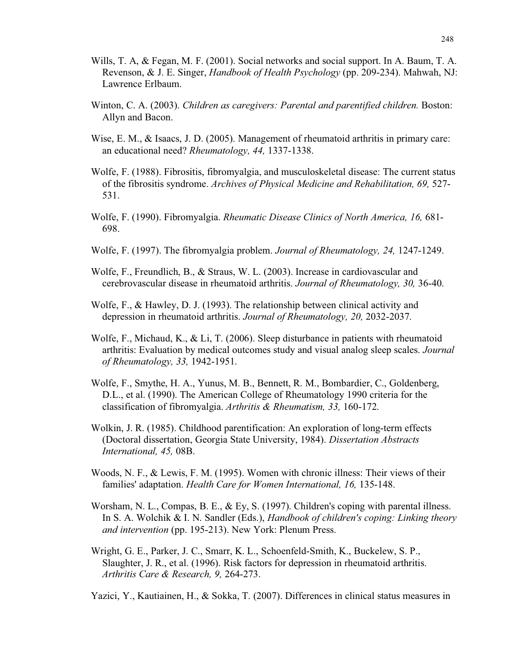- Wills, T. A, & Fegan, M. F. (2001). Social networks and social support. In A. Baum, T. A. Revenson, & J. E. Singer, *Handbook of Health Psychology* (pp. 209-234). Mahwah, NJ: Lawrence Erlbaum.
- Winton, C. A. (2003). *Children as caregivers: Parental and parentified children.* Boston: Allyn and Bacon.
- Wise, E. M., & Isaacs, J. D. (2005). Management of rheumatoid arthritis in primary care: an educational need? *Rheumatology, 44,* 1337-1338.
- Wolfe, F. (1988). Fibrositis, fibromyalgia, and musculoskeletal disease: The current status of the fibrositis syndrome. *Archives of Physical Medicine and Rehabilitation, 69,* 527- 531.
- Wolfe, F. (1990). Fibromyalgia. *Rheumatic Disease Clinics of North America, 16,* 681- 698.
- Wolfe, F. (1997). The fibromyalgia problem. *Journal of Rheumatology, 24,* 1247-1249.
- Wolfe, F., Freundlich, B., & Straus, W. L. (2003). Increase in cardiovascular and cerebrovascular disease in rheumatoid arthritis. *Journal of Rheumatology, 30,* 36-40.
- Wolfe, F., & Hawley, D. J. (1993). The relationship between clinical activity and depression in rheumatoid arthritis. *Journal of Rheumatology, 20,* 2032-2037.
- Wolfe, F., Michaud, K., & Li, T. (2006). Sleep disturbance in patients with rheumatoid arthritis: Evaluation by medical outcomes study and visual analog sleep scales. *Journal of Rheumatology, 33,* 1942-1951.
- Wolfe, F., Smythe, H. A., Yunus, M. B., Bennett, R. M., Bombardier, C., Goldenberg, D.L., et al. (1990). The American College of Rheumatology 1990 criteria for the classification of fibromyalgia. *Arthritis & Rheumatism, 33,* 160-172.
- Wolkin, J. R. (1985). Childhood parentification: An exploration of long-term effects (Doctoral dissertation, Georgia State University, 1984). *Dissertation Abstracts International, 45,* 08B.
- Woods, N. F., & Lewis, F. M. (1995). Women with chronic illness: Their views of their families' adaptation. *Health Care for Women International, 16,* 135-148.
- Worsham, N. L., Compas, B. E., & Ey, S. (1997). Children's coping with parental illness. In S. A. Wolchik & I. N. Sandler (Eds.), *Handbook of children's coping: Linking theory and intervention* (pp. 195-213). New York: Plenum Press.
- Wright, G. E., Parker, J. C., Smarr, K. L., Schoenfeld-Smith, K., Buckelew, S. P., Slaughter, J. R., et al. (1996). Risk factors for depression in rheumatoid arthritis. *Arthritis Care & Research, 9,* 264-273.

Yazici, Y., Kautiainen, H., & Sokka, T. (2007). Differences in clinical status measures in